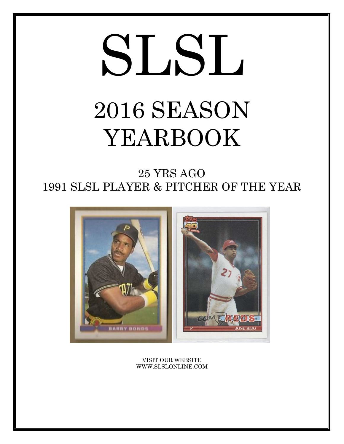# SLSL 2016 SEASON YEARBOOK

25 YRS AGO 1991 SLSL PLAYER & PITCHER OF THE YEAR



VISIT OUR WEBSITE WWW.SLSLONLINE.COM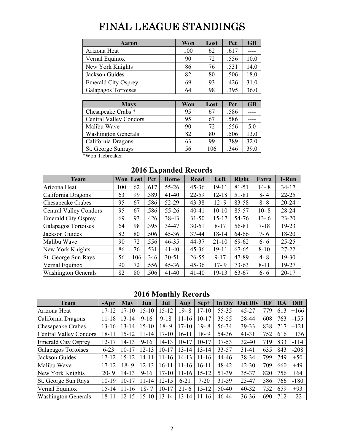# FINAL LEAGUE STANDINGS

| <b>Aaron</b>               | Won | Lost | Pct  | <b>GB</b> |
|----------------------------|-----|------|------|-----------|
| Arizona Heat               | 100 | 62   | .617 |           |
| Vernal Equinox             | 90  | 72   | .556 | 10.0      |
| New York Knights           | 86  | 76   | .531 | 14.0      |
| Jackson Guides             | 82  | 80   | .506 | 18.0      |
| <b>Emerald City Osprey</b> | 69  | 93   | .426 | 31.0      |
| Galapagos Tortoises        | 64  | 98   | .395 | 36.0      |

| <b>Mays</b>                   | Won | Lost | Pct  | <b>GB</b> |
|-------------------------------|-----|------|------|-----------|
| Chesapeake Crabs *            | 95  | 67   | .586 |           |
| <b>Central Valley Condors</b> | 95  | 67   | .586 |           |
| Malibu Wave                   | 90  | 72   | .556 | 5.0       |
| <b>Washington Generals</b>    | 82  | 80   | .506 | 13.0      |
| California Dragons            | 63  | 99   | .389 | 32.0      |
| St. George Sunrays            | 56  | 106  | .346 | 39.0      |

\*Won Tiebreaker

| <b>Team</b>                |     | Won Lost | Pct  | Home      | Road      | Left      | <b>Right</b> | <b>Extra</b> | 1-Run     |
|----------------------------|-----|----------|------|-----------|-----------|-----------|--------------|--------------|-----------|
| Arizona Heat               | 100 | 62       | .617 | $55 - 26$ | $45 - 36$ | $19 - 11$ | $81 - 51$    | $14 - 8$     | $34-17$   |
| California Dragons         | 63  | 99       | .389 | $41 - 40$ | 22-59     | $12 - 18$ | 51-81        | $8 - 4$      | $22 - 25$ |
| Chesapeake Crabes          | 95  | 67       | .586 | 52-29     | $43 - 38$ | $12 - 9$  | 83-58        | $8 - 8$      | $20 - 24$ |
| Central Valley Condors     | 95  | 67       | .586 | $55 - 26$ | $40 - 41$ | $10 - 10$ | 85-57        | $10 - 8$     | 28-24     |
| <b>Emerald City Osprey</b> | 69  | 93       | .426 | 38-43     | $31 - 50$ | $15 - 17$ | 54-76        | $13 - 6$     | $23 - 20$ |
| Galapagos Tortoises        | 64  | 98       | .395 | 34-47     | $30 - 51$ | $8 - 17$  | 56-81        | $7 - 18$     | 19-23     |
| Jackson Guides             | 82  | 80       | .506 | $45 - 36$ | 37-44     | 18-14     | 64-66        | $7 - 6$      | 18-20     |
| Malibu Wave                | 90  | 72       | .556 | $46 - 35$ | 44-37     | $21 - 10$ | 69-62        | $6 - 6$      | $25 - 25$ |
| New York Knights           | 86  | 76       | .531 | $41 - 40$ | $45 - 36$ | $19 - 11$ | 67-65        | $8 - 10$     | $27 - 22$ |
| St. George Sun Rays        | 56  | 106      | .346 | $30 - 51$ | $26 - 55$ | $9 - 17$  | 47-89        | $4 - 8$      | 19-30     |
| Vernal Equinox             | 90  | 72       | .556 | $45 - 36$ | $45 - 36$ | $17 - 9$  | $73 - 63$    | $8 - 11$     | 19-27     |
| <b>Washington Generals</b> | 82  | 80       | .506 | $41 - 40$ | $41 - 40$ | $19-13$   | 63-67        | $6 - 6$      | $20 - 17$ |

## **2016 Expanded Records**

# **2016 Monthly Records**

| <b>Team</b>                | $-Apr$    | <b>May</b> | Jun       | Jul       | Aug       | $Sep+$    | In Div    | <b>Out Div</b> | RF  | RA  | <b>Diff</b> |
|----------------------------|-----------|------------|-----------|-----------|-----------|-----------|-----------|----------------|-----|-----|-------------|
| Arizona Heat               | $17 - 12$ | $17 - 10$  | $15 - 10$ | $15 - 12$ | $19 - 8$  | $17 - 10$ | 55-35     | $45 - 27$      | 779 | 613 | $+166$      |
| California Dragons         | $11 - 18$ | $13 - 14$  | $9 - 16$  | $9 - 18$  | $11 - 16$ | $10 - 17$ | $35 - 55$ | 28-44          | 608 | 763 | $-155$      |
| Chesapeake Crabes          | $13 - 16$ | $13 - 14$  | $15-10$   | $18 - 9$  | $17 - 10$ | $19 - 8$  | 56-34     | 39-33          | 838 | 717 | $+121$      |
| Central Valley Condors     | 18-11     | 15-12      | $11 - 14$ | $17 - 10$ | 16-11     | $18 - 9$  | 54-36     | $41 - 31$      | 752 | 616 | $+136$      |
| Emerald City Osprey        | $12 - 17$ | $14 - 13$  | $9-16$    | $14 - 13$ | $10 - 17$ | $10 - 17$ | $37 - 53$ | 32-40          | 719 | 833 | $-114$      |
| Galapagos Tortoises        | $6 - 23$  | $10 - 17$  | $12 - 13$ | $10 - 17$ | $13 - 14$ | $13 - 14$ | 33-57     | $31 - 41$      | 635 | 843 | $-208$      |
| Jackson Guides             | $17 - 12$ | $15 - 12$  | $14 - 11$ | $11 - 16$ | $14 - 13$ | $11 - 16$ | 44-46     | 38-34          | 799 | 749 | $+50$       |
| Malibu Wave                | $17 - 12$ | $18 - 9$   | $12 - 13$ | $16 - 11$ | $11 - 16$ | $16 - 11$ | 48-42     | $42 - 30$      | 709 | 660 | $+49$       |
| New York Knights           | $20 - 9$  | 14-13      | $9-16$    | $17 - 10$ | $11 - 16$ | $15 - 12$ | 51-39     | 35-37          | 820 | 756 | $+64$       |
| St. George Sun Rays        | $10-19$   | $10 - 17$  | $11 - 14$ | $12 - 15$ | $6 - 21$  | $7 - 20$  | $31 - 59$ | 25-47          | 586 | 766 | $-180$      |
| Vernal Equinox             | $15 - 14$ | $11 - 16$  | $18 - 7$  | $10 - 17$ | $21 - 6$  | $15 - 12$ | 50-40     | $40 - 32$      | 752 | 659 | $+93$       |
| <b>Washington Generals</b> | 18-11     | 12-15      | $15 - 10$ | 13-14     | $13 - 14$ | $11 - 16$ | 46-44     | $36 - 36$      | 690 | 712 | $-22$       |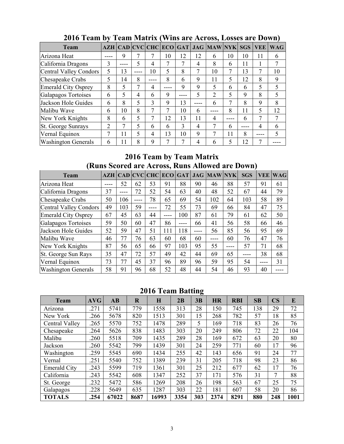| <b>Team</b>                |                |    |             |      |    |    |    | AZH   CAD   CVC   CHC   ECO   GAT   JAG   MAW   NYK |      | <b>SGS</b> | <b>VEE</b> | <b>WAG</b> |
|----------------------------|----------------|----|-------------|------|----|----|----|-----------------------------------------------------|------|------------|------------|------------|
| Arizona Heat               |                | 9  |             |      | 10 | 12 | 12 | 6                                                   | 10   | 10         | 11         | 6          |
| California Dragons         | 3              |    | 5           | 4    |    | 7  | 4  | 8                                                   | 6    | 11         |            |            |
| Central Valley Condors     | 5              | 13 | ----        | 10   | 5  | 8  | 7  | 10                                                  |      | 13         |            | 10         |
| Chesapeake Crabs           | 5              | 14 | 8           | ---- | 8  | 6  | 9  | 11                                                  | 5    | 12         | 8          | 9          |
| <b>Emerald City Osprey</b> | 8              | 5  |             | 4    |    | 9  | 9  | 5                                                   | 6    | 6          | 5          | 5          |
| Galapagos Tortoises        | 6              | 5  | 4           | 6    | 9  |    | 5  | 2                                                   | 5    | 9          | 8          | 5          |
| Jackson Hole Guides        | 6              | 8  | 5           | 3    | 9  | 13 |    | 6                                                   |      | 8          | 9          | 8          |
| Malibu Wave                | 6              | 10 | 8           | 7    | 7  | 10 | 6  |                                                     | 8    | 11         | 5          | 12         |
| New York Knights           | 8              | 6  | 5           | 7    | 12 | 13 | 11 | 4                                                   | ---- | 6          | 7          | 7          |
| St. George Sunrays         | $\overline{2}$ | 7  | $\varsigma$ | 6    | 6  | 3  | 4  |                                                     | 6    | ----       | 4          | 6          |
| Vernal Equinox             |                | 11 | 5           | 4    | 13 | 10 | 9  |                                                     | 11   | 8          |            | 5          |
| <b>Washington Generals</b> | 6              | 11 | 8           | 9    |    | 7  | 4  | h                                                   | 5    | 12         |            |            |

# **2016 Team by Team Matrix (Wins are Across, Losses are Down)**

## **2016 Team by Team Matrix (Runs Scored are Across, Runs Allowed are Down)**

| <b>Team</b>                |    | <b>AZH   CAD   CVC   CHC  </b> |    |      | <b>ECO</b> | GAT |      | <b>JAG MAW NYK</b> |      | <b>SGS</b> | <b>VEE</b> | <b>WAG</b> |
|----------------------------|----|--------------------------------|----|------|------------|-----|------|--------------------|------|------------|------------|------------|
| Arizona Heat               |    | 52                             | 62 | 53   | 91         | 88  | 90   | 46                 | 88   | 57         | 91         | 61         |
| California Dragons         | 37 |                                | 72 | 52   | 54         | 63  | 40   | 48                 | 52   | 67         | 44         | 79         |
| Chesapeake Crabs           | 50 | 106                            |    | 78   | 65         | 69  | 54   | 102                | 64   | 103        | 58         | 89         |
| Central Valley Condors     | 49 | 103                            | 59 | ---- | 72         | 55  | 73   | 69                 | 66   | 84         | 47         | 75         |
| Emerald City Osprey        | 67 | 45                             | 63 | 44   | ----       | 100 | 87   | 61                 | 79   | 61         | 62         | 50         |
| Galapagos Tortoises        | 59 | 50                             | 60 | 47   | 86         |     | 66   | 41                 | 56   | 58         | 66         | 46         |
| Jackson Hole Guides        | 52 | 59                             | 47 | 51   | 111        | 118 | ---- | 56                 | 85   | 56         | 95         | 69         |
| Malibu Wave                | 46 | 77                             | 76 | 63   | 60         | 68  | 60   |                    | 60   | 76         | 47         | 76         |
| New York Knights           | 87 | 56                             | 65 | 66   | 97         | 103 | 95   | 55                 | ---- | 57         | 71         | 68         |
| St. George Sun Rays        | 35 | 47                             | 72 | 57   | 49         | 42  | 44   | 69                 | 65   | ----       | 38         | 68         |
| Vernal Equinox             | 73 | 77                             | 45 | 37   | 96         | 89  | 96   | 59                 | 95   | 54         |            | 31         |
| <b>Washington Generals</b> | 58 | 91                             | 96 | 68   | 52         | 48  | 44   | 54                 | 46   | 93         | 40         |            |

# **2016 Team Batting**

| <b>Team</b>         | AVG  | $\mathbf{A}\mathbf{B}$ | $\mathbf R$ | $\bf H$ | 2B   | 3B  | <b>HR</b> | <b>RBI</b> | SB  | $\overline{\text{CS}}$ | E    |
|---------------------|------|------------------------|-------------|---------|------|-----|-----------|------------|-----|------------------------|------|
| Arizona             | .271 | 5741                   | 779         | 1558    | 313  | 28  | 150       | 745        | 138 | 29                     | 72   |
| New York            | .266 | 5678                   | 820         | 1513    | 301  | 15  | 268       | 782        | 57  | 18                     | 85   |
| Central Valley      | .265 | 5570                   | 752         | 1478    | 289  | 5   | 169       | 718        | 83  | 26                     | 76   |
| Chesapeake          | .264 | 5626                   | 838         | 1483    | 303  | 20  | 249       | 806        | 72  | 22                     | 104  |
| Malibu              | .260 | 5518                   | 709         | 1435    | 289  | 28  | 169       | 672        | 63  | 20                     | 80   |
| Jackson             | .260 | 5542                   | 799         | 1439    | 301  | 24  | 259       | 771        | 60  | 17                     | 96   |
| Washington          | .259 | 5545                   | 690         | 1434    | 255  | 42  | 143       | 656        | 91  | 24                     | 77   |
| Vernal              | .251 | 5540                   | 752         | 1389    | 239  | 31  | 205       | 718        | 98  | 23                     | 86   |
| <b>Emerald City</b> | .243 | 5599                   | 719         | 1361    | 301  | 25  | 212       | 677        | 62  | 17                     | 76   |
| California          | .243 | 5542                   | 608         | 1347    | 252  | 37  | 171       | 576        | 31  | 7                      | 88   |
| St. George          | .232 | 5472                   | 586         | 1269    | 208  | 26  | 198       | 563        | 67  | 25                     | 75   |
| Galapagos           | .228 | 5649                   | 635         | 1287    | 303  | 22  | 181       | 607        | 58  | 20                     | 86   |
| <b>TOTALS</b>       | .254 | 67022                  | 8687        | 16993   | 3354 | 303 | 2374      | 8291       | 880 | 248                    | 1001 |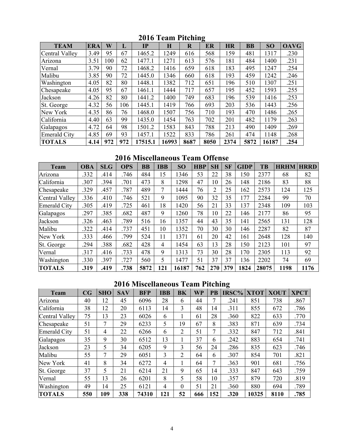| <b>TEAM</b>         | <b>ERA</b> | W   | L   | $\mathbf{IP}$ | H     | $\mathbf R$ | o<br>ER | <b>HR</b> | <b>BB</b> | <b>SO</b> | <b>OAVG</b> |
|---------------------|------------|-----|-----|---------------|-------|-------------|---------|-----------|-----------|-----------|-------------|
| Central Valley      | 3.49       | 95  | 67  | 1465.2        | 1249  | 616         | 568     | 159       | 481       | 1317      | .230        |
| Arizona             | 3.51       | 100 | 62  | 1477.1        | 1271  | 613         | 576     | 181       | 484       | 1400      | .231        |
| Vernal              | 3.79       | 90  | 72  | 1468.2        | 1416  | 659         | 618     | 183       | 495       | 1247      | .254        |
| Malibu              | 3.85       | 90  | 72  | 1445.0        | 1346  | 660         | 618     | 193       | 459       | 1242      | .246        |
| Washington          | 4.05       | 82  | 80  | 1448.1        | 1382  | 712         | 651     | 196       | 510       | 1307      | .251        |
| Chesapeake          | 4.05       | 95  | 67  | 1461.1        | 1444  | 717         | 657     | 195       | 452       | 1593      | .255        |
| Jackson             | 4.26       | 82  | 80  | 1441.2        | 1400  | 749         | 683     | 196       | 539       | 1416      | .253        |
| St. George          | 4.32       | 56  | 106 | 1445.1        | 1419  | 766         | 693     | 203       | 536       | 1443      | .256        |
| New York            | 4.35       | 86  | 76  | 1468.0        | 1507  | 756         | 710     | 193       | 470       | 1486      | .265        |
| California          | 4.40       | 63  | 99  | 1435.0        | 1454  | 763         | 702     | 201       | 482       | 1179      | .263        |
| Galapagos           | 4.72       | 64  | 98  | 1501.2        | 1583  | 843         | 788     | 213       | 490       | 1409      | .269        |
| <b>Emerald City</b> | 4.85       | 69  | 93  | 1457.1        | 1522  | 833         | 786     | 261       | 474       | 1148      | .268        |
| <b>TOTALS</b>       | 4.14       | 972 | 972 | 17515.1       | 16993 | 8687        | 8050    | 2374      | 5872      | 16187     | .254        |

**2016 Team Pitching** 

**2016 Miscellaneous Team Offense** 

| <b>Team</b>         | <b>OBA</b> | <b>SLG</b> | <b>OPS</b> | BB   | <b>IBB</b> | SO    | <b>HBP</b> | <b>SH</b> | <b>SF</b> | <b>GIDP</b> | TB    | <b>HRHM</b> | <b>HRRD</b> |
|---------------------|------------|------------|------------|------|------------|-------|------------|-----------|-----------|-------------|-------|-------------|-------------|
| Arizona             | .332       | .414       | .746       | 484  | 15         | 1346  | 53         | 22        | 38        | 150         | 2377  | 68          | 82          |
| California          | .307       | .394       | .701       | 473  | 8          | 1298  | 47         | 10        | 26        | 148         | 2186  | 83          | 88          |
| Chesapeake          | .329       | .457       | .787       | 489  | $\tau$     | 1444  | 76         | 2         | 25        | 162         | 2573  | 124         | 125         |
| Central Valley      | .336       | .410       | .746       | 521  | 9          | 1095  | 90         | 32        | 35        | 177         | 2284  | 99          | 70          |
| <b>Emerald City</b> | .305       | .419       | .725       | 461  | 18         | 1420  | 56         | 21        | 33        | 137         | 2348  | 109         | 103         |
| Galapagos           | .297       | .385       | .682       | 487  | 9          | 1260  | 78         | 10        | 22        | 146         | 2177  | 86          | 95          |
| Jackson             | .326       | .463       | .789       | 516  | 16         | 1357  | 44         | 43        | 35        | 141         | 2565  | 131         | 128         |
| Malibu              | .322       | .414       | .737       | 451  | 10         | 1352  | 70         | 30        | 30        | 146         | 2287  | 82          | 87          |
| New York            | .333       | .466       | .799       | 524  | 11         | 1371  | 61         | 20        | 42        | 161         | 2648  | 128         | 140         |
| St. George          | .294       | .388       | .682       | 428  | 4          | 1454  | 63         | 13        | 28        | 150         | 2123  | 101         | 97          |
| Vernal              | .317       | .416       | .733       | 478  | 9          | 1313  | 73         | 30        | 28        | 170         | 2305  | 113         | 92          |
| Washington          | .330       | .397       | .727       | 560  | 5          | 1477  | 51         | 37        | 37        | 136         | 2202  | 74          | 69          |
| <b>TOTALS</b>       | .319       | .419       | .738       | 5872 | 121        | 16187 | 762        | 270       | 379       | 1824        | 28075 | 1198        | 1176        |

# **2016 Miscellaneous Team Pitching**

| <b>Team</b>         | CG  | <b>SHO</b> | <b>SAV</b> | <b>BFP</b> | <b>IBB</b> | <b>BK</b>      | <b>WP</b> | PB  | <b>IRSC%</b> | <b>XTOT</b> | <b>XOUT</b> | <b>XPCT</b> |
|---------------------|-----|------------|------------|------------|------------|----------------|-----------|-----|--------------|-------------|-------------|-------------|
| Arizona             | 40  | 12         | 45         | 6096       | 28         | 6              | 44        | 7   | .241         | 851         | 738         | .867        |
| California          | 38  | 12         | 20         | 6113       | 14         | 3              | 48        | 14  | .311         | 855         | 672         | .786        |
| Central Valley      | 75  | 13         | 23         | 6026       | 6          |                | 61        | 28  | .360         | 822         | 633         | .770        |
| Chesapeake          | 51  | 7          | 29         | 6233       | 5          | 19             | 67        | 8   | .383         | 871         | 639         | .734        |
| <b>Emerald City</b> | 51  | 4          | 22         | 6266       | 6          | 2              | 51        | 7   | .332         | 847         | 712         | .841        |
| Galapagos           | 35  | 9          | 30         | 6512       | 13         |                | 37        | 6   | .242         | 883         | 654         | .741        |
| Jackson             | 23  | 5          | 34         | 6205       | 9          | 3              | 56        | 24  | .286         | 835         | 623         | .746        |
| Malibu              | 55  | 7          | 29         | 6051       | 3          | $\overline{2}$ | 64        | 6   | .307         | 854         | 701         | .821        |
| New York            | 41  | 8          | 34         | 6272       | 4          |                | 64        | 7   | .363         | 901         | 681         | .756        |
| St. George          | 37  | 5          | 21         | 6214       | 21         | 9              | 65        | 14  | .333         | 847         | 643         | .759        |
| Vernal              | 55  | 13         | 26         | 6201       | 8          | 5              | 58        | 10  | .357         | 879         | 720         | .819        |
| Washington          | 49  | 14         | 25         | 6121       | 4          | $\Omega$       | 51        | 21  | .360         | 880         | 694         | .789        |
| <b>TOTALS</b>       | 550 | 109        | 338        | 74310      | 121        | 52             | 666       | 152 | .320         | 10325       | 8110        | .785        |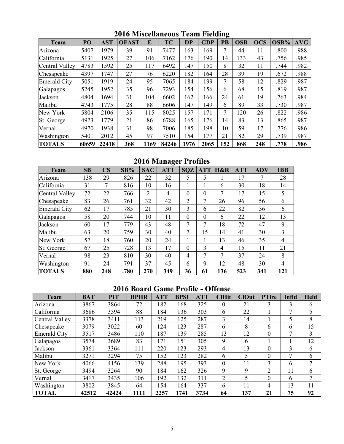| <b>Team</b>    | PO    | <b>AST</b> | <b>OFAST</b> | E    | <b>TC</b> | <b>DP</b> | <b>GDP</b> | ᇰ<br>PB | <b>OSB</b> | <b>OCS</b> | OSB% | <b>AVG</b> |
|----------------|-------|------------|--------------|------|-----------|-----------|------------|---------|------------|------------|------|------------|
| Arizona        | 5407  | 1979       | 39           | 91   | 7477      | 163       | 169        | ⇁       | 44         | 11         | .800 | .988       |
| California     | 5131  | 1925       | 27           | 106  | 7162      | 176       | 190        | 14      | 133        | 43         | .756 | .985       |
| Central Valley | 4783  | 1592       | 25           | 117  | 6492      | 147       | 150        | 8       | 32         | 11         | .744 | .982       |
| Chesapeake     | 4397  | 1747       | 27           | 76   | 6220      | 182       | 164        | 28      | 39         | 19         | .672 | .988       |
| Emerald City   | 5051  | 1919       | 24           | 95   | 7065      | 184       | 199        | 7       | 58         | 12         | .829 | .987       |
| Galapagos      | 5245  | 1952       | 35           | 96   | 7293      | 154       | 156        | 6       | 68         | 15         | .819 | .987       |
| Jackson        | 4804  | 1694       | 31           | 104  | 6602      | 162       | 166        | 24      | 61         | 19         | .763 | .984       |
| Malibu         | 4743  | 1775       | 28           | 88   | 6606      | 147       | 149        | 6       | 89         | 33         | .730 | .987       |
| New York       | 5804  | 2106       | 35           | 115  | 8025      | 157       | 171        |         | 120        | 26         | .822 | .986       |
| St. George     | 4923  | 1779       | 21           | 86   | 6788      | 165       | 176        | 14      | 83         | 13         | .865 | .987       |
| Vernal         | 4970  | 1938       | 31           | 98   | 7006      | 185       | 198        | 10      | 59         | 17         | .776 | .986       |
| Washington     | 5401  | 2012       | 45           | 97   | 7510      | 154       | 177        | 21      | 82         | 29         | .739 | .987       |
| <b>TOTALS</b>  | 60659 | 22418      | 368          | 1169 | 84246     | 1976      | 2065       | 152     | 868        | 248        | .778 | .986       |

**2016 Miscellaneous Team Fielding** 

**2016 Manager Profiles** 

| <b>Team</b>         | SB  | $\overline{\text{CS}}$ | SB%  | <b>SAC</b>     | <b>ATT</b> | <b>SQZ</b>     | <b>ATT</b> | H&R | <b>ATT</b> | <b>ADV</b> | <b>IBB</b> |
|---------------------|-----|------------------------|------|----------------|------------|----------------|------------|-----|------------|------------|------------|
| Arizona             | 138 | 29                     | .826 | 22             | 32         | 5              | 5          |     | 17         | 7          | 28         |
| California          | 31  | 7                      | .816 | 10             | 16         |                |            | 6   | 30         | 18         | 14         |
| Central Valley      | 72  | 22                     | .766 | $\overline{2}$ | 4          | $\theta$       | $\theta$   | 7   | 17         | 15         | 5          |
| Chesapeake          | 83  | 26                     | .761 | 32             | 42         | $\overline{2}$ | 7          | 26  | 96         | 56         | 6          |
| <b>Emerald City</b> | 62  | 17                     | .785 | 21             | 30         | 3              | 6          | 22  | 82         | 56         | 6          |
| Galapagos           | 58  | 20                     | .744 | 10             | 11         | $\theta$       | $\theta$   | 6   | 22         | 12         | 13         |
| Jackson             | 60  | 17                     | .779 | 43             | 48         | 7              | 7          | 18  | 72         | 47         | 9          |
| Malibu              | 63  | 20                     | .759 | 30             | 40         | 7              | 15         | 14  | 41         | 30         | 3          |
| New York            | 57  | 18                     | .760 | 20             | 24         |                |            | 13  | 46         | 35         | 4          |
| St. George          | 67  | 25                     | .728 | 13             | 17         | $\Omega$       | 3          | 4   | 15         | 11         | 21         |
| Vernal              | 98  | 23                     | .810 | 30             | 40         | $\overline{4}$ | 7          | 7   | 37         | 24         | 8          |
| Washington          | 91  | 24                     | .791 | 37             | 45         | 6              | 9          | 12  | 48         | 30         | 4          |
| <b>TOTALS</b>       | 880 | 248                    | .780 | 270            | 349        | 36             | 61         | 136 | 523        | 341        | 121        |

# **2016 Board Game Profile - Offense**

| <b>Team</b>         | <b>BAT</b> | <b>PIT</b> | <b>BPHR</b> | <b>ATT</b> | <b>BPSI</b> | <b>ATT</b> | <b>ClHit</b>     | <b>ClOut</b> | <b>PTire</b>   | Infld         | <b>Held</b> |
|---------------------|------------|------------|-------------|------------|-------------|------------|------------------|--------------|----------------|---------------|-------------|
| Arizona             | 3867       | 3864       | 72          | 182        | 168         | 325        | $\theta$         | 21           | 3              | 3             | 6           |
| California          | 3686       | 3594       | 88          | 184        | 136         | 303        | 6                | 22           |                |               | 5           |
| Central Valley      | 3378       | 3411       | 113         | 219        | 125         | 287        | 3                | 14           |                |               | 8           |
| Chesapeake          | 3079       | 3022       | 60          | 124        | 123         | 287        | 6                | 8            | 6              | 6             | 15          |
| <b>Emerald City</b> | 3517       | 3486       | 110         | 187        | 139         | 285        | 13               | 12           | 0              |               | 3           |
| Galapagos           | 3574       | 3689       | 83          | 171        | 151         | 305        | 9                | 6            |                |               | 12          |
| Jackson             | 3361       | 3364       | 111         | 220        | 123         | 293        | 4                | 13           | 0              | $\mathcal{E}$ | 6           |
| Malibu              | 3271       | 3294       | 75          | 152        | 123         | 282        | 6                | 5            | 0              |               | 6           |
| New York            | 4066       | 4156       | 139         | 288        | 195         | 393        | $\boldsymbol{0}$ | 11           | 3              | 6             | ⇁           |
| St. George          | 3494       | 3264       | 90          | 184        | 162         | 326        | 9                | 9            | $\mathfrak{D}$ | 11            | 6           |
| Vernal              | 3417       | 3435       | 106         | 192        | 132         | 311        | $\overline{2}$   | 5            | 0              | 6             | 7           |
| Washington          | 3802       | 3845       | 64          | 154        | 164         | 337        | 6                | 11           | 4              | 13            | 11          |
| <b>TOTAL</b>        | 42512      | 42424      | 1111        | 2257       | 1741        | 3734       | 64               | 137          | 21             | 75            | 92          |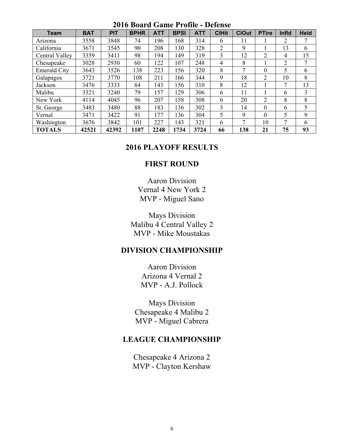| zviv dvalu valile i folile - delelise |            |            |             |            |             |            |              |              |                |       |             |
|---------------------------------------|------------|------------|-------------|------------|-------------|------------|--------------|--------------|----------------|-------|-------------|
| <b>Team</b>                           | <b>BAT</b> | <b>PIT</b> | <b>BPHR</b> | <b>ATT</b> | <b>BPSI</b> | <b>ATT</b> | <b>CIHit</b> | <b>ClOut</b> | <b>PTire</b>   | Infld | <b>Held</b> |
| Arizona                               | 3558       | 3848       | 74          | 196        | 168         | 314        | 6            | 11           |                | 2     | 7           |
| California                            | 3671       | 3545       | 90          | 208        | 130         | 328        | 2            | 9            |                | 13    | 6           |
| Central Valley                        | 3359       | 3411       | 98          | 194        | 149         | 319        | 3            | 12           | 2              | 4     | 15          |
| Chesapeake                            | 3028       | 2930       | 60          | 122        | 107         | 248        | 4            | 8            |                | 2     | 7           |
| <b>Emerald City</b>                   | 3643       | 3526       | 138         | 223        | 156         | 320        | 8            | 7            | $\theta$       | 5     | 6           |
| Galapagos                             | 3721       | 3770       | 108         | 211        | 166         | 344        | 9            | 18           | $\overline{2}$ | 10    | 8           |
| Jackson                               | 3476       | 3333       | 84          | 143        | 156         | 310        | 8            | 12           |                | 7     | 13          |
| Malibu                                | 3321       | 3240       | 79          | 157        | 129         | 306        | 6            | 11           |                | 6     | 3           |
| New York                              | 4114       | 4045       | 96          | 207        | 158         | 308        | 6            | 20           | 2              | 8     | 8           |
| St. George                            | 3483       | 3480       | 88          | 183        | 136         | 302        | 3            | 14           | $\theta$       | 6     | 5           |
| Vernal                                | 3471       | 3422       | 91          | 177        | 136         | 304        | 5            | 9            | $\Omega$       | 5     | 9           |
| Washington                            | 3676       | 3842       | 101         | 227        | 143         | 321        | 6            | 7            | 10             | 7     | 6           |
| <b>TOTALS</b>                         | 42521      | 42392      | 107         | 2248       | 1734        | 3724       | 66           | 138          | 21             | 75    | 93          |

### **2016 Board Game Profile - Defense**

### **2016 PLAYOFF RESULTS**

### **FIRST ROUND**

Aaron Division Vernal 4 New York 2 MVP - Miguel Sano

Mays Division Malibu 4 Central Valley 2 MVP - Mike Moustakas

## **DIVISION CHAMPIONSHIP**

Aaron Division Arizona 4 Vernal 2 MVP - A.J. Pollock

Mays Division Chesapeake 4 Malibu 2 MVP - Miguel Cabrera

### **LEAGUE CHAMPIONSHIP**

Chesapeake 4 Arizona 2 MVP - Clayton Kershaw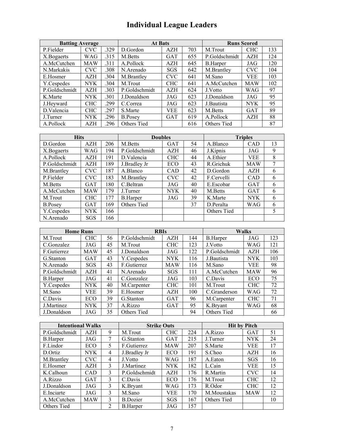# **Individual League Leaders**

| <b>Batting Average</b> |            |      | <b>At Bats</b> |            |     | <b>Runs Scored</b> |            |     |  |
|------------------------|------------|------|----------------|------------|-----|--------------------|------------|-----|--|
| P.Fielder              | <b>CVC</b> | .329 | D.Gordon       | <b>AZH</b> | 703 | M.Trout            | CHC        | 133 |  |
| X.Bogaerts             | <b>WAG</b> | .315 | M.Betts        | <b>GAT</b> | 655 | P.Goldschmidt      | AZH        | 124 |  |
| A.McCutchen            | <b>MAW</b> | .311 | A.Pollock      | <b>AZH</b> | 645 | <b>B.Harper</b>    | JAG        | 120 |  |
| N.Markakis             | <b>CVC</b> | .308 | N.Arenado      | <b>SGS</b> | 642 | M.Brantley         | <b>CVC</b> | 104 |  |
| E.Hosmer               | <b>AZH</b> | .304 | M.Brantley     | <b>CVC</b> | 641 | M.Sano             | VEE        | 103 |  |
| Y.Cespedes             | <b>NYK</b> | .304 | M.Trout        | <b>CHC</b> | 641 | A.McCutchen        | <b>MAW</b> | 102 |  |
| P.Goldschmidt          | <b>AZH</b> | .303 | P.Goldschmidt  | <b>AZH</b> | 624 | J.Votto            | WAG        | 97  |  |
| K.Marte                | <b>NYK</b> | .301 | J.Donaldson    | JAG        | 623 | J.Donaldson        | JAG        | 95  |  |
| J.Heyward              | <b>CHC</b> | .299 | C.Correa       | JAG        | 623 | J.Bautista         | NYK.       | 95  |  |
| D.Valencia             | <b>CHC</b> | .297 | S.Marte        | VEE.       | 623 | M.Betts            | <b>GAT</b> | 89  |  |
| J.Turner               | <b>NYK</b> | .296 | <b>B.Posey</b> | <b>GAT</b> | 619 | A.Pollock          | <b>AZH</b> | 88  |  |
| A.Pollock              | <b>AZH</b> | .296 | Others Tied    |            | 616 | Others Tied        |            | 87  |  |

| <b>Hits</b>    |            |     | <b>Doubles</b>  | <b>Triples</b> |    |             |            |    |
|----------------|------------|-----|-----------------|----------------|----|-------------|------------|----|
| D.Gordon       | <b>AZH</b> | 206 | M.Betts         | <b>GAT</b>     | 54 | A.Blanco    | <b>CAD</b> | 13 |
| X.Bogaerts     | WAG        | 194 | P.Goldschmidt   | AZH            | 46 | J.Kipnis    | JAG        | 9  |
| A.Pollock      | <b>AZH</b> | 191 | D.Valencia      | <b>CHC</b>     | 44 | A.Ethier    | <b>VEE</b> | 8  |
| P.Goldschmidt  | <b>AZH</b> | 189 | J.Bradley Jr    | ECO            | 43 | R.Grichuk   | <b>MAW</b> | 7  |
| M.Brantley     | <b>CVC</b> | 187 | A.Blanco        | <b>CAD</b>     | 42 | D.Gordon    | AZH        | 6  |
| P.Fielder      | <b>CVC</b> | 183 | M.Brantley      | <b>CVC</b>     | 42 | F.Cervelli  | <b>CAD</b> | 6  |
| M.Betts        | <b>GAT</b> | 180 | C.Beltran       | JAG            | 40 | E.Escobar   | <b>GAT</b> | 6  |
| A.McCutchen    | <b>MAW</b> | 179 | J.Turner        | <b>NYK</b>     | 40 | M.Betts     | <b>GAT</b> | 6  |
| M.Trout        | <b>CHC</b> | 177 | <b>B.Harper</b> | JAG            | 39 | K.Marte     | <b>NYK</b> | 6  |
| <b>B.Posev</b> | <b>GAT</b> | 169 | Others Tied     |                | 37 | D.Peralta   | WAG        | 6  |
| Y.Cespedes     | <b>NYK</b> | 166 |                 |                |    | Others Tied |            | 5  |
| N.Arenado      | <b>SGS</b> | 166 |                 |                |    |             |            |    |

| <b>Home Runs</b> |            |    | <b>RBIs</b>   | Walks      |     |                 |            |     |
|------------------|------------|----|---------------|------------|-----|-----------------|------------|-----|
| M.Trout          | <b>CHC</b> | 56 | P.Goldschmidt | <b>AZH</b> | 144 | <b>B.Harper</b> | JAG        | 123 |
| C.Gonzalez       | JAG        | 45 | M.Trout       | <b>CHC</b> | 123 | J.Votto         | WAG        | 121 |
| F.Gutierrez      | <b>MAW</b> | 45 | J.Donaldson   | JAG        | 122 | P.Goldschmidt   | AZH        | 106 |
| G.Stanton        | <b>GAT</b> | 43 | Y.Cespedes    | <b>NYK</b> | 116 | J.Bautista      | <b>NYK</b> | 103 |
| N.Arenado        | <b>SGS</b> | 43 | F.Gutierrez   | <b>MAW</b> | 116 | M.Sano          | VEE.       | 98  |
| P.Goldschmidt    | <b>AZH</b> | 41 | N.Arenado     | <b>SGS</b> | 111 | A.McCutchen     | <b>MAW</b> | 96  |
| <b>B.Harper</b>  | JAG        | 41 | C.Gonzalez    | JAG        | 103 | C.Davis         | ECO        | 75  |
| Y.Cespedes       | <b>NYK</b> | 40 | M.Carpenter   | <b>CHC</b> | 101 | M.Trout         | <b>CHC</b> | 72  |
| M.Sano           | <b>VEE</b> | 39 | E.Hosmer      | AZH        | 100 | C.Granderson    | WAG        | 72  |
| C.Davis          | ECO        | 39 | G.Stanton     | <b>GAT</b> | 96  | M.Carpenter     | <b>CHC</b> | 71  |
| J.Martinez       | <b>NYK</b> | 37 | A.Rizzo       | <b>GAT</b> | 95  | K.Bryant        | WAG        | 68  |
| J.Donaldson      | JAG        | 35 | Others Tied   |            | 94  | Others Tied     |            | 66  |

| <b>Intentional Walks</b> |            |                | <b>Strike Outs</b> |            |     | <b>Hit by Pitch</b> |            |    |  |
|--------------------------|------------|----------------|--------------------|------------|-----|---------------------|------------|----|--|
| P.Goldschmidt            | AZH        | 9              | M.Trout            | <b>CHC</b> | 224 | A.Rizzo             | <b>GAT</b> | 51 |  |
| <b>B.Harper</b>          | JAG        | 7              | G.Stanton          | <b>GAT</b> | 215 | J.Turner            | NYK.       | 24 |  |
| F.Lindor                 | <b>ECO</b> | 5              | F.Gutierrez        | <b>MAW</b> | 207 | S.Marte             | <b>VEE</b> | 17 |  |
| D.Ortiz                  | <b>NYK</b> | 4              | J.Bradley Jr       | ECO        | 191 | S.Choo              | AZH        | 16 |  |
| M.Brantley               | <b>CVC</b> | $\overline{4}$ | J.Votto            | WAG        | 187 | A.Eaton             | SGS        | 16 |  |
| E.Hosmer                 | <b>AZH</b> | $\mathbf{3}$   | J.Martinez         | <b>NYK</b> | 182 | L.Cain              | VEE        | 15 |  |
| K.Calhoun                | <b>CAD</b> | 3              | P.Goldschmidt      | <b>AZH</b> | 176 | R.Martin            | <b>CVC</b> | 14 |  |
| A.Rizzo                  | <b>GAT</b> | $\mathbf{3}$   | C.Davis            | ECO        | 176 | M.Trout             | <b>CHC</b> | 12 |  |
| J.Donaldson              | JAG        | $\mathbf{3}$   | K.Bryant           | WAG        | 173 | R.Odor              | <b>CHC</b> | 12 |  |
| E.Inciarte               | JAG        | 3              | M.Sano             | VEE        | 170 | M.Moustakas         | <b>MAW</b> | 12 |  |
| A.McCutchen              | <b>MAW</b> | 3              | <b>B.Dozier</b>    | <b>SGS</b> | 167 | Others Tied         |            | 10 |  |
| Others Tied              |            | $\mathfrak{D}$ | <b>B.Harper</b>    | JAG        | 157 |                     |            |    |  |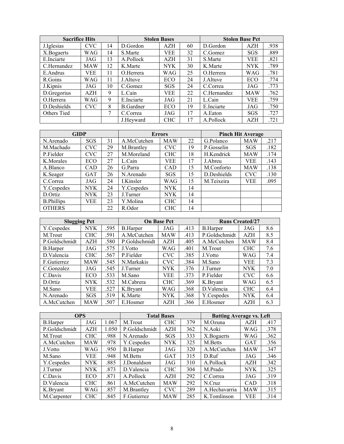| <b>Sacrifice Hits</b> |            |    |                  | <b>Stolen Bases</b> |    | <b>Stolen Base Pct</b> |            |      |
|-----------------------|------------|----|------------------|---------------------|----|------------------------|------------|------|
| J. Iglesias           | <b>CVC</b> | 14 | D.Gordon         | AZH                 | 60 | D.Gordon               | AZH        | .938 |
| X.Bogaerts            | <b>WAG</b> | 14 | S.Marte          | VEE                 | 32 | C.Gomez                | SGS        | .889 |
| E.Inciarte            | JAG        | 13 | A.Pollock        | AZH                 | 31 | S.Marte                | VEE        | .821 |
| C.Hernandez           | <b>MAW</b> | 12 | K.Marte          | <b>NYK</b>          | 30 | K.Marte                | <b>NYK</b> | .789 |
| E.Andrus              | VEE        | 11 | O.Herrera        | WAG                 | 25 | O.Herrera              | WAG        | .781 |
| R.Goins               | WAG        | 11 | J.Altuve         | ECO                 | 24 | J.Altuve               | ECO        | .774 |
| J.Kipnis              | JAG        | 10 | C.Gomez          | SGS                 | 24 | C.Correa               | JAG        | .773 |
| D.Gregorius           | <b>AZH</b> | 9  | L.Cain           | VEE                 | 22 | C.Hernandez            | <b>MAW</b> | .762 |
| O.Herrera             | WAG        | 9  | E.Inciarte       | JAG                 | 21 | L.Cain                 | VEE        | .759 |
| D.Deshields           | <b>CVC</b> | 8  | <b>B.Gardner</b> | ECO                 | 19 | E.Inciarte             | JAG        | .750 |
| Others Tied           |            | 7  | C.Correa         | JAG                 | 17 | A.Eaton                | SGS        | .727 |
|                       |            |    | J.Hevward        | <b>CHC</b>          | 17 | A.Pollock              | <b>AZH</b> | .721 |

| <b>GIDP</b>       |            |    | <b>Errors</b> |            |    | <b>Pinch Hit Average</b> |            |      |  |
|-------------------|------------|----|---------------|------------|----|--------------------------|------------|------|--|
| N.Arenado         | <b>SGS</b> | 31 | A.McCutchen   | <b>MAW</b> | 22 | G.Polanco                | <b>MAW</b> | .217 |  |
| M.Machado         | <b>CVC</b> | 29 | M.Brantley    | <b>CVC</b> | 19 | P.Gosselin               | <b>SGS</b> | .182 |  |
| P.Fielder         | <b>CVC</b> | 27 | M.Moreland    | <b>CHC</b> | 18 | H.Kendrick               | <b>MAW</b> | .174 |  |
| K.Morales         | ECO        | 27 | L.Cain        | VEE        | 17 | J. Abreu                 | VEE        | .143 |  |
| A.Blanco          | CAD        | 26 | G.Parra       | CAD        | 15 | M.Conforto               | <b>MAW</b> | .138 |  |
| K.Seager          | <b>GAT</b> | 26 | N.Arenado     | <b>SGS</b> | 15 | D.Deshields              | <b>CVC</b> | .130 |  |
| C.Correa          | JAG        | 24 | I.Kinsler     | WAG        | 15 | M.Teixeira               | VEE        | .095 |  |
| Y.Cespedes        | <b>NYK</b> | 24 | Y.Cespedes    | <b>NYK</b> | 14 |                          |            |      |  |
| D.Ortiz           | <b>NYK</b> | 23 | J.Turner      | NYK.       | 14 |                          |            |      |  |
| <b>B.Phillips</b> | VEE        | 23 | Y.Molina      | <b>CHC</b> | 14 |                          |            |      |  |
| <b>OTHERS</b>     |            | 22 | R.Odor        | <b>CHC</b> | 14 |                          |            |      |  |

| <b>Slugging Pct</b> |            |      |                 | <b>On Base Pct</b> |      | <b>Runs Created/27</b> |            |     |  |
|---------------------|------------|------|-----------------|--------------------|------|------------------------|------------|-----|--|
| Y.Cespedes          | <b>NYK</b> | .595 | <b>B.Harper</b> | JAG                | .413 | <b>B.Harper</b>        | JAG        | 8.6 |  |
| M.Trout             | <b>CHC</b> | .591 | A.McCutchen     | <b>MAW</b>         | .413 | P.Goldschmidt          | <b>AZH</b> | 8.5 |  |
| P.Goldschmidt       | <b>AZH</b> | .580 | P.Goldschmidt   | <b>AZH</b>         | .405 | A.McCutchen            | <b>MAW</b> | 8.4 |  |
| <b>B.Harper</b>     | JAG        | .575 | J.Votto         | WAG                | .401 | M.Trout                | <b>CHC</b> | 7.6 |  |
| D.Valencia          | <b>CHC</b> | .567 | P.Fielder       | <b>CVC</b>         | .385 | J.Votto                | WAG        | 7.4 |  |
| F.Gutierrez         | <b>MAW</b> | .545 | N.Markakis      | <b>CVC</b>         | .384 | M.Sano                 | <b>VEE</b> | 7.3 |  |
| C.Gonzalez          | JAG        | .545 | J.Turner        | <b>NYK</b>         | .376 | J.Turner               | <b>NYK</b> | 7.0 |  |
| C.Davis             | ECO        | .533 | M.Sano          | VEE                | .373 | P.Fielder              | <b>CVC</b> | 6.6 |  |
| D.Ortiz             | <b>NYK</b> | .532 | M.Cabrera       | <b>CHC</b>         | .369 | K.Brvant               | WAG        | 6.5 |  |
| M.Sano              | VEE        | .527 | K.Brvant        | WAG                | .368 | D.Valencia             | <b>CHC</b> | 6.4 |  |
| N. Arenado          | <b>SGS</b> | .519 | K.Marte         | <b>NYK</b>         | .368 | Y.Cespedes             | <b>NYK</b> | 6.4 |  |
| A.McCutchen         | <b>MAW</b> | .507 | E.Hosmer        | AZH                | .366 | E.Hosmer               | AZH        | 6.3 |  |

| <b>OPS</b>      |            |       |                 | <b>Total Bases</b> |     | <b>Batting Average vs. Left</b> |            |      |  |
|-----------------|------------|-------|-----------------|--------------------|-----|---------------------------------|------------|------|--|
| <b>B.Harper</b> | JAG        | 1.067 | M.Trout         | <b>CHC</b>         | 379 | M.Ozuna                         | <b>AZH</b> | .417 |  |
| P.Goldschmidt   | AZH        | 1.050 | P.Goldschmidt   | AZH                | 362 | N.Aoki                          | WAG        | .378 |  |
| M.Trout         | <b>CHC</b> | .988  | N.Arenado       | SGS                | 333 | X.Bogaerts                      | WAG        | .362 |  |
| A.McCutchen     | <b>MAW</b> | .978  | Y.Cespedes      | <b>NYK</b>         | 325 | M.Betts                         | <b>GAT</b> | .356 |  |
| J.Votto         | WAG        | .950  | <b>B.Harper</b> | JAG                | 320 | A.McCutchen                     | <b>MAW</b> | .347 |  |
| M.Sano          | VEE        | .948  | M.Betts         | <b>GAT</b>         | 315 | D.Ruf                           | JAG        | .346 |  |
| Y.Cespedes      | <b>NYK</b> | .885  | J.Donaldson     | JAG                | 310 | A.Pollock                       | AZH        | .342 |  |
| J.Turner        | <b>NYK</b> | .873  | D.Valencia      | <b>CHC</b>         | 304 | M.Prado                         | <b>NYK</b> | .325 |  |
| C.Davis         | ECO        | .871  | A.Pollock       | <b>AZH</b>         | 292 | C.Correa                        | JAG        | .319 |  |
| D.Valencia      | <b>CHC</b> | .861  | A.McCutchen     | <b>MAW</b>         | 292 | N.Cruz                          | <b>CAD</b> | .318 |  |
| K.Bryant        | WAG        | .857  | M.Brantley      | <b>CVC</b>         | 289 | A.Hechavarria                   | <b>MAW</b> | .315 |  |
| M.Carpenter     | <b>CHC</b> | .845  | F.Gutierrez     | <b>MAW</b>         | 285 | K.Tomlinson                     | VEE        | .314 |  |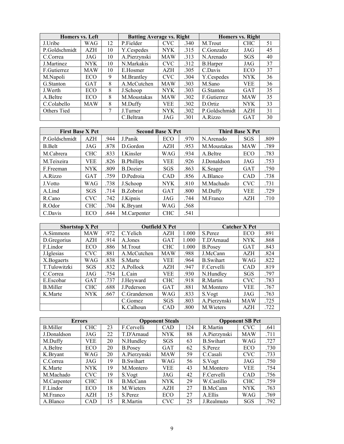| Homers vs. Left |            |    | <b>Batting Average vs. Right</b> |            |      | <b>Homers vs. Right</b> |            |    |  |
|-----------------|------------|----|----------------------------------|------------|------|-------------------------|------------|----|--|
| J.Uribe         | WAG        | 12 | P.Fielder                        | <b>CVC</b> | .340 | M.Trout                 | <b>CHC</b> | 51 |  |
| P.Goldschmidt   | AZH        | 10 | Y.Cespedes                       | <b>NYK</b> | .315 | C.Gonzalez              | JAG        | 45 |  |
| C.Correa        | JAG        | 10 | A.Pierzynski                     | <b>MAW</b> | .313 | N.Arenado               | <b>SGS</b> | 40 |  |
| J.Martinez      | <b>NYK</b> | 10 | N.Markakis                       | <b>CVC</b> | .312 | <b>B.Harper</b>         | JAG        | 37 |  |
| F.Gutierrez     | <b>MAW</b> | 10 | E.Hosmer                         | AZH        | .305 | C.Davis                 | ECO        | 37 |  |
| M.Napoli        | ECO        | 9  | M.Brantley                       | <b>CVC</b> | .304 | Y.Cespedes              | <b>NYK</b> | 36 |  |
| G.Stanton       | <b>GAT</b> | 8  | A.McCutchen                      | <b>MAW</b> | .303 | M.Sano                  | <b>VEE</b> | 36 |  |
| J.Werth         | ECO        | 8  | J.Schoop                         | NYK.       | .303 | G.Stanton               | <b>GAT</b> | 35 |  |
| A.Beltre        | ECO        | 8  | M.Moustakas                      | <b>MAW</b> | .302 | F.Gutierrez             | <b>MAW</b> | 35 |  |
| C.Colabello     | <b>MAW</b> | 8  | M.Duffy                          | <b>VEE</b> | .302 | D.Ortiz                 | <b>NYK</b> | 33 |  |
| Others Tied     |            | 7  | J.Turner                         | <b>NYK</b> | .302 | P.Goldschmidt           | <b>AZH</b> | 31 |  |
|                 |            |    | C.Beltran                        | JAG        | .301 | A.Rizzo                 | <b>GAT</b> | 30 |  |

| <b>First Base X Pct</b> |            |      | <b>Second Base X Pct</b> |            |      | <b>Third Base X Pct</b> |            |      |  |
|-------------------------|------------|------|--------------------------|------------|------|-------------------------|------------|------|--|
| P.Goldschmidt           | AZH        | .944 | J.Panik                  | ECO        | .970 | N.Arenado               | <b>SGS</b> | .809 |  |
| <b>B.Belt</b>           | JAG        | .878 | D.Gordon                 | <b>AZH</b> | .953 | M.Moustakas             | <b>MAW</b> | .789 |  |
| M.Cabrera               | <b>CHC</b> | .833 | I.Kinsler                | WAG        | .934 | A.Beltre                | ECO        | .783 |  |
| M.Teixeira              | VEE        | .826 | <b>B.Phillips</b>        | VEE        | .926 | J.Donaldson             | JAG        | .753 |  |
| F.Freeman               | <b>NYK</b> | .809 | <b>B.Dozier</b>          | <b>SGS</b> | .863 | K.Seager                | <b>GAT</b> | .750 |  |
| A.Rizzo                 | <b>GAT</b> | .759 | D.Pedroia                | <b>CAD</b> | .856 | A.Blanco                | <b>CAD</b> | .738 |  |
| J.Votto                 | WAG        | .738 | J.Schoop                 | <b>NYK</b> | .810 | M.Machado               | <b>CVC</b> | .731 |  |
| A.Lind                  | <b>SGS</b> | .714 | <b>B.Zobrist</b>         | <b>GAT</b> | .800 | M.Duffy                 | <b>VEE</b> | .729 |  |
| R.Cano                  | <b>CVC</b> | .742 | J.Kipnis                 | JAG        | .744 | M.Franco                | <b>AZH</b> | .710 |  |
| R.Odor                  | <b>CHC</b> | .704 | K.Bryant                 | WAG        | .568 |                         |            |      |  |
| C.Davis                 | ECO        | .644 | M.Carpenter              | <b>CHC</b> | .541 |                         |            |      |  |

| <b>Shortstop X Pct</b> |            |      |              | <b>Outfield X Pct</b> |       |                   | <b>Catcher X Pct</b> |      |
|------------------------|------------|------|--------------|-----------------------|-------|-------------------|----------------------|------|
| A.Simmons              | <b>MAW</b> | .972 | C.Yelich     | AZH                   | 1.000 | S.Perez           | ECO                  | .891 |
| D.Gregorius            | AZH        | .914 | A.Jones      | <b>GAT</b>            | 1.000 | T.D'Arnaud        | <b>NYK</b>           | .868 |
| F.Lindor               | ECO        | .886 | M.Trout      | <b>CHC</b>            | 1.000 | <b>B.Posey</b>    | <b>GAT</b>           | .843 |
| J.Iglesias             | <b>CVC</b> | .881 | A.McCutchen  | <b>MAW</b>            | .988  | J.McCann          | AZH                  | .824 |
| X.Bogaerts             | WAG        | .838 | S.Marte      | <b>VEE</b>            | .964  | <b>B.</b> Swihart | WAG                  | .822 |
| T.Tulowitzki           | <b>SGS</b> | .832 | A.Pollock    | AZH                   | .947  | F.Cervelli        | <b>CAD</b>           | .819 |
| C.Correa               | JAG        | .754 | L.Cain       | <b>VEE</b>            | .930  | N.Hundlev         | SGS                  | .797 |
| E.Escobar              | <b>GAT</b> | .737 | J.Heyward    | <b>CHC</b>            | .918  | R.Martin          | <b>CVC</b>           | .783 |
| <b>B.Miller</b>        | <b>CHC</b> | .688 | J.Pederson   | <b>GAT</b>            | .881  | M.Montero         | <b>VEE</b>           | .767 |
| K.Marte                | <b>NYK</b> | .667 | C.Granderson | WAG                   | .833  | S.Vogt            | JAG                  | .763 |
|                        |            |      | C.Gomez      | SGS                   | .803  | A.Pierzynski      | <b>MAW</b>           | .725 |
|                        |            |      | K.Calhoun    | <b>CAD</b>            | .800  | M. Wieters        | AZH                  | .722 |

| <b>Errors</b> |            |    |                   | <b>Opponent Steals</b> |     |                   | <b>Opponent SB Pct</b> |      |
|---------------|------------|----|-------------------|------------------------|-----|-------------------|------------------------|------|
| B.Miller      | <b>CHC</b> | 23 | F.Cervelli        | <b>CAD</b>             | 124 | R.Martin          | <b>CVC</b>             | .641 |
| J.Donaldson   | JAG        | 22 | T.D'Arnaud        | <b>NYK</b>             | 88  | A.Pierzynski      | <b>MAW</b>             | .711 |
| M.Duffy       | VEE        | 20 | N.Hundley         | SGS                    | 63  | <b>B.</b> Swihart | WAG                    | .727 |
| A.Beltre      | <b>ECO</b> | 20 | <b>B.Posey</b>    | <b>GAT</b>             | 62  | S.Perez           | ECO                    | .730 |
| K.Bryant      | WAG        | 20 | A.Pierzynski      | <b>MAW</b>             | 59  | C.Casali          | <b>CVC</b>             | .733 |
| C.Correa      | JAG        | 19 | <b>B.</b> Swihart | WAG                    | 56  | S.Vogt            | JAG                    | .750 |
| K.Marte       | <b>NYK</b> | 19 | M.Montero         | <b>VEE</b>             | 43  | M.Montero         | <b>VEE</b>             | .754 |
| M.Machado     | <b>CVC</b> | 19 | S.Vogt            | JAG                    | 42  | F.Cervelli        | CAD                    | .756 |
| M.Carpenter   | <b>CHC</b> | 18 | B.McCann          | <b>NYK</b>             | 29  | W.Castillo        | <b>CHC</b>             | .759 |
| F.Lindor      | ECO        | 18 | M. Wieters        | AZH                    | 27  | B.McCann          | NYK.                   | .763 |
| M.Franco      | AZH        | 15 | S.Perez           | ECO                    | 27  | A.Ellis           | WAG                    | .769 |
| A.Blanco      | <b>CAD</b> | 15 | R.Martin          | <b>CVC</b>             | 25  | J.Realmuto        | SGS                    | .792 |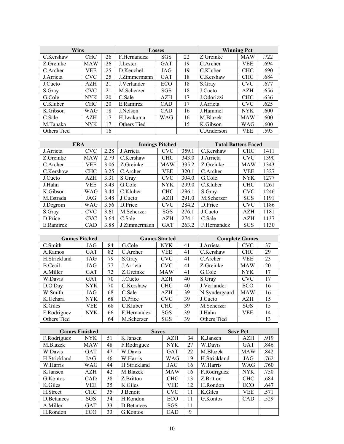| <b>Wins</b> |            |    |              | <b>Losses</b> |    |            | <b>Winning Pct</b> |      |
|-------------|------------|----|--------------|---------------|----|------------|--------------------|------|
| C.Kershaw   | <b>CHC</b> | 26 | F.Hernandez  | <b>SGS</b>    | 22 | Z.Greinke  | <b>MAW</b>         | .722 |
| Z.Greinke   | <b>MAW</b> | 26 | J.Lester     | <b>GAT</b>    | 19 | C.Archer   | VEE                | .694 |
| C.Archer    | VEE        | 25 | D.Keuchel    | JAG           | 19 | C.Kluber   | <b>CHC</b>         | .690 |
| J.Arrieta   | <b>CVC</b> | 25 | J.Zimmermann | <b>GAT</b>    | 18 | C.Kershaw  | <b>CHC</b>         | .684 |
| J.Cueto     | AZH        | 21 | J.Verlander  | ECO           | 18 | S.Grav     | <b>CVC</b>         | .677 |
| S.Gray      | CVC.       | 21 | M.Scherzer   | <b>SGS</b>    | 18 | J.Cueto    | <b>AZH</b>         | .656 |
| G.Cole      | NYK.       | 20 | C.Sale       | <b>AZH</b>    | 17 | J.Odorizzi | <b>CHC</b>         | .636 |
| C.Kluber    | CHC.       | 20 | E.Ramirez    | <b>CAD</b>    | 17 | J. Arrieta | <b>CVC</b>         | .625 |
| K.Gibson    | WAG        | 18 | J.Nelson     | <b>CAD</b>    | 16 | J.Hammel   | <b>NYK</b>         | .600 |
| C.Sale      | AZH        | 17 | H.Iwakuma    | WAG           | 16 | M.Blazek   | <b>MAW</b>         | .600 |
| M.Tanaka    | <b>NYK</b> | 17 | Others Tied  |               | 15 | K.Gibson   | WAG                | .600 |
| Others Tied |            | 16 |              |               |    | C.Anderson | VEE                | .593 |

| <b>ERA</b> |            |      |              | <b>Innings Pitched</b> |       | <b>Total Batters Faced</b> |            |      |
|------------|------------|------|--------------|------------------------|-------|----------------------------|------------|------|
| J.Arrieta  | <b>CVC</b> | 2.28 | J. Arrieta   | <b>CVC</b>             | 359.1 | C.Kershaw                  | <b>CHC</b> | 1411 |
| Z.Greinke  | <b>MAW</b> | 2.79 | C.Kershaw    | <b>CHC</b>             | 343.0 | J.Arrieta                  | <b>CVC</b> | 1390 |
| C.Archer   | VEE        | 3.06 | Z.Greinke    | <b>MAW</b>             | 335.2 | Z.Greinke                  | <b>MAW</b> | 1343 |
| C.Kershaw  | <b>CHC</b> | 3.25 | C.Archer     | <b>VEE</b>             | 320.1 | C.Archer                   | <b>VEE</b> | 1327 |
| J.Cueto    | AZH        | 3.31 | S.Gray       | <b>CVC</b>             | 304.0 | G.Cole                     | <b>NYK</b> | 1277 |
| J.Hahn     | VEE        | 3.43 | G.Cole       | <b>NYK</b>             | 299.0 | C.Kluber                   | <b>CHC</b> | 1261 |
| K.Gibson   | WAG        | 3.44 | C.Kluber     | <b>CHC</b>             | 296.1 | S.Grav                     | <b>CVC</b> | 1246 |
| M.Estrada  | JAG        | 3.48 | J.Cueto      | <b>AZH</b>             | 291.0 | M.Scherzer                 | <b>SGS</b> | 1191 |
| J.Degrom   | WAG        | 3.56 | D.Price      | <b>CVC</b>             | 284.2 | D.Price                    | <b>CVC</b> | 1186 |
| S.Grav     | <b>CVC</b> | 3.61 | M.Scherzer   | SGS                    | 276.1 | J.Cueto                    | <b>AZH</b> | 1181 |
| D.Price    | <b>CVC</b> | 3.64 | C.Sale       | <b>AZH</b>             | 274.1 | C.Sale                     | AZH        | 1137 |
| E.Ramirez  | CAD        | 3.88 | J.Zimmermann | GAT                    | 263.2 | F.Hernandez                | <b>SGS</b> | 1130 |

| <b>Games Pitched</b> |            |    |             | <b>Games Started</b> |    |               | <b>Complete Games</b> |    |
|----------------------|------------|----|-------------|----------------------|----|---------------|-----------------------|----|
| C.Smith              | JAG        | 84 | G.Cole      | NYK                  | 41 | J. Arrieta    | <b>CVC</b>            | 37 |
| A.Ramos              | <b>GAT</b> | 82 | C.Archer    | <b>VEE</b>           | 41 | C.Kershaw     | <b>CHC</b>            | 29 |
| H.Strickland         | JAG        | 79 | S.Grav      | <b>CVC</b>           | 41 | C.Archer      | VEE                   | 23 |
| B.Cecil              | JAG        | 77 | J.Arrieta   | <b>CVC</b>           | 41 | Z.Greinke     | <b>MAW</b>            | 20 |
| A.Miller             | <b>GAT</b> | 72 | Z.Greinke   | <b>MAW</b>           | 41 | G.Cole        | <b>NYK</b>            | 17 |
| W.Davis              | <b>GAT</b> | 70 | J.Cueto     | AZH                  | 40 | S.Grav        | <b>CVC</b>            | 17 |
| D.O'Dav              | <b>NYK</b> | 70 | C.Kershaw   | <b>CHC</b>           | 40 | J.Verlander   | ECO                   | 16 |
| W.Smith              | JAG        | 68 | C.Sale      | AZH                  | 39 | N.Syndergaard | <b>MAW</b>            | 16 |
| K.Uehara             | <b>NYK</b> | 68 | D.Price     | <b>CVC</b>           | 39 | J.Cueto       | AZH                   | 15 |
| K.Giles              | <b>VEE</b> | 68 | C.Kluber    | <b>CHC</b>           | 39 | M.Scherzer    | SGS                   | 15 |
| F.Rodriguez          | <b>NYK</b> | 66 | F.Hernandez | <b>SGS</b>           | 39 | J.Hahn        | <b>VEE</b>            | 14 |
| Others Tied          |            | 64 | M.Scherzer  | SGS                  | 39 | Others Tied   |                       | 13 |

| <b>Games Finished</b> |            |    | <b>Saves</b> |            |    |              | <b>Save Pct</b> |      |
|-----------------------|------------|----|--------------|------------|----|--------------|-----------------|------|
| F.Rodriguez           | <b>NYK</b> | 51 | K.Jansen     | AZH        | 34 | K.Jansen     | AZH             | .919 |
| M.Blazek              | <b>MAW</b> | 48 | F.Rodriguez  | <b>NYK</b> | 27 | W.Davis      | <b>GAT</b>      | .846 |
| W.Davis               | <b>GAT</b> | 47 | W.Davis      | <b>GAT</b> | 22 | M.Blazek     | <b>MAW</b>      | .842 |
| H.Strickland          | JAG        | 46 | W.Harris     | WAG        | 19 | H.Strickland | JAG             | .762 |
| W.Harris              | WAG        | 44 | H.Strickland | JAG        | 16 | W.Harris     | WAG             | .760 |
| K.Jansen              | AZH        | 42 | M.Blazek     | <b>MAW</b> | 16 | F.Rodriguez  | <b>NYK</b>      | .750 |
| G.Kontos              | <b>CAD</b> | 38 | Z.Britton    | <b>CHC</b> | 13 | Z.Britton    | <b>CHC</b>      | .684 |
| K.Giles               | VEE        | 35 | K.Giles      | VEE        | 12 | H.Rondon     | ECO             | .647 |
| H.Street              | <b>CHC</b> | 35 | J.Benoit     | <b>CVC</b> | 11 | K.Giles      | VEE             | .571 |
| D. Betances           | SGS        | 34 | H.Rondon     | ECO        | 11 | G.Kontos     | CAD             | .529 |
| A.Miller              | <b>GAT</b> | 33 | D. Betances  | <b>SGS</b> | 11 |              |                 |      |
| H.Rondon              | ECO        | 33 | G.Kontos     | <b>CAD</b> | 9  |              |                 |      |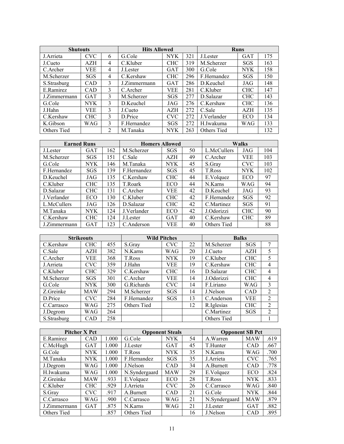| <b>Shutouts</b> |            |                | <b>Hits Allowed</b> |            |     | <b>Runs</b> |            |     |  |
|-----------------|------------|----------------|---------------------|------------|-----|-------------|------------|-----|--|
| J.Arrieta       | <b>CVC</b> | 6              | G.Cole              | <b>NYK</b> | 321 | J.Lester    | <b>GAT</b> | 175 |  |
| J.Cueto         | AZH        | 4              | C.Kluber            | <b>CHC</b> | 319 | M.Scherzer  | <b>SGS</b> | 163 |  |
| C.Archer        | VEE        | 4              | J.Lester            | <b>GAT</b> | 300 | G.Cole      | <b>NYK</b> | 158 |  |
| M.Scherzer      | <b>SGS</b> | 4              | C.Kershaw           | <b>CHC</b> | 296 | F.Hernandez | SGS        | 150 |  |
| S.Strasburg     | <b>CAD</b> | 3              | J.Zimmermann        | <b>GAT</b> | 286 | D.Keuchel   | JAG        | 148 |  |
| E.Ramirez       | <b>CAD</b> | 3              | C.Archer            | <b>VEE</b> | 281 | C.Kluber    | <b>CHC</b> | 147 |  |
| J.Zimmermann    | <b>GAT</b> | $\mathcal{F}$  | M.Scherzer          | <b>SGS</b> | 277 | D.Salazar   | <b>CHC</b> | 143 |  |
| G.Cole          | <b>NYK</b> | 3              | D.Keuchel           | JAG        | 276 | C.Kershaw   | <b>CHC</b> | 136 |  |
| J.Hahn          | <b>VEE</b> | $\mathcal{F}$  | J.Cueto             | <b>AZH</b> | 272 | C.Sale      | AZH        | 135 |  |
| C.Kershaw       | <b>CHC</b> | 3              | D.Price             | <b>CVC</b> | 272 | J.Verlander | ECO        | 134 |  |
| K.Gibson        | WAG        | 3              | F.Hernandez         | <b>SGS</b> | 272 | H.Iwakuma   | WAG        | 133 |  |
| Others Tied     |            | $\mathfrak{D}$ | M.Tanaka            | <b>NYK</b> | 263 | Others Tied |            | 132 |  |

| <b>Earned Runs</b> |            |     | <b>Homers Allowed</b> |            |    |             | <b>Walks</b> |     |
|--------------------|------------|-----|-----------------------|------------|----|-------------|--------------|-----|
| J.Lester           | <b>GAT</b> | 162 | M.Scherzer            | <b>SGS</b> | 50 | L.McCullers | JAG          | 104 |
| M.Scherzer         | SGS        | 151 | C.Sale                | <b>AZH</b> | 49 | C.Archer    | VEE          | 103 |
| G.Cole             | NYK        | 146 | M.Tanaka              | <b>NYK</b> | 45 | S.Gray      | <b>CVC</b>   | 103 |
| F.Hernandez        | SGS        | 139 | F.Hernandez           | <b>SGS</b> | 45 | T.Ross      | <b>NYK</b>   | 102 |
| D.Keuchel          | JAG        | 135 | C.Kershaw             | <b>CHC</b> | 44 | E.Volquez   | ECO          | 97  |
| C.Kluber           | <b>CHC</b> | 135 | T.Roark               | <b>ECO</b> | 44 | N.Karns     | <b>WAG</b>   | 94  |
| D.Salazar          | <b>CHC</b> | 131 | C. Archer             | VEE.       | 42 | D.Keuchel   | JAG          | 93  |
| J.Verlander        | ECO        | 130 | C.Kluber              | <b>CHC</b> | 42 | F.Hernandez | <b>SGS</b>   | 92  |
| L.McCullers        | JAG        | 126 | D.Salazar             | <b>CHC</b> | 42 | C.Martinez  | SGS          | 91  |
| M.Tanaka           | NYK        | 124 | J.Verlander           | <b>ECO</b> | 42 | J.Odorizzi  | <b>CHC</b>   | 90  |
| C.Kershaw          | <b>CHC</b> | 124 | J.Lester              | <b>GAT</b> | 40 | C.Kershaw   | <b>CHC</b>   | 89  |
| J.Zimmermann       | <b>GAT</b> | 123 | C.Anderson            | VEE        | 40 | Others Tied |              | 88  |

|             | <b>Strikeouts</b> |     |             | <b>Wild Pitches</b> |    | <b>Balks</b> |            |                |
|-------------|-------------------|-----|-------------|---------------------|----|--------------|------------|----------------|
| C.Kershaw   | <b>CHC</b>        | 455 | S.Grav      | <b>CVC</b>          | 22 | M.Scherzer   | SGS        | 7              |
| C.Sale      | <b>AZH</b>        | 382 | N.Karns     | WAG                 | 20 | J.Cueto      | <b>AZH</b> | 5              |
| C.Archer    | <b>VEE</b>        | 368 | T.Ross      | NYK.                | 19 | C.Kluber     | <b>CHC</b> | 5              |
| J.Arrieta   | <b>CVC</b>        | 359 | J.Hahn      | VEE.                | 19 | C.Kershaw    | <b>CHC</b> | $\overline{4}$ |
| C.Kluber    | <b>CHC</b>        | 329 | C.Kershaw   | <b>CHC</b>          | 16 | D.Salazar    | <b>CHC</b> | 4              |
| M.Scherzer  | <b>SGS</b>        | 301 | C.Archer    | VEE                 | 14 | J.Odorizzi   | <b>CHC</b> | $\overline{4}$ |
| G.Cole      | NYK.              | 300 | G.Richards  | <b>CVC</b>          | 14 | F.Liriano    | WAG        | 3              |
| Z.Greinke   | <b>MAW</b>        | 294 | M.Scherzer  | SGS                 | 14 | J.Nelson     | <b>CAD</b> | 2              |
| D.Price     | CVC               | 284 | F.Hernandez | <b>SGS</b>          | 13 | C.Anderson   | <b>VEE</b> | 2              |
| C.Carrasco  | WAG               | 275 | Others Tied |                     | 12 | R.Iglesias   | <b>CHC</b> | $\mathfrak{D}$ |
| J.Degrom    | WAG               | 264 |             |                     |    | C.Martinez   | <b>SGS</b> | 2              |
| S.Strasburg | CAD               | 258 |             |                     |    | Others Tied  |            |                |

|              | <b>Pitcher X Pct</b> |       |               | <b>Opponent Steals</b> |    | <b>Opponent SB Pct</b> |            |      |
|--------------|----------------------|-------|---------------|------------------------|----|------------------------|------------|------|
| E.Ramirez    | CAD                  | 1.000 | G.Cole        | <b>NYK</b>             | 54 | A.Warren               | <b>MAW</b> | .619 |
| C.McHugh     | <b>GAT</b>           | 1.000 | J.Lester      | <b>GAT</b>             | 45 | T.Hunter               | <b>CAD</b> | .667 |
| G.Cole       | <b>NYK</b>           | 1.000 | T.Ross        | <b>NYK</b>             | 35 | N.Karns                | WAG        | .700 |
| M.Tanaka     | <b>NYK</b>           | 1.000 | F.Hernandez   | SGS                    | 35 | J. Arrieta             | <b>CVC</b> | .765 |
| J.Degrom     | WAG                  | 1.000 | J.Nelson      | CAD                    | 34 | A.Burnett              | CAD        | .778 |
| H.Iwakuma    | WAG                  | 1.000 | N.Syndergaard | <b>MAW</b>             | 29 | E.Volquez              | ECO        | .824 |
| Z.Greinke    | <b>MAW</b>           | .933  | E.Volquez     | ECO                    | 28 | T.Ross                 | <b>NYK</b> | .833 |
| C.Kluber     | <b>CHC</b>           | .929  | J.Arrieta     | <b>CVC</b>             | 26 | C.Carrasco             | WAG        | .840 |
| S.Grav       | <b>CVC</b>           | .917  | A.Burnett     | CAD                    | 21 | G.Cole                 | <b>NYK</b> | .844 |
| C.Carrasco   | WAG                  | .900  | C.Carrasco    | WAG                    | 21 | N.Syndergaard          | <b>MAW</b> | .879 |
| J.Zimmermann | <b>GAT</b>           | .875  | N.Karns       | WAG                    | 21 | J.Lester               | <b>GAT</b> | .882 |
| Others Tied  |                      | .857  | Others Tied   |                        | 16 | J.Nelson               | CAD        | .895 |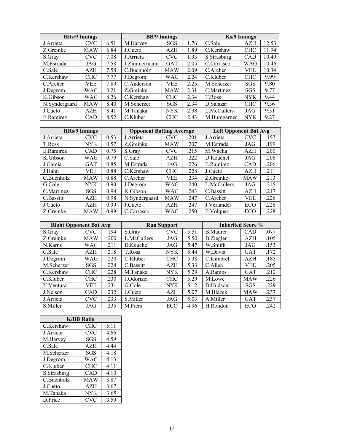|               | <b>Hits/9 Innings</b> |      |              | <b>BB/9 Innings</b> |      |             | <b>Ks/9 Innings</b> |       |
|---------------|-----------------------|------|--------------|---------------------|------|-------------|---------------------|-------|
| J.Arrieta     | <b>CVC</b>            | 6.51 | M.Harvey     | SGS                 | 1.76 | C.Sale      | AZH                 | 12.53 |
| Z.Greinke     | <b>MAW</b>            | 6.84 | J.Cueto      | AZH                 | 1.89 | C.Kershaw   | <b>CHC</b>          | 11.94 |
| S.Gray        | <b>CVC</b>            | 7.08 | J.Arrieta    | <b>CVC</b>          | 1.93 | S.Strasburg | CAD                 | 10.49 |
| M.Estrada     | JAG                   | 7.58 | J.Zimmermann | <b>GAT</b>          | 2.05 | C.Carrasco  | WAG                 | 10.46 |
| C.Sale        | <b>AZH</b>            | 7.58 | C.Buchholz   | <b>MAW</b>          | 2.09 | C.Archer    | <b>VEE</b>          | 10.34 |
| C.Kershaw     | <b>CHC</b>            | 7.77 | J.Degrom     | WAG                 | 2.24 | C.Kluber    | <b>CHC</b>          | 9.99  |
| C.Archer      | VEE                   | 7.89 | C.Anderson   | VEE.                | 2.25 | M.Scherzer  | <b>SGS</b>          | 9.80  |
| J.Degrom      | WAG                   | 8.21 | Z.Greinke    | <b>MAW</b>          | 2.31 | C.Martinez  | SGS                 | 9.77  |
| K.Gibson      | WAG                   | 8.26 | C.Kershaw    | <b>CHC</b>          | 2.34 | T.Ross      | <b>NYK</b>          | 9.44  |
| N.Syndergaard | <b>MAW</b>            | 8.40 | M.Scherzer   | SGS                 | 2.34 | D.Salazar   | <b>CHC</b>          | 9.36  |
| J.Cueto       | AZH                   | 8.41 | M.Tanaka     | <b>NYK</b>          | 2.38 | L.McCullers | JAG                 | 9.31  |
| E.Ramirez     | CAD                   | 8.52 | C.Kluber     | <b>CHC</b>          | 2.43 | M.Bumgarner | <b>NYK</b>          | 9.27  |

|            | <b>HRs/9 Innings</b> |      | <b>Opponent Batting Average</b> |            |      |             | <b>Left Opponent Bat Avg</b> |      |  |
|------------|----------------------|------|---------------------------------|------------|------|-------------|------------------------------|------|--|
| J.Arrieta  | <b>CVC</b>           | 0.53 | J.Arrieta                       | <b>CVC</b> | .201 | J. Arrieta  | <b>CVC</b>                   | .157 |  |
| T.Ross     | <b>NYK</b>           | 0.57 | Z.Greinke                       | <b>MAW</b> | .207 | M.Estrada   | JAG                          | .199 |  |
| E.Ramirez  | <b>CAD</b>           | 0.75 | S.Grav                          | <b>CVC</b> | .215 | M.Wacha     | <b>AZH</b>                   | .200 |  |
| K.Gibson   | WAG                  | 0.79 | C.Sale                          | <b>AZH</b> | .222 | D.Keuchel   | JAG                          | .206 |  |
| J.Garcia   | <b>GAT</b>           | 0.85 | M.Estrada                       | JAG        | .226 | E.Ramirez   | CAD                          | .206 |  |
| J.Hahn     | VEE                  | 0.88 | C.Kershaw                       | <b>CHC</b> | .228 | J.Cueto     | AZH                          | .211 |  |
| C.Buchholz | <b>MAW</b>           | 0.88 | C.Archer                        | VEE        | .234 | Z.Greinke   | <b>MAW</b>                   | .213 |  |
| G.Cole     | <b>NYK</b>           | 0.90 | J.Degrom                        | WAG        | .240 | L.McCullers | JAG                          | .215 |  |
| C.Martinez | <b>SGS</b>           | 0.94 | K.Gibson                        | WAG        | .243 | C.Bassitt   | AZH                          | .217 |  |
| C.Bassitt  | AZH                  | 0.98 | N.Syndergaard                   | <b>MAW</b> | .247 | C.Archer    | VEE                          | .226 |  |
| J.Cueto    | AZH                  | 0.99 | J.Cueto                         | AZH        | .247 | J.Verlander | ECO                          | .226 |  |
| Z.Greinke  | MAW                  | 0.99 | C.Carrasco                      | <b>WAG</b> | .250 | E.Volquez   | ECO                          | .228 |  |

| <b>Right Opponent Bat Avg</b> |            |      |             | <b>Run Support</b> |      | <b>Inherited Score %</b> |            |      |
|-------------------------------|------------|------|-------------|--------------------|------|--------------------------|------------|------|
| S.Grav                        | <b>CVC</b> | .194 | S.Grav      | <b>CVC</b>         | 5.51 | <b>B.Maurer</b>          | <b>CAD</b> | .077 |
| Z.Greinke                     | <b>MAW</b> | .200 | L.McCullers | JAG                | 5.50 | <b>B.Ziegler</b>         | AZH        | .105 |
| N.Karns                       | WAG        | .211 | D.Keuchel   | JAG                | 5.47 | W.Smith                  | JAG        | .153 |
| C.Sale                        | <b>AZH</b> | .218 | T.Ross      | <b>NYK</b>         | 5.44 | W.Davis                  | <b>GAT</b> | .172 |
| J.Degrom                      | WAG        | .220 | C.Kluber    | <b>CHC</b>         | 5.38 | C.Kimbrel                | <b>AZH</b> | .185 |
| M.Scherzer                    | <b>SGS</b> | .224 | C.Bassitt   | <b>AZH</b>         | 5.33 | $C$ . Allen              | <b>VEE</b> | .205 |
| C.Kershaw                     | <b>CHC</b> | .228 | M.Tanaka    | <b>NYK</b>         | 5.29 | A.Ramos                  | <b>GAT</b> | .212 |
| C.Kluber                      | <b>CHC</b> | .230 | J.Odorizzi  | <b>CHC</b>         | 5.29 | M.Lowe                   | <b>MAW</b> | .226 |
| Y.Ventura                     | <b>VEE</b> | .231 | G.Cole      | <b>NYK</b>         | 5.12 | D.Hudson                 | SGS        | .229 |
| J.Nelson                      | <b>CAD</b> | .232 | J.Cueto     | AZH                | 5.07 | M.Blazek                 | <b>MAW</b> | .237 |
| J.Arrieta                     | <b>CVC</b> | .233 | S.Miller    | JAG                | 5.03 | A.Miller                 | <b>GAT</b> | .237 |
| S.Miller                      | JAG        | .235 | M.Fiers     | ECO                | 4.96 | H.Rondon                 | ECO        | .242 |

| <b>K/BB Ratio</b> |            |      |  |  |  |  |  |  |
|-------------------|------------|------|--|--|--|--|--|--|
| C.Kershaw         | <b>CHC</b> | 5.11 |  |  |  |  |  |  |
| J.Arrieta         | <b>CVC</b> | 4.66 |  |  |  |  |  |  |
| M.Harvey          | SGS        | 4.59 |  |  |  |  |  |  |
| C.Sale            | <b>AZH</b> | 4.44 |  |  |  |  |  |  |
| M.Scherzer        | SGS        | 4.18 |  |  |  |  |  |  |
| J.Degrom          | WAG        | 4.13 |  |  |  |  |  |  |
| C.Kluber          | <b>CHC</b> | 4.11 |  |  |  |  |  |  |
| S.Strasburg       | CAD        | 4.10 |  |  |  |  |  |  |
| C.Buchholz        | <b>MAW</b> | 3.87 |  |  |  |  |  |  |
| J.Cueto           | AZH        | 3.67 |  |  |  |  |  |  |
| M.Tanaka          | <b>NYK</b> | 3.65 |  |  |  |  |  |  |
| D.Price           | <b>CVC</b> | 3.59 |  |  |  |  |  |  |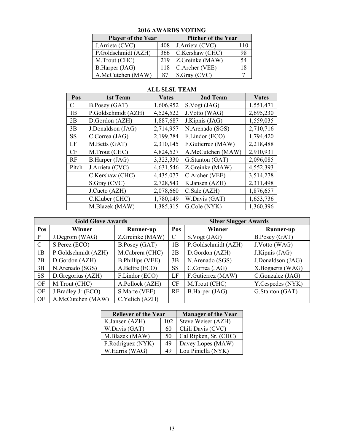| $\mu$ ulu $\Lambda$ w $\Lambda$ in $\nu$ y v $\Lambda$ ling |                            |                 |    |  |  |  |  |
|-------------------------------------------------------------|----------------------------|-----------------|----|--|--|--|--|
| <b>Player of the Year</b>                                   | <b>Pitcher of the Year</b> |                 |    |  |  |  |  |
| J.Arrieta (CVC)<br>408                                      |                            | J.Arrieta (CVC) |    |  |  |  |  |
| P.Goldschmidt (AZH)                                         | 366                        | C.Kershaw (CHC) | 98 |  |  |  |  |
| M.Trout (CHC)                                               | 219                        | Z.Greinke (MAW) | 54 |  |  |  |  |
| B.Harper (JAG)                                              | 118                        | C.Archer (VEE)  |    |  |  |  |  |
| A.McCutchen (MAW)                                           | 87                         | S.Gray (CVC)    |    |  |  |  |  |

### **2016 AWARDS VOTING**

### **ALL SLSL TEAM**

| Pos       | 1st Team            | <b>Votes</b> | 2nd Team          | <b>Votes</b> |
|-----------|---------------------|--------------|-------------------|--------------|
| C         | B.Posey (GAT)       | 1,606,952    | S.Vogt (JAG)      | 1,551,471    |
| 1B        | P.Goldschmidt (AZH) | 4,524,522    | J.Votto (WAG)     | 2,695,230    |
| 2B        | D.Gordon (AZH)      | 1,887,687    | J.Kipnis (JAG)    | 1,559,035    |
| 3B        | J.Donaldson (JAG)   | 2,714,957    | N.Arenado (SGS)   | 2,710,716    |
| <b>SS</b> | C.Correa (JAG)      | 2,199,784    | F.Lindor (ECO)    | 1,794,420    |
| LF        | M.Betts (GAT)       | 2,310,145    | F.Gutierrez (MAW) | 2,218,488    |
| <b>CF</b> | M.Trout (CHC)       | 4,824,527    | A.McCutchen (MAW) | 2,910,931    |
| <b>RF</b> | B.Harper (JAG)      | 3,323,330    | G.Stanton (GAT)   | 2,096,085    |
| Pitch     | J.Arrieta (CVC)     | 4,631,546    | Z.Greinke (MAW)   | 4,552,393    |
|           | C.Kershaw (CHC)     | 4,435,077    | C.Archer (VEE)    | 3,514,278    |
|           | S.Gray (CVC)        | 2,728,543    | K.Jansen (AZH)    | 2,311,498    |
|           | J.Cueto (AZH)       | 2,078,660    | C.Sale (AZH)      | 1,876,657    |
|           | C.Kluber (CHC)      | 1,780,149    | W.Davis (GAT)     | 1,653,736    |
|           | M.Blazek (MAW)      | 1,385,315    | G.Cole (NYK)      | 1,360,396    |

|               | <b>Gold Glove Awards</b> |                         | <b>Silver Slugger Awards</b> |                     |                   |  |  |
|---------------|--------------------------|-------------------------|------------------------------|---------------------|-------------------|--|--|
| Pos           | Winner                   | Runner-up               | Pos                          | Winner              | <b>Runner-up</b>  |  |  |
| P             | J.Degrom (WAG)           | Z.Greinke (MAW)         | $\mathcal{C}$                | S.Vogt (JAG)        | B.Posey (GAT)     |  |  |
| $\mathcal{C}$ | S.Perez (ECO)            | B.Posey (GAT)           | 1B                           | P.Goldschmidt (AZH) | J.Votto (WAG)     |  |  |
| 1B            | P.Goldschmidt (AZH)      | M.Cabrera (CHC)         | 2B                           | D.Gordon (AZH)      | J.Kipnis (JAG)    |  |  |
| 2B            | D.Gordon (AZH)           | <b>B.Phillips (VEE)</b> | 3B                           | N.Arenado (SGS)     | J.Donaldson (JAG) |  |  |
| 3B            | N.Arenado (SGS)          | A.Beltre (ECO)          | <b>SS</b>                    | C.Correa (JAG)      | X.Bogaerts (WAG)  |  |  |
| <b>SS</b>     | D.Gregorius (AZH)        | F.Lindor (ECO)          | LF                           | F.Gutierrez (MAW)   | C.Gonzalez (JAG)  |  |  |
| OF            | M.Trout (CHC)            | A.Pollock (AZH)         | <b>CF</b>                    | M.Trout (CHC)       | Y.Cespedes (NYK)  |  |  |
| OF            | J.Bradley Jr (ECO)       | S.Marte (VEE)           | RF                           | B.Harper (JAG)      | G.Stanton (GAT)   |  |  |
| OF            | A.McCutchen (MAW)        | C.Yelich (AZH)          |                              |                     |                   |  |  |

| <b>Reliever of the Year</b> | <b>Manager of the Year</b> |                       |
|-----------------------------|----------------------------|-----------------------|
| K.Jansen (AZH)              | 102                        | Steve Weiser (AZH)    |
| W.Davis (GAT)               | 60                         | Chili Davis (CVC)     |
| M.Blazek (MAW)              | 50                         | Cal Ripken, Sr. (CHC) |
| F.Rodriguez (NYK)           | 49                         | Davey Lopes (MAW)     |
| W.Harris (WAG)              | 49                         | Lou Piniella (NYK)    |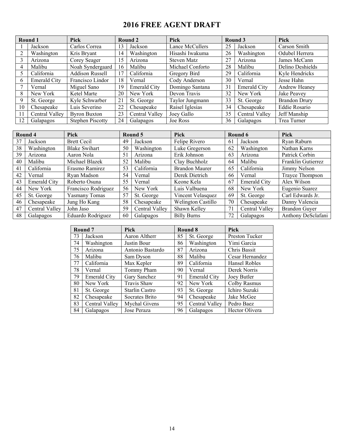# **2016 FREE AGENT DRAFT**

|          | Round 1             | <b>Pick</b>             |    | Round 2             | Pick             |    | Round 3             | <b>Pick</b>          |
|----------|---------------------|-------------------------|----|---------------------|------------------|----|---------------------|----------------------|
|          | Jackson             | Carlos Correa           | 13 | Jackson             | Lance McCullers  | 25 | Jackson             | Carson Smith         |
|          | Washington          | Kris Bryant             | 14 | Washington          | Hisashi Iwakuma  | 26 | Washington          | Odubel Herrera       |
|          | Arizona             | Corey Seager            | 15 | Arizona             | Steven Matz      | 27 | Arizona             | James McCann         |
| 4        | Malibu              | Noah Syndergaard        | 16 | Malibu              | Michael Conforto | 28 | Malibu              | Delino Deshields     |
|          | California          | <b>Addison Russell</b>  | 17 | California          | Gregory Bird     | 29 | California          | Kyle Hendricks       |
| $\theta$ | <b>Emerald City</b> | Francisco Lindor        | 18 | Vernal              | Cody Anderson    | 30 | Vernal              | Jesse Hahn           |
|          | Vernal              | Miguel Sano             | 19 | <b>Emerald City</b> | Domingo Santana  | 31 | <b>Emerald City</b> | <b>Andrew Heaney</b> |
| 8        | New York            | Ketel Marte             | 20 | New York            | Devon Travis     | 32 | New York            | Jake Peavey          |
|          | St. George          | Kyle Schwarber          | 21 | St. George          | Taylor Jungmann  | 33 | St. George          | <b>Brandon Drury</b> |
| 10       | Chesapeake          | Luis Severino           | 22 | Chesapeake          | Raisel Iglesias  | 34 | Chesapeake          | Eddie Rosario        |
| 11       | Central Valley      | <b>Byron Buxton</b>     | 23 | Central Valley      | Joey Gallo       | 35 | Central Valley      | Jeff Manship         |
| 12       | Galapagos           | <b>Stephen Piscotty</b> | 24 | Galapagos           | Joe Ross         | 36 | Galapagos           | Trea Turner          |

| Round 4 |                     | <b>Pick</b>          |    | Round 5        | <b>Pick</b>           |    | Round 6             | Pick                 |
|---------|---------------------|----------------------|----|----------------|-----------------------|----|---------------------|----------------------|
| 37      | Jackson             | <b>Brett Cecil</b>   | 49 | Jackson        | Felipe Rivero         | 61 | Jackson             | Ryan Raburn          |
| 38      | Washington          | <b>Blake Swihart</b> | 50 | Washington     | Luke Gregerson        | 62 | Washington          | Nathan Karns         |
| 39      | Arizona             | Aaron Nola           | 51 | Arizona        | Erik Johnson          | 63 | Arizona             | Patrick Corbin       |
| 40      | Malibu              | Michael Blazek       | 52 | Malibu         | Clay Buchholz         | 64 | Malibu              | Franklin Gutierrez   |
| 41      | California          | Erasmo Ramirez       | 53 | California     | <b>Brandon Maurer</b> | 65 | California          | Jimmy Nelson         |
| 42      | Vernal              | Ryan Madson          | 54 | Vernal         | Derek Dietrich        | 66 | Vernal              | Trayce Thompson      |
| 43      | <b>Emerald City</b> | Roberto Osuna        | 55 | Vernal         | Keone Kela            | 67 | <b>Emerald City</b> | Alex Wilson          |
| 44      | New York            | Francisco Rodriguez  | 56 | New York       | Luis Valbuena         | 68 | New York            | Eugenio Suarez       |
| 45      | St. George          | Yasmany Tomas        | 57 | St. George     | Vincent Velasquez     | 69 | St. George          | Carl Edwards Jr.     |
| 46      | Chesapeake          | Jung Ho Kang         | 58 | Chesapeake     | Welington Castillo    | 70 | Chesapeake          | Danny Valencia       |
| 47      | Central Valley      | John Jaso            | 59 | Central Valley | Shawn Kelley          | 71 | Central Valley      | <b>Brandon Guyer</b> |
| 48      | Galapagos           | Eduardo Rodriguez    | 60 | Galapagos      | <b>Billy Burns</b>    | 72 | Galapagos           | Anthony DeSclafani   |

|    | Round <sub>7</sub>  | <b>Pick</b>      |    | Round 8             | <b>Pick</b>     |  |
|----|---------------------|------------------|----|---------------------|-----------------|--|
| 73 | Jackson             | Aaron Altherr    | 85 | St. George          | Preston Tucker  |  |
| 74 | Washington          | Justin Bour      | 86 | Washington          | Yimi Garcia     |  |
| 75 | Arizona             | Antonio Bastardo | 87 | Arizona             | Chris Bassit    |  |
| 76 | Malibu              | Sam Dyson        | 88 | Malibu              | Cesar Hernandez |  |
| 77 | California          | Max Kepler       | 89 | California          | Hansel Robles   |  |
| 78 | Vernal              | Tommy Pham       | 90 | Vernal              | Derek Norris    |  |
| 79 | <b>Emerald City</b> | Gary Sanchez     | 91 | <b>Emerald City</b> | Joey Butler     |  |
| 80 | New York            | Travis Shaw      | 92 | New York            | Colby Rasmus    |  |
| 81 | St. George          | Starlin Castro   | 93 | St. George          | Ichiro Suzuki   |  |
| 82 | Chesapeake          | Socrates Brito   | 94 | Chesapeake          | Jake McGee      |  |
| 83 | Central Valley      | Mychal Givens    | 95 | Central Valley      | Pedro Baez      |  |
| 84 | Galapagos           | Jose Peraza      | 96 | Galapagos           | Hector Olivera  |  |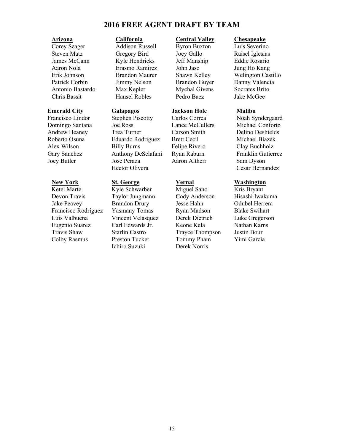### **2016 FREE AGENT DRAFT BY TEAM**

Corey Seager Addison Russell Byron Buxton Luis Severino Steven Matz Gregory Bird Joey Gallo Raisel Iglesias<br>
James McCann Kyle Hendricks Jeff Manship Eddie Rosario James McCann Kyle Hendricks Jeff Manship Eddie Rosario Aaron Nola Erasmo Ramirez John Jaso Jung Ho Kang Patrick Corbin Jimmy Nelson Brandon Guyer Danny Valencia Antonio Bastardo Max Kepler Mychal Givens Socrates Brito Chris Bassit Hansel Robles Pedro Baez Jake McGee

Devon Travis Taylor Jungmann Cody Anderson Hisashi Iwakuma Jake Peavey Brandon Drury Jesse Hahn Odubel Herrera Francisco Rodriguez Yasmany Tomas Ryan Madson Blake Swihart Luis Valbuena Vincent Velasquez Derek Dietrich Luke Gregerson Eugenio Suarez Carl Edwards Jr. Keone Kela Nathan Karns Travis Shaw Starlin Castro Trayce Thompson Justin Bour Colby Rasmus Preston Tucker Tommy Pham Yimi Garcia

**Emerald City**<br> **Exercisco Lindor**<br> **Exercisco Lindor**<br> **Exercisco Lindor**<br> **Stephen Piscotty**<br> **Carlos Correa**<br> **Carlos Correa**<br> **Noah Sy** Francisco Lindor Stephen Piscotty Carlos Correa Noah Syndergaard<br>
Domingo Santana Joe Ross Lance McCullers Michael Conforto Domingo Santana Joe Ross Lance McCullers Michael Conforto Andrew Heaney Trea Turner Carson Smith Delino Deshields Roberto Osuna Eduardo Rodriguez Brett Cecil Michael Blazek Alex Wilson Billy Burns Felipe Rivero Clay Buchholz Gary Sanchez Anthony DeSclafani Ryan Raburn Franklin Gutierrez Joey Butler Jose Peraza Aaron Altherr Sam Dyson Hector Olivera Cesar Hernandez

# **New York 5t. George Vernal Washington**<br> **New York St. Schwarber** Miguel Sano Kris Bryant

Kyle Schwarber Miguel Sano Kris Bryant Ichiro Suzuki Derek Norris

### **Arizona California Central Valley Chesapeake**

Erik Johnson Brandon Maurer Shawn Kelley Welington Castillo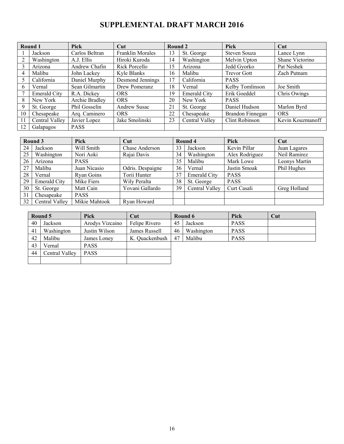# **SUPPLEMENTAL DRAFT MARCH 2016**

| Round 1        |                | <b>Pick</b>    | $\overline{\text{Cut}}$ | Round 2 |                     | Pick               | Cut              |
|----------------|----------------|----------------|-------------------------|---------|---------------------|--------------------|------------------|
|                | Jackson        | Carlos Beltran | Franklin Morales        | 13      | St. George          | Steven Souza       | Lance Lynn       |
|                | Washington     | A.J. Ellis     | Hiroki Kuroda           | 14      | Washington          | Melvin Upton       | Shane Victorino  |
| 3              | Arizona        | Andrew Chafin  | Rick Porcello           | 15      | Arizona             | Jedd Gyorko        | Pat Neshek       |
| $\overline{4}$ | Malibu         | John Lackey    | Kyle Blanks             | 16      | Malibu              | <b>Trevor Gott</b> | Zach Putnam      |
| 5              | California     | Daniel Murphy  | Desmond Jennings        | 17      | California          | <b>PASS</b>        |                  |
| 6              | Vernal         | Sean Gilmartin | Drew Pomeranz           | 18      | Vernal              | Kelby Tomlinson    | Joe Smith        |
|                | Emerald City   | R.A. Dickey    | <b>ORS</b>              | 19      | <b>Emerald City</b> | Erik Goeddel       | Chris Owings     |
| 8              | New York       | Archie Bradley | <b>ORS</b>              | 20      | New York            | <b>PASS</b>        |                  |
| 9              | St. George     | Phil Gosselin  | Andrew Susac            | 21      | St. George          | Daniel Hudson      | Marlon Byrd      |
| 10             | Chesapeake     | Arq. Caminero  | <b>ORS</b>              | 22      | Chesapeake          | Brandon Finnegan   | <b>ORS</b>       |
| 11             | Central Valley | Javier Lopez   | Jake Smolinski          | 23      | Central Valley      | Clint Robinson     | Kevin Kouzmanoff |
| 12             | Galapagos      | <b>PASS</b>    |                         |         |                     |                    |                  |

| Round 3 |                     | <b>Pick</b>   | Cut              |    | Round 4             | <b>Pick</b>    | Cut           |
|---------|---------------------|---------------|------------------|----|---------------------|----------------|---------------|
| 24      | Jackson             | Will Smith    | Chase Anderson   | 33 | Jackson             | Kevin Pillar   | Juan Lagares  |
| 25      | Washington          | Nori Aoki     | Rajai Davis      | 34 | Washington          | Alex Rodriguez | Neil Ramirez  |
| 26      | Arizona             | <b>PASS</b>   |                  | 35 | Malibu              | Mark Lowe      | Leonys Martin |
| 27      | Malibu              | Juan Nicasio  | Odris. Despaigne | 36 | Vernal              | Justin Smoak   | Phil Hughes   |
| 28      | Vernal              | Ryan Goins    | Torii Hunter     | 37 | <b>Emerald City</b> | <b>PASS</b>    |               |
| 29      | <b>Emerald City</b> | Mike Fiers    | Wily Peralta     | 38 | St. George          | <b>PASS</b>    |               |
| 30      | St. George          | Matt Cain     | Yovani Gallardo  | 39 | Central Valley      | Curt Casali    | Greg Holland  |
| 31      | Chesapeake          | <b>PASS</b>   |                  |    |                     |                |               |
| 32      | Central Valley      | Mikie Mahtook | Rvan Howard      |    |                     |                |               |

| Round 5 |                | Pick            | $\bf Cut$      | Round 6 |            | Pick        | Cut |
|---------|----------------|-----------------|----------------|---------|------------|-------------|-----|
| 40      | Jackson        | Arodys Vizcaino | Felipe Rivero  | 45      | Jackson    | <b>PASS</b> |     |
| 41      | Washington     | Justin Wilson   | James Russell  | 46      | Washington | <b>PASS</b> |     |
| 42      | Malibu         | James Loney     | K. Quackenbush | -47     | Malibu     | <b>PASS</b> |     |
| 43      | √ernal         | <b>PASS</b>     |                |         |            |             |     |
| 44      | Central Valley | <b>PASS</b>     |                |         |            |             |     |
|         |                |                 |                |         |            |             |     |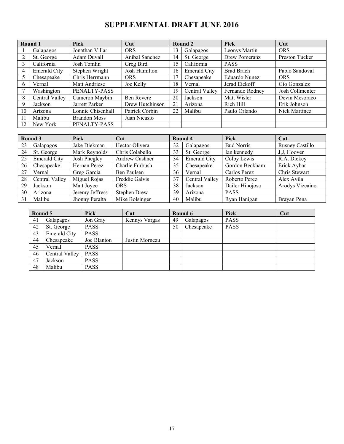# **SUPPLEMENTAL DRAFT JUNE 2016**

|                | Round 1             | <b>Pick</b>         | Cut             |    | Round 2             | Pick              | Cut             |
|----------------|---------------------|---------------------|-----------------|----|---------------------|-------------------|-----------------|
|                | Galapagos           | Jonathan Villar     | <b>ORS</b>      | 13 | Galapagos           | Leonys Martin     | <b>ORS</b>      |
| $\overline{2}$ | St. George          | Adam Duvall         | Anibal Sanchez  | 14 | St. George          | Drew Pomeranz     | Preston Tucker  |
| 3              | California          | Josh Tomlin         | Greg Bird       | 15 | California          | <b>PASS</b>       |                 |
| 4              | <b>Emerald City</b> | Stephen Wright      | Josh Hamilton   | 16 | <b>Emerald City</b> | <b>Brad Brach</b> | Pablo Sandoval  |
| 5              | Chesapeake          | Chris Herrmann      | <b>ORS</b>      | 17 | Chesapeake          | Eduardo Nunez     | <b>ORS</b>      |
| 6              | Vernal              | Matt Andriese       | Joe Kelly       | 18 | Vernal              | Jerad Eickoff     | Gio Gonzalez    |
|                | Washington          | PENALTY-PASS        |                 | 19 | Central Valley      | Fernando Rodney   | Josh Collmenter |
| 8              | Central Valley      | Cameron Maybin      | Ben Revere      | 20 | Jackson             | Matt Wisler       | Devin Mesoraco  |
| 9              | Jackson             | Jarrett Parker      | Drew Hutchinson | 21 | Arizona             | Rich Hill         | Erik Johnson    |
| 10             | Arizona             | Lonnie Chisenhall   | Patrick Corbin  | 22 | Malibu              | Paulo Orlando     | Nick Martinez   |
| 11             | Malibu              | <b>Brandon Moss</b> | Juan Nicasio    |    |                     |                   |                 |
| 12             | New York            | PENALTY-PASS        |                 |    |                     |                   |                 |

|    | Round 3             | Pick            | Cut                 | Round 4 |                     | Pick              | Cut                    |
|----|---------------------|-----------------|---------------------|---------|---------------------|-------------------|------------------------|
| 23 | Galapagos           | Jake Diekman    | Hector Olivera      | 32      | Galapagos           | <b>Bud Norris</b> | <b>Rusney Castillo</b> |
| 24 | St. George          | Mark Reynolds   | Chris Colabello     | 33      | St. George          | Ian kennedy       | J, J, Hoover           |
| 25 | <b>Emerald City</b> | Josh Phegley    | Andrew Cashner      | 34      | <b>Emerald City</b> | Colby Lewis       | R.A. Dickey            |
| 26 | Chesapeake          | Hernan Perez    | Charlie Furbush     | 35      | Chesapeake          | Gordon Beckham    | Erick Aybar            |
| 27 | Vernal              | Greg Garcia     | Ben Paulsen         | 36      | Vernal              | Carlos Perez      | Chris Stewart          |
| 28 | Central Valley      | Miguel Rojas    | Freddie Galvis      | 37      | Central Valley      | Roberto Perez     | Alex Avila             |
| 29 | Jackson             | Matt Jovce      | <b>ORS</b>          | 38      | Jackson             | Dailer Hinojosa   | Arodys Vizcaino        |
| 30 | Arizona             | Jeremy Jeffress | <b>Stephen Drew</b> | 39      | Arizona             | <b>PASS</b>       |                        |
| 31 | Malibu              | Jhonny Peralta  | Mike Bolsinger      | 40      | Malibu              | Ryan Hanigan      | Brayan Pena            |

| Round 5 |                     | Pick        | Cut            |    | Round 6    | Pick        | Cut |
|---------|---------------------|-------------|----------------|----|------------|-------------|-----|
| 41      | Galapagos           | Jon Gray    | Kennys Vargas  | 49 | Galapagos  | <b>PASS</b> |     |
| 42      | St. George          | <b>PASS</b> |                | 50 | Chesapeake | <b>PASS</b> |     |
| 43      | <b>Emerald City</b> | <b>PASS</b> |                |    |            |             |     |
| 44      | Chesapeake          | Joe Blanton | Justin Morneau |    |            |             |     |
| 45      | Vernal              | <b>PASS</b> |                |    |            |             |     |
| 46      | Central Valley      | <b>PASS</b> |                |    |            |             |     |
| 47      | Jackson             | <b>PASS</b> |                |    |            |             |     |
| 48      | Malibu              | <b>PASS</b> |                |    |            |             |     |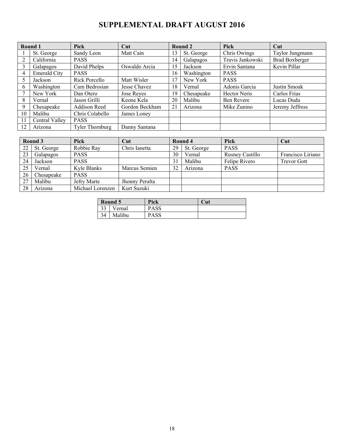# **SUPPLEMENTAL DRAFT AUGUST 2016**

|    | Round 1             | Pick                   | Cut            |    | Round 2    | Pick             | Cut                   |
|----|---------------------|------------------------|----------------|----|------------|------------------|-----------------------|
|    | St. George          | Sandy Leon             | Matt Cain      | 13 | St. George | Chris Owings     | Taylor Jungmann       |
|    | California          | <b>PASS</b>            |                | 14 | Galapagos  | Travis Jankowski | <b>Brad Boxberger</b> |
|    | Galapagos           | David Phelps           | Oswaldo Arcia  | 15 | Jackson    | Ervin Santana    | Kevin Pillar          |
| 4  | <b>Emerald City</b> | <b>PASS</b>            |                | 16 | Washington | <b>PASS</b>      |                       |
|    | Jackson             | Rick Porcello          | Matt Wisler    | 17 | New York   | <b>PASS</b>      |                       |
| 6  | Washington          | Cam Bedrosian          | Jesse Chavez   | 18 | Vernal     | Adonis Garcia    | Justin Smoak          |
|    | New York            | Dan Otero              | Jose Reyes     | 19 | Chesapeake | Hector Neris     | Carlos Frias          |
| 8  | Vernal              | Jason Grilli           | Keone Kela     | 20 | Malibu     | Ben Revere       | Lucas Duda            |
| 9  | Chesapeake          | Addison Reed           | Gordon Beckham | 21 | Arizona    | Mike Zunino      | Jeremy Jeffress       |
| 10 | Malibu              | Chris Colabello        | James Loney    |    |            |                  |                       |
| 11 | Central Valley      | <b>PASS</b>            |                |    |            |                  |                       |
| 12 | Arizona             | <b>Tyler Thornburg</b> | Danny Santana  |    |            |                  |                       |

|    | Round 3    | <b>Pick</b>      | Cut            |    | Round 4    | Pick            | Cut                |
|----|------------|------------------|----------------|----|------------|-----------------|--------------------|
| 22 | St. George | Robbie Ray       | Chris Ianetta  | 29 | St. George | <b>PASS</b>     |                    |
| 23 | Galapagos  | <b>PASS</b>      |                | 30 | Vernal     | Rusney Castillo | Francisco Liriano  |
| 24 | Jackson    | <b>PASS</b>      |                | 31 | Malibu     | Felipe Rivero   | <b>Trevor Gott</b> |
| 25 | Vernal     | Kyle Blanks      | Marcus Semien  | 32 | Arizona    | <b>PASS</b>     |                    |
| 26 | Chesapeake | <b>PASS</b>      |                |    |            |                 |                    |
| 27 | Malibu     | Jefry Marte      | Jhonny Peralta |    |            |                 |                    |
| 28 | Arizona    | Michael Lorenzen | Kurt Suzuki    |    |            |                 |                    |

|                         | Round 5 | Pick        | Cut |
|-------------------------|---------|-------------|-----|
| $\mathbf{\Omega}$<br>JЈ | 'ernal  | <b>PASS</b> |     |
|                         | Malibu  | PASS        |     |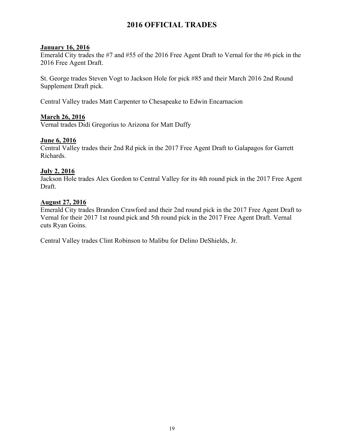### **2016 OFFICIAL TRADES**

### **January 16, 2016**

Emerald City trades the #7 and #55 of the 2016 Free Agent Draft to Vernal for the #6 pick in the 2016 Free Agent Draft.

St. George trades Steven Vogt to Jackson Hole for pick #85 and their March 2016 2nd Round Supplement Draft pick.

Central Valley trades Matt Carpenter to Chesapeake to Edwin Encarnacion

### **March 26, 2016**

Vernal trades Didi Gregorius to Arizona for Matt Duffy

### **June 6, 2016**

Central Valley trades their 2nd Rd pick in the 2017 Free Agent Draft to Galapagos for Garrett Richards.

### **July 2, 2016**

Jackson Hole trades Alex Gordon to Central Valley for its 4th round pick in the 2017 Free Agent Draft.

### **August 27, 2016**

Emerald City trades Brandon Crawford and their 2nd round pick in the 2017 Free Agent Draft to Vernal for their 2017 1st round pick and 5th round pick in the 2017 Free Agent Draft. Vernal cuts Ryan Goins.

Central Valley trades Clint Robinson to Malibu for Delino DeShields, Jr.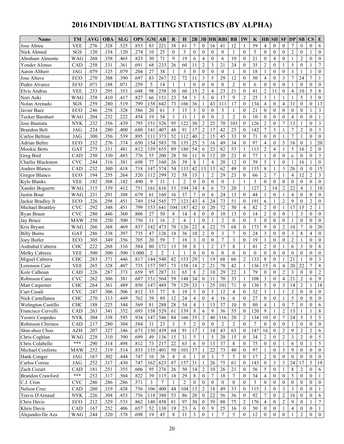# **2016 INDIVIDUAL BATTING STATISTICS (BY ALPHA)**

| Name                    | <b>TM</b>    | AVG  | <b>OBA</b> | <b>SLG</b> | <b>OPS</b> | <b>GM</b>      | AB             | R              | Н              | 2B               | 3B               | <b>HR</b>       | <b>RBI</b>       | <b>BB</b>      | IW                           | K               | HВ                       | <b>SH</b>         | <b>SF</b>        | <b>DP</b>                | <b>SB</b>        | $\mathbf{CS}$    | E                |
|-------------------------|--------------|------|------------|------------|------------|----------------|----------------|----------------|----------------|------------------|------------------|-----------------|------------------|----------------|------------------------------|-----------------|--------------------------|-------------------|------------------|--------------------------|------------------|------------------|------------------|
| Jose Abreu              | <b>VEE</b>   | .276 | .328       | .525       | .853       | 83             | 221            | 38             | 61             | 7                | $\mathbf{0}$     | 16              | 41               | 12             | 1                            | 59              | $\overline{4}$           | $\theta$          | $\theta$         | 7                        | $\overline{0}$   | $\mathbf{0}$     | 6                |
| Nick Ahmed              | SGS          | .120 | .154       | .120       | .274       | 10             | 25             | $\theta$       | 3              | $\overline{0}$   | $\overline{0}$   | $\theta$        | $\theta$         | $\overline{1}$ | $\theta$                     | 5               | $\mathbf{0}$             | $\theta$          | $\theta$         | $\overline{c}$           | $\theta$         | 1                | $\mathbf{0}$     |
| Abraham Almonte         | WAG          | .268 | .358       | .465       | .823       | 30             | 71             | 9              | 19             | 6                | 4                | $\Omega$        | 6                | 10             | $\theta$                     | 21              | $\mathbf{0}$             | $\overline{4}$    | $\theta$         | -1                       | 2                | $\mathbf{0}$     | $\mathbf{0}$     |
| Yonder Alonso           | CAD          | .258 | .331       | .361       | .691       | 68             | 233            | 26             | 60             | 11               | $\sqrt{2}$       | 3               | 21               | 24             | $\theta$                     | 35              | $\overline{c}$           | $\mathbf{0}$      | -1               | 5                        | $\overline{0}$   | $\mathbf{1}$     | $\boldsymbol{7}$ |
| Aaron Altherr           | <b>JAG</b>   | .079 | .125       | .079       | .204       | 27             | 38             |                | 3              | $\theta$         | $\theta$         | $\theta$        | $\theta$         | $\overline{1}$ | $\theta$                     | 18              | 1                        | $\theta$          | $\theta$         | 3                        |                  | $\mathbf{1}$     | $\mathbf{0}$     |
| Jose Altuve             | ECO          | .270 | .308       | .390       | .697       | 83             | 267            | 32             | 72             | 11               | 3                | 5               | 29               | 12             | $\overline{0}$               | 50              | $\overline{4}$           | $\theta$          | 3                | $\overline{7}$           | 24               | $\overline{7}$   |                  |
| Pedro Alvarez           | ECO          | .071 | .188       | .071       | .259       | 5              | 14             | 1              | -1             | $\overline{0}$   | $\mathbf{0}$     | $\theta$        | $\mathbf{0}$     | $\overline{2}$ | $\theta$                     | 6               | $\mathbf{0}$             | $\mathbf{0}$      | $\mathbf{0}$     | 1                        | $\mathbf{0}$     | $\mathbf{0}$     | $\boldsymbol{0}$ |
| Elvis Andrus            | <b>VEE</b>   | .233 | .295       | .353       | .648       | 98             | 258            | 30             | 60             | 15               | $\overline{c}$   | 4               | 23               | 21             | $\theta$                     | 41              | $\overline{2}$           | 11                | $\mathbf{0}$     | 4                        | 10               | 5                | $\,$ 8 $\,$      |
| Nori Aoki               | <b>WAG</b>   | .358 | .410       | .417       | .827       | 66             | 151            | 23             | 54             | 3                | 3                | $\mathbf{0}$    | 17               | 9              | $\overline{2}$               | 25              | 3                        | -1                | 1                | 1                        | 5                | 3                | $\mathbf{0}$     |
| Nolan Arenado           | SGS          | .259 | .280       | .519       | .799       | 158            | 642            | 73             | 166            | 36               |                  | 43              | 111              | 17             | $\mathbf{0}$                 | 134             | $\overline{4}$           | $\mathbf{0}$      | $\overline{4}$   | 31                       | $\overline{0}$   | $\mathbf{0}$     | 13               |
| Javier Baez             | ECO          | .246 | .258       | .328       | .586       | 20             | 61             | 5              | 15             | 5                | $\mathbf{0}$     | $\theta$        | 3                | $\overline{1}$ | $\theta$                     | 21              | $\theta$                 | $\theta$          | $\theta$         | $\mathbf{0}$             | $\overline{0}$   | $\mathbf{1}$     | 3                |
| Tucker Barnhart         | <b>WAG</b>   | .204 | .232       | .222       | .454       | 19             | 54             | 3              | 11             | 1                | $\mathbf{0}$     | $\theta$        | $\overline{2}$   | $\overline{2}$ | $\theta$                     | 10              | $\theta$                 | $\theta$          | $\theta$         | 4                        | $\theta$         | $\theta$         | 1                |
| Jose Bautista           | <b>NYK</b>   | .232 | .356       | .439       | .795       | 151            | 526            | 95             | 122            | 30               | $\overline{c}$   | 25              | 70               | 103            | $\overline{0}$               | 126             | $\overline{2}$           | $\mathbf{0}$      | 7                | 13                       |                  | $\mathbf{0}$     | 3                |
| <b>Brandon Belt</b>     | <b>JAG</b>   | .224 | .280       | .400       | .680       | 141            | 407            | 48             | 91             | 17               | $\overline{c}$   | 17              | 42               | 25             | $\theta$                     | 142             | 7                        | 3                 |                  | 7                        | $\overline{c}$   | $\mathbf{0}$     | 3                |
| Carlos Beltran          | <b>JAG</b>   | .300 | .356       | .539       | .895       | 111            | 373            | 52             | 112            | 40               | $\sqrt{2}$       | 15              | 45               | 33             | $\theta$                     | 71              | $\mathbf{0}$             | $\theta$          |                  | 7                        |                  | $\theta$         | $\mathbf{0}$     |
| Adrian Beltre           | ECO          | .232 | .276       | .374       | .650       | 154            | 583            | 70             | 135            | 25               | 5                | 16              | 49               | 34             | $\Omega$                     | 97              | $\overline{4}$           | $\theta$          | 5                | 16                       | $\overline{0}$   | 1                | 20               |
| Mookie Betts            | GAT          | .275 | .331       | .481       | .812       | 159            | 655            | 89             | 180            | 54               | 6                | 23              | 82               | 53             | 1                            | 113             | $\overline{2}$           | $\overline{4}$    | 1                | 5                        | 16               | $\overline{c}$   | $\mathbf{0}$     |
| Greg Bird               | CAD          | .250 | .330       | .485       | .776       | 55             | 200            | 28             | 50             | 11               | $\overline{0}$   | 12              | 20               | 23             | $\theta$                     | 77              | 1                        | $\mathbf{0}$      | $\theta$         | 6                        | $\Omega$         | $\theta$         | 3                |
| Charlie Blackmon        | <b>CVC</b>   | .244 | .316       | .381       | .698       | 77             | 160            | 26             | 39             | 8                |                  | $\overline{4}$  | 20               | 12             | $\theta$                     | 39              | 5                        |                   | $\theta$         |                          | 16               | 1                | $\mathbf{0}$     |
| Andres Blanco           | CAD          | .232 | .300       | .418       | .718       | 147            | 574            | 54             | 133            | 42               | 13               | 13              | 62               | 49             | $\overline{0}$               | 135             | 8                        | -1                | 3                | 26                       | 0                | $\boldsymbol{0}$ | 15               |
| Gregor Blanco           | <b>ECO</b>   | .194 | .255       | .264       | .520       | 112            | 299            | 32             | 58             | 13               | 1                | $\overline{2}$  | 29               | 23             | $\theta$                     | 66              | $\overline{2}$           | $\overline{7}$    | $\mathbf{1}$     | $\overline{\mathcal{L}}$ | 12               | $\overline{2}$   | 3                |
| Kyle Blanks             | <b>VEE</b>   | .182 | .308       | .182       | .490       | 9              | 11             | 1              | $\overline{2}$ | $\overline{0}$   | $\theta$         | $\theta$        | $\theta$         | $\overline{1}$ | 1                            | 3               | $\theta$                 | $\theta$          | $\mathbf{0}$     | $\theta$                 | $\theta$         | $\theta$         | $\mathbf{0}$     |
| Xander Bogaerts         | <b>WAG</b>   | .315 | .339       | .412       | .751       | 161            | 616            | 53             | 194            | 34               | $\overline{4}$   | 6               | 73               | 20             | $\mathbf{1}$                 | 127             | $\overline{2}$           | 14                | $\overline{2}$   | 22                       | $\overline{4}$   | $\mathbf{1}$     | 10               |
| Justin Bour             | WAG          | .231 | .291       | .388       | .679       | 61             | 160            | 16             | 37             | 7                | $\mathbf{0}$     | 6               | 24               | 13             | $\theta$                     | 44              | 1                        | $\theta$          | 1                | 4                        | $\Omega$         | $\mathbf{0}$     | $\mathbf{0}$     |
| Jackie Bradley Jr       | ECO          | .226 | .298       | .451       | .749       | 154            | 545            | 77             | 123            | 43               | $\overline{4}$   | 24              | 73               | 51             | $\theta$                     | 191             | 6                        | -1                | $\overline{2}$   | 9                        | $\theta$         | $\overline{2}$   | $\mathbf{0}$     |
| Michael Brantley        | <b>CVC</b>   | .292 | .348       | .451       | .799       | 153            | 641            | 104            | 187            | 42               | $\mathbf{0}$     | 20              | 72               | 50             | $\overline{4}$               | 82              | $\overline{c}$           | $\theta$          | $\mathbf{1}$     | 17                       | 15               | $\overline{2}$   | 1                |
| Ryan Braun              | <b>CVC</b>   | .280 | .446       | .360       | .806       | 27             | 50             | 8              | 14             | 4                | $\overline{0}$   | $\mathbf{0}$    | 10               | 13             | $\Omega$                     | 14              | $\overline{2}$           | $\mathbf{0}$      | $\theta$         | 1                        | 3                | $\mathbf{0}$     | $\boldsymbol{0}$ |
| Jay Bruce               | <b>MAW</b>   | .250 | .250       | .500       | .750       | 11             | 16             | $\overline{2}$ | $\overline{4}$ | 1                | $\theta$         | $\mathbf{1}$    | $\overline{2}$   | $\theta$       | $\Omega$                     | 5               | $\theta$                 | $\theta$          | $\theta$         |                          | $\theta$         | $\theta$         | $\mathbf{0}$     |
| Kris Bryant             | WAG          | .266 | .368       | .469       | .837       | 142            | 473            | 70             | 126            | 22               | $\overline{4}$   | 22              | 75               | 68             | $\Omega$                     | 173             | 9                        | $\theta$          | $\overline{2}$   | 10                       | $\tau$           | $\theta$         | 20               |
| <b>Billy Burns</b>      | GAT          | .286 | .338       | .397       | .735       | 47             | 126            | 18             | 36             | 10               | $\mathfrak{2}$   | $\theta$        | 3                | $\overline{7}$ | $\Omega$                     | 24              | 3                        | $\mathbf{0}$      | $\mathbf{0}$     | 3                        | 8                | $\overline{4}$   | $\mathbf{0}$     |
| Joey Butler             | ECO          | .305 | .349       | .356       | .705       | 20             | 59             | $\overline{7}$ | 18             | 3                | $\mathbf{0}$     | $\theta$        | 7                | 3              | $\theta$                     | 19              | $\mathbf{1}$             | $\theta$          | $\mathbf{0}$     | $\overline{c}$           |                  | $\mathbf{0}$     | $\mathbf{0}$     |
| Asdrubal Cabrera        | <b>CHC</b>   | .222 | .268       | .316       | .584       | 80             | 171            | 13             | 38             | 8                |                  | $\overline{c}$  | 17               | 8              | 1                            | 41              | $\overline{2}$           | $\theta$          | 1                | 6                        | 3                | $\theta$         | $\,$ 8 $\,$      |
| Melky Cabrera           | <b>VEE</b>   | .500 | .500       | .500       | 1.000      | $\overline{2}$ | $\overline{2}$ |                | $\overline{1}$ | $\overline{0}$   | $\theta$         | $\mathbf{0}$    | $\mathbf{0}$     | $\theta$       | $\theta$                     | $\mathbf{0}$    | $\theta$                 | $\mathbf{0}$      | $\mathbf{0}$     | $\mathbf{0}$             | $\theta$         | $\mathbf{0}$     | $\mathbf{0}$     |
| Miguel Cabrera          | <b>CHC</b>   | .283 | .371       | .446       | .817       | 144            | 540            | 82             | 153            | 29               | 1                | 19              | 68               | 66             | $\overline{c}$               | 133             | 8                        | $\mathbf{0}$      |                  | 21                       |                  | $\mathbf{0}$     | 3                |
| Lorenson Cain           | <b>VEE</b>   | .265 | .328       | .407       | .735       | 157            | 597            | 73             | 158            | 18               | $\overline{c}$   | 21              | 78               | 42             | $\mathbf{1}$                 | 136             | 15                       | $\theta$          | $\overline{4}$   | 20                       | 22               | $\overline{7}$   | $\,$ $\,$        |
| Kole Calhoun            | CAD          | .226 | .287       | .373       | .659       | 95             | 287            | 31             | 65             | 8                | $\overline{c}$   | 10              | 29               | 22             | 3                            | 79              | $\theta$                 | $\theta$          | $\overline{2}$   | 3                        | $\mathbf{0}$     | $\mathbf{0}$     | $\sqrt{2}$       |
| Robinson Cano           | <b>CVC</b>   | .262 | .306       | .381       | .687       | 151            | 564            | 59             | 148            | 34               | $\boldsymbol{0}$ | 11              | 70               | 33             | 1                            | 108             | 3                        | $\mathbf{0}$      | $\overline{4}$   | 21                       | $\overline{c}$   | 6                | 9                |
| Matt Carpenter          | <b>CHC</b>   | .264 | .361       | .489       | .850       | 147            | 489<br>тυ,     | 79             | 129            | 33               |                  | $\overline{25}$ | 101<br>1 V 1     | 71             | $\boldsymbol{0}$             | 130             | $\overline{\phantom{a}}$ | $\Omega$          | $\mathbf{a}$     | 14                       | $\mathfrak{D}$   | $\mathbf{1}$     | $18\,$           |
| Curt Casali             | <b>CVC</b>   | .247 | .306       | .506       | .812       | 33             | 77             | 8              | 19             | 5                | $\overline{0}$   | 5               | 12               | $\overline{4}$ | $\overline{0}$               | 32              | 3                        | 1                 | 1                | $\overline{c}$           | $\overline{0}$   | $\mathbf{0}$     | $\overline{0}$   |
| Nick Castellanos        | <b>CHC</b>   | .270 | .313       | .449       | .762       | 39             | 89             | 12             | 24             | 4                | $\boldsymbol{0}$ | 4               | 16               | 6              | $\mathbf{0}$                 | 27              | $\boldsymbol{0}$         | $\overline{0}$    |                  | 5                        | 0                | $\mathbf{0}$     | $\boldsymbol{0}$ |
| Welington Castillo      | <b>CHC</b>   | .188 | .225       | .344       | .569       | 81             | 288            | $28\,$         | 54             | 4                | 1                | 13              | 37               | 10             | $\mathbf{0}$                 | 80              | 4                        | 1                 | $\boldsymbol{0}$ | 7                        | 0                | $\mathbf{0}$     | 6                |
| Francisco Cervelli      | CAD          | .263 | .341       | .352       | .693       | 158            | 529            | 61             | 139            | 8                | 6                | 9               | 36               | 55             | $\overline{0}$               | 120             | 9                        | $\mathbf{1}$      | $\overline{2}$   | 13                       | 1                | 1                | 8                |
| Yeonix Cespedes         | <b>NYK</b>   | .304 | .338       | .595       | .934       | 147            | 546            | 84             | 166            | 35               | $\sqrt{2}$       | 40              | 116              | $20\,$         | $\overline{c}$               | 134             | 10                       | $\bf{0}$          | $\tau$           | 24                       | 5                | 3                | $\mathfrak{H}$   |
| Robinson Chirinos       | CAD          | .217 | .280       | .304       | .584       | 31             | 23             | $\mathfrak{Z}$ | 5              | $\boldsymbol{2}$ | $\overline{0}$   | $\mathbf{0}$    | $\overline{c}$   | $\sqrt{2}$     | $\mathbf{0}$                 | $7\phantom{.0}$ | $\mathbf{0}$             | $\overline{0}$    | $\boldsymbol{0}$ | 1                        | $\mathbf{0}$     | $\mathbf{0}$     | $\bf{0}$         |
| Shin-shoo Choo          | AZH          | .207 | .327       | .346       | .673       | 130            | 439            | 64             | 91             | 17               | 1                | 14              | 43               | 63             | $\overline{0}$               | 147             | 16                       | $\overline{0}$    | $\overline{2}$   | 9                        | 2                | $\overline{2}$   | 6                |
| Chris Coghlan           | WAG          | .228 | .310       | .390       | .699       | 49             | 136            | 15             | 31             | 5                |                  | 5               | 20               | 15             | $\mathbf{0}$                 | 34              | $\mathfrak{2}$           | $\mathbf{0}$      | $\overline{2}$   | 3                        | $\overline{c}$   | $\theta$         | 5                |
| Chris Colabello         | ***          | .290 | .314       | .498       | .812       | 73             | 217            | 22             | 63             | 6                | $\boldsymbol{0}$ | 13              | 37               | 8              | $\mathbf{0}$                 | 75              | $\mathbf{0}$             | $\boldsymbol{0}$  | 1                | 6                        | $\boldsymbol{0}$ | 1                | 5                |
| Michael Conforto        | <b>MAW</b>   | .252 | .319       | .514       | .833       | 135            | 401            | 50             | 101            | 37               | $\mathbf{1}$     | 22              | 73               | 40             | $\theta$                     | 97              | $\mathbf{1}$             | $\theta$          | 3                | 9                        | $\mathbf{0}$     | $\theta$         | $\overline{0}$   |
| Hank Conger             | <b>JAG</b>   | .167 | .302       | .444       | .747       | 16             | 36             | $\overline{4}$ | 6              | 1                | $\overline{0}$   | $\mathfrak{Z}$  | $\tau$           | 5              | $\mathbf{0}$                 | 17              | $\mathfrak{2}$           | $\overline{0}$    | $\boldsymbol{0}$ | $\mathbf{0}$             | $\overline{0}$   | $\mathbf{0}$     | $\overline{0}$   |
| Carlos Correa           | JAG          | .252 | .317       | .430       | .747       | 162            | 623            | 87             | 157            | 31<br>14         |                  | 26              | 75               | 61             | $\mathbf{0}$<br>$\mathbf{0}$ | 143             | $\overline{0}$           | 3<br>$\mathbf{0}$ | 3                | 24                       | 17               | 5<br>$\theta$    | 19               |
| Zach Cozart             | CAD<br>$***$ | .181 | .251       | .355       | .606       | 95             | 276            | 26             | 50             |                  | $\mathbf{2}$     | 10              | 26               | 21             |                              | 56              | 5                        |                   | 1                | $8\,$                    | $\overline{c}$   |                  | 6                |
| <b>Brandon Crawford</b> |              | .252 | .317       | .504       | .822       | 39             | 115            | 18             | 29             | $8\,$            | $\mathbf{0}$     | $\overline{7}$  | 18               | $\tau$         | $\mathbf{0}$                 | 34              | $\overline{4}$           | $\overline{0}$    | $\mathbf{0}$     | 5                        | $\mathbf{0}$     | $\mathbf{0}$     | 1                |
| C.J. Cron               | <b>CVC</b>   | .286 | .286       | .286       | .571       | $\mathfrak{Z}$ | $\tau$         | 1              | $\overline{2}$ | $\overline{0}$   | $\boldsymbol{0}$ | $\mathbf{0}$    | $\boldsymbol{0}$ | $\mathbf{0}$   | $\mathbf{0}$                 | 3               | $\mathbf{0}$             | $\mathbf{0}$      | $\boldsymbol{0}$ | $\boldsymbol{0}$         | $\overline{0}$   | $\mathbf{0}$     | $\overline{0}$   |
| Nelson Cruz             | CAD          | .260 | .319       | .438       | .756       | 106            | 400            | 44             | 104            | 13               | $\mathbf{2}$     | 18              | 49               | 33             | $\overline{0}$               | 115             | 3                        | $\overline{0}$    | 3                | 3                        | 0                | $\boldsymbol{0}$ | 1                |
| Travis D'Arnaud         | <b>NYK</b>   | .226 | .304       | .453       | .756       | 118            | 380            | 53             | 86             | 20               | $\mathbf{0}$     | 22              | 56               | 36             | $\mathbf{0}$                 | 92              | 7                        | $\overline{0}$    | $\overline{2}$   | 16                       | $\bf{0}$         | $\theta$         | 6                |
| Chris Davis             | ECO          | .212 | .329       | .533       | .862       | 140            | 458            | 81             | 97             | 30               | $\mathbf{0}$     | 39              | 88               | 75             | $\overline{c}$               | 176             | $\overline{4}$           | $\overline{0}$    | $\overline{c}$   | 9                        | $\overline{0}$   | 1                | $\tau$           |
| Khris Davis             | CAD          | .167 | .252       | .406       | .657       | 52             | 138            | 19             | 23             | 6                | $\boldsymbol{0}$ | $\overline{9}$  | 25               | 16             | $\overline{0}$               | $50\,$          | $\mathbf{0}$             | $\mathbf{0}$      | 1                | 4                        | $\bf{0}$         | $\bf{0}$         | -1               |
| Alejandro De Aza        | WAG          | .244 | .320       | .378       | .698       | 19             | 45             | 8              | 11             | 3                | $\boldsymbol{0}$ | $\mathbf{1}$    | $\tau$           | $\mathfrak{S}$ | $\mathbf{0}$                 | 12              | $\mathbf{0}$             | $\mathbf{0}$      | $\mathbf{0}$     |                          | $\overline{c}$   | $\boldsymbol{0}$ | $\mathbf{0}$     |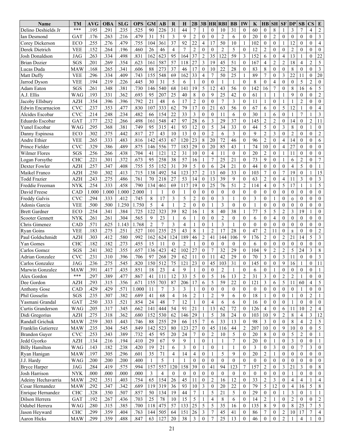| <b>Name</b>           | <b>TM</b>  | AVG   | <b>OBA</b> | <b>SLG</b> | <b>OPS</b>        | <b>GM</b>      | AВ             | R                        | $\bf H$        | 2B               | 3B               |                | <b>HR RBI</b>    | <b>BB</b>      | IW               | K                | $H$ $B$          | <b>SH</b>        | SF               | DP               | SB               | <b>CS</b>        | E                |
|-----------------------|------------|-------|------------|------------|-------------------|----------------|----------------|--------------------------|----------------|------------------|------------------|----------------|------------------|----------------|------------------|------------------|------------------|------------------|------------------|------------------|------------------|------------------|------------------|
| Delino Deshields Jr   | ***        | .195  | .291       | .235       | .525              | 90             | 226            | 31                       | 44             | $\overline{7}$   | 1                | $\theta$       | 10               | 31             | $\theta$         | 60               | $\boldsymbol{0}$ | 8                |                  | 3                | 7                | $\overline{4}$   | $\overline{2}$   |
| Ian Desmond           | GAT        | .176  | .263       | .216       | .479              | 31             | 51             | $\mathfrak{Z}$           | 9              | $\overline{2}$   | $\mathbf{0}$     | $\theta$       | $\overline{2}$   | 6              | $\mathbf{0}$     | 20               | $\mathbf{0}$     | $\overline{2}$   | $\mathbf{0}$     | $\mathbf{0}$     | $\theta$         | $\mathbf{0}$     | 3                |
| Corey Dickerson       | <b>ECO</b> | .255  | .276       | .479       | .755              | 104            | 361            | 37                       | 92             | 22               | 4                | 17             | 50               | 10             | 1                | 102              | $\mathbf{0}$     | $\mathbf{0}$     | 1                | 12               | $\mathbf{0}$     | $\theta$         | $\overline{4}$   |
| Derek Dietrich        | <b>VEE</b> | .152  | .264       | .196       | .460              | 26             | 46             | $\overline{4}$           | $\overline{7}$ | $\overline{2}$   | $\theta$         | $\Omega$       | $\overline{2}$   | 5              | $\Omega$         | 12               | $\overline{c}$   | $\mathbf{0}$     | $\theta$         | $\overline{2}$   | $\theta$         | $\theta$         | $\mathbf{0}$     |
| Josh Donaldson        | <b>JAG</b> | .263  | .334       | .498       | .831              | 162            | 623            | 95                       | 164            | 37               | $\overline{c}$   | 35             | 122              | 59             | 3                | 152              | 6                | $\theta$         | $\overline{4}$   | 13               |                  | $\mathbf{0}$     | 22               |
| <b>Brian Dozier</b>   | SGS        | .201  | .269       | .354       | .623              | 161            | 587            | 57                       | 118            | 27               | 3                | 19             | 45               | 51             | $\mathbf{0}$     | 167              | $\overline{4}$   | $\overline{2}$   | $\overline{c}$   | 18               | 4                | $\overline{2}$   | 5                |
| Lucas Duda            | <b>MAW</b> | .168  | .265       | .341       | .606              | 88             | 273            | 37                       | 46             | 17               | $\boldsymbol{0}$ | 10             | 22               | 28             | $\mathbf{0}$     | 83               | 8                | $\theta$         | $\mathbf{0}$     | 8                | $\mathbf{0}$     | $\theta$         | $\mathfrak{Z}$   |
| Matt Duffy            | <b>VEE</b> | .296  | .334       | .409       | .743              | 155            | 548            | 69                       | 162            | 33               | $\overline{4}$   | $\overline{7}$ | 50               | 25             | 1                | 89               | $\tau$           | $\theta$         | 3                | 22               | 11               | $\mathbf{0}$     | 20               |
| Jarrod Dyson          | <b>VEE</b> | .194  | .219       | .226       | .445              | 30             | 31             | 5                        | 6              |                  | $\mathbf{0}$     | $\mathbf{0}$   | 1                | 1              | $\mathbf{0}$     | 8                | $\overline{0}$   | $\overline{4}$   | $\mathbf{0}$     | $\mathbf{0}$     | 5                | $\overline{c}$   | $\mathbf{0}$     |
| Adam Eaton            | SGS        | .261  | .348       | .381       | .730              | 146            | 540            | 68                       | 141            | 19               | 5                | 12             | 43               | 56             | $\mathbf{0}$     | 142              | 16               | $\overline{7}$   | $\mathbf{0}$     | 8                | 16               | 6                | 5                |
| A.J. Ellis            | <b>WAG</b> | .193  | .331       | .362       | .693              | 95             | 207            | 25                       | 40             | 8                | $\mathbf{0}$     | 9              | 25               | 42             | $\mathbf{0}$     | 61               | 1                | $\mathbf{1}$     |                  | 9                | $\mathbf{0}$     | $\theta$         | $\overline{2}$   |
| Jacoby Ellsbury       | <b>AZH</b> | .354  | .396       | .396       | .792              | 21             | 48             | 6                        | 17             | $\overline{2}$   | $\mathbf{0}$     | $\theta$       | 7                | 3              | $\mathbf{0}$     | 11               | 1                | $\mathbf{0}$     | 1                |                  | $\overline{2}$   | $\theta$         | $\mathbf{0}$     |
| Edwin Encarnacion     | <b>CVC</b> | .237  | .353       | .477       | .830              | 107            | 333            | 62                       | 79             | 17               | $\mathbf{0}$     | 21             | 63               | 56             | $\mathbf{0}$     | 67               | 6                | $\theta$         | 5                | 12               | 1                | $\theta$         | 4                |
| Alcides Escobar       | <b>CVC</b> | .214  | .248       | .234       | .482              | 66             | 154            | 22                       | 33             | 3                | $\overline{0}$   | $\Omega$       | 11               | 6              | $\theta$         | 30               | 1                | 6                | $\mathbf{0}$     | 1                | 7                | 1                | $\mathfrak{Z}$   |
| Eduardo Escobar       | GAT        | .177  | .232       | .266       | .498              | 161            | 548            | 47                       | 97             | 28               | 6                | 3              | 29               | 37             | $\theta$         | 145              | $\overline{c}$   | $\overline{2}$   | $\mathbf{0}$     | 14               | $\mathbf{0}$     | $\overline{c}$   | 11               |
| Yunel Escobar         | <b>WAG</b> | .295  | .368       | .381       | .749              | 95             | 315            | 41                       | 93             | 12               | $\mathbf{0}$     | 5              | 34               | 33             | $\mathbf{0}$     | 44               | 5                | $\mathbf{0}$     | 3                | 8                | $\mathbf{0}$     | 1                | $\boldsymbol{0}$ |
| Danny Espinosa        | ECO        | .302  | .375       | .442       | .817              | 27             | 43             | 10                       | 13             | $\theta$         | $\theta$         | $\overline{2}$ | 6                | 3              | $\theta$         | 9                | $\overline{c}$   | 3                | $\theta$         | $\overline{2}$   | $\theta$         | $\theta$         | $\overline{2}$   |
| Andre Ethier          | <b>VEE</b> | .265  | .333       | .483       | .816              | 142            | 453            | 67                       | 120            | 23               | $\,8\,$          | 20             | 72               | 46             | $\theta$         | 96               | $\overline{c}$   | $\theta$         | $\overline{4}$   | 14               | $\mathbf{0}$     | $\theta$         | 6                |
| Prince Fielder        | CVC        | .329  | .386       | .489       | .875              | 146            | 556            | 77                       | 183            | 29               | $\mathbf{0}$     | 20             | 85               | 43             | 1                | 74               | 10               | $\mathbf{0}$     | $\overline{4}$   | 27               | $\mathbf{0}$     | $\mathbf{0}$     | $\mathbf{0}$     |
| <b>Wilmer Flores</b>  | SGS        | .256  | .266       | .438       | .704              | 41             | 121            | 12                       | 31             | 10               | $\mathbf{0}$     | 4              | 11               | $\theta$       | $\theta$         | 20               | $\overline{c}$   | $\theta$         | 1                | 11               | $\theta$         | $\theta$         | $\mathbf{0}$     |
| Logan Forsythe        | <b>CHC</b> | .221  | .301       | .372       | .673              | 95             | 258            | 38                       | 57             | 16               |                  | $\overline{7}$ | 25               | 21             | $\theta$         | 73               | 9                | $\theta$         | $\mathbf{1}$     | 6                | $\mathfrak{2}$   | $\theta$         | $\overline{7}$   |
| Dexter Fowler         | <b>AZH</b> | .257  | .347       | .408       | .755              | 55             | 152            | 31                       | 39             | 5                | $\mathbf{0}$     | 6              | 24               | 21             | $\theta$         | 44               | $\mathbf{0}$     | $\mathbf{0}$     | $\mathbf{0}$     | 4                | 5                | $\theta$         | $\mathbf{1}$     |
| Maikel Franco         | <b>AZH</b> | .250  | .302       | .413       | .715              | 138            | 492            | 54                       | 123            | 37               | $\overline{c}$   | 13             | 60               | 33             | $\mathbf{0}$     | 103              | $\tau$           | $\theta$         | $\overline{7}$   | 19               | $\mathbf{0}$     | 1                | 15               |
| <b>Todd Frazier</b>   | <b>AZH</b> | .243  | .275       | .486       | .761              | 70             | 218            | 27                       | 53             | 14               | $\overline{0}$   | 13             | 39               | 9              | $\theta$         | 63               | $\overline{c}$   | $\theta$         | $\overline{4}$   | 11               | 3                | $\theta$         | $\mathfrak{Z}$   |
| Freddie Freeman       | <b>NYK</b> | .254  | .333       | .458       | .790              | 134            | 461            | 69                       | 117            | 19               | $\mathbf{0}$     | 25             | 76               | 51             | $\overline{2}$   | 114              | $\overline{4}$   | $\mathbf{0}$     | 5                | 17               | 1                | 1                | 5                |
| David Freese          | CAD        | 1.000 | 1.000      | 1.000      | 2.000             | 1              | 1              | $\Omega$                 | 1              | $\mathbf{0}$     | $\mathbf{0}$     | $\theta$       | $\boldsymbol{0}$ | $\theta$       | $\overline{0}$   | $\theta$         | $\boldsymbol{0}$ | $\theta$         | $\theta$         | $\overline{0}$   | $\mathbf{0}$     | $\mathbf{0}$     | $\mathbf{0}$     |
| Freddy Galvis         | <b>CVC</b> | .294  | .333       | .412       | .745              | 8              | 17             | 3                        | 5              | $\overline{2}$   | $\mathbf{0}$     | $\theta$       | 3                | $\mathbf{1}$   | $\theta$         | 3                | $\boldsymbol{0}$ | $\mathbf{1}$     | $\mathbf{0}$     | $\overline{0}$   | $\theta$         | $\theta$         | $\mathbf{0}$     |
| Adonis Garcia         | <b>VEE</b> | .500  | .500       | 1.250      | 1.750             | 5              | $\overline{4}$ |                          | $\overline{2}$ | $\mathbf{0}$     | $\theta$         | 1              | 3                | $\theta$       | $\theta$         |                  | $\boldsymbol{0}$ | $\mathbf{0}$     | $\mathbf{0}$     | $\Omega$         | $\theta$         | $\theta$         | $\mathbf{0}$     |
| <b>Brett Gardner</b>  | ECO        | .254  | .341       | .384       | .725              | 122            | 323            | 39                       | 82             | 16               | 1                | 8              | 40               | 38             | 1                | 77               | 5                | 5                | $\overline{c}$   | 3                | 19               | 1                | $\mathbf{0}$     |
| Scooter Gennett       | <b>NYK</b> | .261  | .261       | .304       | .565              | 9              | 23             |                          | 6              |                  | $\mathbf{0}$     | $\Omega$       | $\overline{2}$   | $\theta$       | $\Omega$         | 6                | $\overline{0}$   | $\overline{4}$   | $\theta$         | $\theta$         | $\theta$         | $\theta$         | $\mathbf{0}$     |
| Chris Gimenez         | CAD        | .571  | .625       | 1.143      | 1.768             | $\overline{2}$ | $\overline{7}$ | 3                        | $\overline{4}$ |                  | $\theta$         | 1              | 3                | $\mathbf{1}$   | $\theta$         | $\mathbf{0}$     | $\overline{0}$   | $\theta$         | $\theta$         | $\theta$         | $\theta$         | $\theta$         | $\theta$         |
| <b>Ryan Goins</b>     | <b>VEE</b> | .183  | .275       | .251       | .527              | 101            | 235            | 25                       | 43             | 8                |                  | $\overline{2}$ | 17               | 28             | $\mathbf{0}$     | 47               | 2                | 11               | $\theta$         | 8                | $\mathbf{0}$     | $\theta$         | $\overline{2}$   |
| Paul Goldschmidt      | AZH        | .303  | .412       | .580       | .992              | 162            | 624            | 124                      | 189            | 46               | $\overline{2}$   | 41             | 144              | 106            | 9                | 176              | $\overline{c}$   | $\theta$         | $\overline{2}$   | 21               | 14               | 5                | $\mathfrak{Z}$   |
| Yan Gomes             | <b>CHC</b> | .182  | .182       | .273       | $.45\overline{5}$ | 15             | 11             | $\theta$                 | $\overline{2}$ |                  | $\mathbf{0}$     | $\theta$       | $\theta$         | $\theta$       | $\Omega$         | 6                | $\theta$         | $\mathbf{0}$     | $\mathbf{0}$     | $\theta$         | $\theta$         | $\mathbf{0}$     | $\mathbf{0}$     |
| Carlos Gomez          | SGS        | .241  | .302       | .355       | .657              | 136            | 423            | 42                       | 102            | 27               | $\mathbf{0}$     | $\overline{7}$ | 32               | 29             | $\Omega$         | 104              | 9                | $\overline{2}$   | $\overline{2}$   | 5                | 24               | 3                | 8                |
| Adrian Gonzalez       | <b>CVC</b> | .231  | .310       | .396       | .706              | 97             | 268            | 29                       | 62             | 11               | $\mathbf{0}$     | 11             | 42               | 29             | $\theta$         | 70               | 3                | $\mathbf{0}$     | 3                | 11               | $\mathbf{0}$     | $\theta$         | $\mathfrak{Z}$   |
| Carlos Gonzalez       | <b>JAG</b> | .236  | .275       | .545       | .820              | 150            | 512            | 75                       | 121            | 23               | $\boldsymbol{0}$ | 45             | 103              | 31             | $\mathbf{0}$     | 145              | $\mathbf{0}$     | $\mathbf{0}$     | 9                | 16               |                  | $\mathbf{0}$     | 11               |
| Marwin Gonzalez       | <b>MAW</b> | 391   | 417        | 435        | 851               | 18             | 23             | $\overline{4}$           | $\mathbf Q$    |                  | $\theta$         | $\Omega$       | $\mathcal{D}$    |                | $\Omega$         | 6                | $\Omega$         |                  | $\Omega$         | $\Omega$         | $\theta$         | $\Omega$         |                  |
| Alex Gordon           | ***        | .297  | .389       | .477       | .867              | 41             | 111            | 12                       | 33             | 5                | $\bf{0}$         | 5              | 16               | 13             | $\overline{2}$   | 31               | 3                | $\bf{0}$         | 2                | $\overline{c}$   |                  | $\boldsymbol{0}$ | $\overline{0}$   |
| Dee Gordon            | <b>AZH</b> | .293  | .315       | .356       | .671              | 155            | 703            | 87                       | 206            | 17               | 6                | 5              | 59               | 22             | $\mathbf{0}$     | 121              | 3                | 6                | 5                | 11               | 60               | $\overline{4}$   | $5\overline{)}$  |
| <b>Anthony Gose</b>   | CAD        | .429  | .429       | .571       | 1.000             | 11             | $\tau$         | 3                        | 3              |                  | $\mathbf{0}$     | $\overline{0}$ | $\mathbf{0}$     | $\mathbf{0}$   | $\mathbf{0}$     | $\overline{0}$   | $\mathbf{0}$     | $\mathbf{0}$     | $\mathbf{0}$     | $\overline{0}$   |                  | $\mathbf{0}$     | $\boldsymbol{0}$ |
| Phil Gosselin         | SGS        | .235  | .307       | .382       | .689              | 41             | 68             | $\overline{\mathcal{L}}$ | 16             | $\sqrt{2}$       | 1                | $\sqrt{2}$     | 9                | 6              | $\mathbf{0}$     | 18               | $\mathbf{1}$     | $\boldsymbol{0}$ | $\boldsymbol{0}$ | 1                | $\mathbf{0}$     | $\mathbf{2}$     | $\mathbf{1}$     |
| Yasmani Grandal       | GAT        | .250  | .333       | .521       | .854              | 24             | 48             | $\overline{7}$           | 12             | 1                | $\boldsymbol{0}$ | $\overline{4}$ | 6                | 6              | $\mathbf{0}$     | 16               | $\boldsymbol{0}$ | $\overline{0}$   | $\mathbf{0}$     | 1                | $\mathbf{0}$     | $\mathbf{0}$     | $\mathbf{0}$     |
| Curtis Granderson     | <b>WAG</b> | .205  | .317       | .345       | .662              | 141            | 444            | 54                       | 91             | 21               | 1                | 13             | 62               | 72             | $\mathbf{0}$     | 126              | $\overline{4}$   | $\overline{0}$   | 6                | 11               | 10               | $\overline{2}$   | $\overline{4}$   |
| Didi Gregorius        | AZH        | .275  | .318       | .362       | .680              | 152            | 530            | 62                       | 146            | 29               |                  | 5              | 38               | 24             | $\mathbf{0}$     | 103              | 10               | 9                | $\sqrt{2}$       | 8                | $\overline{4}$   | $\mathfrak{Z}$   | 12               |
| Randall Grichuk       | MAW        | .259  | .303       | .443       | .746              | 88             | 255            | 29                       | 66             | 15               | $\boldsymbol{7}$ | 6              | 33               | 13             | $\boldsymbol{0}$ | 98               | 3                | $\boldsymbol{0}$ | $\boldsymbol{0}$ | 8                | $\overline{4}$   | $\overline{2}$   | $\overline{5}$   |
| Franklin Gutierrez    | MAW        | .235  | .304       | .545       | .849              | 142            | 523            | 80                       | 123            | 27               | $\boldsymbol{0}$ | 45             | 116              | 44             | $\overline{2}$   | 207              | 10               | $\mathbf{0}$     | 9                | $10\,$           | $\boldsymbol{0}$ | $\mathbf{0}$     | $\overline{5}$   |
| <b>Brandon Guver</b>  | <b>CVC</b> | .253  | .343       | .389       | .732              | 45             | 95             | 20                       | $24\,$         | $7\phantom{.0}$  | $\mathbf{0}$     | $\overline{2}$ | 10               | 5              | $\mathbf{0}$     | 20               | 8                | $\mathbf{0}$     | $\theta$         | 5                | $\sqrt{2}$       | $\mathbf{0}$     | $\overline{1}$   |
| Jedd Gyorko           | <b>AZH</b> | .134  | .216       | .194       | .410              | 29             | 67             | 9                        | 9              | 1                | $\mathbf{0}$     | $\mathbf{1}$   | 1                | $\overline{7}$ | $\mathbf{0}$     | $20\,$           | $\mathbf{0}$     | $\mathbf{1}$     | $\mathbf{0}$     | 3                | $\overline{0}$   | $\mathbf{0}$     | $\mathbf{1}$     |
| <b>Billy Hamilton</b> | WAG        | .143  | .182       | .238       | .420              | 19             | 21             | 6                        | 3              | $\boldsymbol{0}$ | 1                | $\overline{0}$ | 1                | 1              | $\mathbf{0}$     | 3                | $\mathbf{0}$     | 3                | $\boldsymbol{0}$ | $\boldsymbol{0}$ | 7                | 3                | $\overline{0}$   |
| Ryan Hanigan          | <b>MAW</b> | .197  | .305       | .296       | .601              | 35             | 71             | $\overline{4}$           | 14             | $\overline{4}$   | $\boldsymbol{0}$ | $\mathbf{1}$   | 5                | 9              | $\mathbf{0}$     | 20               | $\overline{2}$   | 1                | $\theta$         | $\mathbf{0}$     | $\boldsymbol{0}$ | $\mathbf{0}$     | $\overline{0}$   |
| J.J. Hardy            | <b>WAG</b> | .200  | .200       | .200       | .400              | 1              | 5              |                          | 1              | $\mathbf{0}$     | $\boldsymbol{0}$ | $\overline{0}$ | $\boldsymbol{0}$ | $\mathbf{0}$   | $\boldsymbol{0}$ | $\boldsymbol{0}$ | 0                | $\boldsymbol{0}$ | $\boldsymbol{0}$ | $\mathbf{0}$     | $\boldsymbol{0}$ | $\mathbf{0}$     | $\boldsymbol{0}$ |
| <b>Bryce Harper</b>   | JAG        | .284  | .419       | .575       | .994              | 157            | 557            | 120                      | 158            | 39               | $\boldsymbol{0}$ | 41             | 94               | 123            | $\tau$           | 157              | $\overline{c}$   | $\mathbf{0}$     | 3                | 21               | $\mathfrak{Z}$   | $\mathbf{0}$     | $\,8\,$          |
| Josh Harrison         | <b>NYK</b> | .000  | .000       | .000       | .000              | $\mathfrak{Z}$ | $\overline{4}$ | $\overline{0}$           | $\bf{0}$       | $\overline{0}$   | $\boldsymbol{0}$ | $\overline{0}$ | $\mathbf{0}$     | $\overline{0}$ | $\mathbf{0}$     | $\mathbf{0}$     | $\mathbf{0}$     | $\bf{0}$         | $\boldsymbol{0}$ | 1                | $\theta$         | $\mathbf{0}$     | $\mathbf{0}$     |
| Adeiny Hechavarria    | <b>MAW</b> | .292  | .351       | .403       | .754              | 65             | 154            | 26                       | 45             | 11               | $\boldsymbol{0}$ | $\sqrt{2}$     | 16               | 12             | $\mathbf{0}$     | 33               | $\overline{c}$   | 3                | $\mathbf{0}$     | 4                | 4                | 1                | $\overline{4}$   |
| Cesar Hernandez       | <b>MAW</b> | .292  | .347       | .342       | .689              | 119            | 319            | 36                       | 93             | $10\,$           | $\mathfrak{Z}$   | $\bf{0}$       | 20               | 22             | $\mathbf{0}$     | 79               | 5                | 12               | $\mathbf{0}$     | $\overline{4}$   | 16               | 5                | $\,8\,$          |
| Enrique Hernandez     | <b>CHC</b> | .328  | .350       | .507       | .857              | 50             | 134            | 19                       | 44             | $\tau$           | 1                | 5              | 21               | 5              | $\mathbf{0}$     | 29               | $\boldsymbol{0}$ | $\overline{0}$   | 1                | 3                | $\mathbf{0}$     | $\mathbf{1}$     | -1               |
| Dilson Herrera        | GAT        | .192  | .267       | .436       | .703              | 25             | 78             | 10                       | 15             | 5                | 1                | $\overline{4}$ | 8                | 6              | $\theta$         | 14               | $\overline{2}$   | -1               | $\mathbf{0}$     | $\overline{c}$   | $\theta$         | $\theta$         | $\overline{2}$   |
| Odubel Herrera        | WAG        | .280  | .315       | .385       | .700              | 118            | 475            | 57                       | 133            | 25               | 5                | $\mathfrak s$  | 35               | 16             | $\mathbf{0}$     | 135              | 8                | 9                | $\boldsymbol{0}$ | 8                | 25               | $\boldsymbol{7}$ | $\mathfrak{S}$   |
| Jason Heyward         | <b>CHC</b> | .299  | .359       | .404       | .763              | 144            | 505            | 64                       | 151            | 26               | 3                | $\tau$         | 45               | 41             | $\mathbf{0}$     | 86               | $\tau$           | $\mathbf{0}$     | $\overline{2}$   | 10               | 17               | $\boldsymbol{7}$ | $\overline{4}$   |
| Aaron Hicks           | <b>MAW</b> | .299  | .359       | .488       | .847              | 63             | 127            | $20\,$                   | 38             | $\mathfrak{Z}$   | $\boldsymbol{0}$ | $\overline{7}$ | $25\,$           | 13             | $\boldsymbol{0}$ | 46               | $\boldsymbol{0}$ | $\boldsymbol{0}$ | $\sqrt{2}$       |                  | $\overline{4}$   | $\,1\,$          | $\boldsymbol{0}$ |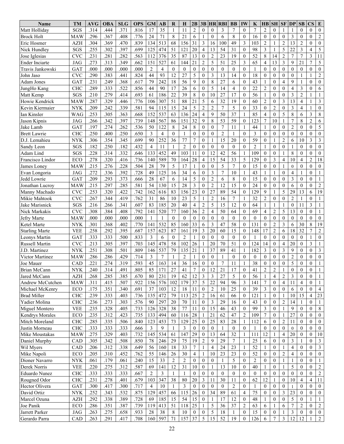| .816<br>$\overline{2}$<br>$\overline{c}$<br>Matt Hollidav<br>.314<br>.444<br>.371<br>17<br>35<br>$\mathbf{0}$<br>$\theta$<br>3<br>$\tau$<br>$\theta$<br>7<br>SGS<br>11<br>$\theta$<br>$\theta$<br>1<br>.776<br>.296<br>.367<br>.408<br>24<br>71<br>8<br>21<br>6<br>$\mathbf{0}$<br>8<br>16<br>$\mathbf{0}$<br>$\mathbf{0}$<br>3<br>$\mathbf{0}$<br><b>MAW</b><br>6<br>$\overline{0}$<br>$\mathbf{0}$<br>Brock Holt<br>1<br>$\overline{2}$<br>.304<br>513<br>68<br>156<br>31<br>3<br>100<br>49<br>3<br>$\overline{c}$<br>$\overline{2}$<br>13<br>Eric Hosmer<br><b>AZH</b><br>.369<br>.470<br>.839<br>134<br>16<br>103<br>1<br>3<br>51<br>20<br>$\overline{4}$<br>54<br>31<br>$\theta$<br>98<br>3<br>5<br>22<br>SGS<br>.255<br>.302<br>.397<br>.699<br>474<br>121<br>13<br>Nick Hundley<br>125<br>1<br>$\overline{7}$<br>13<br>$\overline{7}$<br>.282<br>.563<br>376<br>35<br>87<br>$\overline{0}$<br>$\overline{2}$<br>23<br>19<br>52<br>8<br>$\overline{c}$<br><b>CVC</b><br>.231<br>.281<br>112<br>$\mathbf{0}$<br>14<br>Jose Iglesias | $\mathbf{0}$<br>$\overline{0}$<br>$\sqrt{2}$<br>$\mathbf{0}$<br>$\theta$<br>$\mathbf{0}$<br>5<br>$\overline{4}$<br>$\mathfrak{Z}$<br>11<br>$\overline{7}$<br>5<br>$\mathbf{0}$<br>$\boldsymbol{0}$<br>$\overline{2}$<br>1<br>$\mathbf{0}$<br>$\mathbf{0}$ |
|------------------------------------------------------------------------------------------------------------------------------------------------------------------------------------------------------------------------------------------------------------------------------------------------------------------------------------------------------------------------------------------------------------------------------------------------------------------------------------------------------------------------------------------------------------------------------------------------------------------------------------------------------------------------------------------------------------------------------------------------------------------------------------------------------------------------------------------------------------------------------------------------------------------------------------------------------------------------------------------------------------------------------------------|-----------------------------------------------------------------------------------------------------------------------------------------------------------------------------------------------------------------------------------------------------------|
|                                                                                                                                                                                                                                                                                                                                                                                                                                                                                                                                                                                                                                                                                                                                                                                                                                                                                                                                                                                                                                          |                                                                                                                                                                                                                                                           |
|                                                                                                                                                                                                                                                                                                                                                                                                                                                                                                                                                                                                                                                                                                                                                                                                                                                                                                                                                                                                                                          |                                                                                                                                                                                                                                                           |
|                                                                                                                                                                                                                                                                                                                                                                                                                                                                                                                                                                                                                                                                                                                                                                                                                                                                                                                                                                                                                                          |                                                                                                                                                                                                                                                           |
|                                                                                                                                                                                                                                                                                                                                                                                                                                                                                                                                                                                                                                                                                                                                                                                                                                                                                                                                                                                                                                          |                                                                                                                                                                                                                                                           |
|                                                                                                                                                                                                                                                                                                                                                                                                                                                                                                                                                                                                                                                                                                                                                                                                                                                                                                                                                                                                                                          |                                                                                                                                                                                                                                                           |
| $\overline{c}$<br>5<br>3<br>65<br>527<br>21<br>25<br>13<br>3<br>9<br>21<br>.273<br>.313<br>.349<br>.662<br>151<br>61<br>144<br>51<br>4<br><b>Ender Inciarte</b><br><b>JAG</b>                                                                                                                                                                                                                                                                                                                                                                                                                                                                                                                                                                                                                                                                                                                                                                                                                                                            |                                                                                                                                                                                                                                                           |
| $\overline{4}$<br>$\mathbf{0}$<br>$\theta$<br>$\theta$<br>$\mathbf{0}$<br>.000<br>.000<br>.000<br>.000<br>$\overline{2}$<br>$\theta$<br>$\mathbf{0}$<br>$\mathbf{0}$<br>$\theta$<br>$\mathbf{0}$<br>$\theta$<br>$\mathbf{0}$<br>$\theta$<br>GAT<br>$\theta$<br>Travis Jankowski                                                                                                                                                                                                                                                                                                                                                                                                                                                                                                                                                                                                                                                                                                                                                          |                                                                                                                                                                                                                                                           |
| 93<br>5<br>3<br>.383<br>.441<br>.824<br>44<br>12<br>27<br>$\theta$<br>13<br>$\theta$<br>18<br><b>CVC</b><br>.290<br>14<br>$\mathbf{0}$<br>$\theta$<br>$\mathbf{0}$<br>$\theta$<br>John Jaso<br>1                                                                                                                                                                                                                                                                                                                                                                                                                                                                                                                                                                                                                                                                                                                                                                                                                                         |                                                                                                                                                                                                                                                           |
| 242<br>9<br>8<br>27<br>43<br>.231<br>.249<br>.368<br>.617<br>79<br>18<br>56<br>$\overline{0}$<br>$\theta$<br>$\mathbf{0}$<br>4<br>9<br>GAT<br>6<br>1<br>Adam Jones<br>1                                                                                                                                                                                                                                                                                                                                                                                                                                                                                                                                                                                                                                                                                                                                                                                                                                                                  |                                                                                                                                                                                                                                                           |
| 5<br>.522<br>.856<br>44<br>90<br>17<br>$\overline{0}$<br>14<br>$\overline{4}$<br>$\theta$<br>22<br>$\overline{c}$<br>$\overline{4}$<br>3<br><b>CHC</b><br>.289<br>.333<br>26<br>6<br>$\theta$<br>$\mathbf{0}$<br>JungHo Kang                                                                                                                                                                                                                                                                                                                                                                                                                                                                                                                                                                                                                                                                                                                                                                                                             | $\theta$<br>6                                                                                                                                                                                                                                             |
| $\overline{c}$<br>.693<br>186<br>22<br>$\,$ 8 $\,$<br>3<br>SGS<br>.210<br>.279<br>.414<br>39<br>$\overline{0}$<br>10<br>27<br>17<br>$\mathbf{0}$<br>56<br>$\theta$<br>$\theta$<br>Matt Kemp<br>61<br>1                                                                                                                                                                                                                                                                                                                                                                                                                                                                                                                                                                                                                                                                                                                                                                                                                                   | 1                                                                                                                                                                                                                                                         |
| 5<br>32<br>.287<br>.776<br>307<br>51<br>88<br>21<br>19<br>$\mathbf{0}$<br>$\overline{c}$<br>3<br>13<br>4<br>Howie Kendrick<br><b>MAW</b><br>.329<br>.446<br>106<br>6<br>60<br>$\mathbf{0}$                                                                                                                                                                                                                                                                                                                                                                                                                                                                                                                                                                                                                                                                                                                                                                                                                                               | $\mathfrak{Z}$<br>1                                                                                                                                                                                                                                       |
| 5<br>.581<br>24<br>5<br>$\overline{c}$<br>$\overline{2}$<br>7<br>33<br>Kevin Kiermaier<br>.209<br>.242<br>.339<br>94<br>15<br>$\theta$<br>$\overline{2}$<br>3<br>4<br><b>NYK</b><br>115<br>$\boldsymbol{0}$<br>$\theta$                                                                                                                                                                                                                                                                                                                                                                                                                                                                                                                                                                                                                                                                                                                                                                                                                  | $\theta$<br>1                                                                                                                                                                                                                                             |
| 85<br>8<br>537<br>63<br>24<br>$\overline{\mathbf{4}}$<br>9<br>37<br>5<br>.253<br>.305<br>.363<br>.668<br>152<br>136<br>50<br>4<br>$\theta$<br>6<br>Ian Kinsler<br>WAG<br>1                                                                                                                                                                                                                                                                                                                                                                                                                                                                                                                                                                                                                                                                                                                                                                                                                                                               | $\mathfrak{Z}$<br>8                                                                                                                                                                                                                                       |
| 7<br>.342<br>567<br>86<br>32<br>9<br>8<br>53<br>59<br>123<br>7<br>$\,$ 8 $\,$<br>.266<br>.397<br>.739<br>148<br>151<br>$\mathbf{0}$<br>10<br>Jason Kipnis<br><b>JAG</b><br>1                                                                                                                                                                                                                                                                                                                                                                                                                                                                                                                                                                                                                                                                                                                                                                                                                                                             | $\overline{c}$<br>6                                                                                                                                                                                                                                       |
| $\overline{7}$<br>.536<br>8<br>24<br>$\,$ 8 $\,$<br>$\overline{c}$<br>.197<br>.274<br>.262<br>50<br>122<br>$\overline{0}$<br>$\theta$<br>11<br>44<br>$\overline{0}$<br>Jake Lamb<br>GAT<br>1<br>$\mathbf{0}$<br>$\mathbf{0}$<br>1                                                                                                                                                                                                                                                                                                                                                                                                                                                                                                                                                                                                                                                                                                                                                                                                        | 5<br>$\mathbf{0}$                                                                                                                                                                                                                                         |
| 3<br>$\overline{4}$<br>$\theta$<br>$\overline{2}$<br>$\theta$<br>$\theta$<br>.250<br>.400<br>.250<br>.650<br>3<br>$\theta$<br>$\theta$<br>$\theta$<br>$\theta$<br>$\overline{0}$<br><b>Brett Lawrie</b><br><b>CHC</b><br>$\mathbf{1}$<br>$\overline{1}$<br>$\theta$<br>$\theta$                                                                                                                                                                                                                                                                                                                                                                                                                                                                                                                                                                                                                                                                                                                                                          | $\theta$<br>$\mathbf{0}$                                                                                                                                                                                                                                  |
| 252<br>15<br>59<br>.354<br>.345<br>.699<br>90<br>77<br>$\overline{7}$<br>$\overline{0}$<br>20<br>$\theta$<br>$\overline{c}$<br>10<br>D.J. Lemahieu<br>.306<br>36<br>$\mathbf{1}$<br>$\overline{0}$<br>6<br><b>NYK</b><br>$\mathbf{1}$                                                                                                                                                                                                                                                                                                                                                                                                                                                                                                                                                                                                                                                                                                                                                                                                    | 3<br>$\mathfrak{Z}$                                                                                                                                                                                                                                       |
| $\overline{2}$<br>.182<br>.250<br>.182<br>.432<br>11<br>$\overline{2}$<br>$\theta$<br>$\mathbf{0}$<br>$\theta$<br>$\theta$<br>$\theta$<br>$\mathbf{0}$<br>$\mathbf{0}$<br>Sandy Leon<br>SGS<br>4<br>$\theta$<br>$\mathbf{0}$<br>$\mathbf{1}$<br>1<br>1                                                                                                                                                                                                                                                                                                                                                                                                                                                                                                                                                                                                                                                                                                                                                                                   | $\mathbf{0}$<br>$\mathbf{0}$                                                                                                                                                                                                                              |
| .332<br>452<br>103<br>$\mathbf{0}$<br>12<br>42<br>56<br>8<br>Adam Lind<br>SGS<br>.228<br>.314<br>.646<br>133<br>49<br>109<br>$\overline{0}$<br>$\theta$<br>$\theta$<br>11<br>1<br>1                                                                                                                                                                                                                                                                                                                                                                                                                                                                                                                                                                                                                                                                                                                                                                                                                                                      | $\theta$<br>$\mathbf{0}$                                                                                                                                                                                                                                  |
| 15<br>5<br>.320<br>.416<br>.736<br>589<br>28<br>$\overline{\mathbf{4}}$<br>54<br>33<br>129<br>$\overline{3}$<br>$\overline{4}$<br>$\overline{4}$<br>.278<br>140<br>70<br>164<br>$\theta$<br>Francisco Lindor<br>ECO<br>10                                                                                                                                                                                                                                                                                                                                                                                                                                                                                                                                                                                                                                                                                                                                                                                                                | $\overline{2}$<br>18                                                                                                                                                                                                                                      |
| 5<br>5<br>.228<br>.504<br>79<br>17<br>$\overline{7}$<br>$\theta$<br>15<br>.276<br>28<br>$\theta$<br>$\mathbf{0}$<br>$\mathbf{0}$<br>$\theta$<br>$\theta$<br><b>MAW</b><br>.215<br>$\overline{0}$<br>1<br>James Loney<br>-1                                                                                                                                                                                                                                                                                                                                                                                                                                                                                                                                                                                                                                                                                                                                                                                                               | $\theta$<br>$\mathbf{0}$                                                                                                                                                                                                                                  |
| .728<br>34<br>3<br>7<br>.272<br>.392<br>49<br>125<br>16<br>$\mathbf{0}$<br>10<br>43<br>$\mathbf{0}$<br>$\overline{4}$<br>Evan Longoria<br>JAG<br>.336<br>6<br>1<br>1<br>1<br>1                                                                                                                                                                                                                                                                                                                                                                                                                                                                                                                                                                                                                                                                                                                                                                                                                                                           | $\theta$<br>$\mathbf{1}$                                                                                                                                                                                                                                  |
| $\overline{c}$<br>5<br>$\overline{0}$<br>8<br>15<br>3<br>$\mathbf{0}$<br>Jedd Lowrie<br>.209<br>.293<br>.373<br>.666<br>28<br>67<br>6<br>14<br>$\theta$<br>$\mathbf{0}$<br>$\mathbf{0}$<br>GAT<br>$\overline{0}$<br>6                                                                                                                                                                                                                                                                                                                                                                                                                                                                                                                                                                                                                                                                                                                                                                                                                    | $\theta$<br>1                                                                                                                                                                                                                                             |
| .285<br>.581<br>15<br>28<br>3<br>$\overline{2}$<br>12<br>15<br>.215<br>.297<br>54<br>130<br>$\mathbf{0}$<br>$\theta$<br>24<br>$\theta$<br>$\mathbf{0}$<br>$\mathbf{0}$<br>MAW<br>$\overline{0}$<br>6<br>Jonathan Lucroy                                                                                                                                                                                                                                                                                                                                                                                                                                                                                                                                                                                                                                                                                                                                                                                                                  | $\sqrt{2}$<br>$\mathbf{0}$                                                                                                                                                                                                                                |
| 23<br>27<br>89<br>5<br>13<br>.253<br>.320<br>.422<br>.742<br>162<br>616<br>83<br>156<br>$\boldsymbol{0}$<br>54<br>$\overline{0}$<br>129<br>9<br>29<br><b>CVC</b><br>$\mathbf{1}$<br>Manny Machado                                                                                                                                                                                                                                                                                                                                                                                                                                                                                                                                                                                                                                                                                                                                                                                                                                        | 19<br>6                                                                                                                                                                                                                                                   |
| 5<br>.762<br>23<br>$\overline{2}$<br>$\tau$<br>32<br>$\overline{c}$<br>$\overline{c}$<br><b>CVC</b><br>.267<br>.344<br>.419<br>31<br>86<br>$\mathbf{0}$<br>Mikie Mahtook<br>10<br>16<br>$\theta$<br>1<br>1<br>1                                                                                                                                                                                                                                                                                                                                                                                                                                                                                                                                                                                                                                                                                                                                                                                                                          | $\boldsymbol{0}$<br>$\mathbf{1}$                                                                                                                                                                                                                          |
| .266<br>$\overline{4}$<br>$\overline{c}$<br>5<br>15<br>SGS<br>.216<br>.341<br>.607<br>83<br>185<br>20<br>40<br>12<br>$\theta$<br>64<br>11<br>$\overline{0}$<br>Jake Marisnick<br>1<br>1<br>1                                                                                                                                                                                                                                                                                                                                                                                                                                                                                                                                                                                                                                                                                                                                                                                                                                             | 3<br>-1                                                                                                                                                                                                                                                   |
| $\overline{c}$<br>77<br>50<br>64<br>5<br><b>CVC</b><br>.308<br>.384<br>.408<br>.792<br>141<br>520<br>160<br>36<br>$\overline{4}$<br>69<br>$\overline{4}$<br>$\overline{2}$<br>13<br>$\mathbf{0}$<br>Nick Markakis<br>$\mathbf{0}$                                                                                                                                                                                                                                                                                                                                                                                                                                                                                                                                                                                                                                                                                                                                                                                                        | $\mathbf{0}$<br>-1                                                                                                                                                                                                                                        |
| $\mathbf{0}$<br>$\theta$<br>.000<br>.000<br>.000<br>.000<br>$\theta$<br>$\mathbf{0}$<br>$\mathbf{0}$<br>$\theta$<br>$\theta$<br>$\Omega$<br>$\mathbf{0}$<br>$\overline{0}$<br>$\mathbf{0}$<br>$\mathbf{0}$<br>$\theta$<br>Jefry Marte<br>MAW<br>1<br>$\mathbf{1}$<br>$\overline{0}$                                                                                                                                                                                                                                                                                                                                                                                                                                                                                                                                                                                                                                                                                                                                                      | $\Omega$<br>$\mathbf{0}$                                                                                                                                                                                                                                  |
| 532<br>85<br>160<br>33<br>3<br>58<br>3<br>30<br>.301<br>.368<br>.402<br>.770<br>141<br>6<br>47<br>$\Omega$<br>131<br>$\overline{0}$<br>$\overline{2}$<br>Ketel Marte<br><b>NYK</b><br>6                                                                                                                                                                                                                                                                                                                                                                                                                                                                                                                                                                                                                                                                                                                                                                                                                                                  | 8<br>19                                                                                                                                                                                                                                                   |
| 32<br>.258<br>.292<br>.395<br>.687<br>157<br>623<br>87<br>19<br>3<br>20<br>15<br>17<br>$\overline{2}$<br>18<br><b>Starling Marte</b><br><b>VEE</b><br>161<br>60<br>$\mathbf{0}$<br>148<br>6                                                                                                                                                                                                                                                                                                                                                                                                                                                                                                                                                                                                                                                                                                                                                                                                                                              | $\overline{2}$<br>7                                                                                                                                                                                                                                       |
| .333<br>.500<br>.833<br>3<br>$\overline{2}$<br>$\theta$<br>$\Omega$<br>GAT<br>.333<br>6<br>$\theta$<br>$\theta$<br>$\theta$<br>$\theta$<br>$\theta$<br>$\theta$<br>$\Omega$<br>$\theta$<br>$\mathbf{1}$<br>$\theta$<br>Leonys Martin<br>1                                                                                                                                                                                                                                                                                                                                                                                                                                                                                                                                                                                                                                                                                                                                                                                                | $\theta$<br>1                                                                                                                                                                                                                                             |
| .397<br>.703<br>478<br>58<br>102<br>51<br>$\mathbf{0}$<br><b>CVC</b><br>.213<br>.305<br>145<br>26<br>20<br>70<br>124<br>14<br>$\theta$<br>$\overline{4}$<br>20<br>$\mathbf{0}$<br>Russell Martin                                                                                                                                                                                                                                                                                                                                                                                                                                                                                                                                                                                                                                                                                                                                                                                                                                         | 3<br>$\mathbf{1}$                                                                                                                                                                                                                                         |
| 9<br>.251<br>.501<br>.809<br>537<br>79<br>135<br>21<br>37<br>89<br>182<br>3<br>3<br>$\mathbf{0}$<br><b>NYK</b><br>.308<br>146<br>41<br>$\theta$<br>J.D. Martinez<br>1<br>1                                                                                                                                                                                                                                                                                                                                                                                                                                                                                                                                                                                                                                                                                                                                                                                                                                                               | $\mathfrak{Z}$<br>$\mathbf{0}$                                                                                                                                                                                                                            |
| $\overline{7}$<br>.714<br>3<br>$\overline{2}$<br>$\overline{c}$<br><b>MAW</b><br>.286<br>.429<br>$\overline{0}$<br>$\theta$<br>$\theta$<br>$\theta$<br>$\theta$<br>$\overline{0}$<br>$\mathbf{0}$<br>$\mathbf{0}$<br>Victor Martinez<br>.286<br>$\theta$<br>1                                                                                                                                                                                                                                                                                                                                                                                                                                                                                                                                                                                                                                                                                                                                                                            | $\mathbf{0}$<br>$\boldsymbol{0}$                                                                                                                                                                                                                          |
| .221<br>.319<br>.593<br>45<br>36<br>$\mathbf{0}$<br>7<br>38<br>5<br>.274<br>163<br>14<br>$\boldsymbol{0}$<br>11<br>$\mathbf{0}$<br>$\mathbf{0}$<br>$\mathbf{0}$<br>Joe Mauer<br>CAD<br>16<br>$\mathbf{0}$<br>$\overline{7}$<br>85<br>171<br>27<br>$\Omega$<br>12<br>21<br>$\mathfrak{D}$<br>41<br>$\Omega$<br>41<br>$\Omega$<br>$\theta$                                                                                                                                                                                                                                                                                                                                                                                                                                                                                                                                                                                                                                                                                                 | $\theta$<br>$\mathbf{1}$<br>$\Omega$                                                                                                                                                                                                                      |
| $\overline{2}$<br>240<br>314<br>491<br>.805<br>17<br>Brian McCann<br><b>NYK</b>                                                                                                                                                                                                                                                                                                                                                                                                                                                                                                                                                                                                                                                                                                                                                                                                                                                                                                                                                          |                                                                                                                                                                                                                                                           |
| 231<br>3<br>19<br>62<br>12<br>3<br>3<br>27<br>5<br>$\overline{c}$<br>Jared McCann<br><b>AZH</b><br>.268<br>.285<br>.385<br>.670<br>80<br>$\boldsymbol{0}$<br>56<br>4<br>$\boldsymbol{0}$<br>1                                                                                                                                                                                                                                                                                                                                                                                                                                                                                                                                                                                                                                                                                                                                                                                                                                            | $\mathbf{0}$<br>$\overline{1}$<br>$\theta$                                                                                                                                                                                                                |
| .507<br>.922<br>576<br>179<br>37<br>5<br>22<br>94<br>3<br>Andrew McCutchen<br><b>MAW</b><br>.311<br>.415<br>156<br>102<br>96<br>141<br>7<br>$\mathbf{0}$<br>4<br>11<br>$\overline{4}$<br>.351<br>39<br>.175<br>.340<br>.691<br>37<br>103<br>12<br>18<br>10<br>25<br>$\mathbf{0}$<br>6<br>Michael McKenry<br>ECO<br>11<br>$\mathbf{0}$<br>$\mathbf{0}$<br>$\overline{0}$                                                                                                                                                                                                                                                                                                                                                                                                                                                                                                                                                                                                                                                                  | -1<br>$\overline{4}$<br>$\mathbf{0}$                                                                                                                                                                                                                      |
| $\overline{2}$<br>3<br>$\mathbf{0}$<br>79<br>$25\,$<br>15<br><b>Brad Miller</b><br><b>CHC</b><br>.239<br>.333<br>135<br>472<br>113<br>$\overline{c}$<br>66<br>121<br>.403<br>.736<br>16<br>61<br>$\bf{0}$<br>$\mathbf{1}$<br>$\boldsymbol{0}$<br>10<br>1                                                                                                                                                                                                                                                                                                                                                                                                                                                                                                                                                                                                                                                                                                                                                                                 | 23<br>4                                                                                                                                                                                                                                                   |
| .576<br>$20\,$<br>$\sqrt{2}$<br>Yadier Molina<br>CHC<br>.236<br>.273<br>.303<br>297<br>70<br>11<br>$\boldsymbol{0}$<br>3<br>29<br>16<br>$\mathbf{0}$<br>43<br>$\boldsymbol{0}$<br>14<br>90<br>$\overline{0}$<br>1                                                                                                                                                                                                                                                                                                                                                                                                                                                                                                                                                                                                                                                                                                                                                                                                                        | $\mathbf{0}$<br>$\overline{1}$                                                                                                                                                                                                                            |
| .328<br>38<br>77<br>$\boldsymbol{0}$<br>15<br>43<br>99<br>3<br>9<br>Miguel Montero<br><b>VEE</b><br>.235<br>.405<br>.733<br>126 328<br>11<br>46<br>$\mathbf{0}$<br>$\mathbf{0}$<br>$\overline{0}$<br>$\mathbf{1}$                                                                                                                                                                                                                                                                                                                                                                                                                                                                                                                                                                                                                                                                                                                                                                                                                        | 8<br>$\mathbf{0}$                                                                                                                                                                                                                                         |
| $\sqrt{2}$<br>27<br>.735<br>28<br>62<br>47<br>109<br>$\tau$<br>$\overline{0}$<br><b>Kendrys Morales</b><br>ECO<br>.235<br>.312<br>.423<br>133<br>494<br>60<br>116<br>21<br>$\boldsymbol{0}$<br>-1                                                                                                                                                                                                                                                                                                                                                                                                                                                                                                                                                                                                                                                                                                                                                                                                                                        | $\overline{0}$<br>$\mathbf{0}$                                                                                                                                                                                                                            |
| 129<br>25<br>$\boldsymbol{0}$<br>112<br>$\overline{2}$<br>Mitch Moreland<br><b>CHC</b><br>.285<br>.335<br>.506<br>.840<br>123<br>453<br>73<br>25<br>83<br>28<br>6<br>11<br>$\mathbf{0}$<br>$\mathbf{1}$<br>$\mathbf{0}$                                                                                                                                                                                                                                                                                                                                                                                                                                                                                                                                                                                                                                                                                                                                                                                                                  | $\mathbf{0}$<br>$\boldsymbol{0}$                                                                                                                                                                                                                          |
| .666<br>3<br>9<br>$\mathfrak{Z}$<br>$\mathbf{0}$<br>$\mathbf{0}$<br>$\mathbf{0}$<br>Justin Morneau<br>.333<br>.333<br>.333<br>$\overline{1}$<br>$\overline{0}$<br>$\mathbf{0}$<br>$\overline{0}$<br>$\boldsymbol{0}$<br>$\boldsymbol{0}$<br><b>CHC</b><br>1<br>$\mathbf{1}$<br>$\mathbf{0}$<br>$\mathbf{0}$                                                                                                                                                                                                                                                                                                                                                                                                                                                                                                                                                                                                                                                                                                                              | $\mathbf{0}$<br>$\overline{0}$                                                                                                                                                                                                                            |
| .275<br>.329<br>.732<br>145<br>534<br>147<br>29<br>$\mathbf{0}$<br>13<br>32<br>.403<br>61<br>64<br>111<br>12<br>$\overline{4}$<br>20<br>$\mathbf{0}$<br>Mike Moustakas<br>MAW<br>$\mathbf{1}$<br>1                                                                                                                                                                                                                                                                                                                                                                                                                                                                                                                                                                                                                                                                                                                                                                                                                                       | $\mathbf{0}$<br>10                                                                                                                                                                                                                                        |
| $\sqrt{2}$<br>9<br>29<br>75<br>19<br>29<br>$\mathfrak{Z}$<br>Daniel Murphy<br>CAD<br>.305<br>.342<br>.508<br>.850<br>78<br>246<br>$\tau$<br>25<br>6<br>$\theta$<br>1<br>$\mathbf{0}$<br>1                                                                                                                                                                                                                                                                                                                                                                                                                                                                                                                                                                                                                                                                                                                                                                                                                                                | $\mathfrak{Z}$<br>$\mathbf{0}$                                                                                                                                                                                                                            |
| 18<br>$\tau$<br>$\overline{4}$<br>Wil Myers<br>CAD<br>.206<br>.312<br>.338<br>.649<br>56<br>160<br>33<br>24<br>23<br>52<br>$\overline{4}$<br>$\mathbf{0}$<br>$\mathbf{1}$<br>$\mathbf{1}$<br>$\mathbf{1}$<br>$\mathbf{0}$<br>1                                                                                                                                                                                                                                                                                                                                                                                                                                                                                                                                                                                                                                                                                                                                                                                                           | $\mathfrak{Z}$<br>$\mathbf{0}$                                                                                                                                                                                                                            |
| Mike Napoli<br>.762<br>55<br>23<br>52<br>$\overline{c}$<br>.205<br>.310<br>.452<br>146<br>$26\,$<br>30<br>$\overline{4}$<br>10<br>23<br>$\boldsymbol{0}$<br>$\overline{4}$<br>$\mathbf{0}$<br>ECO<br>1<br>$\overline{0}$<br>$\mathbf{0}$                                                                                                                                                                                                                                                                                                                                                                                                                                                                                                                                                                                                                                                                                                                                                                                                 | $\mathbf{0}$<br>$\mathbf{0}$                                                                                                                                                                                                                              |
| Dioner Navarro<br>33<br>$\overline{c}$<br>$\boldsymbol{0}$<br>2<br><b>NYK</b><br>.061<br>.179<br>.061<br>.240<br>15<br>2<br>$\mathbf{0}$<br>$\mathbf{0}$<br>$\overline{0}$<br>5<br>0<br>$\boldsymbol{0}$<br>$\boldsymbol{0}$<br>1<br>1                                                                                                                                                                                                                                                                                                                                                                                                                                                                                                                                                                                                                                                                                                                                                                                                   | $\mathbf{0}$<br>$\mathbf{1}$                                                                                                                                                                                                                              |
| 5<br>Derek Norris<br><b>VEE</b><br>.220<br>.275<br>.312<br>.587<br>12<br>31<br>10<br>$\boldsymbol{0}$<br>13<br>40<br>69<br>141<br>$\mathbf{1}$<br>10<br>$\mathbf{0}$<br>$\mathbf{0}$<br>$\overline{0}$<br>1<br>1                                                                                                                                                                                                                                                                                                                                                                                                                                                                                                                                                                                                                                                                                                                                                                                                                         | $\overline{2}$<br>$\mathbf{0}$                                                                                                                                                                                                                            |
| .667<br>.333<br>.333<br>.333<br>$\overline{c}$<br>3<br>$\boldsymbol{0}$<br>$\mathbf{0}$<br>Eduardo Nunez<br><b>CHC</b><br>$\mathbf{0}$<br>$\mathbf{0}$<br>$\mathbf{0}$<br>$\mathbf{0}$<br>$\mathbf{0}$<br>$\mathbf{0}$<br>$\overline{0}$<br>$\boldsymbol{0}$<br>1<br>1<br>$\overline{0}$<br>$\mathbf{0}$                                                                                                                                                                                                                                                                                                                                                                                                                                                                                                                                                                                                                                                                                                                                 | $\sqrt{2}$<br>$\mathbf{0}$                                                                                                                                                                                                                                |
| .278<br>347<br>38<br>$\mathfrak{Z}$<br>62<br>$\overline{4}$<br>Rougned Odor<br><b>CHC</b><br>.231<br>.401<br>.679<br>103<br>80<br>20<br>30<br>$\mathbf{0}$<br>12<br>10<br>11<br>11<br>$\boldsymbol{0}$<br>1                                                                                                                                                                                                                                                                                                                                                                                                                                                                                                                                                                                                                                                                                                                                                                                                                              | 11<br>4                                                                                                                                                                                                                                                   |
| 3<br>$\mathbf{0}$<br>$\overline{2}$<br>Hector Olivera<br>.300<br>.417<br>.300<br>.717<br>$\overline{0}$<br>$\mathbf{0}$<br>$\overline{0}$<br>$\mathbf{0}$<br>GAT<br>$\overline{4}$<br>10<br>$\overline{0}$<br>$\overline{0}$<br>$\mathbf{0}$<br>$\mathbf{0}$<br>-1<br>1<br>1                                                                                                                                                                                                                                                                                                                                                                                                                                                                                                                                                                                                                                                                                                                                                             | $\mathbf{0}$<br>$\boldsymbol{0}$                                                                                                                                                                                                                          |
| 23<br>David Ortiz<br>.252<br>.343<br>.532<br>.875<br>129<br>457<br>$\boldsymbol{0}$<br>34<br>89<br>61<br>$\overline{4}$<br>75<br>3<br>$\boldsymbol{0}$<br><b>NYK</b><br>66<br>115<br>26<br>$\mathbf{0}$<br>$\overline{0}$                                                                                                                                                                                                                                                                                                                                                                                                                                                                                                                                                                                                                                                                                                                                                                                                                | $\mathbf{0}$<br>$\overline{0}$                                                                                                                                                                                                                            |
| 5<br>15<br>17<br>.389<br>.728<br>185<br>15<br>54<br>$\mathbf{0}$<br>12<br>$\theta$<br>48<br>$\theta$<br>Marcel Ozuna<br>AZH<br>.292<br>.338<br>$\mathbf{0}$<br>$\theta$<br>69<br>$\mathbf{1}$<br>$\mathbf{1}$                                                                                                                                                                                                                                                                                                                                                                                                                                                                                                                                                                                                                                                                                                                                                                                                                            | $\mathbf{1}$<br>-1                                                                                                                                                                                                                                        |
| Joe Panik<br>.286<br>.739<br>25<br>5<br>37<br>$\overline{2}$<br>63<br>7<br>2<br>ECO<br>.351<br>.387<br>119<br>413<br>51<br>118<br>36<br>6<br>6<br>1<br>-1                                                                                                                                                                                                                                                                                                                                                                                                                                                                                                                                                                                                                                                                                                                                                                                                                                                                                | $\sqrt{2}$<br>$\mathbf{0}$                                                                                                                                                                                                                                |
| 5<br>$\mathfrak{Z}$<br>$\,8\,$<br>$\mathbf{0}$<br>18<br>$\mathbf{0}$<br>15<br>$\overline{0}$<br>.263<br>.275<br>.933<br>28<br>38<br>10<br>$\overline{0}$<br>$\mathbf{0}$<br>Jarrett Parker<br>JAG<br>.658<br>1<br>0<br>1                                                                                                                                                                                                                                                                                                                                                                                                                                                                                                                                                                                                                                                                                                                                                                                                                 | $\theta$<br>$\overline{0}$                                                                                                                                                                                                                                |
| 37<br>5<br>15<br>12<br>597<br>71<br>157<br>52<br>19<br>$\boldsymbol{0}$<br>126<br>6<br>$\overline{7}$<br>$\mathfrak{Z}$<br>12<br>.263<br>.291<br>.417<br>.708<br>160<br>Gerardo Parra<br>CAD                                                                                                                                                                                                                                                                                                                                                                                                                                                                                                                                                                                                                                                                                                                                                                                                                                             | $\overline{2}$<br>$\mathbf{1}$                                                                                                                                                                                                                            |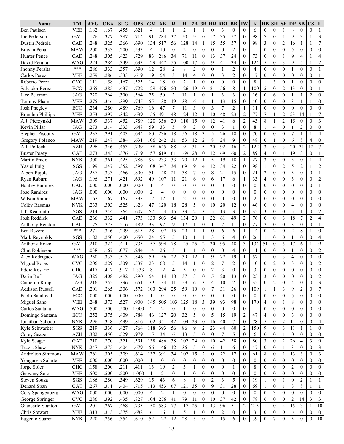| <b>VEE</b><br>.182<br>.167<br>.455<br>.621<br>4<br>11<br>$\overline{2}$<br>3<br>$\theta$<br>Ben Paulsen<br>$\mathbf{1}$<br>1<br>$\theta$<br>$\theta$<br>6<br>$\boldsymbol{0}$<br>$\mathbf{0}$<br>$\theta$<br>$\theta$<br>$\theta$<br>$\overline{1}$<br>35<br>37<br>57<br>98<br>3<br>.176<br>.327<br>.387<br>.714<br>284<br>9<br>$\mathbf{0}$<br>$\theta$<br>7<br>9<br>3<br>GAT<br>91<br>50<br>17<br>$\mathbf{0}$<br>Joc Pederson<br>1<br>$\overline{7}$<br>517<br>14<br>55<br>57<br>3<br>$\overline{c}$<br>.248<br>.325<br>.366<br>.690<br>134<br>56<br>128<br>15<br>98<br>$\theta$<br>16<br>Dustin Pedroia<br>CAD<br>$\theta$<br>1<br>1<br>1<br>.533<br>$\overline{2}$<br>$\overline{2}$<br>.200<br>.333<br>.200<br>10<br>$\mathbf{0}$<br>$\Omega$<br>$\overline{0}$<br>$\mathbf{0}$<br>$\mathbf{0}$<br>$\mathbf{0}$<br>Brayan Pena<br>MAW<br>$\overline{4}$<br>$\theta$<br>$\overline{0}$<br>$\theta$<br>$\mathbf{0}$<br>$\mathbf{0}$<br>$\overline{0}$<br>$\theta$<br>$\overline{4}$<br>83<br>286<br>34<br>71<br>13<br>37<br>24<br>73<br>9<br>.248<br>.305<br>.423<br>.729<br>$\mathbf{0}$<br>$\Omega$<br>$\overline{0}$<br>$\overline{4}$<br><b>Hunter Pence</b><br>CAD<br>11<br>$\mathbf{0}$<br>1<br>1<br>55<br>5<br>17<br>9<br>5<br>3<br>9<br>$\overline{2}$<br>.224<br>.284<br>.349<br>.633<br>129<br>447<br>100<br>6<br>34<br>$\mathbf{0}$<br>124<br>$\theta$<br>David Peralta<br>WAG<br>41<br>1<br>***<br>$\overline{2}$<br>$\overline{2}$<br>$\mathbf{0}$<br>$\overline{2}$<br>$\mathbf{0}$<br>.286<br>.333<br>.357<br>.690<br>12<br>28<br>8<br>$\mathbf{0}$<br>$\Omega$<br>4<br>$\overline{0}$<br>$\theta$<br>$\mathbf{0}$<br>$\mathbf{0}$<br>Jhonny Peralta<br>1<br>1<br>1<br>$\mathfrak{Z}$<br>.333<br>.619<br>19<br>54<br>$\overline{4}$<br>$\mathbf{0}$<br>3<br>$\overline{2}$<br>$\theta$<br>17<br>$\mathbf{0}$<br><b>VEE</b><br>.259<br>.286<br>14<br>$\theta$<br>$\mathbf{0}$<br>$\theta$<br>$\mathbf{0}$<br>$\theta$<br>$\mathbf{0}$<br>$\mathbf{1}$<br>Carlos Perez<br>.325<br><b>CVC</b><br>.167<br>18<br>$\overline{2}$<br>$\theta$<br>$\theta$<br>8<br>$\overline{3}$<br>.111<br>.158<br>14<br>$\theta$<br>$\theta$<br>$\theta$<br>$\theta$<br>$\theta$<br>$\theta$<br>$\theta$<br>$\mathbf{0}$<br>Roberto Perez<br>1<br>1<br>1<br>.722<br>126<br>19<br>21<br>8<br>5<br>$\overline{c}$<br>13<br>$\mathbf{0}$<br>$\mathbf{0}$<br>ECO<br>.265<br>.285<br>.437<br>129<br>476<br>50<br>$\overline{0}$<br>56<br>100<br>$\theta$<br>1<br>1<br>Salvador Perez<br>$\overline{c}$<br>.564<br>50<br>$\overline{2}$<br>$\overline{0}$<br>3<br>3<br>$\theta$<br>.220<br>.264<br>.300<br>25<br>11<br>$\mathbf{1}$<br>16<br>$\theta$<br>$\mathbf{0}$<br>$\mathbf{0}$<br>Jace Peterson<br>JAG<br>6<br>1<br>1<br>13<br>.275<br>.399<br>.745<br>55<br>138<br>19<br>38<br>$\overline{4}$<br>15<br>$\overline{0}$<br>3<br>$\mathbf{0}$<br>.346<br>$\mathbf{1}$<br>40<br>$\theta$<br>$\theta$<br>$\mathbf{0}$<br>$\mathbf{1}$<br>Tommy Pham<br><b>VEE</b><br>6<br>1<br>$\overline{7}$<br>.234<br>.280<br>.489<br>.769<br>47<br>3<br>$\overline{0}$<br>3<br>7<br>$\overline{2}$<br>$\mathbf{0}$<br>$\boldsymbol{0}$<br>Josh Phegley<br>ECO<br>16<br>11<br>11<br>$\boldsymbol{0}$<br>$\theta$<br>$\theta$<br>$\overline{0}$<br>$\theta$<br>1<br>$\boldsymbol{7}$<br>155<br>12<br>$\overline{c}$<br>77<br>7<br>$\overline{2}$<br>23<br><b>VEE</b><br>.253<br>.297<br>.342<br>.639<br>491<br>48<br>124<br>10<br>48<br>23<br>14<br><b>Brandon Phillips</b><br>1<br>1<br>1<br>15<br>.789<br>29<br>15<br>12<br>$\mathbf{2}$<br>43<br>$\overline{2}$<br>3<br>.309<br>.337<br>.452<br>120<br>356<br>110<br>$\mathbf{0}$<br>6<br>8<br>$\mathbf{0}$<br>$\theta$<br>A.J. Pierzynski<br><b>MAW</b><br>41<br>1<br>33<br>5<br>$\overline{2}$<br>3<br>$\,$ 8 $\,$<br>$\overline{c}$<br>Kevin Pillar<br>.273<br>.314<br>.333<br>.648<br>59<br>9<br>$\mathbf{0}$<br>$\theta$<br>$\Omega$<br>$\overline{4}$<br>$\mathbf{0}$<br>$\theta$<br>$\theta$<br><b>JAG</b><br>1<br>1<br>3<br>$\overline{7}$<br>236<br>18<br>56<br>18<br>5<br>26<br>18<br>70<br>.237<br>.291<br>.403<br>.694<br>80<br>$\mathbf{0}$<br>$\overline{0}$<br>$\theta$<br>$\mathbf{0}$<br>$\mathbf{1}$<br>$\overline{4}$<br><b>Stephen Piscotty</b><br>GAT<br>1<br>$\overline{c}$<br>8<br>.384<br>242<br>31<br>53<br>12<br>8<br>24<br>9<br>$\theta$<br>48<br>$\overline{4}$<br>.219<br>.247<br>.631<br>106<br>$\overline{0}$<br>$\mathbf{0}$<br>6<br>$\mathbf{0}$<br>Gregory Polanco<br>MAW<br>1<br>5<br>$\overline{2}$<br>$\overline{12}$<br>$\overline{7}$<br>88<br>191<br>92<br>122<br>3<br>31<br>.296<br>.453<br>158<br>645<br>31<br>20<br>46<br>3<br>20<br>A.J. Pollock<br><b>AZH</b><br>.346<br>.799<br>$\theta$<br>.719<br>12<br>$\overline{2}$<br>19<br>3<br>.273<br>.343<br>.376<br>619<br>28<br>$\boldsymbol{0}$<br>69<br>89<br>4<br>$\mathbf{0}$<br>GAT<br>157<br>61<br>169<br>60<br>$\boldsymbol{0}$<br><b>Buster Posey</b><br>$\mathbf{1}$<br>-1<br>12<br>5<br>19<br>3<br>3<br>.425<br>.786<br>93<br>233<br>33<br>70<br>18<br>27<br>$\theta$<br>$\overline{4}$<br><b>NYK</b><br>.300<br>.361<br>$\theta$<br>$\mathbf{0}$<br>Martin Prado<br>1<br>1<br>1<br>.599<br>9<br>$\overline{4}$<br>12<br>5<br>$\sqrt{2}$<br>.352<br>108<br>347<br>34<br>69<br>22<br>$\theta$<br>98<br>$\overline{2}$<br>$\mathfrak{2}$<br>.199<br>.247<br>34<br>$\theta$<br>SGS<br>1<br>1<br><b>Yasiel Puig</b><br>.800<br>$\overline{7}$<br>8<br>21<br>$\overline{c}$<br>5<br>.257<br>.333<br>.466<br>51<br>148<br>21<br>38<br>$\mathbf{0}$<br>21<br>15<br>$\mathbf{0}$<br>$\mathbf{0}$<br>$\mathbf{0}$<br>$\mathbf{0}$<br>$\mathbf{0}$<br>Albert Pujols<br>JAG<br>1<br>$\overline{2}$<br>.692<br>21<br>$\mathbf{0}$<br>3<br>.196<br>.271<br>.421<br>49<br>107<br>11<br>6<br>17<br>6<br>33<br>$\overline{4}$<br>$\theta$<br>$\mathbf{0}$<br>$\mathbf{0}$<br>$\theta$<br>Ryan Raburn<br>JAG<br>6<br>1<br>$\overline{4}$<br>$\overline{0}$<br>.000<br>.000<br>.000<br>.000<br>$\theta$<br>$\mathbf{0}$<br>$\theta$<br>$\overline{0}$<br>$\theta$<br>$\mathbf{0}$<br>$\theta$<br>$\overline{0}$<br>$\theta$<br>$\mathbf{0}$<br>$\overline{0}$<br>$\mathbf{0}$<br>$\mathbf{0}$<br>$\mathbf{1}$<br><b>Hanley Ramirez</b><br>CAD<br>$\mathbf{1}$<br>$\overline{0}$<br>.000<br>.000<br>.000<br>$\overline{2}$<br>4<br>$\mathbf{0}$<br>$\theta$<br>$\theta$<br>$\mathbf{0}$<br>$\mathbf{0}$<br>$\mathbf{0}$<br>$\mathbf{0}$<br>$\mathbf{0}$<br>Jose Ramirez<br><b>JAG</b><br>.000<br>$\theta$<br>$\theta$<br>$\theta$<br>$\theta$<br>$\theta$<br>$\boldsymbol{0}$<br>$\theta$<br>$\overline{0}$<br>$\overline{2}$<br>.333<br>12<br>12<br>$\boldsymbol{0}$<br>$\overline{0}$<br>$\overline{2}$<br>$\mathbf{0}$<br>$\mathbf{0}$<br>$\mathbf{0}$<br>Wilson Ramos<br><b>MAW</b><br>.167<br>.167<br>.167<br>$\overline{0}$<br>$\mathbf{0}$<br>$\theta$<br>$\mathbf{0}$<br>$\boldsymbol{0}$<br>$\mathbf{0}$<br>$\boldsymbol{0}$<br>$\overline{0}$<br>.525<br>.828<br>28<br>5<br>12<br>46<br>.233<br>.303<br>47<br>120<br>18<br>$\overline{0}$<br>20<br>$\theta$<br>4<br>$\mathbf{0}$<br>$\theta$<br>$\theta$<br>10<br>$\boldsymbol{0}$<br>$\mathbf{0}$<br>$\theta$<br>Colby Rasmus<br>NYK<br>5<br>52<br>15<br>33<br>$\overline{c}$<br>3<br>5<br>13<br>3<br>32<br>3<br>$\sqrt{2}$<br>SGS<br>.214<br>.244<br>.364<br>.607<br>154<br>$\theta$<br>$\theta$<br>$\theta$<br>J.T. Realmuto<br>$\mathbf{0}$<br>1<br>$\overline{c}$<br>.332<br>133<br>54<br>134<br>20<br>22<br>49<br>$\overline{2}$<br>76<br>3<br>18<br>7<br>$\overline{4}$<br>Josh Reddick<br>.266<br>.441<br>.773<br>503<br>61<br>$\overline{0}$<br>CAD<br>1<br>$\mathbf{0}$<br>9<br>17<br>$\overline{7}$<br>27<br>$\overline{c}$<br>3<br>.175<br>.273<br>.216<br>.489<br>33<br>97<br>$\overline{0}$<br>11<br>$\Omega$<br>$\theta$<br>$\theta$<br>$\theta$<br>Anthony Rendon<br>CAD<br>1<br>$\mathbf{0}$<br>-1<br>***<br>15<br>$\overline{c}$<br>8<br>.271<br>.316<br>107<br>29<br>$\theta$<br>$\overline{2}$<br>.299<br>.615<br>28<br>14<br>$\overline{0}$<br>$\mathbf{0}$<br>$\mathbf{0}$<br><b>Ben Revere</b><br>6<br>6<br>1<br>1<br>55<br>5<br>3<br>.182<br>.250<br>.400<br>.650<br>24<br>10<br>$\mathbf{0}$<br>26<br>$\theta$<br>$\mathbf{0}$<br>$\mathbf{0}$<br>SGS<br>6<br>$\overline{4}$<br>$\mathbf{0}$<br>1<br>4<br>Mark Reynolds<br>-1<br>1<br>1<br>$\overline{c}$<br>$\mathfrak{Z}$<br>5<br>17<br>9<br>.735<br>157<br>594<br>78<br>125<br>25<br>30<br>95<br>48<br>134<br>51<br>6<br><b>GAT</b><br>.210<br>.324<br>.411<br>$\theta$<br>1<br><b>Anthony Rizzo</b><br>***<br>$\mathfrak{Z}$<br>$\sqrt{2}$<br>.167<br>.244<br>26<br>$\theta$<br>$\theta$<br>$\Omega$<br>$\theta$<br>11<br>$\theta$<br>$\theta$<br>.038<br>.077<br>14<br>$\mathbf{1}$<br>$\overline{4}$<br>$\theta$<br>$\theta$<br>$\mathbf{0}$<br><b>Clint Robinson</b><br>$\mathbf{1}$<br>1<br>12<br>9<br>57<br>$\boldsymbol{0}$<br>.250<br>.333<br>.513<br>.846<br>59<br>156<br>22<br>39<br>27<br>19<br>$\theta$<br>3<br>4<br>$\mathbf{0}$<br>$\mathbf{0}$<br>WAG<br>Alex Rodriguez<br>1<br>1<br>1<br>$\overline{c}$<br>$\overline{c}$<br>.309<br>.537<br>23<br>68<br>5<br>7<br>$\overline{c}$<br>$\overline{c}$<br>3<br>.206<br>.229<br>14<br>$\boldsymbol{0}$<br>$\boldsymbol{0}$<br>10<br>$\mathbf{0}$<br>$\boldsymbol{0}$<br>$\mathbf{0}$<br><b>CVC</b><br>$\mathbf{0}$<br>Miguel Rojas<br>1<br>$\mathfrak{D}$<br>.917<br>8<br>5<br>$\Omega$<br>$\mathbf{c}$<br>3<br>$\theta$<br>$\Omega$<br>$\overline{0}$<br><b>Eddie Rosario</b><br>417<br>.417<br>1.333<br>12<br>$\Delta$<br>$\Omega$<br>$\theta$<br>$\Omega$<br>$\Omega$<br>$\Omega$<br>$\Omega$<br>$\Omega$<br><b>CHC</b><br>$\mathbf{1}$<br>$\overline{2}$<br>37<br>3<br>5<br>3<br>$\mathbf{0}$<br>.325<br>.482<br>.890<br>54<br>114<br>18<br>$\mathbf{0}$<br>20<br>13<br>$\overline{0}$<br>25<br>$\boldsymbol{0}$<br>$\overline{0}$<br>$\mathbf{0}$<br>$\mathbf{0}$<br>JAG<br>.408<br>Darin Ruf<br>.255<br>.396<br>.651<br>79<br>134<br>29<br>3<br>10<br>35<br>$\mathbf{3}$<br>Cameron Rupp<br>JAG<br>.216<br>11<br>6<br>4<br>7<br>$\overline{0}$<br>0<br>2<br>$\boldsymbol{0}$<br>4<br>$\mathbf{0}$<br>$\overline{0}$<br>$\boldsymbol{7}$<br>.572<br>3<br><b>Addison Russell</b><br>.201<br>.265<br>.306<br>294<br>25<br>59<br>10<br>$\bf{0}$<br>7<br>31<br>26<br>109<br>9<br>2<br>CAD<br>103<br>$\boldsymbol{0}$<br>1<br>$\mathbf{0}$<br>1<br>.000<br>.000<br>$\mathbf{0}$<br>Pablo Sandoval<br>ECO<br>.000<br>.000<br>$\overline{0}$<br>$\overline{0}$<br>$\overline{0}$<br>$\mathbf{0}$<br>0<br>$\mathbf{0}$<br>$\boldsymbol{0}$<br>$\overline{0}$<br>$\mathbf{0}$<br>$\overline{0}$<br>$\mathbf{0}$<br>$\mathbf{0}$<br>0<br>$\mathbf{0}$<br>$\boldsymbol{0}$<br>$\overline{0}$<br>1<br>93<br><b>VEE</b><br>.248<br>.373<br>.527<br>.900<br>145<br>505<br>103<br>125<br>$18\,$<br>3<br>39<br>98<br>170<br>$\overline{4}$<br>8<br>Miguel Sano<br>$\mathbf{0}$<br>$\bf{0}$<br>$\overline{0}$<br>$\mathbf{0}$<br>$\mathbf{0}$<br>1<br>.500<br>Carlos Santana<br><b>WAG</b><br>.500<br>.500<br>1.000<br>2<br>2<br>$\mathbf{0}$<br>$\mathbf{0}$<br>$\overline{0}$<br>$\mathbf{0}$<br>$\mathbf{0}$<br>$\overline{0}$<br>$\overline{0}$<br>$\overline{0}$<br>$\overline{0}$<br>$\overline{0}$<br>$\theta$<br>$\overline{0}$<br>$\mathbf{0}$<br>$\mathbf{0}$<br>1<br>.252<br>.784<br>127<br>32<br>5<br>5<br>15<br>$\overline{c}$<br>47<br>3<br>Domingo Santana<br>$_{\rm ECO}$<br>.375<br>.409<br>46<br>$20\,$<br>$\mathbf{0}$<br>19<br>4<br>$\mathbf{0}$<br>$\mathbf{0}$<br>$\mathbf{0}$<br>$\mathbf{0}$<br>$\overline{0}$<br>23<br>351<br>104<br>$78\,$<br>5<br>Jonathan Schoop<br><b>NYK</b><br>.296<br>.318<br>.499<br>.816<br>102<br>42<br>$\boldsymbol{0}$<br>16<br>40<br>7<br>$\mathbf{0}$<br>$\overline{2}$<br>11<br>$\mathbf{0}$<br>$\mathbf{0}$<br>$\mathbf{0}$<br>$\overline{4}$<br>$\sqrt{2}$<br>.764<br>393<br>$\overline{9}$<br>23<br>44<br>$\overline{2}$<br>150<br>9<br>$\mathfrak{Z}$<br>Kyle Schwarber<br>$SGS$<br>.219<br>.336<br>.427<br>118<br>56<br>86<br>60<br>11<br>$\overline{0}$<br>$\bf{0}$<br>1<br>$\mathbf{1}$<br>5<br>$\tau$<br>.382<br>.529<br>.979<br>15<br>$\boldsymbol{0}$<br>5<br>$\theta$<br>$\mathbf{0}$<br><b>AZH</b><br>.450<br>34<br>6<br>13<br>$\mathbf{0}$<br>6<br>$\mathbf{0}$<br>$\mathbf{0}$<br>$\mathbf{0}$<br>$\overline{0}$<br>Corey Seager<br>$\mathbf{0}$<br>1<br>3<br>.270<br>.321<br>.591<br>138<br>38<br>102<br>24<br>$\mathbf{0}$<br>42<br>38<br>3<br>$\sqrt{2}$<br>$\overline{4}$<br>9<br>Kyle Seager<br><b>GAT</b><br>.210<br>486<br>10<br>$\mathbf{0}$<br>80<br>$\mathbf{0}$<br>26<br>$\mathfrak{Z}$<br>.679<br>12<br>36<br>$\mathfrak{S}$<br>$\mathbf{0}$<br>47<br>3<br>$\overline{0}$<br>$\mathbf{0}$<br>Travis Shaw<br><b>NYK</b><br>.247<br>.275<br>.404<br>56<br>146<br>6<br>$\mathbf{0}$<br>$\boldsymbol{0}$<br>$\mathbf{0}$<br>11<br>6<br>$\mathbf{1}$<br>$\mathfrak{Z}$<br>15<br>$\overline{2}$<br>22<br>13<br>3<br><b>MAW</b><br>.261<br>.305<br>.309<br>.614<br>132<br>391<br>34<br>102<br>$\mathbf{0}$<br>17<br>$\mathbf{0}$<br>61<br>8<br>$\mathbf{0}$<br>$\Omega$<br><b>Andrelton Simmons</b><br>1<br>$\boldsymbol{0}$<br><b>VEE</b><br>.000<br>.000<br>.000<br>.000<br>$\mathbf{0}$<br>$\overline{0}$<br>$\mathbf{0}$<br>$\boldsymbol{0}$<br>$\mathbf{0}$<br>$\boldsymbol{0}$<br>$\mathbf{0}$<br>$\boldsymbol{0}$<br>$\boldsymbol{0}$<br>$\mathbf{0}$<br>$\overline{0}$<br>Yongarvis Solarte<br>$\mathbf{0}$<br>$\overline{0}$<br>$\overline{0}$<br>$\mathbf{0}$<br>$\boldsymbol{0}$<br>1<br>Jorge Soler<br>.200<br>.211<br>.411<br>13<br>19<br>$\overline{c}$<br>3<br>$\boldsymbol{0}$<br>8<br>2<br>$\mathbf{0}$<br><b>CHC</b><br>.158<br>$\overline{0}$<br>$\overline{0}$<br>$\overline{0}$<br>0<br>$\mathbf{0}$<br>$\boldsymbol{0}$<br>$\mathbf{0}$<br>$\overline{0}$<br>1<br>1<br><b>VEE</b><br>Geovany Soto<br>.500<br>.500<br>.500<br>1.000<br>2<br>$\overline{0}$<br>$\mathbf{0}$<br>$\mathbf{0}$<br>$\mathbf{0}$<br>0<br>$\mathbf{0}$<br>$\mathbf{0}$<br>$\overline{0}$<br>0<br>$\mathbf{0}$<br>$\overline{0}$<br>$\boldsymbol{0}$<br>$\mathbf{0}$<br>$\overline{0}$<br>1<br>1<br>$\boldsymbol{0}$<br>$\overline{2}$<br>3<br>5<br>19<br>$\sqrt{2}$<br>Steven Souza<br>.186<br>.280<br>.349<br>.629<br>15<br>43<br>8<br>$\boldsymbol{0}$<br>$\mathbf{0}$<br>SGS<br>6<br>$\mathbf{0}$<br>$\overline{0}$<br>1<br>1<br>-1<br>67<br>35<br>9<br>$\,$ 8 $\,$<br>Denard Span<br>.267<br>.311<br>.715<br>113<br>453<br>121<br>$\boldsymbol{0}$<br>31<br>28<br>69<br>3<br>GAT<br>.404<br>$\mathbf{0}$<br>$\bf{0}$<br>1<br>-1<br>1<br>$\overline{2}$<br>Cory Spangenberg<br><b>WAG</b><br>.000<br>.000<br>.000<br>.000<br>$\overline{0}$<br>$\mathbf{0}$<br>$\boldsymbol{0}$<br>$\boldsymbol{0}$<br>3<br>$\mathbf{0}$<br>$\mathbf{0}$<br>$\mathbf{0}$<br>$\boldsymbol{0}$<br>$\overline{4}$<br>$\mathbf{0}$<br>$\boldsymbol{0}$<br>$\boldsymbol{0}$<br>$\boldsymbol{0}$<br>$\overline{0}$<br>$\mathbf{0}$<br>276<br>$\boldsymbol{0}$<br>37<br>42<br>78<br>14<br>3<br>$\mathfrak{Z}$<br>George Springer<br>$\ensuremath{\text{CVC}}$<br>.286<br>.392<br>.435<br>.827<br>104<br>41<br>79<br>11<br>10<br>$\mathbf{0}$<br>6<br>2<br>$\overline{0}$<br>$\mathbf{0}$<br>25<br>$\overline{c}$<br>15<br>.735<br>150<br>583<br>215<br>3<br>10<br>GAT<br>.201<br>.267<br>.468<br>77<br>117<br>43<br>96<br>51<br>$\mathbf{0}$<br>$\mathbf{1}$<br>Giancarlo Stanton<br>1<br>$\overline{4}$<br>1<br>Chris Stewart<br><b>VEE</b><br>.313<br>.375<br>.688<br>5<br>$\mathbf{0}$<br>$\overline{2}$<br>$\mathbf{0}$<br>3<br>$\mathbf{0}$<br>$\overline{0}$<br>.313<br>16<br>$\overline{0}$<br>$\mathbf{0}$<br>0<br>$\bf{0}$<br>$\mathbf{0}$<br>1<br>$\boldsymbol{0}$<br>6<br>$\mathbf{0}$<br>15<br>5<br>$\boldsymbol{0}$<br>$10\,$<br>52<br>12<br>28<br>5<br>$\boldsymbol{0}$<br>$\overline{4}$<br>$\boldsymbol{0}$<br>39<br>$\tau$<br>$\boldsymbol{0}$<br>Eugenio Suarez<br>.220<br>.256<br>.354<br>.610<br>127<br>6<br>$\boldsymbol{0}$<br>$\boldsymbol{0}$ | Name | TМ                        | AVG | <b>OBA</b> | <b>SLG</b> | <b>OPS</b> | <b>GM</b> | AВ | R | H | 2B | 3B | <b>HR RBI</b> | <b>BB</b> | IW | K | <b>HB</b> | <b>SH</b> | SF | <b>DP</b> | SB | $\mathbf{CS}$ | E |
|-----------------------------------------------------------------------------------------------------------------------------------------------------------------------------------------------------------------------------------------------------------------------------------------------------------------------------------------------------------------------------------------------------------------------------------------------------------------------------------------------------------------------------------------------------------------------------------------------------------------------------------------------------------------------------------------------------------------------------------------------------------------------------------------------------------------------------------------------------------------------------------------------------------------------------------------------------------------------------------------------------------------------------------------------------------------------------------------------------------------------------------------------------------------------------------------------------------------------------------------------------------------------------------------------------------------------------------------------------------------------------------------------------------------------------------------------------------------------------------------------------------------------------------------------------------------------------------------------------------------------------------------------------------------------------------------------------------------------------------------------------------------------------------------------------------------------------------------------------------------------------------------------------------------------------------------------------------------------------------------------------------------------------------------------------------------------------------------------------------------------------------------------------------------------------------------------------------------------------------------------------------------------------------------------------------------------------------------------------------------------------------------------------------------------------------------------------------------------------------------------------------------------------------------------------------------------------------------------------------------------------------------------------------------------------------------------------------------------------------------------------------------------------------------------------------------------------------------------------------------------------------------------------------------------------------------------------------------------------------------------------------------------------------------------------------------------------------------------------------------------------------------------------------------------------------------------------------------------------------------------------------------------------------------------------------------------------------------------------------------------------------------------------------------------------------------------------------------------------------------------------------------------------------------------------------------------------------------------------------------------------------------------------------------------------------------------------------------------------------------------------------------------------------------------------------------------------------------------------------------------------------------------------------------------------------------------------------------------------------------------------------------------------------------------------------------------------------------------------------------------------------------------------------------------------------------------------------------------------------------------------------------------------------------------------------------------------------------------------------------------------------------------------------------------------------------------------------------------------------------------------------------------------------------------------------------------------------------------------------------------------------------------------------------------------------------------------------------------------------------------------------------------------------------------------------------------------------------------------------------------------------------------------------------------------------------------------------------------------------------------------------------------------------------------------------------------------------------------------------------------------------------------------------------------------------------------------------------------------------------------------------------------------------------------------------------------------------------------------------------------------------------------------------------------------------------------------------------------------------------------------------------------------------------------------------------------------------------------------------------------------------------------------------------------------------------------------------------------------------------------------------------------------------------------------------------------------------------------------------------------------------------------------------------------------------------------------------------------------------------------------------------------------------------------------------------------------------------------------------------------------------------------------------------------------------------------------------------------------------------------------------------------------------------------------------------------------------------------------------------------------------------------------------------------------------------------------------------------------------------------------------------------------------------------------------------------------------------------------------------------------------------------------------------------------------------------------------------------------------------------------------------------------------------------------------------------------------------------------------------------------------------------------------------------------------------------------------------------------------------------------------------------------------------------------------------------------------------------------------------------------------------------------------------------------------------------------------------------------------------------------------------------------------------------------------------------------------------------------------------------------------------------------------------------------------------------------------------------------------------------------------------------------------------------------------------------------------------------------------------------------------------------------------------------------------------------------------------------------------------------------------------------------------------------------------------------------------------------------------------------------------------------------------------------------------------------------------------------------------------------------------------------------------------------------------------------------------------------------------------------------------------------------------------------------------------------------------------------------------------------------------------------------------------------------------------------------------------------------------------------------------------------------------------------------------------------------------------------------------------------------------------------------------------------------------------------------------------------------------------------------------------------------------------------------------------------------------------------------------------------------------------------------------------------------------------------------------------------------------------------------------------------------------------------------------------------------------------------------------------------------------------------------------------------------------------------------------------------------------------------------------------------------------------------------------------------------------------------------------------------------------------------------------------------------------------------------------------------------------------------------------------------------------------------------------------------------------------------------------------------------------------------------------------------------------------------------------------------------------------------------------------------------------------------------------------------------------------------------------------------------------------------------------------------------------------------------------------------------------------------------------------------------------------------------------------------------------------------------------------------------------------------------------------------------------------------------------------------------------------------------------------------------------------------------------------------------------------------------------------------------------------------------------------------------------------------------------------------------------------------------------------------------------------------------------------------------------------------------------------------------------------------------------------------------------------------------------------------------------------------------------------------------------------------------------------------------------------------------------------------------------------------------------------------------------------------------------------------------------------------------------------------------------------------------------------------------------------------------------------------------------------------------------------------------------------------------------------------------------------------------------------------------------------------------------------------------------------------------------------------------------------------------------------------------------------------------------------------------------------------------------------------------------------------------------------------------------------------------------------------------------------------------------------------------------------------------------------------------------------------------------------------------------------------------------------------------------------------------------------------------------------------------------------------------------------------------------------------------------------------------------------------------------------------------------------------------------------------------------------------------------------------------------------------------------------------------------------------------------------------------------------------------------------------------------------------------------------------------------------------------------------------------------------------------------------------------------------------------------------------------------------------------------------------------------------------------------------------------------------------------------------------------------------------------------------------------------------------------------------------------------------------------------------------------------------------------------------------------------------------------------------------------------------------------------------------------------------------------------------------------------------------------------------------------------------------------------------------------------------------------------------------------------------------------------------------------------------------------------------------------------------------------------------------------------------------------------------------------------------------------------------------------------------------------------------------------------------------------------------------------------------------------------------------------------------------------------------------------------------------------------------------------------------------------------------------------------------------------------------------------------------------------------------------------------------------------------------------------------------------------------------------------------------------------------------------------------------------------------------------------------------------------------------------------------------------------------------------------------------------------------------------------------------------------------------------------------------------------------------------------------------------------------------------------------------------------------------------------------------------------------------------------------------------------------------------------------------------------------------------------------------------------------------------------------------------------------------------------------------------------------------------------------------------------------------------------------------------------------------------------------------------------------------------------------------------------------------------------------------------------------------------------------------------------------------------------------------------------------------------------------------------------------------------------------------------------------------------------------------------------------------------------------------------------------------------------------------------------------------------------------------------------------------------------------------------------------------------------------------------------------------------------------------------------------------------------------------------------------------------------------------------------------------------------------------------------------------------------------------------------------------------------------------------------------------------------------------------------------------------------------------------------------------------------------------------------------------------------------------------------------------------------------------------------------------------------------|------|---------------------------|-----|------------|------------|------------|-----------|----|---|---|----|----|---------------|-----------|----|---|-----------|-----------|----|-----------|----|---------------|---|
|                                                                                                                                                                                                                                                                                                                                                                                                                                                                                                                                                                                                                                                                                                                                                                                                                                                                                                                                                                                                                                                                                                                                                                                                                                                                                                                                                                                                                                                                                                                                                                                                                                                                                                                                                                                                                                                                                                                                                                                                                                                                                                                                                                                                                                                                                                                                                                                                                                                                                                                                                                                                                                                                                                                                                                                                                                                                                                                                                                                                                                                                                                                                                                                                                                                                                                                                                                                                                                                                                                                                                                                                                                                                                                                                                                                                                                                                                                                                                                                                                                                                                                                                                                                                                                                                                                                                                                                                                                                                                                                                                                                                                                                                                                                                                                                                                                                                                                                                                                                                                                                                                                                                                                                                                                                                                                                                                                                                                                                                                                                                                                                                                                                                                                                                                                                                                                                                                                                                                                                                                                                                                                                                                                                                                                                                                                                                                                                                                                                                                                                                                                                                                                                                                                                                                                                                                                                                                                                                                                                                                                                                                                                                                                                                                                                                                                                                                                                                                                                                                                                                                                                                                                                                                                                                                                                                                                                                                                                                                                                                                                                                                                                                                                                                                                                                                                                                                                                                                                                                                                                                                                                                                                                                                                                                                                                                                                                                                                                                                                                                                                                                                                                                                                                                                                                                                                                                                                                                                                                                                                                                                                                                                                                                                                                                                                                                                                                                                                                                                                                                                                                                                                                                                                                                                                                                                                                                                                                                                                                                                                                                                                                                                                                                                                                                                                                                                                                                                                                                                                                                                                                                                                                                                                                                                                                                                                                                                                                                                                                                                                                                                                                                                                                                                                                                                                                                                                                                                                                                                                                                                                                                                                                                                                                                                                                                                                                                                                                                                                                                                                                                                                                                                                                                                                                                                                                                                                                                                                                                                                                                                                                                                                                                                                                                                                                                                                                                                                                                                                                                                                                                                                                                                                                                                                                                                                                                                                                                                                                                                                                                                                                                                                                                                                                                                                                                                                                                                                                                                                                                                                                                                                                                                                                                                                                                                                                                                                                                                                                                                                                                                                                                                                                                                                                                                                                                                                                                                                                                                                                                                                                                                                                                                                                                                                                                                                                                                                   |      |                           |     |            |            |            |           |    |   |   |    |    |               |           |    |   |           |           |    |           |    |               |   |
|                                                                                                                                                                                                                                                                                                                                                                                                                                                                                                                                                                                                                                                                                                                                                                                                                                                                                                                                                                                                                                                                                                                                                                                                                                                                                                                                                                                                                                                                                                                                                                                                                                                                                                                                                                                                                                                                                                                                                                                                                                                                                                                                                                                                                                                                                                                                                                                                                                                                                                                                                                                                                                                                                                                                                                                                                                                                                                                                                                                                                                                                                                                                                                                                                                                                                                                                                                                                                                                                                                                                                                                                                                                                                                                                                                                                                                                                                                                                                                                                                                                                                                                                                                                                                                                                                                                                                                                                                                                                                                                                                                                                                                                                                                                                                                                                                                                                                                                                                                                                                                                                                                                                                                                                                                                                                                                                                                                                                                                                                                                                                                                                                                                                                                                                                                                                                                                                                                                                                                                                                                                                                                                                                                                                                                                                                                                                                                                                                                                                                                                                                                                                                                                                                                                                                                                                                                                                                                                                                                                                                                                                                                                                                                                                                                                                                                                                                                                                                                                                                                                                                                                                                                                                                                                                                                                                                                                                                                                                                                                                                                                                                                                                                                                                                                                                                                                                                                                                                                                                                                                                                                                                                                                                                                                                                                                                                                                                                                                                                                                                                                                                                                                                                                                                                                                                                                                                                                                                                                                                                                                                                                                                                                                                                                                                                                                                                                                                                                                                                                                                                                                                                                                                                                                                                                                                                                                                                                                                                                                                                                                                                                                                                                                                                                                                                                                                                                                                                                                                                                                                                                                                                                                                                                                                                                                                                                                                                                                                                                                                                                                                                                                                                                                                                                                                                                                                                                                                                                                                                                                                                                                                                                                                                                                                                                                                                                                                                                                                                                                                                                                                                                                                                                                                                                                                                                                                                                                                                                                                                                                                                                                                                                                                                                                                                                                                                                                                                                                                                                                                                                                                                                                                                                                                                                                                                                                                                                                                                                                                                                                                                                                                                                                                                                                                                                                                                                                                                                                                                                                                                                                                                                                                                                                                                                                                                                                                                                                                                                                                                                                                                                                                                                                                                                                                                                                                                                                                                                                                                                                                                                                                                                                                                                                                                                                                                                                                                                   |      |                           |     |            |            |            |           |    |   |   |    |    |               |           |    |   |           |           |    |           |    |               |   |
|                                                                                                                                                                                                                                                                                                                                                                                                                                                                                                                                                                                                                                                                                                                                                                                                                                                                                                                                                                                                                                                                                                                                                                                                                                                                                                                                                                                                                                                                                                                                                                                                                                                                                                                                                                                                                                                                                                                                                                                                                                                                                                                                                                                                                                                                                                                                                                                                                                                                                                                                                                                                                                                                                                                                                                                                                                                                                                                                                                                                                                                                                                                                                                                                                                                                                                                                                                                                                                                                                                                                                                                                                                                                                                                                                                                                                                                                                                                                                                                                                                                                                                                                                                                                                                                                                                                                                                                                                                                                                                                                                                                                                                                                                                                                                                                                                                                                                                                                                                                                                                                                                                                                                                                                                                                                                                                                                                                                                                                                                                                                                                                                                                                                                                                                                                                                                                                                                                                                                                                                                                                                                                                                                                                                                                                                                                                                                                                                                                                                                                                                                                                                                                                                                                                                                                                                                                                                                                                                                                                                                                                                                                                                                                                                                                                                                                                                                                                                                                                                                                                                                                                                                                                                                                                                                                                                                                                                                                                                                                                                                                                                                                                                                                                                                                                                                                                                                                                                                                                                                                                                                                                                                                                                                                                                                                                                                                                                                                                                                                                                                                                                                                                                                                                                                                                                                                                                                                                                                                                                                                                                                                                                                                                                                                                                                                                                                                                                                                                                                                                                                                                                                                                                                                                                                                                                                                                                                                                                                                                                                                                                                                                                                                                                                                                                                                                                                                                                                                                                                                                                                                                                                                                                                                                                                                                                                                                                                                                                                                                                                                                                                                                                                                                                                                                                                                                                                                                                                                                                                                                                                                                                                                                                                                                                                                                                                                                                                                                                                                                                                                                                                                                                                                                                                                                                                                                                                                                                                                                                                                                                                                                                                                                                                                                                                                                                                                                                                                                                                                                                                                                                                                                                                                                                                                                                                                                                                                                                                                                                                                                                                                                                                                                                                                                                                                                                                                                                                                                                                                                                                                                                                                                                                                                                                                                                                                                                                                                                                                                                                                                                                                                                                                                                                                                                                                                                                                                                                                                                                                                                                                                                                                                                                                                                                                                                                                                                                                   |      |                           |     |            |            |            |           |    |   |   |    |    |               |           |    |   |           |           |    |           |    |               |   |
|                                                                                                                                                                                                                                                                                                                                                                                                                                                                                                                                                                                                                                                                                                                                                                                                                                                                                                                                                                                                                                                                                                                                                                                                                                                                                                                                                                                                                                                                                                                                                                                                                                                                                                                                                                                                                                                                                                                                                                                                                                                                                                                                                                                                                                                                                                                                                                                                                                                                                                                                                                                                                                                                                                                                                                                                                                                                                                                                                                                                                                                                                                                                                                                                                                                                                                                                                                                                                                                                                                                                                                                                                                                                                                                                                                                                                                                                                                                                                                                                                                                                                                                                                                                                                                                                                                                                                                                                                                                                                                                                                                                                                                                                                                                                                                                                                                                                                                                                                                                                                                                                                                                                                                                                                                                                                                                                                                                                                                                                                                                                                                                                                                                                                                                                                                                                                                                                                                                                                                                                                                                                                                                                                                                                                                                                                                                                                                                                                                                                                                                                                                                                                                                                                                                                                                                                                                                                                                                                                                                                                                                                                                                                                                                                                                                                                                                                                                                                                                                                                                                                                                                                                                                                                                                                                                                                                                                                                                                                                                                                                                                                                                                                                                                                                                                                                                                                                                                                                                                                                                                                                                                                                                                                                                                                                                                                                                                                                                                                                                                                                                                                                                                                                                                                                                                                                                                                                                                                                                                                                                                                                                                                                                                                                                                                                                                                                                                                                                                                                                                                                                                                                                                                                                                                                                                                                                                                                                                                                                                                                                                                                                                                                                                                                                                                                                                                                                                                                                                                                                                                                                                                                                                                                                                                                                                                                                                                                                                                                                                                                                                                                                                                                                                                                                                                                                                                                                                                                                                                                                                                                                                                                                                                                                                                                                                                                                                                                                                                                                                                                                                                                                                                                                                                                                                                                                                                                                                                                                                                                                                                                                                                                                                                                                                                                                                                                                                                                                                                                                                                                                                                                                                                                                                                                                                                                                                                                                                                                                                                                                                                                                                                                                                                                                                                                                                                                                                                                                                                                                                                                                                                                                                                                                                                                                                                                                                                                                                                                                                                                                                                                                                                                                                                                                                                                                                                                                                                                                                                                                                                                                                                                                                                                                                                                                                                                                                                                                   |      |                           |     |            |            |            |           |    |   |   |    |    |               |           |    |   |           |           |    |           |    |               |   |
|                                                                                                                                                                                                                                                                                                                                                                                                                                                                                                                                                                                                                                                                                                                                                                                                                                                                                                                                                                                                                                                                                                                                                                                                                                                                                                                                                                                                                                                                                                                                                                                                                                                                                                                                                                                                                                                                                                                                                                                                                                                                                                                                                                                                                                                                                                                                                                                                                                                                                                                                                                                                                                                                                                                                                                                                                                                                                                                                                                                                                                                                                                                                                                                                                                                                                                                                                                                                                                                                                                                                                                                                                                                                                                                                                                                                                                                                                                                                                                                                                                                                                                                                                                                                                                                                                                                                                                                                                                                                                                                                                                                                                                                                                                                                                                                                                                                                                                                                                                                                                                                                                                                                                                                                                                                                                                                                                                                                                                                                                                                                                                                                                                                                                                                                                                                                                                                                                                                                                                                                                                                                                                                                                                                                                                                                                                                                                                                                                                                                                                                                                                                                                                                                                                                                                                                                                                                                                                                                                                                                                                                                                                                                                                                                                                                                                                                                                                                                                                                                                                                                                                                                                                                                                                                                                                                                                                                                                                                                                                                                                                                                                                                                                                                                                                                                                                                                                                                                                                                                                                                                                                                                                                                                                                                                                                                                                                                                                                                                                                                                                                                                                                                                                                                                                                                                                                                                                                                                                                                                                                                                                                                                                                                                                                                                                                                                                                                                                                                                                                                                                                                                                                                                                                                                                                                                                                                                                                                                                                                                                                                                                                                                                                                                                                                                                                                                                                                                                                                                                                                                                                                                                                                                                                                                                                                                                                                                                                                                                                                                                                                                                                                                                                                                                                                                                                                                                                                                                                                                                                                                                                                                                                                                                                                                                                                                                                                                                                                                                                                                                                                                                                                                                                                                                                                                                                                                                                                                                                                                                                                                                                                                                                                                                                                                                                                                                                                                                                                                                                                                                                                                                                                                                                                                                                                                                                                                                                                                                                                                                                                                                                                                                                                                                                                                                                                                                                                                                                                                                                                                                                                                                                                                                                                                                                                                                                                                                                                                                                                                                                                                                                                                                                                                                                                                                                                                                                                                                                                                                                                                                                                                                                                                                                                                                                                                                                                                                                   |      |                           |     |            |            |            |           |    |   |   |    |    |               |           |    |   |           |           |    |           |    |               |   |
|                                                                                                                                                                                                                                                                                                                                                                                                                                                                                                                                                                                                                                                                                                                                                                                                                                                                                                                                                                                                                                                                                                                                                                                                                                                                                                                                                                                                                                                                                                                                                                                                                                                                                                                                                                                                                                                                                                                                                                                                                                                                                                                                                                                                                                                                                                                                                                                                                                                                                                                                                                                                                                                                                                                                                                                                                                                                                                                                                                                                                                                                                                                                                                                                                                                                                                                                                                                                                                                                                                                                                                                                                                                                                                                                                                                                                                                                                                                                                                                                                                                                                                                                                                                                                                                                                                                                                                                                                                                                                                                                                                                                                                                                                                                                                                                                                                                                                                                                                                                                                                                                                                                                                                                                                                                                                                                                                                                                                                                                                                                                                                                                                                                                                                                                                                                                                                                                                                                                                                                                                                                                                                                                                                                                                                                                                                                                                                                                                                                                                                                                                                                                                                                                                                                                                                                                                                                                                                                                                                                                                                                                                                                                                                                                                                                                                                                                                                                                                                                                                                                                                                                                                                                                                                                                                                                                                                                                                                                                                                                                                                                                                                                                                                                                                                                                                                                                                                                                                                                                                                                                                                                                                                                                                                                                                                                                                                                                                                                                                                                                                                                                                                                                                                                                                                                                                                                                                                                                                                                                                                                                                                                                                                                                                                                                                                                                                                                                                                                                                                                                                                                                                                                                                                                                                                                                                                                                                                                                                                                                                                                                                                                                                                                                                                                                                                                                                                                                                                                                                                                                                                                                                                                                                                                                                                                                                                                                                                                                                                                                                                                                                                                                                                                                                                                                                                                                                                                                                                                                                                                                                                                                                                                                                                                                                                                                                                                                                                                                                                                                                                                                                                                                                                                                                                                                                                                                                                                                                                                                                                                                                                                                                                                                                                                                                                                                                                                                                                                                                                                                                                                                                                                                                                                                                                                                                                                                                                                                                                                                                                                                                                                                                                                                                                                                                                                                                                                                                                                                                                                                                                                                                                                                                                                                                                                                                                                                                                                                                                                                                                                                                                                                                                                                                                                                                                                                                                                                                                                                                                                                                                                                                                                                                                                                                                                                                                                                                                   |      |                           |     |            |            |            |           |    |   |   |    |    |               |           |    |   |           |           |    |           |    |               |   |
|                                                                                                                                                                                                                                                                                                                                                                                                                                                                                                                                                                                                                                                                                                                                                                                                                                                                                                                                                                                                                                                                                                                                                                                                                                                                                                                                                                                                                                                                                                                                                                                                                                                                                                                                                                                                                                                                                                                                                                                                                                                                                                                                                                                                                                                                                                                                                                                                                                                                                                                                                                                                                                                                                                                                                                                                                                                                                                                                                                                                                                                                                                                                                                                                                                                                                                                                                                                                                                                                                                                                                                                                                                                                                                                                                                                                                                                                                                                                                                                                                                                                                                                                                                                                                                                                                                                                                                                                                                                                                                                                                                                                                                                                                                                                                                                                                                                                                                                                                                                                                                                                                                                                                                                                                                                                                                                                                                                                                                                                                                                                                                                                                                                                                                                                                                                                                                                                                                                                                                                                                                                                                                                                                                                                                                                                                                                                                                                                                                                                                                                                                                                                                                                                                                                                                                                                                                                                                                                                                                                                                                                                                                                                                                                                                                                                                                                                                                                                                                                                                                                                                                                                                                                                                                                                                                                                                                                                                                                                                                                                                                                                                                                                                                                                                                                                                                                                                                                                                                                                                                                                                                                                                                                                                                                                                                                                                                                                                                                                                                                                                                                                                                                                                                                                                                                                                                                                                                                                                                                                                                                                                                                                                                                                                                                                                                                                                                                                                                                                                                                                                                                                                                                                                                                                                                                                                                                                                                                                                                                                                                                                                                                                                                                                                                                                                                                                                                                                                                                                                                                                                                                                                                                                                                                                                                                                                                                                                                                                                                                                                                                                                                                                                                                                                                                                                                                                                                                                                                                                                                                                                                                                                                                                                                                                                                                                                                                                                                                                                                                                                                                                                                                                                                                                                                                                                                                                                                                                                                                                                                                                                                                                                                                                                                                                                                                                                                                                                                                                                                                                                                                                                                                                                                                                                                                                                                                                                                                                                                                                                                                                                                                                                                                                                                                                                                                                                                                                                                                                                                                                                                                                                                                                                                                                                                                                                                                                                                                                                                                                                                                                                                                                                                                                                                                                                                                                                                                                                                                                                                                                                                                                                                                                                                                                                                                                                                                                                                   |      |                           |     |            |            |            |           |    |   |   |    |    |               |           |    |   |           |           |    |           |    |               |   |
|                                                                                                                                                                                                                                                                                                                                                                                                                                                                                                                                                                                                                                                                                                                                                                                                                                                                                                                                                                                                                                                                                                                                                                                                                                                                                                                                                                                                                                                                                                                                                                                                                                                                                                                                                                                                                                                                                                                                                                                                                                                                                                                                                                                                                                                                                                                                                                                                                                                                                                                                                                                                                                                                                                                                                                                                                                                                                                                                                                                                                                                                                                                                                                                                                                                                                                                                                                                                                                                                                                                                                                                                                                                                                                                                                                                                                                                                                                                                                                                                                                                                                                                                                                                                                                                                                                                                                                                                                                                                                                                                                                                                                                                                                                                                                                                                                                                                                                                                                                                                                                                                                                                                                                                                                                                                                                                                                                                                                                                                                                                                                                                                                                                                                                                                                                                                                                                                                                                                                                                                                                                                                                                                                                                                                                                                                                                                                                                                                                                                                                                                                                                                                                                                                                                                                                                                                                                                                                                                                                                                                                                                                                                                                                                                                                                                                                                                                                                                                                                                                                                                                                                                                                                                                                                                                                                                                                                                                                                                                                                                                                                                                                                                                                                                                                                                                                                                                                                                                                                                                                                                                                                                                                                                                                                                                                                                                                                                                                                                                                                                                                                                                                                                                                                                                                                                                                                                                                                                                                                                                                                                                                                                                                                                                                                                                                                                                                                                                                                                                                                                                                                                                                                                                                                                                                                                                                                                                                                                                                                                                                                                                                                                                                                                                                                                                                                                                                                                                                                                                                                                                                                                                                                                                                                                                                                                                                                                                                                                                                                                                                                                                                                                                                                                                                                                                                                                                                                                                                                                                                                                                                                                                                                                                                                                                                                                                                                                                                                                                                                                                                                                                                                                                                                                                                                                                                                                                                                                                                                                                                                                                                                                                                                                                                                                                                                                                                                                                                                                                                                                                                                                                                                                                                                                                                                                                                                                                                                                                                                                                                                                                                                                                                                                                                                                                                                                                                                                                                                                                                                                                                                                                                                                                                                                                                                                                                                                                                                                                                                                                                                                                                                                                                                                                                                                                                                                                                                                                                                                                                                                                                                                                                                                                                                                                                                                                                                                                                   |      |                           |     |            |            |            |           |    |   |   |    |    |               |           |    |   |           |           |    |           |    |               |   |
|                                                                                                                                                                                                                                                                                                                                                                                                                                                                                                                                                                                                                                                                                                                                                                                                                                                                                                                                                                                                                                                                                                                                                                                                                                                                                                                                                                                                                                                                                                                                                                                                                                                                                                                                                                                                                                                                                                                                                                                                                                                                                                                                                                                                                                                                                                                                                                                                                                                                                                                                                                                                                                                                                                                                                                                                                                                                                                                                                                                                                                                                                                                                                                                                                                                                                                                                                                                                                                                                                                                                                                                                                                                                                                                                                                                                                                                                                                                                                                                                                                                                                                                                                                                                                                                                                                                                                                                                                                                                                                                                                                                                                                                                                                                                                                                                                                                                                                                                                                                                                                                                                                                                                                                                                                                                                                                                                                                                                                                                                                                                                                                                                                                                                                                                                                                                                                                                                                                                                                                                                                                                                                                                                                                                                                                                                                                                                                                                                                                                                                                                                                                                                                                                                                                                                                                                                                                                                                                                                                                                                                                                                                                                                                                                                                                                                                                                                                                                                                                                                                                                                                                                                                                                                                                                                                                                                                                                                                                                                                                                                                                                                                                                                                                                                                                                                                                                                                                                                                                                                                                                                                                                                                                                                                                                                                                                                                                                                                                                                                                                                                                                                                                                                                                                                                                                                                                                                                                                                                                                                                                                                                                                                                                                                                                                                                                                                                                                                                                                                                                                                                                                                                                                                                                                                                                                                                                                                                                                                                                                                                                                                                                                                                                                                                                                                                                                                                                                                                                                                                                                                                                                                                                                                                                                                                                                                                                                                                                                                                                                                                                                                                                                                                                                                                                                                                                                                                                                                                                                                                                                                                                                                                                                                                                                                                                                                                                                                                                                                                                                                                                                                                                                                                                                                                                                                                                                                                                                                                                                                                                                                                                                                                                                                                                                                                                                                                                                                                                                                                                                                                                                                                                                                                                                                                                                                                                                                                                                                                                                                                                                                                                                                                                                                                                                                                                                                                                                                                                                                                                                                                                                                                                                                                                                                                                                                                                                                                                                                                                                                                                                                                                                                                                                                                                                                                                                                                                                                                                                                                                                                                                                                                                                                                                                                                                                                                                                                                   |      |                           |     |            |            |            |           |    |   |   |    |    |               |           |    |   |           |           |    |           |    |               |   |
|                                                                                                                                                                                                                                                                                                                                                                                                                                                                                                                                                                                                                                                                                                                                                                                                                                                                                                                                                                                                                                                                                                                                                                                                                                                                                                                                                                                                                                                                                                                                                                                                                                                                                                                                                                                                                                                                                                                                                                                                                                                                                                                                                                                                                                                                                                                                                                                                                                                                                                                                                                                                                                                                                                                                                                                                                                                                                                                                                                                                                                                                                                                                                                                                                                                                                                                                                                                                                                                                                                                                                                                                                                                                                                                                                                                                                                                                                                                                                                                                                                                                                                                                                                                                                                                                                                                                                                                                                                                                                                                                                                                                                                                                                                                                                                                                                                                                                                                                                                                                                                                                                                                                                                                                                                                                                                                                                                                                                                                                                                                                                                                                                                                                                                                                                                                                                                                                                                                                                                                                                                                                                                                                                                                                                                                                                                                                                                                                                                                                                                                                                                                                                                                                                                                                                                                                                                                                                                                                                                                                                                                                                                                                                                                                                                                                                                                                                                                                                                                                                                                                                                                                                                                                                                                                                                                                                                                                                                                                                                                                                                                                                                                                                                                                                                                                                                                                                                                                                                                                                                                                                                                                                                                                                                                                                                                                                                                                                                                                                                                                                                                                                                                                                                                                                                                                                                                                                                                                                                                                                                                                                                                                                                                                                                                                                                                                                                                                                                                                                                                                                                                                                                                                                                                                                                                                                                                                                                                                                                                                                                                                                                                                                                                                                                                                                                                                                                                                                                                                                                                                                                                                                                                                                                                                                                                                                                                                                                                                                                                                                                                                                                                                                                                                                                                                                                                                                                                                                                                                                                                                                                                                                                                                                                                                                                                                                                                                                                                                                                                                                                                                                                                                                                                                                                                                                                                                                                                                                                                                                                                                                                                                                                                                                                                                                                                                                                                                                                                                                                                                                                                                                                                                                                                                                                                                                                                                                                                                                                                                                                                                                                                                                                                                                                                                                                                                                                                                                                                                                                                                                                                                                                                                                                                                                                                                                                                                                                                                                                                                                                                                                                                                                                                                                                                                                                                                                                                                                                                                                                                                                                                                                                                                                                                                                                                                                                                                                                   |      |                           |     |            |            |            |           |    |   |   |    |    |               |           |    |   |           |           |    |           |    |               |   |
|                                                                                                                                                                                                                                                                                                                                                                                                                                                                                                                                                                                                                                                                                                                                                                                                                                                                                                                                                                                                                                                                                                                                                                                                                                                                                                                                                                                                                                                                                                                                                                                                                                                                                                                                                                                                                                                                                                                                                                                                                                                                                                                                                                                                                                                                                                                                                                                                                                                                                                                                                                                                                                                                                                                                                                                                                                                                                                                                                                                                                                                                                                                                                                                                                                                                                                                                                                                                                                                                                                                                                                                                                                                                                                                                                                                                                                                                                                                                                                                                                                                                                                                                                                                                                                                                                                                                                                                                                                                                                                                                                                                                                                                                                                                                                                                                                                                                                                                                                                                                                                                                                                                                                                                                                                                                                                                                                                                                                                                                                                                                                                                                                                                                                                                                                                                                                                                                                                                                                                                                                                                                                                                                                                                                                                                                                                                                                                                                                                                                                                                                                                                                                                                                                                                                                                                                                                                                                                                                                                                                                                                                                                                                                                                                                                                                                                                                                                                                                                                                                                                                                                                                                                                                                                                                                                                                                                                                                                                                                                                                                                                                                                                                                                                                                                                                                                                                                                                                                                                                                                                                                                                                                                                                                                                                                                                                                                                                                                                                                                                                                                                                                                                                                                                                                                                                                                                                                                                                                                                                                                                                                                                                                                                                                                                                                                                                                                                                                                                                                                                                                                                                                                                                                                                                                                                                                                                                                                                                                                                                                                                                                                                                                                                                                                                                                                                                                                                                                                                                                                                                                                                                                                                                                                                                                                                                                                                                                                                                                                                                                                                                                                                                                                                                                                                                                                                                                                                                                                                                                                                                                                                                                                                                                                                                                                                                                                                                                                                                                                                                                                                                                                                                                                                                                                                                                                                                                                                                                                                                                                                                                                                                                                                                                                                                                                                                                                                                                                                                                                                                                                                                                                                                                                                                                                                                                                                                                                                                                                                                                                                                                                                                                                                                                                                                                                                                                                                                                                                                                                                                                                                                                                                                                                                                                                                                                                                                                                                                                                                                                                                                                                                                                                                                                                                                                                                                                                                                                                                                                                                                                                                                                                                                                                                                                                                                                                                                                                   |      |                           |     |            |            |            |           |    |   |   |    |    |               |           |    |   |           |           |    |           |    |               |   |
|                                                                                                                                                                                                                                                                                                                                                                                                                                                                                                                                                                                                                                                                                                                                                                                                                                                                                                                                                                                                                                                                                                                                                                                                                                                                                                                                                                                                                                                                                                                                                                                                                                                                                                                                                                                                                                                                                                                                                                                                                                                                                                                                                                                                                                                                                                                                                                                                                                                                                                                                                                                                                                                                                                                                                                                                                                                                                                                                                                                                                                                                                                                                                                                                                                                                                                                                                                                                                                                                                                                                                                                                                                                                                                                                                                                                                                                                                                                                                                                                                                                                                                                                                                                                                                                                                                                                                                                                                                                                                                                                                                                                                                                                                                                                                                                                                                                                                                                                                                                                                                                                                                                                                                                                                                                                                                                                                                                                                                                                                                                                                                                                                                                                                                                                                                                                                                                                                                                                                                                                                                                                                                                                                                                                                                                                                                                                                                                                                                                                                                                                                                                                                                                                                                                                                                                                                                                                                                                                                                                                                                                                                                                                                                                                                                                                                                                                                                                                                                                                                                                                                                                                                                                                                                                                                                                                                                                                                                                                                                                                                                                                                                                                                                                                                                                                                                                                                                                                                                                                                                                                                                                                                                                                                                                                                                                                                                                                                                                                                                                                                                                                                                                                                                                                                                                                                                                                                                                                                                                                                                                                                                                                                                                                                                                                                                                                                                                                                                                                                                                                                                                                                                                                                                                                                                                                                                                                                                                                                                                                                                                                                                                                                                                                                                                                                                                                                                                                                                                                                                                                                                                                                                                                                                                                                                                                                                                                                                                                                                                                                                                                                                                                                                                                                                                                                                                                                                                                                                                                                                                                                                                                                                                                                                                                                                                                                                                                                                                                                                                                                                                                                                                                                                                                                                                                                                                                                                                                                                                                                                                                                                                                                                                                                                                                                                                                                                                                                                                                                                                                                                                                                                                                                                                                                                                                                                                                                                                                                                                                                                                                                                                                                                                                                                                                                                                                                                                                                                                                                                                                                                                                                                                                                                                                                                                                                                                                                                                                                                                                                                                                                                                                                                                                                                                                                                                                                                                                                                                                                                                                                                                                                                                                                                                                                                                                                                                                                                   |      |                           |     |            |            |            |           |    |   |   |    |    |               |           |    |   |           |           |    |           |    |               |   |
|                                                                                                                                                                                                                                                                                                                                                                                                                                                                                                                                                                                                                                                                                                                                                                                                                                                                                                                                                                                                                                                                                                                                                                                                                                                                                                                                                                                                                                                                                                                                                                                                                                                                                                                                                                                                                                                                                                                                                                                                                                                                                                                                                                                                                                                                                                                                                                                                                                                                                                                                                                                                                                                                                                                                                                                                                                                                                                                                                                                                                                                                                                                                                                                                                                                                                                                                                                                                                                                                                                                                                                                                                                                                                                                                                                                                                                                                                                                                                                                                                                                                                                                                                                                                                                                                                                                                                                                                                                                                                                                                                                                                                                                                                                                                                                                                                                                                                                                                                                                                                                                                                                                                                                                                                                                                                                                                                                                                                                                                                                                                                                                                                                                                                                                                                                                                                                                                                                                                                                                                                                                                                                                                                                                                                                                                                                                                                                                                                                                                                                                                                                                                                                                                                                                                                                                                                                                                                                                                                                                                                                                                                                                                                                                                                                                                                                                                                                                                                                                                                                                                                                                                                                                                                                                                                                                                                                                                                                                                                                                                                                                                                                                                                                                                                                                                                                                                                                                                                                                                                                                                                                                                                                                                                                                                                                                                                                                                                                                                                                                                                                                                                                                                                                                                                                                                                                                                                                                                                                                                                                                                                                                                                                                                                                                                                                                                                                                                                                                                                                                                                                                                                                                                                                                                                                                                                                                                                                                                                                                                                                                                                                                                                                                                                                                                                                                                                                                                                                                                                                                                                                                                                                                                                                                                                                                                                                                                                                                                                                                                                                                                                                                                                                                                                                                                                                                                                                                                                                                                                                                                                                                                                                                                                                                                                                                                                                                                                                                                                                                                                                                                                                                                                                                                                                                                                                                                                                                                                                                                                                                                                                                                                                                                                                                                                                                                                                                                                                                                                                                                                                                                                                                                                                                                                                                                                                                                                                                                                                                                                                                                                                                                                                                                                                                                                                                                                                                                                                                                                                                                                                                                                                                                                                                                                                                                                                                                                                                                                                                                                                                                                                                                                                                                                                                                                                                                                                                                                                                                                                                                                                                                                                                                                                                                                                                                                                                                                                   |      |                           |     |            |            |            |           |    |   |   |    |    |               |           |    |   |           |           |    |           |    |               |   |
|                                                                                                                                                                                                                                                                                                                                                                                                                                                                                                                                                                                                                                                                                                                                                                                                                                                                                                                                                                                                                                                                                                                                                                                                                                                                                                                                                                                                                                                                                                                                                                                                                                                                                                                                                                                                                                                                                                                                                                                                                                                                                                                                                                                                                                                                                                                                                                                                                                                                                                                                                                                                                                                                                                                                                                                                                                                                                                                                                                                                                                                                                                                                                                                                                                                                                                                                                                                                                                                                                                                                                                                                                                                                                                                                                                                                                                                                                                                                                                                                                                                                                                                                                                                                                                                                                                                                                                                                                                                                                                                                                                                                                                                                                                                                                                                                                                                                                                                                                                                                                                                                                                                                                                                                                                                                                                                                                                                                                                                                                                                                                                                                                                                                                                                                                                                                                                                                                                                                                                                                                                                                                                                                                                                                                                                                                                                                                                                                                                                                                                                                                                                                                                                                                                                                                                                                                                                                                                                                                                                                                                                                                                                                                                                                                                                                                                                                                                                                                                                                                                                                                                                                                                                                                                                                                                                                                                                                                                                                                                                                                                                                                                                                                                                                                                                                                                                                                                                                                                                                                                                                                                                                                                                                                                                                                                                                                                                                                                                                                                                                                                                                                                                                                                                                                                                                                                                                                                                                                                                                                                                                                                                                                                                                                                                                                                                                                                                                                                                                                                                                                                                                                                                                                                                                                                                                                                                                                                                                                                                                                                                                                                                                                                                                                                                                                                                                                                                                                                                                                                                                                                                                                                                                                                                                                                                                                                                                                                                                                                                                                                                                                                                                                                                                                                                                                                                                                                                                                                                                                                                                                                                                                                                                                                                                                                                                                                                                                                                                                                                                                                                                                                                                                                                                                                                                                                                                                                                                                                                                                                                                                                                                                                                                                                                                                                                                                                                                                                                                                                                                                                                                                                                                                                                                                                                                                                                                                                                                                                                                                                                                                                                                                                                                                                                                                                                                                                                                                                                                                                                                                                                                                                                                                                                                                                                                                                                                                                                                                                                                                                                                                                                                                                                                                                                                                                                                                                                                                                                                                                                                                                                                                                                                                                                                                                                                                                                                                                   |      |                           |     |            |            |            |           |    |   |   |    |    |               |           |    |   |           |           |    |           |    |               |   |
|                                                                                                                                                                                                                                                                                                                                                                                                                                                                                                                                                                                                                                                                                                                                                                                                                                                                                                                                                                                                                                                                                                                                                                                                                                                                                                                                                                                                                                                                                                                                                                                                                                                                                                                                                                                                                                                                                                                                                                                                                                                                                                                                                                                                                                                                                                                                                                                                                                                                                                                                                                                                                                                                                                                                                                                                                                                                                                                                                                                                                                                                                                                                                                                                                                                                                                                                                                                                                                                                                                                                                                                                                                                                                                                                                                                                                                                                                                                                                                                                                                                                                                                                                                                                                                                                                                                                                                                                                                                                                                                                                                                                                                                                                                                                                                                                                                                                                                                                                                                                                                                                                                                                                                                                                                                                                                                                                                                                                                                                                                                                                                                                                                                                                                                                                                                                                                                                                                                                                                                                                                                                                                                                                                                                                                                                                                                                                                                                                                                                                                                                                                                                                                                                                                                                                                                                                                                                                                                                                                                                                                                                                                                                                                                                                                                                                                                                                                                                                                                                                                                                                                                                                                                                                                                                                                                                                                                                                                                                                                                                                                                                                                                                                                                                                                                                                                                                                                                                                                                                                                                                                                                                                                                                                                                                                                                                                                                                                                                                                                                                                                                                                                                                                                                                                                                                                                                                                                                                                                                                                                                                                                                                                                                                                                                                                                                                                                                                                                                                                                                                                                                                                                                                                                                                                                                                                                                                                                                                                                                                                                                                                                                                                                                                                                                                                                                                                                                                                                                                                                                                                                                                                                                                                                                                                                                                                                                                                                                                                                                                                                                                                                                                                                                                                                                                                                                                                                                                                                                                                                                                                                                                                                                                                                                                                                                                                                                                                                                                                                                                                                                                                                                                                                                                                                                                                                                                                                                                                                                                                                                                                                                                                                                                                                                                                                                                                                                                                                                                                                                                                                                                                                                                                                                                                                                                                                                                                                                                                                                                                                                                                                                                                                                                                                                                                                                                                                                                                                                                                                                                                                                                                                                                                                                                                                                                                                                                                                                                                                                                                                                                                                                                                                                                                                                                                                                                                                                                                                                                                                                                                                                                                                                                                                                                                                                                                                                                                                   |      |                           |     |            |            |            |           |    |   |   |    |    |               |           |    |   |           |           |    |           |    |               |   |
|                                                                                                                                                                                                                                                                                                                                                                                                                                                                                                                                                                                                                                                                                                                                                                                                                                                                                                                                                                                                                                                                                                                                                                                                                                                                                                                                                                                                                                                                                                                                                                                                                                                                                                                                                                                                                                                                                                                                                                                                                                                                                                                                                                                                                                                                                                                                                                                                                                                                                                                                                                                                                                                                                                                                                                                                                                                                                                                                                                                                                                                                                                                                                                                                                                                                                                                                                                                                                                                                                                                                                                                                                                                                                                                                                                                                                                                                                                                                                                                                                                                                                                                                                                                                                                                                                                                                                                                                                                                                                                                                                                                                                                                                                                                                                                                                                                                                                                                                                                                                                                                                                                                                                                                                                                                                                                                                                                                                                                                                                                                                                                                                                                                                                                                                                                                                                                                                                                                                                                                                                                                                                                                                                                                                                                                                                                                                                                                                                                                                                                                                                                                                                                                                                                                                                                                                                                                                                                                                                                                                                                                                                                                                                                                                                                                                                                                                                                                                                                                                                                                                                                                                                                                                                                                                                                                                                                                                                                                                                                                                                                                                                                                                                                                                                                                                                                                                                                                                                                                                                                                                                                                                                                                                                                                                                                                                                                                                                                                                                                                                                                                                                                                                                                                                                                                                                                                                                                                                                                                                                                                                                                                                                                                                                                                                                                                                                                                                                                                                                                                                                                                                                                                                                                                                                                                                                                                                                                                                                                                                                                                                                                                                                                                                                                                                                                                                                                                                                                                                                                                                                                                                                                                                                                                                                                                                                                                                                                                                                                                                                                                                                                                                                                                                                                                                                                                                                                                                                                                                                                                                                                                                                                                                                                                                                                                                                                                                                                                                                                                                                                                                                                                                                                                                                                                                                                                                                                                                                                                                                                                                                                                                                                                                                                                                                                                                                                                                                                                                                                                                                                                                                                                                                                                                                                                                                                                                                                                                                                                                                                                                                                                                                                                                                                                                                                                                                                                                                                                                                                                                                                                                                                                                                                                                                                                                                                                                                                                                                                                                                                                                                                                                                                                                                                                                                                                                                                                                                                                                                                                                                                                                                                                                                                                                                                                                                                                                                                   |      |                           |     |            |            |            |           |    |   |   |    |    |               |           |    |   |           |           |    |           |    |               |   |
|                                                                                                                                                                                                                                                                                                                                                                                                                                                                                                                                                                                                                                                                                                                                                                                                                                                                                                                                                                                                                                                                                                                                                                                                                                                                                                                                                                                                                                                                                                                                                                                                                                                                                                                                                                                                                                                                                                                                                                                                                                                                                                                                                                                                                                                                                                                                                                                                                                                                                                                                                                                                                                                                                                                                                                                                                                                                                                                                                                                                                                                                                                                                                                                                                                                                                                                                                                                                                                                                                                                                                                                                                                                                                                                                                                                                                                                                                                                                                                                                                                                                                                                                                                                                                                                                                                                                                                                                                                                                                                                                                                                                                                                                                                                                                                                                                                                                                                                                                                                                                                                                                                                                                                                                                                                                                                                                                                                                                                                                                                                                                                                                                                                                                                                                                                                                                                                                                                                                                                                                                                                                                                                                                                                                                                                                                                                                                                                                                                                                                                                                                                                                                                                                                                                                                                                                                                                                                                                                                                                                                                                                                                                                                                                                                                                                                                                                                                                                                                                                                                                                                                                                                                                                                                                                                                                                                                                                                                                                                                                                                                                                                                                                                                                                                                                                                                                                                                                                                                                                                                                                                                                                                                                                                                                                                                                                                                                                                                                                                                                                                                                                                                                                                                                                                                                                                                                                                                                                                                                                                                                                                                                                                                                                                                                                                                                                                                                                                                                                                                                                                                                                                                                                                                                                                                                                                                                                                                                                                                                                                                                                                                                                                                                                                                                                                                                                                                                                                                                                                                                                                                                                                                                                                                                                                                                                                                                                                                                                                                                                                                                                                                                                                                                                                                                                                                                                                                                                                                                                                                                                                                                                                                                                                                                                                                                                                                                                                                                                                                                                                                                                                                                                                                                                                                                                                                                                                                                                                                                                                                                                                                                                                                                                                                                                                                                                                                                                                                                                                                                                                                                                                                                                                                                                                                                                                                                                                                                                                                                                                                                                                                                                                                                                                                                                                                                                                                                                                                                                                                                                                                                                                                                                                                                                                                                                                                                                                                                                                                                                                                                                                                                                                                                                                                                                                                                                                                                                                                                                                                                                                                                                                                                                                                                                                                                                                                                                                                   |      |                           |     |            |            |            |           |    |   |   |    |    |               |           |    |   |           |           |    |           |    |               |   |
|                                                                                                                                                                                                                                                                                                                                                                                                                                                                                                                                                                                                                                                                                                                                                                                                                                                                                                                                                                                                                                                                                                                                                                                                                                                                                                                                                                                                                                                                                                                                                                                                                                                                                                                                                                                                                                                                                                                                                                                                                                                                                                                                                                                                                                                                                                                                                                                                                                                                                                                                                                                                                                                                                                                                                                                                                                                                                                                                                                                                                                                                                                                                                                                                                                                                                                                                                                                                                                                                                                                                                                                                                                                                                                                                                                                                                                                                                                                                                                                                                                                                                                                                                                                                                                                                                                                                                                                                                                                                                                                                                                                                                                                                                                                                                                                                                                                                                                                                                                                                                                                                                                                                                                                                                                                                                                                                                                                                                                                                                                                                                                                                                                                                                                                                                                                                                                                                                                                                                                                                                                                                                                                                                                                                                                                                                                                                                                                                                                                                                                                                                                                                                                                                                                                                                                                                                                                                                                                                                                                                                                                                                                                                                                                                                                                                                                                                                                                                                                                                                                                                                                                                                                                                                                                                                                                                                                                                                                                                                                                                                                                                                                                                                                                                                                                                                                                                                                                                                                                                                                                                                                                                                                                                                                                                                                                                                                                                                                                                                                                                                                                                                                                                                                                                                                                                                                                                                                                                                                                                                                                                                                                                                                                                                                                                                                                                                                                                                                                                                                                                                                                                                                                                                                                                                                                                                                                                                                                                                                                                                                                                                                                                                                                                                                                                                                                                                                                                                                                                                                                                                                                                                                                                                                                                                                                                                                                                                                                                                                                                                                                                                                                                                                                                                                                                                                                                                                                                                                                                                                                                                                                                                                                                                                                                                                                                                                                                                                                                                                                                                                                                                                                                                                                                                                                                                                                                                                                                                                                                                                                                                                                                                                                                                                                                                                                                                                                                                                                                                                                                                                                                                                                                                                                                                                                                                                                                                                                                                                                                                                                                                                                                                                                                                                                                                                                                                                                                                                                                                                                                                                                                                                                                                                                                                                                                                                                                                                                                                                                                                                                                                                                                                                                                                                                                                                                                                                                                                                                                                                                                                                                                                                                                                                                                                                                                                                                                                                   |      |                           |     |            |            |            |           |    |   |   |    |    |               |           |    |   |           |           |    |           |    |               |   |
|                                                                                                                                                                                                                                                                                                                                                                                                                                                                                                                                                                                                                                                                                                                                                                                                                                                                                                                                                                                                                                                                                                                                                                                                                                                                                                                                                                                                                                                                                                                                                                                                                                                                                                                                                                                                                                                                                                                                                                                                                                                                                                                                                                                                                                                                                                                                                                                                                                                                                                                                                                                                                                                                                                                                                                                                                                                                                                                                                                                                                                                                                                                                                                                                                                                                                                                                                                                                                                                                                                                                                                                                                                                                                                                                                                                                                                                                                                                                                                                                                                                                                                                                                                                                                                                                                                                                                                                                                                                                                                                                                                                                                                                                                                                                                                                                                                                                                                                                                                                                                                                                                                                                                                                                                                                                                                                                                                                                                                                                                                                                                                                                                                                                                                                                                                                                                                                                                                                                                                                                                                                                                                                                                                                                                                                                                                                                                                                                                                                                                                                                                                                                                                                                                                                                                                                                                                                                                                                                                                                                                                                                                                                                                                                                                                                                                                                                                                                                                                                                                                                                                                                                                                                                                                                                                                                                                                                                                                                                                                                                                                                                                                                                                                                                                                                                                                                                                                                                                                                                                                                                                                                                                                                                                                                                                                                                                                                                                                                                                                                                                                                                                                                                                                                                                                                                                                                                                                                                                                                                                                                                                                                                                                                                                                                                                                                                                                                                                                                                                                                                                                                                                                                                                                                                                                                                                                                                                                                                                                                                                                                                                                                                                                                                                                                                                                                                                                                                                                                                                                                                                                                                                                                                                                                                                                                                                                                                                                                                                                                                                                                                                                                                                                                                                                                                                                                                                                                                                                                                                                                                                                                                                                                                                                                                                                                                                                                                                                                                                                                                                                                                                                                                                                                                                                                                                                                                                                                                                                                                                                                                                                                                                                                                                                                                                                                                                                                                                                                                                                                                                                                                                                                                                                                                                                                                                                                                                                                                                                                                                                                                                                                                                                                                                                                                                                                                                                                                                                                                                                                                                                                                                                                                                                                                                                                                                                                                                                                                                                                                                                                                                                                                                                                                                                                                                                                                                                                                                                                                                                                                                                                                                                                                                                                                                                                                                                                                                                   |      |                           |     |            |            |            |           |    |   |   |    |    |               |           |    |   |           |           |    |           |    |               |   |
|                                                                                                                                                                                                                                                                                                                                                                                                                                                                                                                                                                                                                                                                                                                                                                                                                                                                                                                                                                                                                                                                                                                                                                                                                                                                                                                                                                                                                                                                                                                                                                                                                                                                                                                                                                                                                                                                                                                                                                                                                                                                                                                                                                                                                                                                                                                                                                                                                                                                                                                                                                                                                                                                                                                                                                                                                                                                                                                                                                                                                                                                                                                                                                                                                                                                                                                                                                                                                                                                                                                                                                                                                                                                                                                                                                                                                                                                                                                                                                                                                                                                                                                                                                                                                                                                                                                                                                                                                                                                                                                                                                                                                                                                                                                                                                                                                                                                                                                                                                                                                                                                                                                                                                                                                                                                                                                                                                                                                                                                                                                                                                                                                                                                                                                                                                                                                                                                                                                                                                                                                                                                                                                                                                                                                                                                                                                                                                                                                                                                                                                                                                                                                                                                                                                                                                                                                                                                                                                                                                                                                                                                                                                                                                                                                                                                                                                                                                                                                                                                                                                                                                                                                                                                                                                                                                                                                                                                                                                                                                                                                                                                                                                                                                                                                                                                                                                                                                                                                                                                                                                                                                                                                                                                                                                                                                                                                                                                                                                                                                                                                                                                                                                                                                                                                                                                                                                                                                                                                                                                                                                                                                                                                                                                                                                                                                                                                                                                                                                                                                                                                                                                                                                                                                                                                                                                                                                                                                                                                                                                                                                                                                                                                                                                                                                                                                                                                                                                                                                                                                                                                                                                                                                                                                                                                                                                                                                                                                                                                                                                                                                                                                                                                                                                                                                                                                                                                                                                                                                                                                                                                                                                                                                                                                                                                                                                                                                                                                                                                                                                                                                                                                                                                                                                                                                                                                                                                                                                                                                                                                                                                                                                                                                                                                                                                                                                                                                                                                                                                                                                                                                                                                                                                                                                                                                                                                                                                                                                                                                                                                                                                                                                                                                                                                                                                                                                                                                                                                                                                                                                                                                                                                                                                                                                                                                                                                                                                                                                                                                                                                                                                                                                                                                                                                                                                                                                                                                                                                                                                                                                                                                                                                                                                                                                                                                                                                                                                                   |      |                           |     |            |            |            |           |    |   |   |    |    |               |           |    |   |           |           |    |           |    |               |   |
|                                                                                                                                                                                                                                                                                                                                                                                                                                                                                                                                                                                                                                                                                                                                                                                                                                                                                                                                                                                                                                                                                                                                                                                                                                                                                                                                                                                                                                                                                                                                                                                                                                                                                                                                                                                                                                                                                                                                                                                                                                                                                                                                                                                                                                                                                                                                                                                                                                                                                                                                                                                                                                                                                                                                                                                                                                                                                                                                                                                                                                                                                                                                                                                                                                                                                                                                                                                                                                                                                                                                                                                                                                                                                                                                                                                                                                                                                                                                                                                                                                                                                                                                                                                                                                                                                                                                                                                                                                                                                                                                                                                                                                                                                                                                                                                                                                                                                                                                                                                                                                                                                                                                                                                                                                                                                                                                                                                                                                                                                                                                                                                                                                                                                                                                                                                                                                                                                                                                                                                                                                                                                                                                                                                                                                                                                                                                                                                                                                                                                                                                                                                                                                                                                                                                                                                                                                                                                                                                                                                                                                                                                                                                                                                                                                                                                                                                                                                                                                                                                                                                                                                                                                                                                                                                                                                                                                                                                                                                                                                                                                                                                                                                                                                                                                                                                                                                                                                                                                                                                                                                                                                                                                                                                                                                                                                                                                                                                                                                                                                                                                                                                                                                                                                                                                                                                                                                                                                                                                                                                                                                                                                                                                                                                                                                                                                                                                                                                                                                                                                                                                                                                                                                                                                                                                                                                                                                                                                                                                                                                                                                                                                                                                                                                                                                                                                                                                                                                                                                                                                                                                                                                                                                                                                                                                                                                                                                                                                                                                                                                                                                                                                                                                                                                                                                                                                                                                                                                                                                                                                                                                                                                                                                                                                                                                                                                                                                                                                                                                                                                                                                                                                                                                                                                                                                                                                                                                                                                                                                                                                                                                                                                                                                                                                                                                                                                                                                                                                                                                                                                                                                                                                                                                                                                                                                                                                                                                                                                                                                                                                                                                                                                                                                                                                                                                                                                                                                                                                                                                                                                                                                                                                                                                                                                                                                                                                                                                                                                                                                                                                                                                                                                                                                                                                                                                                                                                                                                                                                                                                                                                                                                                                                                                                                                                                                                                                                                                   |      |                           |     |            |            |            |           |    |   |   |    |    |               |           |    |   |           |           |    |           |    |               |   |
|                                                                                                                                                                                                                                                                                                                                                                                                                                                                                                                                                                                                                                                                                                                                                                                                                                                                                                                                                                                                                                                                                                                                                                                                                                                                                                                                                                                                                                                                                                                                                                                                                                                                                                                                                                                                                                                                                                                                                                                                                                                                                                                                                                                                                                                                                                                                                                                                                                                                                                                                                                                                                                                                                                                                                                                                                                                                                                                                                                                                                                                                                                                                                                                                                                                                                                                                                                                                                                                                                                                                                                                                                                                                                                                                                                                                                                                                                                                                                                                                                                                                                                                                                                                                                                                                                                                                                                                                                                                                                                                                                                                                                                                                                                                                                                                                                                                                                                                                                                                                                                                                                                                                                                                                                                                                                                                                                                                                                                                                                                                                                                                                                                                                                                                                                                                                                                                                                                                                                                                                                                                                                                                                                                                                                                                                                                                                                                                                                                                                                                                                                                                                                                                                                                                                                                                                                                                                                                                                                                                                                                                                                                                                                                                                                                                                                                                                                                                                                                                                                                                                                                                                                                                                                                                                                                                                                                                                                                                                                                                                                                                                                                                                                                                                                                                                                                                                                                                                                                                                                                                                                                                                                                                                                                                                                                                                                                                                                                                                                                                                                                                                                                                                                                                                                                                                                                                                                                                                                                                                                                                                                                                                                                                                                                                                                                                                                                                                                                                                                                                                                                                                                                                                                                                                                                                                                                                                                                                                                                                                                                                                                                                                                                                                                                                                                                                                                                                                                                                                                                                                                                                                                                                                                                                                                                                                                                                                                                                                                                                                                                                                                                                                                                                                                                                                                                                                                                                                                                                                                                                                                                                                                                                                                                                                                                                                                                                                                                                                                                                                                                                                                                                                                                                                                                                                                                                                                                                                                                                                                                                                                                                                                                                                                                                                                                                                                                                                                                                                                                                                                                                                                                                                                                                                                                                                                                                                                                                                                                                                                                                                                                                                                                                                                                                                                                                                                                                                                                                                                                                                                                                                                                                                                                                                                                                                                                                                                                                                                                                                                                                                                                                                                                                                                                                                                                                                                                                                                                                                                                                                                                                                                                                                                                                                                                                                                                                                                                   |      |                           |     |            |            |            |           |    |   |   |    |    |               |           |    |   |           |           |    |           |    |               |   |
|                                                                                                                                                                                                                                                                                                                                                                                                                                                                                                                                                                                                                                                                                                                                                                                                                                                                                                                                                                                                                                                                                                                                                                                                                                                                                                                                                                                                                                                                                                                                                                                                                                                                                                                                                                                                                                                                                                                                                                                                                                                                                                                                                                                                                                                                                                                                                                                                                                                                                                                                                                                                                                                                                                                                                                                                                                                                                                                                                                                                                                                                                                                                                                                                                                                                                                                                                                                                                                                                                                                                                                                                                                                                                                                                                                                                                                                                                                                                                                                                                                                                                                                                                                                                                                                                                                                                                                                                                                                                                                                                                                                                                                                                                                                                                                                                                                                                                                                                                                                                                                                                                                                                                                                                                                                                                                                                                                                                                                                                                                                                                                                                                                                                                                                                                                                                                                                                                                                                                                                                                                                                                                                                                                                                                                                                                                                                                                                                                                                                                                                                                                                                                                                                                                                                                                                                                                                                                                                                                                                                                                                                                                                                                                                                                                                                                                                                                                                                                                                                                                                                                                                                                                                                                                                                                                                                                                                                                                                                                                                                                                                                                                                                                                                                                                                                                                                                                                                                                                                                                                                                                                                                                                                                                                                                                                                                                                                                                                                                                                                                                                                                                                                                                                                                                                                                                                                                                                                                                                                                                                                                                                                                                                                                                                                                                                                                                                                                                                                                                                                                                                                                                                                                                                                                                                                                                                                                                                                                                                                                                                                                                                                                                                                                                                                                                                                                                                                                                                                                                                                                                                                                                                                                                                                                                                                                                                                                                                                                                                                                                                                                                                                                                                                                                                                                                                                                                                                                                                                                                                                                                                                                                                                                                                                                                                                                                                                                                                                                                                                                                                                                                                                                                                                                                                                                                                                                                                                                                                                                                                                                                                                                                                                                                                                                                                                                                                                                                                                                                                                                                                                                                                                                                                                                                                                                                                                                                                                                                                                                                                                                                                                                                                                                                                                                                                                                                                                                                                                                                                                                                                                                                                                                                                                                                                                                                                                                                                                                                                                                                                                                                                                                                                                                                                                                                                                                                                                                                                                                                                                                                                                                                                                                                                                                                                                                                                                                                                   |      |                           |     |            |            |            |           |    |   |   |    |    |               |           |    |   |           |           |    |           |    |               |   |
|                                                                                                                                                                                                                                                                                                                                                                                                                                                                                                                                                                                                                                                                                                                                                                                                                                                                                                                                                                                                                                                                                                                                                                                                                                                                                                                                                                                                                                                                                                                                                                                                                                                                                                                                                                                                                                                                                                                                                                                                                                                                                                                                                                                                                                                                                                                                                                                                                                                                                                                                                                                                                                                                                                                                                                                                                                                                                                                                                                                                                                                                                                                                                                                                                                                                                                                                                                                                                                                                                                                                                                                                                                                                                                                                                                                                                                                                                                                                                                                                                                                                                                                                                                                                                                                                                                                                                                                                                                                                                                                                                                                                                                                                                                                                                                                                                                                                                                                                                                                                                                                                                                                                                                                                                                                                                                                                                                                                                                                                                                                                                                                                                                                                                                                                                                                                                                                                                                                                                                                                                                                                                                                                                                                                                                                                                                                                                                                                                                                                                                                                                                                                                                                                                                                                                                                                                                                                                                                                                                                                                                                                                                                                                                                                                                                                                                                                                                                                                                                                                                                                                                                                                                                                                                                                                                                                                                                                                                                                                                                                                                                                                                                                                                                                                                                                                                                                                                                                                                                                                                                                                                                                                                                                                                                                                                                                                                                                                                                                                                                                                                                                                                                                                                                                                                                                                                                                                                                                                                                                                                                                                                                                                                                                                                                                                                                                                                                                                                                                                                                                                                                                                                                                                                                                                                                                                                                                                                                                                                                                                                                                                                                                                                                                                                                                                                                                                                                                                                                                                                                                                                                                                                                                                                                                                                                                                                                                                                                                                                                                                                                                                                                                                                                                                                                                                                                                                                                                                                                                                                                                                                                                                                                                                                                                                                                                                                                                                                                                                                                                                                                                                                                                                                                                                                                                                                                                                                                                                                                                                                                                                                                                                                                                                                                                                                                                                                                                                                                                                                                                                                                                                                                                                                                                                                                                                                                                                                                                                                                                                                                                                                                                                                                                                                                                                                                                                                                                                                                                                                                                                                                                                                                                                                                                                                                                                                                                                                                                                                                                                                                                                                                                                                                                                                                                                                                                                                                                                                                                                                                                                                                                                                                                                                                                                                                                                                                                                                   |      |                           |     |            |            |            |           |    |   |   |    |    |               |           |    |   |           |           |    |           |    |               |   |
|                                                                                                                                                                                                                                                                                                                                                                                                                                                                                                                                                                                                                                                                                                                                                                                                                                                                                                                                                                                                                                                                                                                                                                                                                                                                                                                                                                                                                                                                                                                                                                                                                                                                                                                                                                                                                                                                                                                                                                                                                                                                                                                                                                                                                                                                                                                                                                                                                                                                                                                                                                                                                                                                                                                                                                                                                                                                                                                                                                                                                                                                                                                                                                                                                                                                                                                                                                                                                                                                                                                                                                                                                                                                                                                                                                                                                                                                                                                                                                                                                                                                                                                                                                                                                                                                                                                                                                                                                                                                                                                                                                                                                                                                                                                                                                                                                                                                                                                                                                                                                                                                                                                                                                                                                                                                                                                                                                                                                                                                                                                                                                                                                                                                                                                                                                                                                                                                                                                                                                                                                                                                                                                                                                                                                                                                                                                                                                                                                                                                                                                                                                                                                                                                                                                                                                                                                                                                                                                                                                                                                                                                                                                                                                                                                                                                                                                                                                                                                                                                                                                                                                                                                                                                                                                                                                                                                                                                                                                                                                                                                                                                                                                                                                                                                                                                                                                                                                                                                                                                                                                                                                                                                                                                                                                                                                                                                                                                                                                                                                                                                                                                                                                                                                                                                                                                                                                                                                                                                                                                                                                                                                                                                                                                                                                                                                                                                                                                                                                                                                                                                                                                                                                                                                                                                                                                                                                                                                                                                                                                                                                                                                                                                                                                                                                                                                                                                                                                                                                                                                                                                                                                                                                                                                                                                                                                                                                                                                                                                                                                                                                                                                                                                                                                                                                                                                                                                                                                                                                                                                                                                                                                                                                                                                                                                                                                                                                                                                                                                                                                                                                                                                                                                                                                                                                                                                                                                                                                                                                                                                                                                                                                                                                                                                                                                                                                                                                                                                                                                                                                                                                                                                                                                                                                                                                                                                                                                                                                                                                                                                                                                                                                                                                                                                                                                                                                                                                                                                                                                                                                                                                                                                                                                                                                                                                                                                                                                                                                                                                                                                                                                                                                                                                                                                                                                                                                                                                                                                                                                                                                                                                                                                                                                                                                                                                                                                                                                                   |      |                           |     |            |            |            |           |    |   |   |    |    |               |           |    |   |           |           |    |           |    |               |   |
|                                                                                                                                                                                                                                                                                                                                                                                                                                                                                                                                                                                                                                                                                                                                                                                                                                                                                                                                                                                                                                                                                                                                                                                                                                                                                                                                                                                                                                                                                                                                                                                                                                                                                                                                                                                                                                                                                                                                                                                                                                                                                                                                                                                                                                                                                                                                                                                                                                                                                                                                                                                                                                                                                                                                                                                                                                                                                                                                                                                                                                                                                                                                                                                                                                                                                                                                                                                                                                                                                                                                                                                                                                                                                                                                                                                                                                                                                                                                                                                                                                                                                                                                                                                                                                                                                                                                                                                                                                                                                                                                                                                                                                                                                                                                                                                                                                                                                                                                                                                                                                                                                                                                                                                                                                                                                                                                                                                                                                                                                                                                                                                                                                                                                                                                                                                                                                                                                                                                                                                                                                                                                                                                                                                                                                                                                                                                                                                                                                                                                                                                                                                                                                                                                                                                                                                                                                                                                                                                                                                                                                                                                                                                                                                                                                                                                                                                                                                                                                                                                                                                                                                                                                                                                                                                                                                                                                                                                                                                                                                                                                                                                                                                                                                                                                                                                                                                                                                                                                                                                                                                                                                                                                                                                                                                                                                                                                                                                                                                                                                                                                                                                                                                                                                                                                                                                                                                                                                                                                                                                                                                                                                                                                                                                                                                                                                                                                                                                                                                                                                                                                                                                                                                                                                                                                                                                                                                                                                                                                                                                                                                                                                                                                                                                                                                                                                                                                                                                                                                                                                                                                                                                                                                                                                                                                                                                                                                                                                                                                                                                                                                                                                                                                                                                                                                                                                                                                                                                                                                                                                                                                                                                                                                                                                                                                                                                                                                                                                                                                                                                                                                                                                                                                                                                                                                                                                                                                                                                                                                                                                                                                                                                                                                                                                                                                                                                                                                                                                                                                                                                                                                                                                                                                                                                                                                                                                                                                                                                                                                                                                                                                                                                                                                                                                                                                                                                                                                                                                                                                                                                                                                                                                                                                                                                                                                                                                                                                                                                                                                                                                                                                                                                                                                                                                                                                                                                                                                                                                                                                                                                                                                                                                                                                                                                                                                                                                                                                   |      |                           |     |            |            |            |           |    |   |   |    |    |               |           |    |   |           |           |    |           |    |               |   |
|                                                                                                                                                                                                                                                                                                                                                                                                                                                                                                                                                                                                                                                                                                                                                                                                                                                                                                                                                                                                                                                                                                                                                                                                                                                                                                                                                                                                                                                                                                                                                                                                                                                                                                                                                                                                                                                                                                                                                                                                                                                                                                                                                                                                                                                                                                                                                                                                                                                                                                                                                                                                                                                                                                                                                                                                                                                                                                                                                                                                                                                                                                                                                                                                                                                                                                                                                                                                                                                                                                                                                                                                                                                                                                                                                                                                                                                                                                                                                                                                                                                                                                                                                                                                                                                                                                                                                                                                                                                                                                                                                                                                                                                                                                                                                                                                                                                                                                                                                                                                                                                                                                                                                                                                                                                                                                                                                                                                                                                                                                                                                                                                                                                                                                                                                                                                                                                                                                                                                                                                                                                                                                                                                                                                                                                                                                                                                                                                                                                                                                                                                                                                                                                                                                                                                                                                                                                                                                                                                                                                                                                                                                                                                                                                                                                                                                                                                                                                                                                                                                                                                                                                                                                                                                                                                                                                                                                                                                                                                                                                                                                                                                                                                                                                                                                                                                                                                                                                                                                                                                                                                                                                                                                                                                                                                                                                                                                                                                                                                                                                                                                                                                                                                                                                                                                                                                                                                                                                                                                                                                                                                                                                                                                                                                                                                                                                                                                                                                                                                                                                                                                                                                                                                                                                                                                                                                                                                                                                                                                                                                                                                                                                                                                                                                                                                                                                                                                                                                                                                                                                                                                                                                                                                                                                                                                                                                                                                                                                                                                                                                                                                                                                                                                                                                                                                                                                                                                                                                                                                                                                                                                                                                                                                                                                                                                                                                                                                                                                                                                                                                                                                                                                                                                                                                                                                                                                                                                                                                                                                                                                                                                                                                                                                                                                                                                                                                                                                                                                                                                                                                                                                                                                                                                                                                                                                                                                                                                                                                                                                                                                                                                                                                                                                                                                                                                                                                                                                                                                                                                                                                                                                                                                                                                                                                                                                                                                                                                                                                                                                                                                                                                                                                                                                                                                                                                                                                                                                                                                                                                                                                                                                                                                                                                                                                                                                                                                                                   |      |                           |     |            |            |            |           |    |   |   |    |    |               |           |    |   |           |           |    |           |    |               |   |
|                                                                                                                                                                                                                                                                                                                                                                                                                                                                                                                                                                                                                                                                                                                                                                                                                                                                                                                                                                                                                                                                                                                                                                                                                                                                                                                                                                                                                                                                                                                                                                                                                                                                                                                                                                                                                                                                                                                                                                                                                                                                                                                                                                                                                                                                                                                                                                                                                                                                                                                                                                                                                                                                                                                                                                                                                                                                                                                                                                                                                                                                                                                                                                                                                                                                                                                                                                                                                                                                                                                                                                                                                                                                                                                                                                                                                                                                                                                                                                                                                                                                                                                                                                                                                                                                                                                                                                                                                                                                                                                                                                                                                                                                                                                                                                                                                                                                                                                                                                                                                                                                                                                                                                                                                                                                                                                                                                                                                                                                                                                                                                                                                                                                                                                                                                                                                                                                                                                                                                                                                                                                                                                                                                                                                                                                                                                                                                                                                                                                                                                                                                                                                                                                                                                                                                                                                                                                                                                                                                                                                                                                                                                                                                                                                                                                                                                                                                                                                                                                                                                                                                                                                                                                                                                                                                                                                                                                                                                                                                                                                                                                                                                                                                                                                                                                                                                                                                                                                                                                                                                                                                                                                                                                                                                                                                                                                                                                                                                                                                                                                                                                                                                                                                                                                                                                                                                                                                                                                                                                                                                                                                                                                                                                                                                                                                                                                                                                                                                                                                                                                                                                                                                                                                                                                                                                                                                                                                                                                                                                                                                                                                                                                                                                                                                                                                                                                                                                                                                                                                                                                                                                                                                                                                                                                                                                                                                                                                                                                                                                                                                                                                                                                                                                                                                                                                                                                                                                                                                                                                                                                                                                                                                                                                                                                                                                                                                                                                                                                                                                                                                                                                                                                                                                                                                                                                                                                                                                                                                                                                                                                                                                                                                                                                                                                                                                                                                                                                                                                                                                                                                                                                                                                                                                                                                                                                                                                                                                                                                                                                                                                                                                                                                                                                                                                                                                                                                                                                                                                                                                                                                                                                                                                                                                                                                                                                                                                                                                                                                                                                                                                                                                                                                                                                                                                                                                                                                                                                                                                                                                                                                                                                                                                                                                                                                                                                                                                                   |      |                           |     |            |            |            |           |    |   |   |    |    |               |           |    |   |           |           |    |           |    |               |   |
|                                                                                                                                                                                                                                                                                                                                                                                                                                                                                                                                                                                                                                                                                                                                                                                                                                                                                                                                                                                                                                                                                                                                                                                                                                                                                                                                                                                                                                                                                                                                                                                                                                                                                                                                                                                                                                                                                                                                                                                                                                                                                                                                                                                                                                                                                                                                                                                                                                                                                                                                                                                                                                                                                                                                                                                                                                                                                                                                                                                                                                                                                                                                                                                                                                                                                                                                                                                                                                                                                                                                                                                                                                                                                                                                                                                                                                                                                                                                                                                                                                                                                                                                                                                                                                                                                                                                                                                                                                                                                                                                                                                                                                                                                                                                                                                                                                                                                                                                                                                                                                                                                                                                                                                                                                                                                                                                                                                                                                                                                                                                                                                                                                                                                                                                                                                                                                                                                                                                                                                                                                                                                                                                                                                                                                                                                                                                                                                                                                                                                                                                                                                                                                                                                                                                                                                                                                                                                                                                                                                                                                                                                                                                                                                                                                                                                                                                                                                                                                                                                                                                                                                                                                                                                                                                                                                                                                                                                                                                                                                                                                                                                                                                                                                                                                                                                                                                                                                                                                                                                                                                                                                                                                                                                                                                                                                                                                                                                                                                                                                                                                                                                                                                                                                                                                                                                                                                                                                                                                                                                                                                                                                                                                                                                                                                                                                                                                                                                                                                                                                                                                                                                                                                                                                                                                                                                                                                                                                                                                                                                                                                                                                                                                                                                                                                                                                                                                                                                                                                                                                                                                                                                                                                                                                                                                                                                                                                                                                                                                                                                                                                                                                                                                                                                                                                                                                                                                                                                                                                                                                                                                                                                                                                                                                                                                                                                                                                                                                                                                                                                                                                                                                                                                                                                                                                                                                                                                                                                                                                                                                                                                                                                                                                                                                                                                                                                                                                                                                                                                                                                                                                                                                                                                                                                                                                                                                                                                                                                                                                                                                                                                                                                                                                                                                                                                                                                                                                                                                                                                                                                                                                                                                                                                                                                                                                                                                                                                                                                                                                                                                                                                                                                                                                                                                                                                                                                                                                                                                                                                                                                                                                                                                                                                                                                                                                                                                                                                   |      |                           |     |            |            |            |           |    |   |   |    |    |               |           |    |   |           |           |    |           |    |               |   |
|                                                                                                                                                                                                                                                                                                                                                                                                                                                                                                                                                                                                                                                                                                                                                                                                                                                                                                                                                                                                                                                                                                                                                                                                                                                                                                                                                                                                                                                                                                                                                                                                                                                                                                                                                                                                                                                                                                                                                                                                                                                                                                                                                                                                                                                                                                                                                                                                                                                                                                                                                                                                                                                                                                                                                                                                                                                                                                                                                                                                                                                                                                                                                                                                                                                                                                                                                                                                                                                                                                                                                                                                                                                                                                                                                                                                                                                                                                                                                                                                                                                                                                                                                                                                                                                                                                                                                                                                                                                                                                                                                                                                                                                                                                                                                                                                                                                                                                                                                                                                                                                                                                                                                                                                                                                                                                                                                                                                                                                                                                                                                                                                                                                                                                                                                                                                                                                                                                                                                                                                                                                                                                                                                                                                                                                                                                                                                                                                                                                                                                                                                                                                                                                                                                                                                                                                                                                                                                                                                                                                                                                                                                                                                                                                                                                                                                                                                                                                                                                                                                                                                                                                                                                                                                                                                                                                                                                                                                                                                                                                                                                                                                                                                                                                                                                                                                                                                                                                                                                                                                                                                                                                                                                                                                                                                                                                                                                                                                                                                                                                                                                                                                                                                                                                                                                                                                                                                                                                                                                                                                                                                                                                                                                                                                                                                                                                                                                                                                                                                                                                                                                                                                                                                                                                                                                                                                                                                                                                                                                                                                                                                                                                                                                                                                                                                                                                                                                                                                                                                                                                                                                                                                                                                                                                                                                                                                                                                                                                                                                                                                                                                                                                                                                                                                                                                                                                                                                                                                                                                                                                                                                                                                                                                                                                                                                                                                                                                                                                                                                                                                                                                                                                                                                                                                                                                                                                                                                                                                                                                                                                                                                                                                                                                                                                                                                                                                                                                                                                                                                                                                                                                                                                                                                                                                                                                                                                                                                                                                                                                                                                                                                                                                                                                                                                                                                                                                                                                                                                                                                                                                                                                                                                                                                                                                                                                                                                                                                                                                                                                                                                                                                                                                                                                                                                                                                                                                                                                                                                                                                                                                                                                                                                                                                                                                                                                                                                                                   |      |                           |     |            |            |            |           |    |   |   |    |    |               |           |    |   |           |           |    |           |    |               |   |
|                                                                                                                                                                                                                                                                                                                                                                                                                                                                                                                                                                                                                                                                                                                                                                                                                                                                                                                                                                                                                                                                                                                                                                                                                                                                                                                                                                                                                                                                                                                                                                                                                                                                                                                                                                                                                                                                                                                                                                                                                                                                                                                                                                                                                                                                                                                                                                                                                                                                                                                                                                                                                                                                                                                                                                                                                                                                                                                                                                                                                                                                                                                                                                                                                                                                                                                                                                                                                                                                                                                                                                                                                                                                                                                                                                                                                                                                                                                                                                                                                                                                                                                                                                                                                                                                                                                                                                                                                                                                                                                                                                                                                                                                                                                                                                                                                                                                                                                                                                                                                                                                                                                                                                                                                                                                                                                                                                                                                                                                                                                                                                                                                                                                                                                                                                                                                                                                                                                                                                                                                                                                                                                                                                                                                                                                                                                                                                                                                                                                                                                                                                                                                                                                                                                                                                                                                                                                                                                                                                                                                                                                                                                                                                                                                                                                                                                                                                                                                                                                                                                                                                                                                                                                                                                                                                                                                                                                                                                                                                                                                                                                                                                                                                                                                                                                                                                                                                                                                                                                                                                                                                                                                                                                                                                                                                                                                                                                                                                                                                                                                                                                                                                                                                                                                                                                                                                                                                                                                                                                                                                                                                                                                                                                                                                                                                                                                                                                                                                                                                                                                                                                                                                                                                                                                                                                                                                                                                                                                                                                                                                                                                                                                                                                                                                                                                                                                                                                                                                                                                                                                                                                                                                                                                                                                                                                                                                                                                                                                                                                                                                                                                                                                                                                                                                                                                                                                                                                                                                                                                                                                                                                                                                                                                                                                                                                                                                                                                                                                                                                                                                                                                                                                                                                                                                                                                                                                                                                                                                                                                                                                                                                                                                                                                                                                                                                                                                                                                                                                                                                                                                                                                                                                                                                                                                                                                                                                                                                                                                                                                                                                                                                                                                                                                                                                                                                                                                                                                                                                                                                                                                                                                                                                                                                                                                                                                                                                                                                                                                                                                                                                                                                                                                                                                                                                                                                                                                                                                                                                                                                                                                                                                                                                                                                                                                                                                                                                                   |      |                           |     |            |            |            |           |    |   |   |    |    |               |           |    |   |           |           |    |           |    |               |   |
|                                                                                                                                                                                                                                                                                                                                                                                                                                                                                                                                                                                                                                                                                                                                                                                                                                                                                                                                                                                                                                                                                                                                                                                                                                                                                                                                                                                                                                                                                                                                                                                                                                                                                                                                                                                                                                                                                                                                                                                                                                                                                                                                                                                                                                                                                                                                                                                                                                                                                                                                                                                                                                                                                                                                                                                                                                                                                                                                                                                                                                                                                                                                                                                                                                                                                                                                                                                                                                                                                                                                                                                                                                                                                                                                                                                                                                                                                                                                                                                                                                                                                                                                                                                                                                                                                                                                                                                                                                                                                                                                                                                                                                                                                                                                                                                                                                                                                                                                                                                                                                                                                                                                                                                                                                                                                                                                                                                                                                                                                                                                                                                                                                                                                                                                                                                                                                                                                                                                                                                                                                                                                                                                                                                                                                                                                                                                                                                                                                                                                                                                                                                                                                                                                                                                                                                                                                                                                                                                                                                                                                                                                                                                                                                                                                                                                                                                                                                                                                                                                                                                                                                                                                                                                                                                                                                                                                                                                                                                                                                                                                                                                                                                                                                                                                                                                                                                                                                                                                                                                                                                                                                                                                                                                                                                                                                                                                                                                                                                                                                                                                                                                                                                                                                                                                                                                                                                                                                                                                                                                                                                                                                                                                                                                                                                                                                                                                                                                                                                                                                                                                                                                                                                                                                                                                                                                                                                                                                                                                                                                                                                                                                                                                                                                                                                                                                                                                                                                                                                                                                                                                                                                                                                                                                                                                                                                                                                                                                                                                                                                                                                                                                                                                                                                                                                                                                                                                                                                                                                                                                                                                                                                                                                                                                                                                                                                                                                                                                                                                                                                                                                                                                                                                                                                                                                                                                                                                                                                                                                                                                                                                                                                                                                                                                                                                                                                                                                                                                                                                                                                                                                                                                                                                                                                                                                                                                                                                                                                                                                                                                                                                                                                                                                                                                                                                                                                                                                                                                                                                                                                                                                                                                                                                                                                                                                                                                                                                                                                                                                                                                                                                                                                                                                                                                                                                                                                                                                                                                                                                                                                                                                                                                                                                                                                                                                                                                                                                   |      |                           |     |            |            |            |           |    |   |   |    |    |               |           |    |   |           |           |    |           |    |               |   |
|                                                                                                                                                                                                                                                                                                                                                                                                                                                                                                                                                                                                                                                                                                                                                                                                                                                                                                                                                                                                                                                                                                                                                                                                                                                                                                                                                                                                                                                                                                                                                                                                                                                                                                                                                                                                                                                                                                                                                                                                                                                                                                                                                                                                                                                                                                                                                                                                                                                                                                                                                                                                                                                                                                                                                                                                                                                                                                                                                                                                                                                                                                                                                                                                                                                                                                                                                                                                                                                                                                                                                                                                                                                                                                                                                                                                                                                                                                                                                                                                                                                                                                                                                                                                                                                                                                                                                                                                                                                                                                                                                                                                                                                                                                                                                                                                                                                                                                                                                                                                                                                                                                                                                                                                                                                                                                                                                                                                                                                                                                                                                                                                                                                                                                                                                                                                                                                                                                                                                                                                                                                                                                                                                                                                                                                                                                                                                                                                                                                                                                                                                                                                                                                                                                                                                                                                                                                                                                                                                                                                                                                                                                                                                                                                                                                                                                                                                                                                                                                                                                                                                                                                                                                                                                                                                                                                                                                                                                                                                                                                                                                                                                                                                                                                                                                                                                                                                                                                                                                                                                                                                                                                                                                                                                                                                                                                                                                                                                                                                                                                                                                                                                                                                                                                                                                                                                                                                                                                                                                                                                                                                                                                                                                                                                                                                                                                                                                                                                                                                                                                                                                                                                                                                                                                                                                                                                                                                                                                                                                                                                                                                                                                                                                                                                                                                                                                                                                                                                                                                                                                                                                                                                                                                                                                                                                                                                                                                                                                                                                                                                                                                                                                                                                                                                                                                                                                                                                                                                                                                                                                                                                                                                                                                                                                                                                                                                                                                                                                                                                                                                                                                                                                                                                                                                                                                                                                                                                                                                                                                                                                                                                                                                                                                                                                                                                                                                                                                                                                                                                                                                                                                                                                                                                                                                                                                                                                                                                                                                                                                                                                                                                                                                                                                                                                                                                                                                                                                                                                                                                                                                                                                                                                                                                                                                                                                                                                                                                                                                                                                                                                                                                                                                                                                                                                                                                                                                                                                                                                                                                                                                                                                                                                                                                                                                                                                                                                                                   |      |                           |     |            |            |            |           |    |   |   |    |    |               |           |    |   |           |           |    |           |    |               |   |
|                                                                                                                                                                                                                                                                                                                                                                                                                                                                                                                                                                                                                                                                                                                                                                                                                                                                                                                                                                                                                                                                                                                                                                                                                                                                                                                                                                                                                                                                                                                                                                                                                                                                                                                                                                                                                                                                                                                                                                                                                                                                                                                                                                                                                                                                                                                                                                                                                                                                                                                                                                                                                                                                                                                                                                                                                                                                                                                                                                                                                                                                                                                                                                                                                                                                                                                                                                                                                                                                                                                                                                                                                                                                                                                                                                                                                                                                                                                                                                                                                                                                                                                                                                                                                                                                                                                                                                                                                                                                                                                                                                                                                                                                                                                                                                                                                                                                                                                                                                                                                                                                                                                                                                                                                                                                                                                                                                                                                                                                                                                                                                                                                                                                                                                                                                                                                                                                                                                                                                                                                                                                                                                                                                                                                                                                                                                                                                                                                                                                                                                                                                                                                                                                                                                                                                                                                                                                                                                                                                                                                                                                                                                                                                                                                                                                                                                                                                                                                                                                                                                                                                                                                                                                                                                                                                                                                                                                                                                                                                                                                                                                                                                                                                                                                                                                                                                                                                                                                                                                                                                                                                                                                                                                                                                                                                                                                                                                                                                                                                                                                                                                                                                                                                                                                                                                                                                                                                                                                                                                                                                                                                                                                                                                                                                                                                                                                                                                                                                                                                                                                                                                                                                                                                                                                                                                                                                                                                                                                                                                                                                                                                                                                                                                                                                                                                                                                                                                                                                                                                                                                                                                                                                                                                                                                                                                                                                                                                                                                                                                                                                                                                                                                                                                                                                                                                                                                                                                                                                                                                                                                                                                                                                                                                                                                                                                                                                                                                                                                                                                                                                                                                                                                                                                                                                                                                                                                                                                                                                                                                                                                                                                                                                                                                                                                                                                                                                                                                                                                                                                                                                                                                                                                                                                                                                                                                                                                                                                                                                                                                                                                                                                                                                                                                                                                                                                                                                                                                                                                                                                                                                                                                                                                                                                                                                                                                                                                                                                                                                                                                                                                                                                                                                                                                                                                                                                                                                                                                                                                                                                                                                                                                                                                                                                                                                                                                                                                                   |      |                           |     |            |            |            |           |    |   |   |    |    |               |           |    |   |           |           |    |           |    |               |   |
|                                                                                                                                                                                                                                                                                                                                                                                                                                                                                                                                                                                                                                                                                                                                                                                                                                                                                                                                                                                                                                                                                                                                                                                                                                                                                                                                                                                                                                                                                                                                                                                                                                                                                                                                                                                                                                                                                                                                                                                                                                                                                                                                                                                                                                                                                                                                                                                                                                                                                                                                                                                                                                                                                                                                                                                                                                                                                                                                                                                                                                                                                                                                                                                                                                                                                                                                                                                                                                                                                                                                                                                                                                                                                                                                                                                                                                                                                                                                                                                                                                                                                                                                                                                                                                                                                                                                                                                                                                                                                                                                                                                                                                                                                                                                                                                                                                                                                                                                                                                                                                                                                                                                                                                                                                                                                                                                                                                                                                                                                                                                                                                                                                                                                                                                                                                                                                                                                                                                                                                                                                                                                                                                                                                                                                                                                                                                                                                                                                                                                                                                                                                                                                                                                                                                                                                                                                                                                                                                                                                                                                                                                                                                                                                                                                                                                                                                                                                                                                                                                                                                                                                                                                                                                                                                                                                                                                                                                                                                                                                                                                                                                                                                                                                                                                                                                                                                                                                                                                                                                                                                                                                                                                                                                                                                                                                                                                                                                                                                                                                                                                                                                                                                                                                                                                                                                                                                                                                                                                                                                                                                                                                                                                                                                                                                                                                                                                                                                                                                                                                                                                                                                                                                                                                                                                                                                                                                                                                                                                                                                                                                                                                                                                                                                                                                                                                                                                                                                                                                                                                                                                                                                                                                                                                                                                                                                                                                                                                                                                                                                                                                                                                                                                                                                                                                                                                                                                                                                                                                                                                                                                                                                                                                                                                                                                                                                                                                                                                                                                                                                                                                                                                                                                                                                                                                                                                                                                                                                                                                                                                                                                                                                                                                                                                                                                                                                                                                                                                                                                                                                                                                                                                                                                                                                                                                                                                                                                                                                                                                                                                                                                                                                                                                                                                                                                                                                                                                                                                                                                                                                                                                                                                                                                                                                                                                                                                                                                                                                                                                                                                                                                                                                                                                                                                                                                                                                                                                                                                                                                                                                                                                                                                                                                                                                                                                                                                                                                   |      |                           |     |            |            |            |           |    |   |   |    |    |               |           |    |   |           |           |    |           |    |               |   |
|                                                                                                                                                                                                                                                                                                                                                                                                                                                                                                                                                                                                                                                                                                                                                                                                                                                                                                                                                                                                                                                                                                                                                                                                                                                                                                                                                                                                                                                                                                                                                                                                                                                                                                                                                                                                                                                                                                                                                                                                                                                                                                                                                                                                                                                                                                                                                                                                                                                                                                                                                                                                                                                                                                                                                                                                                                                                                                                                                                                                                                                                                                                                                                                                                                                                                                                                                                                                                                                                                                                                                                                                                                                                                                                                                                                                                                                                                                                                                                                                                                                                                                                                                                                                                                                                                                                                                                                                                                                                                                                                                                                                                                                                                                                                                                                                                                                                                                                                                                                                                                                                                                                                                                                                                                                                                                                                                                                                                                                                                                                                                                                                                                                                                                                                                                                                                                                                                                                                                                                                                                                                                                                                                                                                                                                                                                                                                                                                                                                                                                                                                                                                                                                                                                                                                                                                                                                                                                                                                                                                                                                                                                                                                                                                                                                                                                                                                                                                                                                                                                                                                                                                                                                                                                                                                                                                                                                                                                                                                                                                                                                                                                                                                                                                                                                                                                                                                                                                                                                                                                                                                                                                                                                                                                                                                                                                                                                                                                                                                                                                                                                                                                                                                                                                                                                                                                                                                                                                                                                                                                                                                                                                                                                                                                                                                                                                                                                                                                                                                                                                                                                                                                                                                                                                                                                                                                                                                                                                                                                                                                                                                                                                                                                                                                                                                                                                                                                                                                                                                                                                                                                                                                                                                                                                                                                                                                                                                                                                                                                                                                                                                                                                                                                                                                                                                                                                                                                                                                                                                                                                                                                                                                                                                                                                                                                                                                                                                                                                                                                                                                                                                                                                                                                                                                                                                                                                                                                                                                                                                                                                                                                                                                                                                                                                                                                                                                                                                                                                                                                                                                                                                                                                                                                                                                                                                                                                                                                                                                                                                                                                                                                                                                                                                                                                                                                                                                                                                                                                                                                                                                                                                                                                                                                                                                                                                                                                                                                                                                                                                                                                                                                                                                                                                                                                                                                                                                                                                                                                                                                                                                                                                                                                                                                                                                                                                                                                                                   |      |                           |     |            |            |            |           |    |   |   |    |    |               |           |    |   |           |           |    |           |    |               |   |
|                                                                                                                                                                                                                                                                                                                                                                                                                                                                                                                                                                                                                                                                                                                                                                                                                                                                                                                                                                                                                                                                                                                                                                                                                                                                                                                                                                                                                                                                                                                                                                                                                                                                                                                                                                                                                                                                                                                                                                                                                                                                                                                                                                                                                                                                                                                                                                                                                                                                                                                                                                                                                                                                                                                                                                                                                                                                                                                                                                                                                                                                                                                                                                                                                                                                                                                                                                                                                                                                                                                                                                                                                                                                                                                                                                                                                                                                                                                                                                                                                                                                                                                                                                                                                                                                                                                                                                                                                                                                                                                                                                                                                                                                                                                                                                                                                                                                                                                                                                                                                                                                                                                                                                                                                                                                                                                                                                                                                                                                                                                                                                                                                                                                                                                                                                                                                                                                                                                                                                                                                                                                                                                                                                                                                                                                                                                                                                                                                                                                                                                                                                                                                                                                                                                                                                                                                                                                                                                                                                                                                                                                                                                                                                                                                                                                                                                                                                                                                                                                                                                                                                                                                                                                                                                                                                                                                                                                                                                                                                                                                                                                                                                                                                                                                                                                                                                                                                                                                                                                                                                                                                                                                                                                                                                                                                                                                                                                                                                                                                                                                                                                                                                                                                                                                                                                                                                                                                                                                                                                                                                                                                                                                                                                                                                                                                                                                                                                                                                                                                                                                                                                                                                                                                                                                                                                                                                                                                                                                                                                                                                                                                                                                                                                                                                                                                                                                                                                                                                                                                                                                                                                                                                                                                                                                                                                                                                                                                                                                                                                                                                                                                                                                                                                                                                                                                                                                                                                                                                                                                                                                                                                                                                                                                                                                                                                                                                                                                                                                                                                                                                                                                                                                                                                                                                                                                                                                                                                                                                                                                                                                                                                                                                                                                                                                                                                                                                                                                                                                                                                                                                                                                                                                                                                                                                                                                                                                                                                                                                                                                                                                                                                                                                                                                                                                                                                                                                                                                                                                                                                                                                                                                                                                                                                                                                                                                                                                                                                                                                                                                                                                                                                                                                                                                                                                                                                                                                                                                                                                                                                                                                                                                                                                                                                                                                                                                                                                                   |      |                           |     |            |            |            |           |    |   |   |    |    |               |           |    |   |           |           |    |           |    |               |   |
|                                                                                                                                                                                                                                                                                                                                                                                                                                                                                                                                                                                                                                                                                                                                                                                                                                                                                                                                                                                                                                                                                                                                                                                                                                                                                                                                                                                                                                                                                                                                                                                                                                                                                                                                                                                                                                                                                                                                                                                                                                                                                                                                                                                                                                                                                                                                                                                                                                                                                                                                                                                                                                                                                                                                                                                                                                                                                                                                                                                                                                                                                                                                                                                                                                                                                                                                                                                                                                                                                                                                                                                                                                                                                                                                                                                                                                                                                                                                                                                                                                                                                                                                                                                                                                                                                                                                                                                                                                                                                                                                                                                                                                                                                                                                                                                                                                                                                                                                                                                                                                                                                                                                                                                                                                                                                                                                                                                                                                                                                                                                                                                                                                                                                                                                                                                                                                                                                                                                                                                                                                                                                                                                                                                                                                                                                                                                                                                                                                                                                                                                                                                                                                                                                                                                                                                                                                                                                                                                                                                                                                                                                                                                                                                                                                                                                                                                                                                                                                                                                                                                                                                                                                                                                                                                                                                                                                                                                                                                                                                                                                                                                                                                                                                                                                                                                                                                                                                                                                                                                                                                                                                                                                                                                                                                                                                                                                                                                                                                                                                                                                                                                                                                                                                                                                                                                                                                                                                                                                                                                                                                                                                                                                                                                                                                                                                                                                                                                                                                                                                                                                                                                                                                                                                                                                                                                                                                                                                                                                                                                                                                                                                                                                                                                                                                                                                                                                                                                                                                                                                                                                                                                                                                                                                                                                                                                                                                                                                                                                                                                                                                                                                                                                                                                                                                                                                                                                                                                                                                                                                                                                                                                                                                                                                                                                                                                                                                                                                                                                                                                                                                                                                                                                                                                                                                                                                                                                                                                                                                                                                                                                                                                                                                                                                                                                                                                                                                                                                                                                                                                                                                                                                                                                                                                                                                                                                                                                                                                                                                                                                                                                                                                                                                                                                                                                                                                                                                                                                                                                                                                                                                                                                                                                                                                                                                                                                                                                                                                                                                                                                                                                                                                                                                                                                                                                                                                                                                                                                                                                                                                                                                                                                                                                                                                                                                                                                                                                   |      |                           |     |            |            |            |           |    |   |   |    |    |               |           |    |   |           |           |    |           |    |               |   |
|                                                                                                                                                                                                                                                                                                                                                                                                                                                                                                                                                                                                                                                                                                                                                                                                                                                                                                                                                                                                                                                                                                                                                                                                                                                                                                                                                                                                                                                                                                                                                                                                                                                                                                                                                                                                                                                                                                                                                                                                                                                                                                                                                                                                                                                                                                                                                                                                                                                                                                                                                                                                                                                                                                                                                                                                                                                                                                                                                                                                                                                                                                                                                                                                                                                                                                                                                                                                                                                                                                                                                                                                                                                                                                                                                                                                                                                                                                                                                                                                                                                                                                                                                                                                                                                                                                                                                                                                                                                                                                                                                                                                                                                                                                                                                                                                                                                                                                                                                                                                                                                                                                                                                                                                                                                                                                                                                                                                                                                                                                                                                                                                                                                                                                                                                                                                                                                                                                                                                                                                                                                                                                                                                                                                                                                                                                                                                                                                                                                                                                                                                                                                                                                                                                                                                                                                                                                                                                                                                                                                                                                                                                                                                                                                                                                                                                                                                                                                                                                                                                                                                                                                                                                                                                                                                                                                                                                                                                                                                                                                                                                                                                                                                                                                                                                                                                                                                                                                                                                                                                                                                                                                                                                                                                                                                                                                                                                                                                                                                                                                                                                                                                                                                                                                                                                                                                                                                                                                                                                                                                                                                                                                                                                                                                                                                                                                                                                                                                                                                                                                                                                                                                                                                                                                                                                                                                                                                                                                                                                                                                                                                                                                                                                                                                                                                                                                                                                                                                                                                                                                                                                                                                                                                                                                                                                                                                                                                                                                                                                                                                                                                                                                                                                                                                                                                                                                                                                                                                                                                                                                                                                                                                                                                                                                                                                                                                                                                                                                                                                                                                                                                                                                                                                                                                                                                                                                                                                                                                                                                                                                                                                                                                                                                                                                                                                                                                                                                                                                                                                                                                                                                                                                                                                                                                                                                                                                                                                                                                                                                                                                                                                                                                                                                                                                                                                                                                                                                                                                                                                                                                                                                                                                                                                                                                                                                                                                                                                                                                                                                                                                                                                                                                                                                                                                                                                                                                                                                                                                                                                                                                                                                                                                                                                                                                                                                                                                                                   |      |                           |     |            |            |            |           |    |   |   |    |    |               |           |    |   |           |           |    |           |    |               |   |
|                                                                                                                                                                                                                                                                                                                                                                                                                                                                                                                                                                                                                                                                                                                                                                                                                                                                                                                                                                                                                                                                                                                                                                                                                                                                                                                                                                                                                                                                                                                                                                                                                                                                                                                                                                                                                                                                                                                                                                                                                                                                                                                                                                                                                                                                                                                                                                                                                                                                                                                                                                                                                                                                                                                                                                                                                                                                                                                                                                                                                                                                                                                                                                                                                                                                                                                                                                                                                                                                                                                                                                                                                                                                                                                                                                                                                                                                                                                                                                                                                                                                                                                                                                                                                                                                                                                                                                                                                                                                                                                                                                                                                                                                                                                                                                                                                                                                                                                                                                                                                                                                                                                                                                                                                                                                                                                                                                                                                                                                                                                                                                                                                                                                                                                                                                                                                                                                                                                                                                                                                                                                                                                                                                                                                                                                                                                                                                                                                                                                                                                                                                                                                                                                                                                                                                                                                                                                                                                                                                                                                                                                                                                                                                                                                                                                                                                                                                                                                                                                                                                                                                                                                                                                                                                                                                                                                                                                                                                                                                                                                                                                                                                                                                                                                                                                                                                                                                                                                                                                                                                                                                                                                                                                                                                                                                                                                                                                                                                                                                                                                                                                                                                                                                                                                                                                                                                                                                                                                                                                                                                                                                                                                                                                                                                                                                                                                                                                                                                                                                                                                                                                                                                                                                                                                                                                                                                                                                                                                                                                                                                                                                                                                                                                                                                                                                                                                                                                                                                                                                                                                                                                                                                                                                                                                                                                                                                                                                                                                                                                                                                                                                                                                                                                                                                                                                                                                                                                                                                                                                                                                                                                                                                                                                                                                                                                                                                                                                                                                                                                                                                                                                                                                                                                                                                                                                                                                                                                                                                                                                                                                                                                                                                                                                                                                                                                                                                                                                                                                                                                                                                                                                                                                                                                                                                                                                                                                                                                                                                                                                                                                                                                                                                                                                                                                                                                                                                                                                                                                                                                                                                                                                                                                                                                                                                                                                                                                                                                                                                                                                                                                                                                                                                                                                                                                                                                                                                                                                                                                                                                                                                                                                                                                                                                                                                                                                                                                                   |      |                           |     |            |            |            |           |    |   |   |    |    |               |           |    |   |           |           |    |           |    |               |   |
|                                                                                                                                                                                                                                                                                                                                                                                                                                                                                                                                                                                                                                                                                                                                                                                                                                                                                                                                                                                                                                                                                                                                                                                                                                                                                                                                                                                                                                                                                                                                                                                                                                                                                                                                                                                                                                                                                                                                                                                                                                                                                                                                                                                                                                                                                                                                                                                                                                                                                                                                                                                                                                                                                                                                                                                                                                                                                                                                                                                                                                                                                                                                                                                                                                                                                                                                                                                                                                                                                                                                                                                                                                                                                                                                                                                                                                                                                                                                                                                                                                                                                                                                                                                                                                                                                                                                                                                                                                                                                                                                                                                                                                                                                                                                                                                                                                                                                                                                                                                                                                                                                                                                                                                                                                                                                                                                                                                                                                                                                                                                                                                                                                                                                                                                                                                                                                                                                                                                                                                                                                                                                                                                                                                                                                                                                                                                                                                                                                                                                                                                                                                                                                                                                                                                                                                                                                                                                                                                                                                                                                                                                                                                                                                                                                                                                                                                                                                                                                                                                                                                                                                                                                                                                                                                                                                                                                                                                                                                                                                                                                                                                                                                                                                                                                                                                                                                                                                                                                                                                                                                                                                                                                                                                                                                                                                                                                                                                                                                                                                                                                                                                                                                                                                                                                                                                                                                                                                                                                                                                                                                                                                                                                                                                                                                                                                                                                                                                                                                                                                                                                                                                                                                                                                                                                                                                                                                                                                                                                                                                                                                                                                                                                                                                                                                                                                                                                                                                                                                                                                                                                                                                                                                                                                                                                                                                                                                                                                                                                                                                                                                                                                                                                                                                                                                                                                                                                                                                                                                                                                                                                                                                                                                                                                                                                                                                                                                                                                                                                                                                                                                                                                                                                                                                                                                                                                                                                                                                                                                                                                                                                                                                                                                                                                                                                                                                                                                                                                                                                                                                                                                                                                                                                                                                                                                                                                                                                                                                                                                                                                                                                                                                                                                                                                                                                                                                                                                                                                                                                                                                                                                                                                                                                                                                                                                                                                                                                                                                                                                                                                                                                                                                                                                                                                                                                                                                                                                                                                                                                                                                                                                                                                                                                                                                                                                                                                                                                   |      |                           |     |            |            |            |           |    |   |   |    |    |               |           |    |   |           |           |    |           |    |               |   |
|                                                                                                                                                                                                                                                                                                                                                                                                                                                                                                                                                                                                                                                                                                                                                                                                                                                                                                                                                                                                                                                                                                                                                                                                                                                                                                                                                                                                                                                                                                                                                                                                                                                                                                                                                                                                                                                                                                                                                                                                                                                                                                                                                                                                                                                                                                                                                                                                                                                                                                                                                                                                                                                                                                                                                                                                                                                                                                                                                                                                                                                                                                                                                                                                                                                                                                                                                                                                                                                                                                                                                                                                                                                                                                                                                                                                                                                                                                                                                                                                                                                                                                                                                                                                                                                                                                                                                                                                                                                                                                                                                                                                                                                                                                                                                                                                                                                                                                                                                                                                                                                                                                                                                                                                                                                                                                                                                                                                                                                                                                                                                                                                                                                                                                                                                                                                                                                                                                                                                                                                                                                                                                                                                                                                                                                                                                                                                                                                                                                                                                                                                                                                                                                                                                                                                                                                                                                                                                                                                                                                                                                                                                                                                                                                                                                                                                                                                                                                                                                                                                                                                                                                                                                                                                                                                                                                                                                                                                                                                                                                                                                                                                                                                                                                                                                                                                                                                                                                                                                                                                                                                                                                                                                                                                                                                                                                                                                                                                                                                                                                                                                                                                                                                                                                                                                                                                                                                                                                                                                                                                                                                                                                                                                                                                                                                                                                                                                                                                                                                                                                                                                                                                                                                                                                                                                                                                                                                                                                                                                                                                                                                                                                                                                                                                                                                                                                                                                                                                                                                                                                                                                                                                                                                                                                                                                                                                                                                                                                                                                                                                                                                                                                                                                                                                                                                                                                                                                                                                                                                                                                                                                                                                                                                                                                                                                                                                                                                                                                                                                                                                                                                                                                                                                                                                                                                                                                                                                                                                                                                                                                                                                                                                                                                                                                                                                                                                                                                                                                                                                                                                                                                                                                                                                                                                                                                                                                                                                                                                                                                                                                                                                                                                                                                                                                                                                                                                                                                                                                                                                                                                                                                                                                                                                                                                                                                                                                                                                                                                                                                                                                                                                                                                                                                                                                                                                                                                                                                                                                                                                                                                                                                                                                                                                                                                                                                                                                                                   |      |                           |     |            |            |            |           |    |   |   |    |    |               |           |    |   |           |           |    |           |    |               |   |
|                                                                                                                                                                                                                                                                                                                                                                                                                                                                                                                                                                                                                                                                                                                                                                                                                                                                                                                                                                                                                                                                                                                                                                                                                                                                                                                                                                                                                                                                                                                                                                                                                                                                                                                                                                                                                                                                                                                                                                                                                                                                                                                                                                                                                                                                                                                                                                                                                                                                                                                                                                                                                                                                                                                                                                                                                                                                                                                                                                                                                                                                                                                                                                                                                                                                                                                                                                                                                                                                                                                                                                                                                                                                                                                                                                                                                                                                                                                                                                                                                                                                                                                                                                                                                                                                                                                                                                                                                                                                                                                                                                                                                                                                                                                                                                                                                                                                                                                                                                                                                                                                                                                                                                                                                                                                                                                                                                                                                                                                                                                                                                                                                                                                                                                                                                                                                                                                                                                                                                                                                                                                                                                                                                                                                                                                                                                                                                                                                                                                                                                                                                                                                                                                                                                                                                                                                                                                                                                                                                                                                                                                                                                                                                                                                                                                                                                                                                                                                                                                                                                                                                                                                                                                                                                                                                                                                                                                                                                                                                                                                                                                                                                                                                                                                                                                                                                                                                                                                                                                                                                                                                                                                                                                                                                                                                                                                                                                                                                                                                                                                                                                                                                                                                                                                                                                                                                                                                                                                                                                                                                                                                                                                                                                                                                                                                                                                                                                                                                                                                                                                                                                                                                                                                                                                                                                                                                                                                                                                                                                                                                                                                                                                                                                                                                                                                                                                                                                                                                                                                                                                                                                                                                                                                                                                                                                                                                                                                                                                                                                                                                                                                                                                                                                                                                                                                                                                                                                                                                                                                                                                                                                                                                                                                                                                                                                                                                                                                                                                                                                                                                                                                                                                                                                                                                                                                                                                                                                                                                                                                                                                                                                                                                                                                                                                                                                                                                                                                                                                                                                                                                                                                                                                                                                                                                                                                                                                                                                                                                                                                                                                                                                                                                                                                                                                                                                                                                                                                                                                                                                                                                                                                                                                                                                                                                                                                                                                                                                                                                                                                                                                                                                                                                                                                                                                                                                                                                                                                                                                                                                                                                                                                                                                                                                                                                                                                                                                                   |      |                           |     |            |            |            |           |    |   |   |    |    |               |           |    |   |           |           |    |           |    |               |   |
|                                                                                                                                                                                                                                                                                                                                                                                                                                                                                                                                                                                                                                                                                                                                                                                                                                                                                                                                                                                                                                                                                                                                                                                                                                                                                                                                                                                                                                                                                                                                                                                                                                                                                                                                                                                                                                                                                                                                                                                                                                                                                                                                                                                                                                                                                                                                                                                                                                                                                                                                                                                                                                                                                                                                                                                                                                                                                                                                                                                                                                                                                                                                                                                                                                                                                                                                                                                                                                                                                                                                                                                                                                                                                                                                                                                                                                                                                                                                                                                                                                                                                                                                                                                                                                                                                                                                                                                                                                                                                                                                                                                                                                                                                                                                                                                                                                                                                                                                                                                                                                                                                                                                                                                                                                                                                                                                                                                                                                                                                                                                                                                                                                                                                                                                                                                                                                                                                                                                                                                                                                                                                                                                                                                                                                                                                                                                                                                                                                                                                                                                                                                                                                                                                                                                                                                                                                                                                                                                                                                                                                                                                                                                                                                                                                                                                                                                                                                                                                                                                                                                                                                                                                                                                                                                                                                                                                                                                                                                                                                                                                                                                                                                                                                                                                                                                                                                                                                                                                                                                                                                                                                                                                                                                                                                                                                                                                                                                                                                                                                                                                                                                                                                                                                                                                                                                                                                                                                                                                                                                                                                                                                                                                                                                                                                                                                                                                                                                                                                                                                                                                                                                                                                                                                                                                                                                                                                                                                                                                                                                                                                                                                                                                                                                                                                                                                                                                                                                                                                                                                                                                                                                                                                                                                                                                                                                                                                                                                                                                                                                                                                                                                                                                                                                                                                                                                                                                                                                                                                                                                                                                                                                                                                                                                                                                                                                                                                                                                                                                                                                                                                                                                                                                                                                                                                                                                                                                                                                                                                                                                                                                                                                                                                                                                                                                                                                                                                                                                                                                                                                                                                                                                                                                                                                                                                                                                                                                                                                                                                                                                                                                                                                                                                                                                                                                                                                                                                                                                                                                                                                                                                                                                                                                                                                                                                                                                                                                                                                                                                                                                                                                                                                                                                                                                                                                                                                                                                                                                                                                                                                                                                                                                                                                                                                                                                                                                                                                   |      |                           |     |            |            |            |           |    |   |   |    |    |               |           |    |   |           |           |    |           |    |               |   |
|                                                                                                                                                                                                                                                                                                                                                                                                                                                                                                                                                                                                                                                                                                                                                                                                                                                                                                                                                                                                                                                                                                                                                                                                                                                                                                                                                                                                                                                                                                                                                                                                                                                                                                                                                                                                                                                                                                                                                                                                                                                                                                                                                                                                                                                                                                                                                                                                                                                                                                                                                                                                                                                                                                                                                                                                                                                                                                                                                                                                                                                                                                                                                                                                                                                                                                                                                                                                                                                                                                                                                                                                                                                                                                                                                                                                                                                                                                                                                                                                                                                                                                                                                                                                                                                                                                                                                                                                                                                                                                                                                                                                                                                                                                                                                                                                                                                                                                                                                                                                                                                                                                                                                                                                                                                                                                                                                                                                                                                                                                                                                                                                                                                                                                                                                                                                                                                                                                                                                                                                                                                                                                                                                                                                                                                                                                                                                                                                                                                                                                                                                                                                                                                                                                                                                                                                                                                                                                                                                                                                                                                                                                                                                                                                                                                                                                                                                                                                                                                                                                                                                                                                                                                                                                                                                                                                                                                                                                                                                                                                                                                                                                                                                                                                                                                                                                                                                                                                                                                                                                                                                                                                                                                                                                                                                                                                                                                                                                                                                                                                                                                                                                                                                                                                                                                                                                                                                                                                                                                                                                                                                                                                                                                                                                                                                                                                                                                                                                                                                                                                                                                                                                                                                                                                                                                                                                                                                                                                                                                                                                                                                                                                                                                                                                                                                                                                                                                                                                                                                                                                                                                                                                                                                                                                                                                                                                                                                                                                                                                                                                                                                                                                                                                                                                                                                                                                                                                                                                                                                                                                                                                                                                                                                                                                                                                                                                                                                                                                                                                                                                                                                                                                                                                                                                                                                                                                                                                                                                                                                                                                                                                                                                                                                                                                                                                                                                                                                                                                                                                                                                                                                                                                                                                                                                                                                                                                                                                                                                                                                                                                                                                                                                                                                                                                                                                                                                                                                                                                                                                                                                                                                                                                                                                                                                                                                                                                                                                                                                                                                                                                                                                                                                                                                                                                                                                                                                                                                                                                                                                                                                                                                                                                                                                                                                                                                                                                                                   |      |                           |     |            |            |            |           |    |   |   |    |    |               |           |    |   |           |           |    |           |    |               |   |
|                                                                                                                                                                                                                                                                                                                                                                                                                                                                                                                                                                                                                                                                                                                                                                                                                                                                                                                                                                                                                                                                                                                                                                                                                                                                                                                                                                                                                                                                                                                                                                                                                                                                                                                                                                                                                                                                                                                                                                                                                                                                                                                                                                                                                                                                                                                                                                                                                                                                                                                                                                                                                                                                                                                                                                                                                                                                                                                                                                                                                                                                                                                                                                                                                                                                                                                                                                                                                                                                                                                                                                                                                                                                                                                                                                                                                                                                                                                                                                                                                                                                                                                                                                                                                                                                                                                                                                                                                                                                                                                                                                                                                                                                                                                                                                                                                                                                                                                                                                                                                                                                                                                                                                                                                                                                                                                                                                                                                                                                                                                                                                                                                                                                                                                                                                                                                                                                                                                                                                                                                                                                                                                                                                                                                                                                                                                                                                                                                                                                                                                                                                                                                                                                                                                                                                                                                                                                                                                                                                                                                                                                                                                                                                                                                                                                                                                                                                                                                                                                                                                                                                                                                                                                                                                                                                                                                                                                                                                                                                                                                                                                                                                                                                                                                                                                                                                                                                                                                                                                                                                                                                                                                                                                                                                                                                                                                                                                                                                                                                                                                                                                                                                                                                                                                                                                                                                                                                                                                                                                                                                                                                                                                                                                                                                                                                                                                                                                                                                                                                                                                                                                                                                                                                                                                                                                                                                                                                                                                                                                                                                                                                                                                                                                                                                                                                                                                                                                                                                                                                                                                                                                                                                                                                                                                                                                                                                                                                                                                                                                                                                                                                                                                                                                                                                                                                                                                                                                                                                                                                                                                                                                                                                                                                                                                                                                                                                                                                                                                                                                                                                                                                                                                                                                                                                                                                                                                                                                                                                                                                                                                                                                                                                                                                                                                                                                                                                                                                                                                                                                                                                                                                                                                                                                                                                                                                                                                                                                                                                                                                                                                                                                                                                                                                                                                                                                                                                                                                                                                                                                                                                                                                                                                                                                                                                                                                                                                                                                                                                                                                                                                                                                                                                                                                                                                                                                                                                                                                                                                                                                                                                                                                                                                                                                                                                                                                                                                                   |      |                           |     |            |            |            |           |    |   |   |    |    |               |           |    |   |           |           |    |           |    |               |   |
|                                                                                                                                                                                                                                                                                                                                                                                                                                                                                                                                                                                                                                                                                                                                                                                                                                                                                                                                                                                                                                                                                                                                                                                                                                                                                                                                                                                                                                                                                                                                                                                                                                                                                                                                                                                                                                                                                                                                                                                                                                                                                                                                                                                                                                                                                                                                                                                                                                                                                                                                                                                                                                                                                                                                                                                                                                                                                                                                                                                                                                                                                                                                                                                                                                                                                                                                                                                                                                                                                                                                                                                                                                                                                                                                                                                                                                                                                                                                                                                                                                                                                                                                                                                                                                                                                                                                                                                                                                                                                                                                                                                                                                                                                                                                                                                                                                                                                                                                                                                                                                                                                                                                                                                                                                                                                                                                                                                                                                                                                                                                                                                                                                                                                                                                                                                                                                                                                                                                                                                                                                                                                                                                                                                                                                                                                                                                                                                                                                                                                                                                                                                                                                                                                                                                                                                                                                                                                                                                                                                                                                                                                                                                                                                                                                                                                                                                                                                                                                                                                                                                                                                                                                                                                                                                                                                                                                                                                                                                                                                                                                                                                                                                                                                                                                                                                                                                                                                                                                                                                                                                                                                                                                                                                                                                                                                                                                                                                                                                                                                                                                                                                                                                                                                                                                                                                                                                                                                                                                                                                                                                                                                                                                                                                                                                                                                                                                                                                                                                                                                                                                                                                                                                                                                                                                                                                                                                                                                                                                                                                                                                                                                                                                                                                                                                                                                                                                                                                                                                                                                                                                                                                                                                                                                                                                                                                                                                                                                                                                                                                                                                                                                                                                                                                                                                                                                                                                                                                                                                                                                                                                                                                                                                                                                                                                                                                                                                                                                                                                                                                                                                                                                                                                                                                                                                                                                                                                                                                                                                                                                                                                                                                                                                                                                                                                                                                                                                                                                                                                                                                                                                                                                                                                                                                                                                                                                                                                                                                                                                                                                                                                                                                                                                                                                                                                                                                                                                                                                                                                                                                                                                                                                                                                                                                                                                                                                                                                                                                                                                                                                                                                                                                                                                                                                                                                                                                                                                                                                                                                                                                                                                                                                                                                                                                                                                                                                                                                   |      |                           |     |            |            |            |           |    |   |   |    |    |               |           |    |   |           |           |    |           |    |               |   |
|                                                                                                                                                                                                                                                                                                                                                                                                                                                                                                                                                                                                                                                                                                                                                                                                                                                                                                                                                                                                                                                                                                                                                                                                                                                                                                                                                                                                                                                                                                                                                                                                                                                                                                                                                                                                                                                                                                                                                                                                                                                                                                                                                                                                                                                                                                                                                                                                                                                                                                                                                                                                                                                                                                                                                                                                                                                                                                                                                                                                                                                                                                                                                                                                                                                                                                                                                                                                                                                                                                                                                                                                                                                                                                                                                                                                                                                                                                                                                                                                                                                                                                                                                                                                                                                                                                                                                                                                                                                                                                                                                                                                                                                                                                                                                                                                                                                                                                                                                                                                                                                                                                                                                                                                                                                                                                                                                                                                                                                                                                                                                                                                                                                                                                                                                                                                                                                                                                                                                                                                                                                                                                                                                                                                                                                                                                                                                                                                                                                                                                                                                                                                                                                                                                                                                                                                                                                                                                                                                                                                                                                                                                                                                                                                                                                                                                                                                                                                                                                                                                                                                                                                                                                                                                                                                                                                                                                                                                                                                                                                                                                                                                                                                                                                                                                                                                                                                                                                                                                                                                                                                                                                                                                                                                                                                                                                                                                                                                                                                                                                                                                                                                                                                                                                                                                                                                                                                                                                                                                                                                                                                                                                                                                                                                                                                                                                                                                                                                                                                                                                                                                                                                                                                                                                                                                                                                                                                                                                                                                                                                                                                                                                                                                                                                                                                                                                                                                                                                                                                                                                                                                                                                                                                                                                                                                                                                                                                                                                                                                                                                                                                                                                                                                                                                                                                                                                                                                                                                                                                                                                                                                                                                                                                                                                                                                                                                                                                                                                                                                                                                                                                                                                                                                                                                                                                                                                                                                                                                                                                                                                                                                                                                                                                                                                                                                                                                                                                                                                                                                                                                                                                                                                                                                                                                                                                                                                                                                                                                                                                                                                                                                                                                                                                                                                                                                                                                                                                                                                                                                                                                                                                                                                                                                                                                                                                                                                                                                                                                                                                                                                                                                                                                                                                                                                                                                                                                                                                                                                                                                                                                                                                                                                                                                                                                                                                                                                                                   |      |                           |     |            |            |            |           |    |   |   |    |    |               |           |    |   |           |           |    |           |    |               |   |
|                                                                                                                                                                                                                                                                                                                                                                                                                                                                                                                                                                                                                                                                                                                                                                                                                                                                                                                                                                                                                                                                                                                                                                                                                                                                                                                                                                                                                                                                                                                                                                                                                                                                                                                                                                                                                                                                                                                                                                                                                                                                                                                                                                                                                                                                                                                                                                                                                                                                                                                                                                                                                                                                                                                                                                                                                                                                                                                                                                                                                                                                                                                                                                                                                                                                                                                                                                                                                                                                                                                                                                                                                                                                                                                                                                                                                                                                                                                                                                                                                                                                                                                                                                                                                                                                                                                                                                                                                                                                                                                                                                                                                                                                                                                                                                                                                                                                                                                                                                                                                                                                                                                                                                                                                                                                                                                                                                                                                                                                                                                                                                                                                                                                                                                                                                                                                                                                                                                                                                                                                                                                                                                                                                                                                                                                                                                                                                                                                                                                                                                                                                                                                                                                                                                                                                                                                                                                                                                                                                                                                                                                                                                                                                                                                                                                                                                                                                                                                                                                                                                                                                                                                                                                                                                                                                                                                                                                                                                                                                                                                                                                                                                                                                                                                                                                                                                                                                                                                                                                                                                                                                                                                                                                                                                                                                                                                                                                                                                                                                                                                                                                                                                                                                                                                                                                                                                                                                                                                                                                                                                                                                                                                                                                                                                                                                                                                                                                                                                                                                                                                                                                                                                                                                                                                                                                                                                                                                                                                                                                                                                                                                                                                                                                                                                                                                                                                                                                                                                                                                                                                                                                                                                                                                                                                                                                                                                                                                                                                                                                                                                                                                                                                                                                                                                                                                                                                                                                                                                                                                                                                                                                                                                                                                                                                                                                                                                                                                                                                                                                                                                                                                                                                                                                                                                                                                                                                                                                                                                                                                                                                                                                                                                                                                                                                                                                                                                                                                                                                                                                                                                                                                                                                                                                                                                                                                                                                                                                                                                                                                                                                                                                                                                                                                                                                                                                                                                                                                                                                                                                                                                                                                                                                                                                                                                                                                                                                                                                                                                                                                                                                                                                                                                                                                                                                                                                                                                                                                                                                                                                                                                                                                                                                                                                                                                                                                                                                                   |      |                           |     |            |            |            |           |    |   |   |    |    |               |           |    |   |           |           |    |           |    |               |   |
|                                                                                                                                                                                                                                                                                                                                                                                                                                                                                                                                                                                                                                                                                                                                                                                                                                                                                                                                                                                                                                                                                                                                                                                                                                                                                                                                                                                                                                                                                                                                                                                                                                                                                                                                                                                                                                                                                                                                                                                                                                                                                                                                                                                                                                                                                                                                                                                                                                                                                                                                                                                                                                                                                                                                                                                                                                                                                                                                                                                                                                                                                                                                                                                                                                                                                                                                                                                                                                                                                                                                                                                                                                                                                                                                                                                                                                                                                                                                                                                                                                                                                                                                                                                                                                                                                                                                                                                                                                                                                                                                                                                                                                                                                                                                                                                                                                                                                                                                                                                                                                                                                                                                                                                                                                                                                                                                                                                                                                                                                                                                                                                                                                                                                                                                                                                                                                                                                                                                                                                                                                                                                                                                                                                                                                                                                                                                                                                                                                                                                                                                                                                                                                                                                                                                                                                                                                                                                                                                                                                                                                                                                                                                                                                                                                                                                                                                                                                                                                                                                                                                                                                                                                                                                                                                                                                                                                                                                                                                                                                                                                                                                                                                                                                                                                                                                                                                                                                                                                                                                                                                                                                                                                                                                                                                                                                                                                                                                                                                                                                                                                                                                                                                                                                                                                                                                                                                                                                                                                                                                                                                                                                                                                                                                                                                                                                                                                                                                                                                                                                                                                                                                                                                                                                                                                                                                                                                                                                                                                                                                                                                                                                                                                                                                                                                                                                                                                                                                                                                                                                                                                                                                                                                                                                                                                                                                                                                                                                                                                                                                                                                                                                                                                                                                                                                                                                                                                                                                                                                                                                                                                                                                                                                                                                                                                                                                                                                                                                                                                                                                                                                                                                                                                                                                                                                                                                                                                                                                                                                                                                                                                                                                                                                                                                                                                                                                                                                                                                                                                                                                                                                                                                                                                                                                                                                                                                                                                                                                                                                                                                                                                                                                                                                                                                                                                                                                                                                                                                                                                                                                                                                                                                                                                                                                                                                                                                                                                                                                                                                                                                                                                                                                                                                                                                                                                                                                                                                                                                                                                                                                                                                                                                                                                                                                                                                                                                                                                   |      |                           |     |            |            |            |           |    |   |   |    |    |               |           |    |   |           |           |    |           |    |               |   |
|                                                                                                                                                                                                                                                                                                                                                                                                                                                                                                                                                                                                                                                                                                                                                                                                                                                                                                                                                                                                                                                                                                                                                                                                                                                                                                                                                                                                                                                                                                                                                                                                                                                                                                                                                                                                                                                                                                                                                                                                                                                                                                                                                                                                                                                                                                                                                                                                                                                                                                                                                                                                                                                                                                                                                                                                                                                                                                                                                                                                                                                                                                                                                                                                                                                                                                                                                                                                                                                                                                                                                                                                                                                                                                                                                                                                                                                                                                                                                                                                                                                                                                                                                                                                                                                                                                                                                                                                                                                                                                                                                                                                                                                                                                                                                                                                                                                                                                                                                                                                                                                                                                                                                                                                                                                                                                                                                                                                                                                                                                                                                                                                                                                                                                                                                                                                                                                                                                                                                                                                                                                                                                                                                                                                                                                                                                                                                                                                                                                                                                                                                                                                                                                                                                                                                                                                                                                                                                                                                                                                                                                                                                                                                                                                                                                                                                                                                                                                                                                                                                                                                                                                                                                                                                                                                                                                                                                                                                                                                                                                                                                                                                                                                                                                                                                                                                                                                                                                                                                                                                                                                                                                                                                                                                                                                                                                                                                                                                                                                                                                                                                                                                                                                                                                                                                                                                                                                                                                                                                                                                                                                                                                                                                                                                                                                                                                                                                                                                                                                                                                                                                                                                                                                                                                                                                                                                                                                                                                                                                                                                                                                                                                                                                                                                                                                                                                                                                                                                                                                                                                                                                                                                                                                                                                                                                                                                                                                                                                                                                                                                                                                                                                                                                                                                                                                                                                                                                                                                                                                                                                                                                                                                                                                                                                                                                                                                                                                                                                                                                                                                                                                                                                                                                                                                                                                                                                                                                                                                                                                                                                                                                                                                                                                                                                                                                                                                                                                                                                                                                                                                                                                                                                                                                                                                                                                                                                                                                                                                                                                                                                                                                                                                                                                                                                                                                                                                                                                                                                                                                                                                                                                                                                                                                                                                                                                                                                                                                                                                                                                                                                                                                                                                                                                                                                                                                                                                                                                                                                                                                                                                                                                                                                                                                                                                                                                                                                                                   |      |                           |     |            |            |            |           |    |   |   |    |    |               |           |    |   |           |           |    |           |    |               |   |
|                                                                                                                                                                                                                                                                                                                                                                                                                                                                                                                                                                                                                                                                                                                                                                                                                                                                                                                                                                                                                                                                                                                                                                                                                                                                                                                                                                                                                                                                                                                                                                                                                                                                                                                                                                                                                                                                                                                                                                                                                                                                                                                                                                                                                                                                                                                                                                                                                                                                                                                                                                                                                                                                                                                                                                                                                                                                                                                                                                                                                                                                                                                                                                                                                                                                                                                                                                                                                                                                                                                                                                                                                                                                                                                                                                                                                                                                                                                                                                                                                                                                                                                                                                                                                                                                                                                                                                                                                                                                                                                                                                                                                                                                                                                                                                                                                                                                                                                                                                                                                                                                                                                                                                                                                                                                                                                                                                                                                                                                                                                                                                                                                                                                                                                                                                                                                                                                                                                                                                                                                                                                                                                                                                                                                                                                                                                                                                                                                                                                                                                                                                                                                                                                                                                                                                                                                                                                                                                                                                                                                                                                                                                                                                                                                                                                                                                                                                                                                                                                                                                                                                                                                                                                                                                                                                                                                                                                                                                                                                                                                                                                                                                                                                                                                                                                                                                                                                                                                                                                                                                                                                                                                                                                                                                                                                                                                                                                                                                                                                                                                                                                                                                                                                                                                                                                                                                                                                                                                                                                                                                                                                                                                                                                                                                                                                                                                                                                                                                                                                                                                                                                                                                                                                                                                                                                                                                                                                                                                                                                                                                                                                                                                                                                                                                                                                                                                                                                                                                                                                                                                                                                                                                                                                                                                                                                                                                                                                                                                                                                                                                                                                                                                                                                                                                                                                                                                                                                                                                                                                                                                                                                                                                                                                                                                                                                                                                                                                                                                                                                                                                                                                                                                                                                                                                                                                                                                                                                                                                                                                                                                                                                                                                                                                                                                                                                                                                                                                                                                                                                                                                                                                                                                                                                                                                                                                                                                                                                                                                                                                                                                                                                                                                                                                                                                                                                                                                                                                                                                                                                                                                                                                                                                                                                                                                                                                                                                                                                                                                                                                                                                                                                                                                                                                                                                                                                                                                                                                                                                                                                                                                                                                                                                                                                                                                                                                                                                                   |      |                           |     |            |            |            |           |    |   |   |    |    |               |           |    |   |           |           |    |           |    |               |   |
|                                                                                                                                                                                                                                                                                                                                                                                                                                                                                                                                                                                                                                                                                                                                                                                                                                                                                                                                                                                                                                                                                                                                                                                                                                                                                                                                                                                                                                                                                                                                                                                                                                                                                                                                                                                                                                                                                                                                                                                                                                                                                                                                                                                                                                                                                                                                                                                                                                                                                                                                                                                                                                                                                                                                                                                                                                                                                                                                                                                                                                                                                                                                                                                                                                                                                                                                                                                                                                                                                                                                                                                                                                                                                                                                                                                                                                                                                                                                                                                                                                                                                                                                                                                                                                                                                                                                                                                                                                                                                                                                                                                                                                                                                                                                                                                                                                                                                                                                                                                                                                                                                                                                                                                                                                                                                                                                                                                                                                                                                                                                                                                                                                                                                                                                                                                                                                                                                                                                                                                                                                                                                                                                                                                                                                                                                                                                                                                                                                                                                                                                                                                                                                                                                                                                                                                                                                                                                                                                                                                                                                                                                                                                                                                                                                                                                                                                                                                                                                                                                                                                                                                                                                                                                                                                                                                                                                                                                                                                                                                                                                                                                                                                                                                                                                                                                                                                                                                                                                                                                                                                                                                                                                                                                                                                                                                                                                                                                                                                                                                                                                                                                                                                                                                                                                                                                                                                                                                                                                                                                                                                                                                                                                                                                                                                                                                                                                                                                                                                                                                                                                                                                                                                                                                                                                                                                                                                                                                                                                                                                                                                                                                                                                                                                                                                                                                                                                                                                                                                                                                                                                                                                                                                                                                                                                                                                                                                                                                                                                                                                                                                                                                                                                                                                                                                                                                                                                                                                                                                                                                                                                                                                                                                                                                                                                                                                                                                                                                                                                                                                                                                                                                                                                                                                                                                                                                                                                                                                                                                                                                                                                                                                                                                                                                                                                                                                                                                                                                                                                                                                                                                                                                                                                                                                                                                                                                                                                                                                                                                                                                                                                                                                                                                                                                                                                                                                                                                                                                                                                                                                                                                                                                                                                                                                                                                                                                                                                                                                                                                                                                                                                                                                                                                                                                                                                                                                                                                                                                                                                                                                                                                                                                                                                                                                                                                                                                                                                   |      |                           |     |            |            |            |           |    |   |   |    |    |               |           |    |   |           |           |    |           |    |               |   |
|                                                                                                                                                                                                                                                                                                                                                                                                                                                                                                                                                                                                                                                                                                                                                                                                                                                                                                                                                                                                                                                                                                                                                                                                                                                                                                                                                                                                                                                                                                                                                                                                                                                                                                                                                                                                                                                                                                                                                                                                                                                                                                                                                                                                                                                                                                                                                                                                                                                                                                                                                                                                                                                                                                                                                                                                                                                                                                                                                                                                                                                                                                                                                                                                                                                                                                                                                                                                                                                                                                                                                                                                                                                                                                                                                                                                                                                                                                                                                                                                                                                                                                                                                                                                                                                                                                                                                                                                                                                                                                                                                                                                                                                                                                                                                                                                                                                                                                                                                                                                                                                                                                                                                                                                                                                                                                                                                                                                                                                                                                                                                                                                                                                                                                                                                                                                                                                                                                                                                                                                                                                                                                                                                                                                                                                                                                                                                                                                                                                                                                                                                                                                                                                                                                                                                                                                                                                                                                                                                                                                                                                                                                                                                                                                                                                                                                                                                                                                                                                                                                                                                                                                                                                                                                                                                                                                                                                                                                                                                                                                                                                                                                                                                                                                                                                                                                                                                                                                                                                                                                                                                                                                                                                                                                                                                                                                                                                                                                                                                                                                                                                                                                                                                                                                                                                                                                                                                                                                                                                                                                                                                                                                                                                                                                                                                                                                                                                                                                                                                                                                                                                                                                                                                                                                                                                                                                                                                                                                                                                                                                                                                                                                                                                                                                                                                                                                                                                                                                                                                                                                                                                                                                                                                                                                                                                                                                                                                                                                                                                                                                                                                                                                                                                                                                                                                                                                                                                                                                                                                                                                                                                                                                                                                                                                                                                                                                                                                                                                                                                                                                                                                                                                                                                                                                                                                                                                                                                                                                                                                                                                                                                                                                                                                                                                                                                                                                                                                                                                                                                                                                                                                                                                                                                                                                                                                                                                                                                                                                                                                                                                                                                                                                                                                                                                                                                                                                                                                                                                                                                                                                                                                                                                                                                                                                                                                                                                                                                                                                                                                                                                                                                                                                                                                                                                                                                                                                                                                                                                                                                                                                                                                                                                                                                                                                                                                                                                                                   |      |                           |     |            |            |            |           |    |   |   |    |    |               |           |    |   |           |           |    |           |    |               |   |
|                                                                                                                                                                                                                                                                                                                                                                                                                                                                                                                                                                                                                                                                                                                                                                                                                                                                                                                                                                                                                                                                                                                                                                                                                                                                                                                                                                                                                                                                                                                                                                                                                                                                                                                                                                                                                                                                                                                                                                                                                                                                                                                                                                                                                                                                                                                                                                                                                                                                                                                                                                                                                                                                                                                                                                                                                                                                                                                                                                                                                                                                                                                                                                                                                                                                                                                                                                                                                                                                                                                                                                                                                                                                                                                                                                                                                                                                                                                                                                                                                                                                                                                                                                                                                                                                                                                                                                                                                                                                                                                                                                                                                                                                                                                                                                                                                                                                                                                                                                                                                                                                                                                                                                                                                                                                                                                                                                                                                                                                                                                                                                                                                                                                                                                                                                                                                                                                                                                                                                                                                                                                                                                                                                                                                                                                                                                                                                                                                                                                                                                                                                                                                                                                                                                                                                                                                                                                                                                                                                                                                                                                                                                                                                                                                                                                                                                                                                                                                                                                                                                                                                                                                                                                                                                                                                                                                                                                                                                                                                                                                                                                                                                                                                                                                                                                                                                                                                                                                                                                                                                                                                                                                                                                                                                                                                                                                                                                                                                                                                                                                                                                                                                                                                                                                                                                                                                                                                                                                                                                                                                                                                                                                                                                                                                                                                                                                                                                                                                                                                                                                                                                                                                                                                                                                                                                                                                                                                                                                                                                                                                                                                                                                                                                                                                                                                                                                                                                                                                                                                                                                                                                                                                                                                                                                                                                                                                                                                                                                                                                                                                                                                                                                                                                                                                                                                                                                                                                                                                                                                                                                                                                                                                                                                                                                                                                                                                                                                                                                                                                                                                                                                                                                                                                                                                                                                                                                                                                                                                                                                                                                                                                                                                                                                                                                                                                                                                                                                                                                                                                                                                                                                                                                                                                                                                                                                                                                                                                                                                                                                                                                                                                                                                                                                                                                                                                                                                                                                                                                                                                                                                                                                                                                                                                                                                                                                                                                                                                                                                                                                                                                                                                                                                                                                                                                                                                                                                                                                                                                                                                                                                                                                                                                                                                                                                                                                                                                                   |      |                           |     |            |            |            |           |    |   |   |    |    |               |           |    |   |           |           |    |           |    |               |   |
|                                                                                                                                                                                                                                                                                                                                                                                                                                                                                                                                                                                                                                                                                                                                                                                                                                                                                                                                                                                                                                                                                                                                                                                                                                                                                                                                                                                                                                                                                                                                                                                                                                                                                                                                                                                                                                                                                                                                                                                                                                                                                                                                                                                                                                                                                                                                                                                                                                                                                                                                                                                                                                                                                                                                                                                                                                                                                                                                                                                                                                                                                                                                                                                                                                                                                                                                                                                                                                                                                                                                                                                                                                                                                                                                                                                                                                                                                                                                                                                                                                                                                                                                                                                                                                                                                                                                                                                                                                                                                                                                                                                                                                                                                                                                                                                                                                                                                                                                                                                                                                                                                                                                                                                                                                                                                                                                                                                                                                                                                                                                                                                                                                                                                                                                                                                                                                                                                                                                                                                                                                                                                                                                                                                                                                                                                                                                                                                                                                                                                                                                                                                                                                                                                                                                                                                                                                                                                                                                                                                                                                                                                                                                                                                                                                                                                                                                                                                                                                                                                                                                                                                                                                                                                                                                                                                                                                                                                                                                                                                                                                                                                                                                                                                                                                                                                                                                                                                                                                                                                                                                                                                                                                                                                                                                                                                                                                                                                                                                                                                                                                                                                                                                                                                                                                                                                                                                                                                                                                                                                                                                                                                                                                                                                                                                                                                                                                                                                                                                                                                                                                                                                                                                                                                                                                                                                                                                                                                                                                                                                                                                                                                                                                                                                                                                                                                                                                                                                                                                                                                                                                                                                                                                                                                                                                                                                                                                                                                                                                                                                                                                                                                                                                                                                                                                                                                                                                                                                                                                                                                                                                                                                                                                                                                                                                                                                                                                                                                                                                                                                                                                                                                                                                                                                                                                                                                                                                                                                                                                                                                                                                                                                                                                                                                                                                                                                                                                                                                                                                                                                                                                                                                                                                                                                                                                                                                                                                                                                                                                                                                                                                                                                                                                                                                                                                                                                                                                                                                                                                                                                                                                                                                                                                                                                                                                                                                                                                                                                                                                                                                                                                                                                                                                                                                                                                                                                                                                                                                                                                                                                                                                                                                                                                                                                                                                                                                                                                   |      |                           |     |            |            |            |           |    |   |   |    |    |               |           |    |   |           |           |    |           |    |               |   |
|                                                                                                                                                                                                                                                                                                                                                                                                                                                                                                                                                                                                                                                                                                                                                                                                                                                                                                                                                                                                                                                                                                                                                                                                                                                                                                                                                                                                                                                                                                                                                                                                                                                                                                                                                                                                                                                                                                                                                                                                                                                                                                                                                                                                                                                                                                                                                                                                                                                                                                                                                                                                                                                                                                                                                                                                                                                                                                                                                                                                                                                                                                                                                                                                                                                                                                                                                                                                                                                                                                                                                                                                                                                                                                                                                                                                                                                                                                                                                                                                                                                                                                                                                                                                                                                                                                                                                                                                                                                                                                                                                                                                                                                                                                                                                                                                                                                                                                                                                                                                                                                                                                                                                                                                                                                                                                                                                                                                                                                                                                                                                                                                                                                                                                                                                                                                                                                                                                                                                                                                                                                                                                                                                                                                                                                                                                                                                                                                                                                                                                                                                                                                                                                                                                                                                                                                                                                                                                                                                                                                                                                                                                                                                                                                                                                                                                                                                                                                                                                                                                                                                                                                                                                                                                                                                                                                                                                                                                                                                                                                                                                                                                                                                                                                                                                                                                                                                                                                                                                                                                                                                                                                                                                                                                                                                                                                                                                                                                                                                                                                                                                                                                                                                                                                                                                                                                                                                                                                                                                                                                                                                                                                                                                                                                                                                                                                                                                                                                                                                                                                                                                                                                                                                                                                                                                                                                                                                                                                                                                                                                                                                                                                                                                                                                                                                                                                                                                                                                                                                                                                                                                                                                                                                                                                                                                                                                                                                                                                                                                                                                                                                                                                                                                                                                                                                                                                                                                                                                                                                                                                                                                                                                                                                                                                                                                                                                                                                                                                                                                                                                                                                                                                                                                                                                                                                                                                                                                                                                                                                                                                                                                                                                                                                                                                                                                                                                                                                                                                                                                                                                                                                                                                                                                                                                                                                                                                                                                                                                                                                                                                                                                                                                                                                                                                                                                                                                                                                                                                                                                                                                                                                                                                                                                                                                                                                                                                                                                                                                                                                                                                                                                                                                                                                                                                                                                                                                                                                                                                                                                                                                                                                                                                                                                                                                                                                                                                                                   |      |                           |     |            |            |            |           |    |   |   |    |    |               |           |    |   |           |           |    |           |    |               |   |
|                                                                                                                                                                                                                                                                                                                                                                                                                                                                                                                                                                                                                                                                                                                                                                                                                                                                                                                                                                                                                                                                                                                                                                                                                                                                                                                                                                                                                                                                                                                                                                                                                                                                                                                                                                                                                                                                                                                                                                                                                                                                                                                                                                                                                                                                                                                                                                                                                                                                                                                                                                                                                                                                                                                                                                                                                                                                                                                                                                                                                                                                                                                                                                                                                                                                                                                                                                                                                                                                                                                                                                                                                                                                                                                                                                                                                                                                                                                                                                                                                                                                                                                                                                                                                                                                                                                                                                                                                                                                                                                                                                                                                                                                                                                                                                                                                                                                                                                                                                                                                                                                                                                                                                                                                                                                                                                                                                                                                                                                                                                                                                                                                                                                                                                                                                                                                                                                                                                                                                                                                                                                                                                                                                                                                                                                                                                                                                                                                                                                                                                                                                                                                                                                                                                                                                                                                                                                                                                                                                                                                                                                                                                                                                                                                                                                                                                                                                                                                                                                                                                                                                                                                                                                                                                                                                                                                                                                                                                                                                                                                                                                                                                                                                                                                                                                                                                                                                                                                                                                                                                                                                                                                                                                                                                                                                                                                                                                                                                                                                                                                                                                                                                                                                                                                                                                                                                                                                                                                                                                                                                                                                                                                                                                                                                                                                                                                                                                                                                                                                                                                                                                                                                                                                                                                                                                                                                                                                                                                                                                                                                                                                                                                                                                                                                                                                                                                                                                                                                                                                                                                                                                                                                                                                                                                                                                                                                                                                                                                                                                                                                                                                                                                                                                                                                                                                                                                                                                                                                                                                                                                                                                                                                                                                                                                                                                                                                                                                                                                                                                                                                                                                                                                                                                                                                                                                                                                                                                                                                                                                                                                                                                                                                                                                                                                                                                                                                                                                                                                                                                                                                                                                                                                                                                                                                                                                                                                                                                                                                                                                                                                                                                                                                                                                                                                                                                                                                                                                                                                                                                                                                                                                                                                                                                                                                                                                                                                                                                                                                                                                                                                                                                                                                                                                                                                                                                                                                                                                                                                                                                                                                                                                                                                                                                                                                                                                                                                                   |      |                           |     |            |            |            |           |    |   |   |    |    |               |           |    |   |           |           |    |           |    |               |   |
|                                                                                                                                                                                                                                                                                                                                                                                                                                                                                                                                                                                                                                                                                                                                                                                                                                                                                                                                                                                                                                                                                                                                                                                                                                                                                                                                                                                                                                                                                                                                                                                                                                                                                                                                                                                                                                                                                                                                                                                                                                                                                                                                                                                                                                                                                                                                                                                                                                                                                                                                                                                                                                                                                                                                                                                                                                                                                                                                                                                                                                                                                                                                                                                                                                                                                                                                                                                                                                                                                                                                                                                                                                                                                                                                                                                                                                                                                                                                                                                                                                                                                                                                                                                                                                                                                                                                                                                                                                                                                                                                                                                                                                                                                                                                                                                                                                                                                                                                                                                                                                                                                                                                                                                                                                                                                                                                                                                                                                                                                                                                                                                                                                                                                                                                                                                                                                                                                                                                                                                                                                                                                                                                                                                                                                                                                                                                                                                                                                                                                                                                                                                                                                                                                                                                                                                                                                                                                                                                                                                                                                                                                                                                                                                                                                                                                                                                                                                                                                                                                                                                                                                                                                                                                                                                                                                                                                                                                                                                                                                                                                                                                                                                                                                                                                                                                                                                                                                                                                                                                                                                                                                                                                                                                                                                                                                                                                                                                                                                                                                                                                                                                                                                                                                                                                                                                                                                                                                                                                                                                                                                                                                                                                                                                                                                                                                                                                                                                                                                                                                                                                                                                                                                                                                                                                                                                                                                                                                                                                                                                                                                                                                                                                                                                                                                                                                                                                                                                                                                                                                                                                                                                                                                                                                                                                                                                                                                                                                                                                                                                                                                                                                                                                                                                                                                                                                                                                                                                                                                                                                                                                                                                                                                                                                                                                                                                                                                                                                                                                                                                                                                                                                                                                                                                                                                                                                                                                                                                                                                                                                                                                                                                                                                                                                                                                                                                                                                                                                                                                                                                                                                                                                                                                                                                                                                                                                                                                                                                                                                                                                                                                                                                                                                                                                                                                                                                                                                                                                                                                                                                                                                                                                                                                                                                                                                                                                                                                                                                                                                                                                                                                                                                                                                                                                                                                                                                                                                                                                                                                                                                                                                                                                                                                                                                                                                                                                                                                   |      |                           |     |            |            |            |           |    |   |   |    |    |               |           |    |   |           |           |    |           |    |               |   |
|                                                                                                                                                                                                                                                                                                                                                                                                                                                                                                                                                                                                                                                                                                                                                                                                                                                                                                                                                                                                                                                                                                                                                                                                                                                                                                                                                                                                                                                                                                                                                                                                                                                                                                                                                                                                                                                                                                                                                                                                                                                                                                                                                                                                                                                                                                                                                                                                                                                                                                                                                                                                                                                                                                                                                                                                                                                                                                                                                                                                                                                                                                                                                                                                                                                                                                                                                                                                                                                                                                                                                                                                                                                                                                                                                                                                                                                                                                                                                                                                                                                                                                                                                                                                                                                                                                                                                                                                                                                                                                                                                                                                                                                                                                                                                                                                                                                                                                                                                                                                                                                                                                                                                                                                                                                                                                                                                                                                                                                                                                                                                                                                                                                                                                                                                                                                                                                                                                                                                                                                                                                                                                                                                                                                                                                                                                                                                                                                                                                                                                                                                                                                                                                                                                                                                                                                                                                                                                                                                                                                                                                                                                                                                                                                                                                                                                                                                                                                                                                                                                                                                                                                                                                                                                                                                                                                                                                                                                                                                                                                                                                                                                                                                                                                                                                                                                                                                                                                                                                                                                                                                                                                                                                                                                                                                                                                                                                                                                                                                                                                                                                                                                                                                                                                                                                                                                                                                                                                                                                                                                                                                                                                                                                                                                                                                                                                                                                                                                                                                                                                                                                                                                                                                                                                                                                                                                                                                                                                                                                                                                                                                                                                                                                                                                                                                                                                                                                                                                                                                                                                                                                                                                                                                                                                                                                                                                                                                                                                                                                                                                                                                                                                                                                                                                                                                                                                                                                                                                                                                                                                                                                                                                                                                                                                                                                                                                                                                                                                                                                                                                                                                                                                                                                                                                                                                                                                                                                                                                                                                                                                                                                                                                                                                                                                                                                                                                                                                                                                                                                                                                                                                                                                                                                                                                                                                                                                                                                                                                                                                                                                                                                                                                                                                                                                                                                                                                                                                                                                                                                                                                                                                                                                                                                                                                                                                                                                                                                                                                                                                                                                                                                                                                                                                                                                                                                                                                                                                                                                                                                                                                                                                                                                                                                                                                                                                                                                                                   |      | $\ensuremath{\text{NYK}}$ |     |            |            |            |           |    |   |   |    |    |               |           |    |   |           |           |    |           |    |               |   |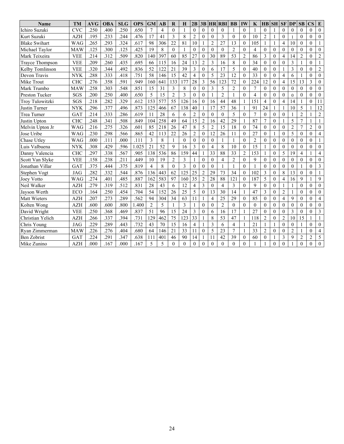| <b>Name</b>           | <b>TM</b>  | <b>AVG</b> | <b>OBA</b> | <b>SLG</b> | <b>OPS</b> | <b>GM</b>      | $\mathbf{AB}$            | $\bf{R}$       | H            | 2B             | 3B               |                | <b>HR RBI</b>  | <b>BB</b>      | IW             | K              | $HB$ SH          |              | <b>SF</b>      | DP             | SB                      | $\mathbf{CS}$  | E                       |
|-----------------------|------------|------------|------------|------------|------------|----------------|--------------------------|----------------|--------------|----------------|------------------|----------------|----------------|----------------|----------------|----------------|------------------|--------------|----------------|----------------|-------------------------|----------------|-------------------------|
| Ichiro Suzuki         | <b>CVC</b> | .250       | .400       | .250       | .650       | $\overline{7}$ | $\overline{4}$           | $\Omega$       | $\mathbf{1}$ | $\theta$       | $\theta$         | $\theta$       | $\Omega$       | $\overline{1}$ | $\theta$       |                | $\theta$         |              | $\theta$       | $\theta$       | $\theta$                | $\theta$       | $\theta$                |
| Kurt Suzuki           | <b>AZH</b> | .195       | .233       | .244       | .476       | 17             | 41                       | 3              | 8            | $\overline{2}$ | $\theta$         | $\theta$       | 3              | $\theta$       | $\Omega$       | 10             | $\overline{c}$   | $\mathbf{1}$ | $\theta$       |                | $\theta$                | $\theta$       | $\mathbf{0}$            |
| <b>Blake Swihart</b>  | <b>WAG</b> | .265       | .293       | .324       | .617       | 98             | 306                      | 22             | 81           | 10             | 1                | $\overline{2}$ | 27             | 13             | $\theta$       | 105            | $\mathbf{1}$     | $\mathbf{1}$ | $\overline{4}$ | 10             | $\theta$                | $\theta$       | $\mathbf{1}$            |
| Michael Taylor        | <b>MAW</b> | .125       | .300       | .125       | .425       | 19             | 8                        | $\Omega$       | $\mathbf{1}$ | $\theta$       | $\Omega$         | $\Omega$       | $\Omega$       | $\overline{2}$ | $\theta$       | $\overline{4}$ | $\theta$         | $\theta$     | $\theta$       | $\Omega$       | $\Omega$                | $\Omega$       | $\theta$                |
| Mark Teixeira         | <b>VEE</b> | .214       | .312       | .509       | .820       | 140            | 397                      | 60             | 85           | 27             | $\overline{0}$   | 30             | 89             | 53             | $\overline{c}$ | 86             | 3                | $\mathbf{0}$ | $\overline{4}$ | 14             | $\overline{2}$          | $\theta$       | $\overline{c}$          |
| Trayce Thompson       | <b>VEE</b> | .209       | .260       | .435       | .695       | 66             | 115                      | 16             | 24           | 13             | $\overline{c}$   | $\overline{3}$ | 16             | 8              | $\theta$       | 34             | $\theta$         | $\theta$     | $\theta$       | $\overline{3}$ |                         | $\theta$       | $\mathbf{1}$            |
| Kelby Tomlinson       | <b>VEE</b> | .320       | .344       | .492       | .836       | 52             | 122                      | 21             | 39           | 3              | $\mathbf{0}$     | 6              | 17             | 5              | $\mathbf{0}$   | 40             | $\overline{0}$   | $\mathbf{0}$ |                | 3              | $\mathbf{0}$            | $\theta$       | $\overline{2}$          |
| Devon Travis          | <b>NYK</b> | .288       | .333       | .418       | .751       | 58             | 146                      | 15             | 42           | $\overline{4}$ | $\theta$         | 5              | 23             | 12             | $\theta$       | 33             | $\theta$         | $\theta$     | $\overline{4}$ | 6              |                         | $\theta$       | $\mathbf{0}$            |
| Mike Trout            | <b>CHC</b> | .276       | .358       | .591       | .949       | 160            | 641                      | 133            | 177          | 28             | 3                | 56             | 123            | 72             | $\overline{0}$ | 224            | 12               | $\mathbf{0}$ | $\overline{4}$ | 15             | 13                      | 3              | $\mathbf{0}$            |
| Mark Trumbo           | MAW        | .258       | .303       | .548       | .851       | 15             | 31                       | 3              | 8            | $\overline{0}$ | $\theta$         | 3              | 5              | $\overline{2}$ | $\theta$       | $\overline{7}$ | $\theta$         | $\theta$     | $\mathbf{0}$   | $\theta$       | $\theta$                | $\theta$       | $\mathbf{0}$            |
| <b>Preston Tucker</b> | SGS        | .200       | .250       | .400       | .650       | 5              | 15                       | $\overline{2}$ | 3            | $\theta$       | $\mathbf{0}$     | $\mathbf{1}$   | $\overline{2}$ | $\overline{1}$ | $\theta$       | 4              | $\theta$         | $\theta$     | $\mathbf{0}$   | $\overline{0}$ | $\theta$                | $\theta$       | $\mathbf{0}$            |
| Troy Tulowitzki       | SGS        | .218       | .282       | .329       | .612       | 153            | 577                      | 55             | 126          | 16             | $\mathbf{0}$     | 16             | 44             | 48             | 1              | 151            | $\overline{4}$   | $\mathbf{0}$ | $\overline{4}$ | 14             |                         | $\mathbf{0}$   | 11                      |
| Justin Turner         | <b>NYK</b> | .296       | .377       | .496       | .873       | 125            | 466                      | 67             | 138          | 40             | 1                | 17             | 57             | 36             | 1              | 91             | 24               | $\mathbf{1}$ | 1              | 10             | 5                       | 1              | $\overline{12}$         |
| Trea Turner           | GAT        | .214       | .333       | .286       | .619       | 11             | 28                       | 6              | 6            | $\overline{c}$ | $\overline{0}$   | $\mathbf{0}$   | $\theta$       | 5              | $\theta$       | $\overline{7}$ | $\overline{0}$   | $\mathbf{0}$ | $\mathbf{0}$   |                | $\overline{c}$          | 1              | $\overline{2}$          |
| Justin Upton          | <b>CHC</b> | .248       | .341       | .508       | .849       | 104            | 258                      | 49             | 64           | 15             | 2                | 16             | 42             | 29             | $\mathbf{1}$   | 87             | 7                | $\theta$     | $\mathbf{1}$   | 5              | $\overline{7}$          | $\mathbf{1}$   | $\mathbf{1}$            |
| Melvin Upton Jr       | WAG        | .216       | .275       | .326       | .601       | 85             | 218                      | 26             | 47           | 8              | 5                | $\overline{2}$ | 15             | 18             | $\mathbf{0}$   | 74             | $\boldsymbol{0}$ | $\mathbf{0}$ | $\mathbf{0}$   | $\overline{c}$ | 7                       | $\overline{2}$ | $\mathbf{0}$            |
| Jose Uribe            | <b>WAG</b> | .230       | .298       | .566       | .865       | 42             | 113                      | 22             | 26           | $\overline{c}$ | $\boldsymbol{0}$ | 12             | 26             | 11             | $\theta$       | 27             | $\mathbf{0}$     | $\mathbf{1}$ | $\overline{0}$ | 5              | $\boldsymbol{0}$        | $\mathbf{0}$   | $\overline{4}$          |
| Chase Utley           | <b>WAG</b> | .000       | .111       | .000       | .111       | 3              | 8                        |                | $\mathbf{0}$ | $\mathbf{0}$   | $\boldsymbol{0}$ | $\mathbf{0}$   |                | $\overline{1}$ | $\mathbf{0}$   | $\mathfrak{2}$ | $\overline{0}$   | $\theta$     | $\mathbf{0}$   | $\overline{0}$ | $\mathbf{0}$            | $\mathbf{0}$   | $\mathbf{1}$            |
| Luis Valbuena         | <b>NYK</b> | .308       | .429       | .596       | 1.025      | 21             | 52                       | 9              | 16           | 3              | $\theta$         | $\overline{4}$ | 8              | 10             | $\theta$       | 15             | 1                | $\mathbf{0}$ | $\mathbf{0}$   | $\theta$       | $\theta$                | $\theta$       | $\mathbf{0}$            |
| Danny Valencia        | <b>CHC</b> | .297       | .338       | .567       | .905       | 138            | 536                      | 86             | 159          | 44             |                  | 33             | 88             | 33             | $\overline{2}$ | 153            | 1                | $\mathbf{0}$ | 5              | 19             | $\overline{\mathbf{4}}$ | $\mathbf{1}$   | $\overline{4}$          |
| Scott Van Slyke       | <b>VEE</b> | .158       | .238       | .211       | 449        | 10             | 19                       | $\overline{2}$ | 3            |                | $\theta$         | $\theta$       | 4              | $\overline{2}$ | $\theta$       | 9              | $\theta$         | $\theta$     | $\theta$       | $\overline{0}$ | $\theta$                | $\theta$       | $\mathbf{0}$            |
| Jonathan Villar       | <b>GAT</b> | .375       | .444       | .375       | .819       | 4              | 8                        | $\Omega$       | 3            | $\theta$       | $\theta$         | $\Omega$       |                | $\mathbf{1}$   | $\theta$       |                | $\theta$         | $\theta$     | $\theta$       | $\Omega$       |                         | $\theta$       | $\mathfrak{Z}$          |
| Stephen Vogt          | <b>JAG</b> | .282       | .332       | .544       | .876       | 136            | 443                      | 62             | 125          | 25             | $\overline{c}$   | 29             | 73             | 34             | $\theta$       | 102            | 3                | $\theta$     | 8              | 13             | $\theta$                | $\theta$       | $\mathbf{1}$            |
| Joey Votto            | <b>WAG</b> | .274       | .401       | .485       | .887       | 162            | 583                      | 97             | 160          | 35             | $\overline{2}$   | 28             | 88             | 121            | $\mathbf{0}$   | 187            | 5                | $\theta$     | $\overline{4}$ | 16             | 9                       | 1              | 9                       |
| Neil Walker           | <b>AZH</b> | .279       | .319       | .512       | .831       | 28             | 43                       | 6              | 12           | $\overline{4}$ | 3                | $\theta$       | 4              | 3              | $\theta$       | 9              | $\mathbf{0}$     | $\theta$     |                |                | $\theta$                | $\theta$       | $\mathbf{0}$            |
| Jayson Werth          | <b>ECO</b> | .164       | .250       | .454       | .704       | 54             | 152                      | 26             | 25           | 5              | $\boldsymbol{0}$ | 13             | 30             | 14             | 1              | 47             | 3                | $\theta$     | $\overline{2}$ |                | $\theta$                | $\theta$       | $\mathbf{0}$            |
| <b>Matt Wieters</b>   | <b>AZH</b> | .207       | .273       | .289       | .562       | 94             | 304                      | 34             | 63           | 11             | 1                | $\overline{4}$ | 25             | 29             | $\theta$       | 85             | $\overline{0}$   | $\theta$     | $\overline{4}$ | 9              | $\theta$                | $\theta$       | $\overline{4}$          |
| Kolten Wong           | <b>AZH</b> | .600       | .600       | .800       | 1.400      | $\overline{c}$ | 5                        | $\mathbf{1}$   | 3            | $\mathbf{1}$   | $\theta$         | $\theta$       | $\overline{2}$ | $\theta$       | $\Omega$       | $\theta$       | $\theta$         | $\theta$     | $\mathbf{0}$   | $\theta$       | $\theta$                | $\theta$       | $\mathbf{0}$            |
| David Wright          | <b>VEE</b> | .250       | .368       | .469       | .837       | 51             | 96                       | 15             | 24           | $\overline{3}$ | $\boldsymbol{0}$ | 6              | 16             | 17             | 1              | 27             | $\overline{0}$   | $\mathbf{0}$ | $\theta$       | $\overline{3}$ | $\theta$                | $\theta$       | $\overline{\mathbf{3}}$ |
| Christian Yelich      | <b>AZH</b> | .266       | .337       | .394       | .731       | 129            | 462                      | 75             | 123          | 33             | 1                | 8              | 53             | 47             | 1              | 118            | $\overline{c}$   | $\mathbf{0}$ | $\overline{2}$ | 10             | 15                      | $\mathbf{1}$   | $\mathbf{1}$            |
| Chris Young           | <b>JAG</b> | .229       | .289       | .443       | .732       | 43             | 70                       | 15             | 16           | $\overline{4}$ |                  | 3              | 6              | $\overline{4}$ |                | 21             | $\mathbf{1}$     | $\mathbf{1}$ | $\theta$       | $\theta$       |                         | $\theta$       | $\mathbf{0}$            |
| Ryan Zimmerman        | <b>MAW</b> | .226       | .276       | .404       | .680       | 64             | 146                      | 21             | 33           | 11             | $\overline{0}$   | 5              | 23             | $\overline{7}$ | 1              | 33             | $\overline{c}$   | $\theta$     | $\mathbf{0}$   | $\overline{c}$ | 1                       | $\mathbf{0}$   | $\overline{4}$          |
| <b>Ben Zobrist</b>    | <b>GAT</b> | .224       | .291       | .347       | .638       | 111            | 401                      | 46             | 90           | 14             |                  | 11             | 42             | 39             | $\mathbf{0}$   | 60             | $\mathbf{0}$     | 1            | 3              | 9              | $\overline{2}$          | $\overline{2}$ | 5                       |
| Mike Zunino           | <b>AZH</b> | .000       | .167       | .000       | .167       | 5              | $\overline{\mathcal{L}}$ | $\Omega$       | $\theta$     | $\theta$       | $\theta$         | $\theta$       | $\theta$       | $\Omega$       | $\Omega$       |                |                  | $\theta$     | $\theta$       |                | $\theta$                | $\theta$       | $\mathbf{0}$            |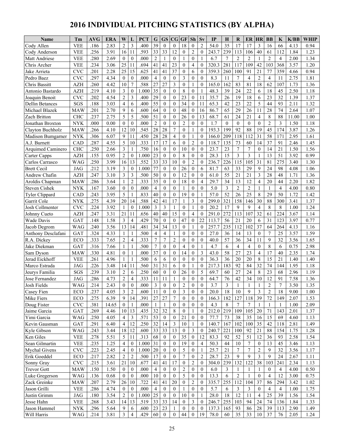# **2016 INDIVIDUAL PITCHING STATISTICS (BY ALPHA)**

| Name                                | Tm                        | AVG          | ERA          | W                  | L                        | PCT           | G                    | <b>GS</b>                | CG                   | <b>GF</b>            | <b>Sh</b>            | Sv               | IP            | Н         | R              | ER             | HR             | <b>BB</b>            | K                    | K/BB         | WHIP         |
|-------------------------------------|---------------------------|--------------|--------------|--------------------|--------------------------|---------------|----------------------|--------------------------|----------------------|----------------------|----------------------|------------------|---------------|-----------|----------------|----------------|----------------|----------------------|----------------------|--------------|--------------|
| Cody Allen                          | <b>VEE</b>                | .186         | 2.83         | $\overline{c}$     | 3                        | .400          | 39                   | $\mathbf{0}$             | $\mathbf{0}$         | 18                   | $\theta$             | $\overline{2}$   | 54.0          | 35        | 17             | 17             | 3              | 16                   | 66                   | 4.13         | 0.94         |
| Cody Anderson                       | <b>VEE</b>                | .256         | 3.91         | 16                 | 11                       | .593          | 33                   | 33                       | 12                   | $\theta$             | $\overline{2}$       | $\theta$         | 243.7         | 239       | 113            | 106            | 40             | 61                   | 112                  | 1.84         | 1.23         |
| Matt Andriese                       | <b>VEE</b>                | .280         | 2.69         | $\mathbf{0}$       | $\theta$                 | .000          | $\overline{2}$       | $\mathbf{1}$             | $\overline{0}$       | 1                    | $\theta$             | 1                | 6.7           | 7         | $\overline{c}$ | $\overline{2}$ | 1              | $\overline{2}$       | $\overline{4}$       | 2.00         | 1.34         |
| Chris Archer                        | <b>VEE</b>                | .234         | 3.06         | 25                 | 11                       | .694          | 41                   | 41                       | 23                   | $\mathbf{0}$         | $\overline{4}$       | $\theta$         | 320.3         | 281       | 117            | 109            | 42             | 103                  | 368                  | 3.57         | 1.20         |
| Jake Arrieta                        | <b>CVC</b>                | .201         | 2.28         | 25                 | 15                       | .625          | 41                   | 41                       | 37                   | $\mathbf{0}$         | 6                    | $\theta$         | 359.3         | 260       | 100            | 91             | 21             | 77                   | 359                  | 4.66         | 0.94         |
| Pedro Baez                          | <b>CVC</b>                | .297         | 4.34         | $\mathbf{0}$       | $\theta$                 | .000          | $\overline{4}$       | $\theta$                 | $\mathbf{0}$         | 3                    | $\theta$             | $\theta$         | 8.3           | 11        | 7              | $\overline{4}$ | $\overline{2}$ | 4                    | 11                   | 2.75         | 1.81         |
| Chris Bassitt                       | <b>AZH</b>                | .260         | 4.42         | 10                 | $\boldsymbol{7}$         | .588          | 27                   | 27                       | 3                    | $\mathbf{0}$         |                      | $\theta$         | 165.0         | 162       | 83             | 81             | 18             | 62                   | 107                  | 1.73         | 1.36         |
| Antonio Bastardo                    | <b>AZH</b>                | .219         | 4.10         | 3                  | $\mathbf{0}$             | 1.000         | 35                   | $\theta$                 | $\theta$             | 8                    | $\Omega$             | $\mathbf{1}$     | 48.3          | 39        | 24             | 22             | 6              | 18                   | 45                   | 2.50         | 1.18         |
| Joaquin Benoit                      | <b>CVC</b>                | .202         | 4.54         | $\overline{c}$     | 3                        | .400          | 29                   | $\theta$                 | $\Omega$             | 23                   | $\theta$             | 11               | 35.7          | 26        | 19             | 18             | 6              | 23                   | 32                   | 1.39         | 1.37         |
| <b>Dellin Betances</b>              | SGS                       | .188         | 3.03         | 4                  | 6                        | .400          | 55                   | $\mathbf{0}$             | $\overline{0}$       | 34                   | $\theta$             | 11               | 65.3          | 42        | 23             | 22             | 5              | 44                   | 93                   | 2.11         | 1.32         |
| Michael Blazek                      | <b>MAW</b>                | .201         | 2.70         | 9                  | 6                        | .600          | 64                   | $\theta$                 | $\overline{0}$       | 48                   | $\theta$             | 16               | 86.7          | 65        | 29             | 26             | 11             | 28                   | 74                   | 2.64         | 1.07         |
| Zach Britton                        | <b>CHC</b>                | .237         | 2.75         | 5                  | 5                        | .500          | 51                   | $\theta$                 | $\theta$             | 26                   | $\theta$             | 13               | 68.7          | 61        | 24             | 21             | $\overline{4}$ | 8                    | 88                   | 11.00        | 1.00         |
| Jonathan Broxton                    | <b>NYK</b>                | .000         | 0.00         | $\mathbf{0}$       | $\mathbf{0}$             | .000          | $\overline{2}$       | $\mathbf{0}$             | $\mathbf{0}$         | $\overline{2}$       | $\mathbf{0}$         | $\theta$         | 1.7           | $\theta$  | $\mathbf{0}$   | $\mathbf{0}$   | $\mathbf{0}$   | $\overline{c}$       | 3                    | 1.50         | 1.18         |
| Clayton Buchholz                    | <b>MAW</b>                | .266         | 4.10         | 12                 | 10                       | .545          | 28                   | 28                       | 7                    | $\mathbf{0}$         |                      | $\theta$         | 193.3         | 199       | 92             | 88             | 19             | 45                   | 174                  | 3.87         | 1.26         |
| Madison Bumgarner                   | <b>NYK</b>                | .306         | 6.07         | 9                  | 11                       | .450          | 28                   | 28                       | 4                    | $\theta$             | 1                    | $\theta$         | 166.0         | 209       | 118            | 112            | 31             | 58                   | 171                  | 2.95         | 1.61         |
| A.J. Burnett                        | CAD                       | .287         | 4.55         | 5                  | 10                       | .333          | 17                   | 17                       | 6                    | $\theta$             | $\overline{2}$       | $\theta$         | 118.7         | 135       | 73             | 60             | 14             | 37                   | 91                   | 2.46         | 1.45         |
|                                     | <b>CHC</b>                | .250         | 2.66         | 3                  | $\mathbf{1}$             | .750          | 16                   | $\mathbf{0}$             | $\Omega$             | 10                   | $\mathbf{0}$         | $\theta$         | 23.7          | 23        | 7              | $\overline{7}$ | $\theta$       | 14                   | 21                   | 1.50         | 1.56         |
| Arquimed Caminero                   | <b>AZH</b>                | .155         | 0.95         | $\overline{c}$     | $\mathbf{0}$             | 1.000         | 23                   | $\mathbf{0}$             | $\theta$             | 8                    | $\theta$             | $\Omega$         | 28.3          | 15        | 3              | 3              | 1              | 13                   | 51                   | 3.92         | 0.99         |
| Carter Capps<br>Carlos Carrasco     |                           | .250         | 3.99         | 16                 | 13                       | .552          | 33                   | 33                       | 10                   |                      | $\overline{2}$       | $\theta$         |               |           | 115            | 105            | 31             | 81                   | 275                  | 3.40         | 1.30         |
|                                     | WAG                       |              |              |                    |                          |               |                      |                          |                      | $\mathbf{0}$         |                      |                  | 236.7         | 226       |                |                |                |                      |                      |              |              |
| <b>Brett Cecil</b><br>Andrew Chafin | JAG<br><b>AZH</b>         | .212<br>.247 | 3.19<br>3.10 | 3<br>3             | $\theta$<br>3            | 1.000<br>.500 | 77<br>50             | $\mathbf{0}$<br>$\theta$ | $\theta$<br>$\theta$ | 26<br>12             | $\theta$<br>$\theta$ | 6<br>$\theta$    | 81.7<br>61.0  | 63<br>55  | 33<br>21       | 29<br>21       | 9<br>3         | 24<br>28             | 98<br>48             | 4.08<br>1.71 | 1.06<br>1.36 |
|                                     |                           |              | 3.64         |                    | $\overline{2}$           | .333          | 35                   | $\theta$                 |                      | 18                   |                      | 4                |               | 34        | 13             | 12             | $\overline{4}$ |                      |                      | 2.20         | 1.82         |
| Aroldis Chapman                     | <b>MAW</b>                | .286         |              | 1                  |                          |               | $\overline{4}$       |                          | $\overline{0}$       |                      | $\mathbf{0}$         |                  | 29.7          |           |                |                |                | 20                   | 44<br>$\overline{4}$ |              |              |
| <b>Steven Cishek</b>                | <b>NYK</b>                | .167         | 3.60         | $\mathbf{0}$       | $\mathbf{0}$             | .000          |                      | $\theta$                 | $\theta$             | 1                    | $\mathbf{0}$         | $\Omega$<br>1    | 5.0           | 3         | $\overline{c}$ | $\overline{2}$ | 1              | 1                    |                      | 4.00         | 0.80         |
| Tyler Clippard                      | CAD                       | .243         | 3.95<br>4.39 | 5<br>20            | $\mathbf{1}$             | .833<br>.588  | 40<br>42             | $\mathbf{0}$<br>41       | $\mathbf{0}$<br>17   | 19<br>$\mathbf{1}$   | $\theta$<br>3        | $\theta$         | 57.0<br>299.0 | 52<br>321 | 26             | 25<br>146      | 8<br>30        | 29<br>88             | 50<br>300            | 1.72         | 1.42         |
| Garrit Cole                         | <b>NYK</b>                | .275<br>.224 |              | $\mathbf{1}$       | 14<br>$\mathbf{0}$       |               | 3                    | 3                        | 1                    | $\mathbf{0}$         |                      | $\theta$         |               | 17        | 158<br>9       | $\mathbf Q$    | $\overline{4}$ | 8                    | 8                    | 3.41         | 1.37         |
| Josh Collmenter                     | <b>CVC</b>                |              | 3.92         | 21                 |                          | 1.000         | 40                   | 40                       | 15                   |                      | 1                    |                  | 20.2          | 272       |                | 107            | 32             |                      | 224                  | 1.00         | 1.24         |
| Johnny Cueto                        | <b>AZH</b>                | .247         | 3.31         |                    | 11                       | .656          |                      |                          |                      | $\theta$             | $\overline{4}$       | $\theta$         | 291.0         |           | 113            |                |                | 61                   |                      | 3.67         | 1.14         |
| <b>Wade Davis</b>                   | <b>GAT</b>                | .148         | 1.58         | 3                  | 4                        | 429           | 70                   | $\theta$                 | $\theta$             | 47                   | $\theta$             | 22<br>$\theta$   | 113.7         | 56        | 21             | 20             | 6<br>37        | 31                   | 123                  | 3.97         | 0.77         |
| Jacob Degrom                        | <b>WAG</b><br>GAT         | .240<br>.324 | 3.56<br>4.33 | 13<br>$\mathbf{1}$ | 14<br>1                  | .481<br>.500  | 34<br>$\overline{4}$ | 34<br>$\overline{4}$     | 13<br>1              | $\theta$<br>$\theta$ | $\mathbf{0}$         | $\theta$         | 257.7<br>27.0 | 235<br>36 | 112<br>14      | 102<br>13      | $\overline{0}$ | 64<br>$\overline{7}$ | 264<br>25            | 4.13<br>3.57 | 1.16<br>1.59 |
| Anthony Desclafani<br>R.A. Dickey   | ECO                       | .333         | 7.65         | $\overline{c}$     | $\overline{\mathbf{4}}$  | .333          | 7                    | $\overline{7}$           | $\overline{2}$       | $\mathbf{0}$         | $\theta$             | $\theta$         | 40.0          | 57        | 36             | 34             | 11             | 9                    | 32                   | 3.56         | 1.65         |
| Jake Diekman                        | GAT                       | .316         | 7.66         | $\mathbf{1}$       | $\mathbf{1}$             | .500          | $\overline{7}$       | $\theta$                 | $\theta$             | $\overline{4}$       | $\theta$             | 1                | 4.7           | 6         | $\overline{4}$ | $\overline{4}$ | $\theta$       | 8                    | 6                    | 0.75         | 2.98         |
| Sam Dyson                           | <b>MAW</b>                | .330         | 4.81         | $\mathbf{0}$       | $\mathbf{1}$             | .000          | 37                   | $\mathbf{0}$             | $\theta$             | 14                   | $\theta$             | 3                | 43.0          | 58        | 27             | 23             | $\overline{4}$ | 17                   | 40                   | 2.35         | 1.74         |
| Jerad Eickhoff                      | <b>VEE</b>                | .261         | 4.96         | $\mathbf{1}$       | $\mathbf{1}$             | .500          | 6                    | 6                        | $\overline{0}$       | $\theta$             | $\theta$             | $\mathbf{0}$     | 36.3          | 36        | 20             | 20             | $\,$ 8 $\,$    | 15                   | 21                   | 1.40         | 1.40         |
| Marco Estrada                       | <b>JAG</b>                | .226         | 3.48         | 14                 | 11                       | .560          | 31                   | 31                       | 6                    | $\theta$             | 1                    | $\theta$         | 217.3         | 183       | 92             | 84             | 32             | 74                   | 144                  | 1.95         | 1.18         |
| Jeurys Familia                      | SGS                       | .239         | 3.10         | $\overline{2}$     | 6                        | .250          | 60                   | $\mathbf{0}$             | $\theta$             | 26                   | $\theta$             | 5                | 69.7          | 60        | 27             | 24             | 8              | 23                   | 68                   | 2.96         | 1.19         |
| Jose Fernandez                      | <b>JAG</b>                | .286         | 4.73         | $\overline{c}$     | $\overline{\mathcal{L}}$ | .333          | 11                   | 11                       |                      | $\mathbf{0}$         | $\theta$             | $\mathbf{0}$     | 64.7          | 76        | 42             | 34             | 10             | 12                   | 91                   | 7.58         | 1.36         |
| Josh Fields                         | $\mathsf{WAG}$            | .214         | 2.43         | $\boldsymbol{0}$   | $\Omega$                 | .000          | $\mathfrak{Z}$       | $\boldsymbol{0}$         | $\Omega$             | $\mathcal{L}$        | $\Omega$             | $\Omega$         | 3.7           | 3         |                |                | $\mathbf{1}$   | $\mathcal{D}$        | $\overline{7}$       | 3.50         | 1.35         |
| Casey Fien                          | ECO                       | .237         | 4.05         | 3                  | $\mathfrak{2}$           | .600          | 11                   | $\mathbf{0}$             | $\overline{0}$       | 3                    | $\mathbf{0}$         | $\overline{0}$   | 20.0          | 18        | 10             | 9              | 3              | $\overline{c}$       | 18                   | 9.00         | 1.00         |
| Mike Fiers                          | ECO                       | .275         | 6.39         | 9                  | 14                       | .391          | 27                   | 27                       | 7                    | $\boldsymbol{0}$     | $\bf{0}$             | $\mathbf{0}$     | 166.3         | 182       | 127            | 118            | 39             | 72                   | 149                  | 2.07         | 1.53         |
| Doug Fister                         | $\ensuremath{\text{CVC}}$ | .381         | 14.65        | $\boldsymbol{0}$   | -1                       | .000          | $\mathbf{1}$         | 1                        | $\overline{0}$       | $\mathbf{0}$         | $\boldsymbol{0}$     | $\overline{0}$   | 4.3           | 8         | 7              | 7              | 1              | 1                    | 1                    | 1.00         | 2.09         |
| Jaime Garcia                        | GAT                       | .269         | 4.46         | 10                 | 13                       | .435          | 32                   | 32                       | 8                    | $\boldsymbol{0}$     | 1                    | $\mathbf{0}$     | 212.0         | 219       | 109            | 105            | 20             | 71                   | 143                  | 2.01         | 1.37         |
| Yimi Garcia                         | <b>WAG</b>                | .250         | 4.05         | $\overline{4}$     | 3                        | .571          | 53                   | $\boldsymbol{0}$         | 0                    | 21                   | $\bf{0}$             | $\mathbf{0}$     | 77.7          | 73        | 38             | 35             | 16             | 15                   | 69                   | 4.60         | 1.13         |
| Kevin Gausman                       | GAT                       | .291         | 6.40         | $\overline{4}$     | 12                       | .250          | 32                   | 14                       | 3                    | 10                   | -1                   | $\mathbf{0}$     | 140.7         | 167       | 102            | $100\,$        | 35             | 42                   | 118                  | 2.81         | 1.49         |
| Kyle Gibson                         | WAG                       | .243         | 3.44         | 18                 | 12                       | .600          | 33                   | 33                       | 13                   | $\boldsymbol{0}$     | 3                    | $\theta$         | 240.7         | 221       | 100            | 92             | 21             | 88                   | 154                  | 1.75         | 1.28         |
| Ken Giles                           | <b>VEE</b>                | .278         | 5.51         | 5                  | 11                       | .313          | 68                   | $\overline{0}$           | $\mathbf{0}$         | 35                   | $\overline{0}$       | 12               | 83.3          | 92        | 52             | 51             | 12             | 36                   | 93                   | 2.58         | 1.54         |
| Sean Gilmartin                      | ${\rm VEE}$               | .235         | 1.25         | 4                  | $\boldsymbol{0}$         | 1.000         | 31                   | $\boldsymbol{0}$         | $\boldsymbol{0}$     | 19                   | $\bf{0}$             | 4                | 50.3          | 44        | 10             | 7              | $\bf{0}$       | 13                   | 45                   | 3.46         | 1.13         |
| Mychal Givens                       | <b>CVC</b>                | .223         | 2.45         | 4                  | $\mathbf{0}$             | 1.000         | 20                   | $\mathbf{0}$             | $\mathbf{0}$         | 5                    | $\mathbf{0}$         | 1                | 25.7          | 21        | $\tau$         | $\tau$         | $\overline{c}$ | 9                    | 32                   | 3.56         | 1.17         |
| Erik Goeddel                        | ECO                       | .217         | 2.82         | $\overline{c}$     | $\sqrt{2}$               | .500          | 17                   | $\mathbf{0}$             | 0                    | $\overline{7}$       | $\mathbf{0}$         | $\overline{2}$   | 28.7          | 23        | 9              | 9              | 3              | 9                    | 24                   | 2.67         | 1.11         |
| Sonny Gray                          | <b>CVC</b>                | .215         | 3.61         | 21                 | 10                       | .677          | 41                   | 41                       | 17                   | $\boldsymbol{0}$     | $\overline{2}$       | $\boldsymbol{0}$ | 304.0         | 239       | 132            | 122            | 38             | 103                  | 241                  | 2.34         | 1.13         |
| <b>Trevor Gott</b>                  | <b>MAW</b>                | .150         | 1.50         | $\boldsymbol{0}$   | $\boldsymbol{0}$         | .000          | $\overline{4}$       | $\overline{0}$           | $\boldsymbol{0}$     | $\overline{c}$       | $\mathbf{0}$         | $\mathbf{0}$     | 6.0           | 3         | $\mathbf{1}$   | 1              | 1              | $\boldsymbol{0}$     | $\overline{4}$       | 4.00         | 0.50         |
| Luke Gregerson                      | WAG                       | .136         | 0.68         | $\boldsymbol{0}$   | $\boldsymbol{0}$         | .000          | 10                   | $\mathbf{0}$             | $\overline{0}$       | 5                    | $\mathbf{0}$         | $\mathbf{0}$     | 13.3          | 6         | 2              |                | $\overline{0}$ | $\overline{4}$       | 12                   | 3.00         | 0.75         |
| Zack Greinke                        | <b>MAW</b>                | .207         | 2.79         | 26                 | 10                       | .722          | 41                   | 41                       | 20                   | $\boldsymbol{0}$     | $\overline{2}$       | $\overline{0}$   | 335.7         | 255       | 112            | 104            | 37             | 86                   | 294                  | 3.42         | 1.02         |
| Jason Grilli                        | <b>VEE</b>                | .286         | 4.74         | $\mathbf{0}$       | $\boldsymbol{0}$         | .000          | $\overline{4}$       | $\overline{0}$           | 0                    | 1                    | $\theta$             | $\overline{0}$   | 5.7           | 6         | 3              | 3              | $\mathbf{0}$   | 4                    | 4                    | 1.00         | 1.75         |
| Justin Grimm                        | JAG                       | .180         | 3.54         | 2                  | $\boldsymbol{0}$         | 1.000         | 25                   | $\overline{0}$           | 0                    | 10                   | $\boldsymbol{0}$     |                  | 28.0          | 18        | 12             | 11             | 4              | 25                   | 39                   | 1.56         | 1.54         |
| Jesse Hahn                          | <b>VEE</b>                | .268         | 3.43         | 14                 | 13                       | .519          | 33                   | 33                       | 14                   | $\mathbf{0}$         | 3                    | $\theta$         | 246.7         | 255       | 103            | 94             | 24             | 74                   | 136                  | 1.84         | 1.33         |
| Jason Hammel                        | <b>NYK</b>                | .296         | 5.64         | 9                  | 6                        | .600          | 23                   | 23                       | 1                    | $\mathbf{0}$         | $\boldsymbol{0}$     | $\boldsymbol{0}$ | 137.3         | 165       | 93             | 86             | 28             | 39                   | 113                  | 2.90         | 1.49         |
| Will Harris                         | WAG                       | .214         | 3.81         | 3                  | $\overline{4}$           | .429          | 60                   | $\bf{0}$                 | $\overline{0}$       | 44                   | $\boldsymbol{0}$     | 19               | 78.0          | 60        | 35             | 33             | 10             | 37                   | 76                   | 2.05         | 1.24         |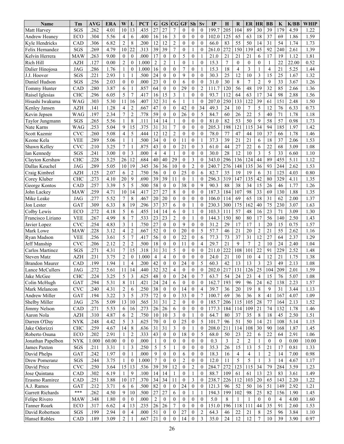| Name                          | Tm                | <b>AVG</b>   | <b>ERA</b>   | W                | L                | <b>PCT</b>   | ${\bf G}$             | <b>GS</b>            | CG                                   | GF             | Sh                                   | Sv                  | IP            | H              | R                | ER             | <b>HR</b>                         | <b>BB</b>        | K                | K/BB         | WHIP         |
|-------------------------------|-------------------|--------------|--------------|------------------|------------------|--------------|-----------------------|----------------------|--------------------------------------|----------------|--------------------------------------|---------------------|---------------|----------------|------------------|----------------|-----------------------------------|------------------|------------------|--------------|--------------|
| Matt Harvey                   | SGS               | .262         | 4.01         | 10               | 13               | .435         | 27                    | 27                   | 7                                    | $\theta$       | $\theta$                             | $\Omega$            | 199.7         | 205            | 104              | 89             | 30                                | 39               | 179              | 4.59         | 1.22         |
| <b>Andrew Heanev</b>          | ECO               | .304         | 5.56         | 4                | 6                | .400         | 16                    | 16                   | 3                                    | $\mathbf{0}$   | $\theta$                             | $\overline{0}$      | 102.0         | 125            | 65               | 63             | 18                                | 37               | 69               | 1.86         | 1.59         |
| Kyle Hendricks                | CAD               | .306         | 6.82         | $\overline{c}$   | 8                | .200         | 12                    | 12                   | $\overline{2}$                       | $\theta$       | $\theta$                             | $\Omega$            | 66.0          | 83             | 55               | 50             | 14                                | 31               | 54               | 1.74         | 1.73         |
| Felix Hernandez               | SGS               | .269         | 4.79         | 10               | 22               | .313         | 39                    | 39                   | $\overline{7}$                       | $\mathbf{0}$   | 1                                    | $\theta$            | 261.0         | 272            | 150              | 139            | 45                                | 92               | 240              | 2.61         | 1.39         |
| Kelvin Herrera                | <b>MAW</b>        | .263         | 9.00         | $\mathbf{0}$     | $\theta$         | .000         | 17                    | $\theta$             | $\mathbf{0}$                         | 5              | $\mathbf{0}$                         | $\mathbf{1}$        | 21.0          | 21             | 21               | 21             | 6                                 | 17               | 19               | 1.12         | 1.81         |
| Rich Hill                     | <b>AZH</b>        | .127         | 0.00         | $\overline{c}$   | $\theta$         | 1.000        | $\overline{2}$        | $\overline{2}$       | 1                                    | $\mathbf{0}$   | 1                                    | $\overline{0}$      | 15.3          | 7              | $\boldsymbol{0}$ | $\mathbf{0}$   | $\mathbf{0}$                      | 1                | 22               | 22.00        | 0.52         |
| Dalier Hinojosa               | <b>JAG</b>        | .286         | 1.76         | $\mathbf{1}$     | $\mathbf{0}$     | 1.000        | 16                    | $\theta$             | $\mathbf{0}$                         | $\overline{7}$ | $\mathbf{0}$                         | 1                   | 15.3          | 18             | $\overline{4}$   | 3              | $\mathbf{1}$                      | 4                | 21               | 5.25         | 1.44         |
| J.J. Hoover                   | SGS               | .221         | 2.93         | $\mathbf{1}$     | $\mathbf{1}$     | .500         | 24                    | $\theta$             | $\mathbf{0}$                         | 9              | $\boldsymbol{0}$                     | $\overline{0}$      | 30.3          | 25             | 12               | 10             | 3                                 | 15               | 25               | 1.67         | 1.32         |
| Daniel Hudson                 | SGS               | .256         | 2.03         | $\mathbf{0}$     | $\mathbf{0}$     | .000         | 23                    | $\mathbf{0}$         | $\mathbf{0}$                         | 6              | $\theta$                             | $\mathbf{0}$        | 31.0          | 30             | $\,$ 8 $\,$      | $\overline{7}$ | $\overline{2}$                    | 9                | 33               | 3.67         | 1.26         |
| Tommy Hunter                  | CAD               | .280         | 3.87         | 6                | $\mathbf{1}$     | .857         | 64                    | $\theta$             | $\mathbf{0}$                         | 29             | $\theta$                             | 2                   | 111.7         | 120            | 56               | 48             | 19                                | 32               | 85               | 2.66         | 1.36         |
| Raisel Iglesias               | <b>CHC</b>        | .296         | 6.05         | 5                | 7                | .417         | 16                    | 15                   | 3                                    | 1              | $\boldsymbol{0}$                     | $\Omega$            | 93.7          | 112            | 64               | 63             | 17                                | 34               | 98               | 2.88         | 1.56         |
| Hisashi Iwakuma               | <b>WAG</b>        | .303         | 5.30         | 11               | 16               | .407         | 32                    | 31                   | 6                                    | 1              |                                      | $\theta$            | 207.0         | 250            | 133              | 122            | 39                                | 61               | 151              | 2.48         | 1.50         |
| Kenley Jansen                 | <b>AZH</b>        | .141         | 1.28         | $\overline{4}$   | $\overline{c}$   | .667         | 47                    | $\theta$             | $\Omega$                             | 42             | 0                                    | 34                  | 49.3          | 24             | 10               | 7              | 5                                 | 12               | 76               | 6.33         | 0.73         |
| Kevin Jepsen                  | <b>WAG</b>        | .197         | 2.34         | 7                | $\overline{c}$   | .778         | 59                    | $\theta$             | $\theta$                             | 26             | 0                                    | 5                   | 84.7          | 60             | 26               | 22             | 5                                 | 40               | 71               | 1.78         | 1.18         |
| Taylor Jungmann               | SGS               | .265         | 5.56         | $\mathbf{1}$     | 8                | .111         | 14                    | 14                   |                                      | $\mathbf{0}$   | $\mathbf{0}$                         | $\theta$            | 81.0          | 82             | 53               | 50             | 9                                 | 58               | $\overline{57}$  | 0.98         | 1.73         |
| Nate Karns                    | <b>WAG</b>        | .253         | 5.04         | 9                | 15               | .375         | 31                    | 31                   | $\overline{7}$                       | $\mathbf{0}$   | $\boldsymbol{0}$                     | $\Omega$            | 205.3         | 198            | 121              | 115            | 34                                | 94               | 185              | 1.97         | 1.42         |
| Scott Kazmir                  | <b>CVC</b>        | .260         | 5.08         | 4                | 5                | 444          | 12                    | 12                   | $\overline{2}$                       | $\theta$       | $\theta$                             | $\Omega$            | 78.0          | 77             | 47               | 44             | 10                                | 37               | 66               | 1.78         | 1.46         |
| Keone Kela                    | <b>VEE</b>        | .289         | 5.06         | $\mathbf{1}$     | $\mathbf{1}$     | .500         | 34                    | $\theta$             | $\theta$                             | 11             | $\theta$                             | 1                   | 37.3          | 39             | 21               | 21             | 6                                 | 18               | 37               | 2.06         | 1.53         |
| Shawn Kelley                  | <b>CVC</b>        | .210         | 3.25         | $\boldsymbol{7}$ | $\mathbf{1}$     | .875         | 43                    | $\mathbf{0}$         | $\mathbf{0}$                         | 21             | $\theta$                             | 3                   | 61.0          | 44             | 27               | 22             | 6                                 | 22               | 68               | 3.09         | 1.08         |
| Ian Kennedy                   | SGS               | .241         | 3.00         | $\theta$         | $\mathfrak{Z}$   | .000         | $\overline{4}$        | $\overline{4}$       | 1                                    | $\theta$       | $\mathbf{0}$                         | $\theta$            | 30.0          | 28             | 12               | 10             | 3                                 | 5                | 33               | 6.60         | 1.10         |
| Clayton Kershaw               | <b>CHC</b>        | .228         | 3.25         | 26               | 12               | .684         | 40                    | 40                   | 29                                   | $\theta$       | 3                                    | $\theta$            | 343.0         | 296            | 136              | 124            | 44                                | 89               | 455              | 5.11         | 1.12         |
| Dallas Keuchel                | <b>JAG</b>        | .289         | 5.05         | 10               | 19               | .345         | 36                    | 36                   | 10                                   | $\mathbf{0}$   | $\overline{2}$                       | $\overline{0}$      | 240.7         | 276            | 148              | 135            | 36                                | 93               | 244              | 2.62         | 1.53         |
| Craig Kimbrel                 | <b>AZH</b>        | .125         | 2.07         | 6                | $\overline{2}$   | .750         | 56                    | $\theta$             | $\mathbf{0}$                         | 25             | $\mathbf{0}$                         | 6                   | 82.7          | 35             | 19               | 19             | 6                                 | 31               | 125              | 4.03         | 0.80         |
| Corey Kluber                  | <b>CHC</b>        | .273         | 4.10         | 20               | 9                | .690         | 39                    | 39                   | 11                                   | $\mathbf{0}$   | 1                                    | $\Omega$            | 296.3         | 319            | 147              | 135            | 42                                | 80               | 329              | 4.11         | 1.35         |
| George Kontos                 | CAD               | .257         | 3.39         | 5                | 5                | .500         | 58                    | $\theta$             | $\mathbf{0}$                         | 38             | $\boldsymbol{0}$                     | $\mathbf Q$         | 90.3          | 88             | 38               | 34             | 15                                | 26               | 46               | 1.77         | 1.26         |
| John Lackey                   | <b>MAW</b>        | .259         | 4.71         | 10               | 14               | .417         | 27                    | 27                   | 8                                    | $\mathbf{0}$   | $\boldsymbol{0}$                     | $\Omega$            | 187.3         | 184            | 107              | 98             | 33                                | 69               | 130              | 1.88         | 1.35         |
| Mike Leake                    | <b>JAG</b>        | .277         | 5.52         | $\tau$           | 8                | .467         | 20                    | 20                   | $\boldsymbol{0}$                     | $\theta$       | $\mathbf{0}$                         | $\Omega$            | 106.0         | 114            | 69               | 65             | 18                                | 31               | 62               | 2.00         | 1.37         |
| Jon Lester                    | GAT               | .309         | 6.33         | 8                | 19               | .296         | 37                    | 37                   | 6                                    | $\mathbf{0}$   | 1                                    | 0                   | 230.3         | 300            | 175              | 162            | 40                                | 75               | 230              | 3.07         | 1.63         |
| Colby Lewis                   | <b>ECO</b>        | .272         | 4.18         | 5                | 6                | .455         | 14                    | 14                   | 6                                    | $\mathbf{0}$   | 1                                    | $\Omega$            | 103.3         | 111            | 57               | 48             | 16                                | 23               | 71               | 3.09         | 1.30         |
| Francisco Liriano             | <b>VEE</b>        | .267         | 4.99         | 8                | 7                | .533         | 23                    | 23                   | $\overline{2}$                       | $\theta$       | 1                                    | $\Omega$            | 144.3         | 150            | 80               | 80             | 17                                | 56               | 140              | 2.50         | 1.43         |
| Javier Lopez                  | <b>CVC</b>        | .254         | 4.83         | 3                | 1                | .750         | 27                    | $\theta$             | $\Omega$                             | 9              | $\theta$                             | $\Omega$            | 31.2          | 29             | 17               | 17             | $\mathbf{1}$                      | 20               | 15               | 0.75         | 1.57         |
| Mark Lowe                     | <b>MAW</b>        | .228         | 3.12         | 4                | $\overline{c}$   | .667         | 52                    | $\mathbf{0}$         | $\mathbf{0}$                         | 20             | $\mathbf{0}$                         | 5                   | 57.7          | 46             | 21               | 20             | $\overline{2}$                    | 21               | 55               | 2.62         | 1.16         |
| Ryan Madson                   | <b>VEE</b>        | .256         | 3.61         | 5                | $\overline{7}$   | .417         | 56                    | $\theta$             | $\Omega$                             | 22             | $\mathbf{0}$                         | 6                   | 77.3          | 73             | 37               | 31             | 12                                | 27               | 64               | 2.37         | 1.29         |
| Jeff Manship                  | <b>CVC</b>        | .206         | 2.12         | $\overline{2}$   | $\overline{c}$   | .500         | 18                    | $\mathbf{0}$         | $\mathbf{0}$                         | 11             | $\boldsymbol{0}$                     | $\overline{4}$      | 29.7          | 21             | 9                | $\overline{7}$ | $\overline{2}$                    | 10               | 24               | 2.40         | 1.04         |
| Carlos Martinez               | SGS               | .271         | 4.31         | $\overline{7}$   | 15               | .318         | 31                    | 31                   | 5                                    | $\mathbf{0}$   | $\theta$                             | $\mathbf{0}$        | 211.0         | 222            | 108              | 101            | 22                                | 91               | 229              | 2.52         | 1.48         |
| <b>Steven Matz</b>            | <b>AZH</b>        | .231         | 3.75         | $\overline{2}$   | $\theta$         | 1.000        | $\overline{4}$        | $\overline{4}$       | $\mathbf{0}$                         | $\mathbf{0}$   | $\boldsymbol{0}$                     | $\Omega$            | 24.0          | 21             | 10               | 10             | $\overline{4}$                    | 12               | 21               | 1.75         | 1.38         |
| <b>Brandon Maurer</b>         | CAD               | .199         | 1.94         | $\mathbf{1}$     | 4<br>14          | .200         | 42<br>$\overline{32}$ | $\mathbf{0}$<br>32   | $\mathbf{0}$<br>$\Delta$             | 24<br>$\Omega$ | $\boldsymbol{0}$<br>$\Omega$         | 5<br>$\Omega$       | 60.3          | 42             | 13<br>131        | 13             | $\mathfrak{Z}$<br>$\overline{25}$ | 23<br>104        | 49               | 2.13         | 1.08         |
| Lance McCullers               | JAG               | 272          | 5.61         | 11               |                  | 440          |                       |                      |                                      |                |                                      |                     | 202.0         | 217            |                  | 126            |                                   |                  | 209              | 2.01         | 1.59         |
| Jake McGee                    | <b>CHC</b>        | .224         | 3.25         | 5                | 3                | .625         | 48                    | $\boldsymbol{0}$     | $\boldsymbol{0}$                     | 24             | $\boldsymbol{0}$                     | 7                   | 63.7          | 54             | 24<br>99         | 23             | 4                                 | 15               | 76               | 5.07         | 1.08         |
| Colin McHugh<br>Mark Melancon | GAT<br><b>CVC</b> | .294<br>.240 | 5.31         | 8<br>$\sqrt{2}$  | 11<br>6          | .421<br>.250 | 24<br>38              | 24<br>$\overline{0}$ | 6                                    | $\mathbf{0}$   | $\mathbf{0}$                         | $\overline{0}$<br>4 | 162.7<br>39.7 | 193            |                  | 96<br>19       | 24<br>8                           | 62<br>9          | 138<br>31        | 2.23         | 1.57         |
| <b>Andrew Miller</b>          |                   |              | 4.31<br>3.22 | $\mathfrak{Z}$   |                  | .375         | 72                    | $\overline{0}$       | $\boldsymbol{0}$<br>$\boldsymbol{0}$ | 14<br>33       | $\boldsymbol{0}$                     | 7                   | 100.7         | 36<br>69       | 20<br>36         | 36             | 8                                 | 41               | 167              | 3.44<br>4.07 | 1.13         |
| Shelby Miller                 | GAT<br>$\rm JAG$  | .194<br>.276 | 5.09         | 13               | 5<br>10          | .565         | 31                    | 31                   | $\overline{c}$                       | $\overline{0}$ | $\boldsymbol{0}$<br>$\boldsymbol{0}$ | $\theta$            | 185.7         | 206            | 115              | 105            | 28                                | 77               | 164              | 2.13         | 1.09<br>1.52 |
| Jimmy Nelson                  | CAD               | .271         | 5.53         | 6                | 16               | .273         | 26                    | 26                   | 6                                    | $\mathbf{0}$   | $\theta$                             | $\mathbf{0}$        | 177.3         | 184            | 114              | 109            | 21                                | 74               | 132              | 1.78         | 1.46         |
| Aaron Nola                    | <b>AZH</b>        | .310         | 4.87         | 6                | $\overline{c}$   | .750         | $10\,$                | 10                   | 3                                    | $\mathbf{0}$   |                                      | $\boldsymbol{0}$    | 64.7          | 80             | 37               | 35             | 8                                 | 18               | 45               | 2.50         | 1.51         |
| Darren O'Day                  | <b>NYK</b>        | .248         | 4.42         | $\mathfrak s$    | $\mathfrak{Z}$   | .625         | 70                    | $\boldsymbol{0}$     | $\boldsymbol{0}$                     | 25             | $\boldsymbol{0}$                     | 5                   | 101.7         | 96             | 51               | 50             | 14                                | 21               | 108              | 5.14         | 1.15         |
| Jake Odorizzi                 | CHC               | .259         | 4.67         | 14               | $\,8\,$          | .636         | 31                    | 31                   | $\mathfrak{Z}$                       | $\mathbf{0}$   | 1                                    | $\boldsymbol{0}$    | 208.0         | 211            | 114              | 108            | 30                                | 90               | 168              | 1.87         | 1.45         |
| Roberto Osuna                 | ECO               | .202         | 2.91         | $\mathbf{1}$     | $\overline{2}$   | .333         | 43                    | $\mathbf{0}$         | $\mathbf{0}$                         | 18             | $\bf{0}$                             | 5                   | 68.0          | 50             | 23               | 22             | 6                                 | 22               | 64               | 2.91         | 1.06         |
| Jonathan Papelbon             | <b>NYK</b>        | 1.000        | 60.00        | $\boldsymbol{0}$ | $\boldsymbol{0}$ | .000         | $\mathbf{1}$          | $\mathbf{0}$         | $\mathbf{0}$                         | $\mathbf{0}$   | $\boldsymbol{0}$                     | $\boldsymbol{0}$    | 0.3           | $\mathfrak{Z}$ | $\sqrt{2}$       | $\overline{2}$ | $\mathbf{1}$                      | $\boldsymbol{0}$ | $\boldsymbol{0}$ | 0.00         | 10.00        |
| James Paxton                  | SGS               | .211         | 3.31         | $\mathbf{1}$     | 3                | .250         | 5                     | 5                    | 1                                    | $\mathbf{0}$   | $\mathbf{0}$                         | $\overline{0}$      | 35.3          | 26             | 15               | 13             | 5                                 | 21               | 17               | 0.81         | 1.33         |
| David Phelps                  | GAT               | .242         | 1.97         | $\mathbf{0}$     | $\mathbf{1}$     | .000         | 9                     | $\theta$             | $\overline{0}$                       | 6              | $\mathbf{0}$                         | $\overline{0}$      | 18.3          | 16             | $\overline{4}$   | $\overline{4}$ | $\mathbf{1}$                      | 2                | 14               | 7.00         | 0.98         |
| Drew Pomeranz                 | SGS               | .244         | 3.75         | 1                | $\boldsymbol{0}$ | 1.000        | $\tau$                | $\mathbf{0}$         | $\boldsymbol{0}$                     | $\overline{2}$ | 0                                    | $\overline{0}$      | 12.0          | 11             | 5                | $\mathfrak s$  | $\mathbf{1}$                      | 3                | 14               | 4.67         | 1.17         |
| David Price                   | CVC               | .250         | 3.64         | 15               | 13               | .536         | 39                    | 39                   | 12                                   | $\mathbf{0}$   | 2                                    | $\overline{0}$      | 284.7         | 272            | 123              | 115            | 34                                | 79               | 284              | 3.59         | 1.23         |
| Jose Quintana                 | CAD               | .302         | 6.19         | $\mathbf{1}$     | 9                | .100         | 14                    | 14                   | 1                                    | $\overline{0}$ | 1                                    | 0                   | 88.7          | 109            | 61               | 61             | 13                                | 23               | 83               | 3.61         | 1.49         |
| Erasmo Ramirez                | CAD               | .251         | 3.88         | $10\,$           | 17               | .370         | 34                    | 34                   | 11                                   | $\mathbf{0}$   | 3                                    | $\boldsymbol{0}$    | 238.7         | 226            | 112              | 103            | $20\,$                            | 65               | 143              | 2.20         | 1.22         |
| A.J. Ramos                    | GAT               | .212         | 3.71         | 6                | 6                | .500         | 82                    | $\boldsymbol{0}$     | $\mathbf{0}$                         | 24             | $\mathbf{0}$                         | $\overline{0}$      | 121.3         | 96             | 52               | 50             | 16                                | 51               | 149              | 2.92         | 1.21         |
| Garrett Richards              | ***               | .262         | 4.50         | 9                | 10               | .500         | 27                    | 27                   | 6                                    | $\overline{0}$ | 1                                    | 1                   | 194.3         | 199            | 102              | 98             | 25                                | 82               | 156              | 1.90         | 1.45         |
| Felipe Rivero                 | <b>MAW</b>        | .348         | 1.80         | $\mathbf{0}$     | $\mathbf{0}$     | .000         | $\overline{2}$        | $\mathbf{0}$         | $\mathbf{0}$                         | $\mathbf{0}$   | $\theta$                             | $\mathbf{0}$        | 5.0           | 8              | 1                | 1              | $\mathbf{0}$                      | $\mathbf{0}$     | $\overline{4}$   | 4.00         | 1.60         |
| Tanner Roark                  | ECO               | .317         | 6.62         | 4                | 13               | .235         | 26                    | 26                   | 7                                    | $\overline{0}$ | $\boldsymbol{0}$                     | $\mathbf{0}$        | 151.0         | 196            | 118              | 111            | 44                                | 35               | 91               | 2.60         | 1.53         |
| David Robertson               | $SGS$             | .199         | 2.94         | $\overline{0}$   | 4                | .000         | 51                    | $\overline{0}$       | $\mathbf{0}$                         | 27             | $\bf{0}$                             | $\overline{c}$      | 64.3          | 46             | 22               | 21             | 8                                 | 25               | 96               | 3.84         | 1.10         |
| <b>Hansel Robles</b>          | CAD               | .189         | 3.09         | $\sqrt{2}$       | 1                | .667         | 21                    | $\boldsymbol{0}$     | $\boldsymbol{0}$                     | 14             | $\boldsymbol{0}$                     | $\mathfrak{Z}$      | 35.0          | 24             | 12               | 12             | $\overline{7}$                    | $10\,$           | 39               | 3.90         | 0.97         |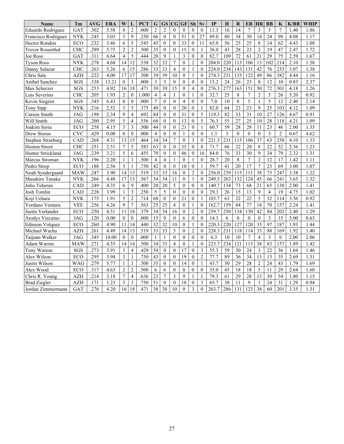| <b>Name</b>             | Tm         | <b>AVG</b> | <b>ERA</b> | W                       | L                        | <b>PCT</b> | $\mathbf G$     | <b>GS</b>        | $\overline{\mathbf{C}}$ | GF               | Sh               | Sv               | IP    | $\bf H$ | R                | ER               | <b>HR</b>       | <b>BB</b>               | $\bf K$        | K/BB | <b>WHIP</b> |
|-------------------------|------------|------------|------------|-------------------------|--------------------------|------------|-----------------|------------------|-------------------------|------------------|------------------|------------------|-------|---------|------------------|------------------|-----------------|-------------------------|----------------|------|-------------|
| Eduardo Rodriguez       | GAT        | .302       | 5.58       | $\mathbf{0}$            | $\overline{c}$           | .000       | $\overline{c}$  | $\overline{c}$   | $\theta$                | $\theta$         | $\theta$         | $\theta$         | 11.3  | 16      | 14               | $\overline{7}$   | 3               | 5                       | $\overline{7}$ | 1.40 | 1.86        |
| Francisco Rodriguez     | <b>NYK</b> | .245       | 3.03       | $\overline{3}$          | $\mathbf{Q}$             | .250       | 66              | $\boldsymbol{0}$ | $\overline{0}$          | 51               | $\mathbf{0}$     | 27               | 89.0  | 80      | 34               | 30               | 14              | 24                      | 98             | 4.08 | 1.17        |
| Hector Rondon           | ECO        | .232       | 3.46       | 6                       | 5                        | .545       | 45              | $\boldsymbol{0}$ | $\overline{0}$          | 33               | $\mathbf{0}$     | 11               | 65.0  | 56      | 25               | 25               | 8               | 14                      | 62             | 4.43 | 1.08        |
| <b>Trevor Rosenthal</b> | <b>CHC</b> | .289       | 5.75       | $\overline{2}$          | $\overline{2}$           | .500       | 35              | $\mathbf{0}$     | $\mathbf{0}$            | 15               | $\mathbf{0}$     | 1                | 36.0  | 43      | 28               | 23               | $\overline{2}$  | 19                      | 47             | 2.47 | 1.72        |
| Joe Ross                | <b>GAT</b> | .311       | 6.64       | $\overline{4}$          | 5                        | .444       | 20              | 9                | $\mathbf{1}$            | 3                | $\theta$         | $\mathbf{0}$     | 82.7  | 109     | 72               | 61               | 21              | 29                      | 75             | 2.59 | 1.67        |
| <b>Tyson Ross</b>       | <b>NYK</b> | .278       | 4.68       | 14                      | 12                       | .538       | 32              | 32               | $\overline{7}$          | $\theta$         | $\overline{2}$   | $\Omega$         | 204.0 | 220     | 113              | 106              | 13              | 102                     | 214            | 2.10 | 1.58        |
| Danny Salazar           | <b>CHC</b> | .263       | 5.26       | 6                       | 15                       | .286       | 33              | 33               | $\overline{4}$          | $\theta$         | 1                | $\Omega$         | 224.0 | 234     | 143              | 131              | 42              | 76                      | 233            | 3.07 | 1.38        |
| Chris Sale              | <b>AZH</b> | .222       | 4.00       | 17                      | 17                       | .500       | 39              | 39               | 10                      | $\mathbf{0}$     |                  | $\theta$         | 274.3 | 231     | 135              | 122              | 49              | 86                      | 382            | 4.44 | 1.16        |
| Anibal Sanchez          | SGS        | .338       | 13.21      | $\mathbf{0}$            | 3                        | .000       | 3               | 3                | $\theta$                | $\theta$         | $\Omega$         | $\Omega$         | 15.2  | 24      | 26               | 23               | 8               | 12                      | 10             | 0.83 | 2.37        |
| Max Scherzer            | SGS        | .253       | 4.92       | 16                      | 18                       | .471       | $\overline{39}$ | 39               | $\overline{15}$         | $\theta$         | $\overline{4}$   | $\theta$         | 276.3 | 277     | 163              | $\overline{151}$ | 50              | 72                      | 301            | 4.18 | 1.26        |
| Luis Severino           | <b>CHC</b> | .205       | 1.93       | $\overline{2}$          | $\boldsymbol{0}$         | 1.000      | $\overline{4}$  | $\overline{4}$   | $\mathbf{1}$            | $\theta$         | 1                | $\mathbf{0}$     | 32.7  | 25      | 8                | $\overline{7}$   | $\overline{2}$  | 5                       | 26             | 5.20 | 0.92        |
| Kevin Siegrist          | SGS        | .345       | 6.43       | $\mathbf{0}$            | $\mathbf{0}$             | .000       | $\overline{7}$  | $\mathbf{0}$     | $\overline{0}$          | $\overline{4}$   | $\theta$         | $\mathbf{0}$     | 7.0   | 10      | 8                | 5                | $\mathbf{1}$    | 5                       | 12             | 2.40 | 2.14        |
| Tony Sipp               | <b>NYK</b> | .216       | 2.52       | 3                       | 5                        | .375       | 49              | $\theta$         | $\theta$                | 20               | $\theta$         | $\mathbf{1}$     | 82.0  | 64      | 23               | 23               | 9               | 25                      | 103            | 4.12 | 1.09        |
| Carson Smith            | <b>JAG</b> | .198       | 2.34       | 9                       | $\overline{4}$           | .692       | 84              | $\boldsymbol{0}$ | $\mathbf{0}$            | 31               | $\theta$         | 5                | 119.3 | 82      | $\overline{33}$  | $\overline{31}$  | 10              | $\overline{27}$         | 126            | 4.67 | 0.91        |
| Will Smith              | <b>JAG</b> | .200       | 2.95       | 5                       | $\overline{4}$           | .556       | 68              | $\theta$         | $\theta$                | 13               | $\theta$         | 5                | 76.3  | 55      | 27               | 25               | 10              | 28                      | 118            | 4.21 | 1.09        |
| Joakim Soria            | <b>ECO</b> | .258       | 4.15       | 3                       | 3                        | .500       | 44              | $\theta$         | $\mathbf{0}$            | 21               | $\mathbf{0}$     | $\mathbf{1}$     | 60.7  | 59      | 28               | 28               | 11              | 23                      | 46             | 2.00 | 1.35        |
| Drew Storen             | <b>CVC</b> | .429       | 0.00       | $\mathbf{0}$            | $\mathbf{0}$             | .000       | $\overline{4}$  | $\theta$         | $\theta$                | $\mathbf{1}$     | $\Omega$         | $\Omega$         | 1.3   | 3       | $\mathbf{0}$     | $\theta$         | $\theta$        | 3                       | $\overline{2}$ | 0.67 | 4.62        |
| Stephen Strasburg       | CAD        | .268       | 4.31       | 13                      | 15                       | .464       | 34              | 34               | 7                       | $\theta$         | 3                | $\Omega$         | 221.3 | 231     | 115              | 106              | 37              | 63                      | 258            | 4.10 | 1.33        |
| <b>Huston Street</b>    | <b>CHC</b> | .251       | 2.51       | $\overline{7}$          | 5                        | .583       | 63              | $\mathbf{0}$     | $\theta$                | 35               | $\Omega$         | $\,8\,$          | 71.7  | 66      | 22               | 20               | 8               | 22                      | 52             | 2.36 | 1.23        |
| Hunter Strickland       | <b>JAG</b> | .239       | 3.21       | 5                       | 6                        | .455       | 79              | $\mathbf{0}$     | $\overline{0}$          | 46               | $\theta$         | 16               | 84.0  | 76      | 33               | 30               | 9               | 34                      | 79             | 2.32 | 1.31        |
| Marcus Stroman          | <b>NYK</b> | .196       | 2.20       | $\mathbf{1}$            | $\,1\,$                  | .500       | $\overline{4}$  | $\overline{4}$   |                         | $\boldsymbol{0}$ |                  | $\mathbf{0}$     | 28.7  | 20      | $\,$ $\,$        | $\overline{7}$   | $\overline{c}$  | 12                      | 17             | 1.42 | 1.11        |
| Pedro Strop             | ECO        | .188       | 2.56       | 3                       | $\mathbf{1}$             | .750       | 42              | $\boldsymbol{0}$ | $\mathbf{0}$            | 10               | $\theta$         | 1                | 59.7  | 41      | 20               | 17               | $\overline{7}$  | 23                      | 69             | 3.00 | 1.07        |
| Noah Syndergaard        | <b>MAW</b> | .247       | 3.90       | 14                      | 13                       | .519       | 33              | 33               | 16                      | $\overline{0}$   | $\overline{2}$   | $\theta$         | 256.0 | 239     | 115              | 111              | 38              | 73                      | 247            | 3.38 | 1.22        |
| Masahiro Tanaka         | <b>NYK</b> | .266       | 4.48       | 17                      | 13                       | .567       | 34              | 34               | 11                      | $\mathbf{0}$     | $\mathbf{1}$     | $\mathbf{0}$     | 249.3 | 263     | 132              | 124              | 45              | 66                      | 241            | 3.65 | 1.32        |
| Julio Teheran           | CAD        | .249       | 4.35       | 6                       | 9                        | .400       | 20              | 20               | 5                       | $\theta$         | $\theta$         | $\mathbf{0}$     | 140.7 | 134     | 73               | 68               | 21              | 65                      | 130            | 2.00 | 1.41        |
| Josh Tomlin             | CAD        | .228       | 3.99       | $\mathbf{1}$            | 3                        | .250       | 5               | 5                | $\Omega$                | $\theta$         | $\Omega$         | $\theta$         | 29.3  | 26      | 15               | 13               | 9               | $\overline{4}$          | 19             | 4.75 | 1.02        |
| Koji Uehara             | <b>NYK</b> | .175       | 1.91       | 5                       | $\overline{c}$           | .714       | 68              | $\boldsymbol{0}$ | $\overline{0}$          | 21               | $\mathbf{0}$     | 1                | 103.7 | 63      | 22               | 22               | 5               | 32                      | 114            | 3.56 | 0.92        |
| Yordano Ventura         | <b>VEE</b> | .256       | 4.26       | 9                       | $\overline{7}$           | .563       | $\overline{25}$ | $\overline{25}$  | 4                       | $\theta$         | 1                | $\theta$         | 162.7 | 159     | 84               | $\overline{77}$  | $\overline{18}$ | 70                      | 157            | 2.24 | 1.41        |
| Justin Verlander        | ECO        | .250       | 4.51       | 11                      | 18                       | .379       | 34              | 34               | 16                      | $\theta$         | $\overline{2}$   | $\theta$         | 259.7 | 250     | 134              | 130              | 42              | 84                      | 202            | 2.40 | 1.29        |
| Arodys Vizcaino         | <b>JAG</b> | .120       | 0.00       | $\mathbf{0}$            | $\boldsymbol{0}$         | .000       | $\overline{15}$ | $\boldsymbol{0}$ | $\boldsymbol{0}$        | 6                | $\mathbf{0}$     | $\boldsymbol{0}$ | 14.3  | 6       | $\boldsymbol{0}$ | $\overline{0}$   | $\mathbf{0}$    | $\overline{\mathbf{3}}$ | 15             | 5.00 | 0.63        |
| Edinson Volquez         | ECO        | .260       | 4.90       | 11                      | 14                       | .440       | 32              | 32               | 10                      | $\theta$         | 1                | $\theta$         | 220.3 | 220     | 127              | 120              | 35              | 97                      | 187            | 1.93 | 1.44        |
| Michael Wacha           | <b>AZH</b> | .261       | 4.49       | 14                      | 13                       | .519       | 33              | 33               | 5                       | $\mathbf{0}$     | $\overline{c}$   | $\boldsymbol{0}$ | 228.3 | 231     | 118              | 114              | 33              | 88                      | 169            | 1.92 | 1.40        |
| Taijuan Walker          | JAG        | .345       | 10.00      | $\boldsymbol{0}$        | $\boldsymbol{0}$         | .000       | 1               | $\mathbf{1}$     | $\boldsymbol{0}$        | $\theta$         | $\boldsymbol{0}$ | $\boldsymbol{0}$ | 6.3   | 10      | 10               | $\overline{7}$   | $\overline{4}$  | $\overline{3}$          | 6              | 2.00 | 2.06        |
| Adam Warren             | <b>MAW</b> | .271       | 4.55       | 14                      | 14                       | .500       | 34              | 33               | $\overline{4}$          | $\theta$         | 1                | $\mathbf{0}$     | 223.7 | 234     | 121              | 113              | 38              | 83                      | 157            | 1.89 | 1.42        |
| Tony Watson             | SGS        | .273       | 3.91       | 3                       | $\overline{\mathcal{L}}$ | .429       | 54              | $\mathbf{0}$     | $\overline{0}$          | 17               | $\theta$         | 3                | 55.3  | 59      | 30               | 24               | 3               | 22                      | 36             | 1.64 | 1.46        |
| Alex Wilson             | ECO        | .295       | 3.94       | $\overline{\mathbf{3}}$ | $\mathbf{1}$             | .750       | 43              | $\theta$         | $\theta$                | 19               | $\Omega$         | $\overline{c}$   | 77.7  | 89      | 36               | 34               | 13              | 13                      | 35             | 2.69 | 1.31        |
| Justin Wilson           | WAG        | .279       | 5.77       | $\mathbf{1}$            | $\mathbf{1}$             | .500       | 35              | $\theta$         | $\theta$                | 14               | $\Omega$         | $\mathbf{1}$     | 43.7  | 50      | 29               | 28               | $\overline{2}$  | 24                      | 43             | 1.79 | 1.69        |
| Alex Wood               | ECO        | .317       | 4.63       | $\overline{c}$          | $\overline{2}$           | .500       | 6               | 6                | $\mathbf{0}$            | $\theta$         | $\mathbf{0}$     | $\mathbf{0}$     | 35.0  | 45      | 18               | 18               | 5               | 11                      | 29             | 2.64 | 1.60        |
| Chris R. Young          | <b>AZH</b> | .214       | 3.18       | 7                       | $\overline{\mathbf{4}}$  | .636       | 23              | $\overline{7}$   | $\overline{3}$          | 9                | 1                | $\mathbf{1}$     | 79.3  | 61      | 29               | 28               | 15              | 30                      | 54             | 1.80 | 1.15        |
| <b>Brad Ziegler</b>     | <b>AZH</b> | .171       | 1.23       | 3                       | $\,1$                    | .750       | 51              | $\boldsymbol{0}$ | $\boldsymbol{0}$        | 18               | $\boldsymbol{0}$ | 3                | 65.7  | 38      | 11               | 9                | $\mathbf{1}$    | 24                      | 31             | 1.29 | 0.94        |
| Jordan Zimmermann       | <b>GAT</b> | 276        | 4.20       | 16                      | 18                       | 471        | $\overline{38}$ | $\overline{38}$  | 10                      | $\theta$         | 3                | $\theta$         | 263.7 | 286     | 131              | 123              | 38              | 60                      | 201            | 3.35 | 1.31        |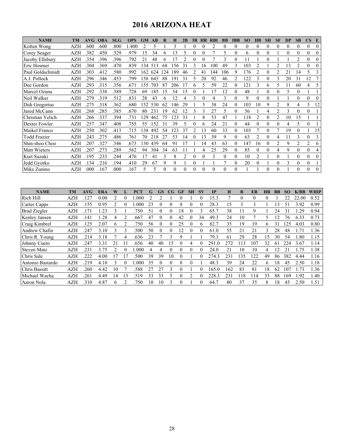# **2016 ARIZONA HEAT**

| <b>NAME</b>         | TM         | AVG- | <b>OBA</b> | <b>SLG</b> | <b>OPS</b> | GM  | AB  | R            | н        | 2B             | 3R |    | <b>RBI</b> | <b>BB</b>     | <b>TBB</b> | <b>SO</b>        | ĦВ             | <b>SH</b>      | <b>SF</b>      | DP            | SB             | $\mathbf{CS}$  | E              |
|---------------------|------------|------|------------|------------|------------|-----|-----|--------------|----------|----------------|----|----|------------|---------------|------------|------------------|----------------|----------------|----------------|---------------|----------------|----------------|----------------|
| Kolten Wong         | <b>AZH</b> | .600 | .600       | .800       | 1.400      |     | 5   |              | 3        |                |    |    |            | $\theta$      | $\theta$   | $\theta$         |                | $\theta$       |                | $\theta$      |                | $\theta$       | 0              |
| Corey Seager        | <b>AZH</b> | .382 | .450       | .529       | .979       | 15  | 34  | <sub>b</sub> | 13       | 5              |    |    |            | 5             | $\theta$   | 6                | 0              | $\theta$       |                | $\Omega$      | 0              | $\theta$       | 0              |
| Jacoby Ellsbury     | AZH        | 354  | 396        | .396       | .792       | 21  | 48  | 6            | 17       | ↑              |    |    |            | $\mathbf{3}$  | $\theta$   |                  |                | 0              |                |               | 2              | $\theta$       | $\theta$       |
| Eric Hosmer         | AZH        | .304 | 369        | .470       | .839       | 134 | 513 | 68           | 156      | 31             | 3  | 16 | 100        | 49            | 3          | 103              |                |                | 2              | 13            | 2              | $\theta$       | $\theta$       |
| Paul Goldschmidt    | AZH        | .303 | .412       | .580       | .992       | 162 | 624 | 124          | 189      | 46             |    | 41 | 144        | 106           | 9          | 176              |                | 0              |                | 21            | 14             | 5              | 3              |
| A.J. Pollock        | AZH        | .296 | 346        | .453       | .799       | 158 | 645 | 88           | 19       | 31             |    | 20 | 92         | 46            | 2          | 22               |                | $\theta$       | 3              | 20            | 31             | 12             |                |
| Dee Gordon          | AZH        | 293  | 315        | .356       | .671       | 155 | 703 | 87           | 206      |                |    |    | 59         | 22            | $\theta$   | $\left 2\right $ |                | 6              | 5              |               | 60             | 4              |                |
| Marcel Ozuna        | AZH        | 292  | 338        | 389        | .728       | 69  | 185 | 15           | 54       | 15             | 0  |    | ۱7         | 12            | $\theta$   | 48               |                | $\Omega$       | 0              | 5             | $\Omega$       |                |                |
| Neil Walker         | AZH        | .279 | .319       | .512       | .831       | 28  | 43  | 6            | 12       |                | 3  |    |            | 3             | $\theta$   | 9                | 0              | $\overline{0}$ |                |               | 0              | $\theta$       | $\overline{0}$ |
| Didi Gregorius      | AZH        | .275 | .318       | .362       | .680       | 152 | 530 | 62           | 146      | 29             |    | 5  | 38         | 24            | $\theta$   | 103              | 10             | 9              |                | 8             | 4              | 3              | 12             |
| Jared McCann        | AZH        | 268  | .285       | .385       | .670       | 80  | 231 | 19           | 62       | 12             | 3  | 3  | 27         | 5             | $\theta$   | 56               |                | 4              | 2              | $\mathcal{E}$ | $\theta$       | $\theta$       |                |
| Christian Yelich    | AZH        | 266  | 337        | .394       | .731       | 129 | 462 | 75           | 23       | 33             |    | 8  | 53         | 47            |            | 18               |                | $\theta$       | $\overline{c}$ | 10            | 15             |                |                |
| Dexter Fowler       | AZH        | .257 | .347       | .408       | .755       | 55  | 152 | 31           | 39       | 5              |    | 6  | 24         | 21            | $\theta$   | 44               | 0              | $\theta$       | 0              | 4             | 5              | $\theta$       |                |
| Maikel Franco       | AZH        | .250 | .302       | .413       | .715       | 138 | 492 | 54           | 123      | 37             |    | 13 | 60         | 33            | $\Omega$   | 103              |                | 0              |                | 19            | 0              |                | 15             |
| <b>Todd Frazier</b> | AZH        | 243  | 275        | .486       | .761       | 70  | 218 | 27           | 53       | 14             |    | 13 | 39         | 9             | $\theta$   | 63               | $\overline{c}$ | $\theta$       | 4              | 11            | 3              | $\theta$       | 3              |
| Shin-shoo Choo      | AZH        | 207  | 327        | 346        | .673       | 130 | 439 | 64           | 91       |                |    | 14 | 43         | 63            | $\Omega$   | 147              | 16             | $\theta$       | 2              | 9             | $\overline{c}$ | $\overline{2}$ | 6              |
| Matt Wieters        | AZH        | 207  | 273        | 289        | .562       | 94  | 304 | 34           | 63       |                |    | 4  | 25         | 29            | $\theta$   | 85               | $\Omega$       | $\theta$       | 4              | 9             | 0              | $\theta$       | 4              |
| Kurt Suzuki         | AZH        | .195 | .233       | 244        | .476       | 17  | 41  | 3            | 8        | $\mathfrak{D}$ |    |    |            | $\theta$      | $\theta$   | 10               |                |                | 0              |               | $\theta$       | $\theta$       | $\Omega$       |
| Jedd Gyorko         | AZH        | .134 | .216       | .194       | .410       | 29  | 67  | 9            | 9        |                |    |    |            | $\mathcal{I}$ | $\theta$   | 20               |                |                | 0              | 3             | 0              | $\theta$       |                |
| Mike Zunino         | <b>AZH</b> | .000 | .167       | .000       | .167       | 5   | 5   | $\Omega$     | $\theta$ |                |    |    |            | $\theta$      | $\theta$   |                  |                | $\Omega$       |                |               | 0              | $\Omega$       | $\Omega$       |

| <b>NAME</b>         | <b>TM</b>  | AVG  | <b>ERA</b> |    |   | <b>PCT</b> | G  | GS | $_{\rm CG}$ | GF       | <b>SH</b> | $S_{V}$  | <b>TP</b> | Ħ   | $\bf R$  | ER       | <b>HR</b> | <b>BB</b> | SO <sub>1</sub> | K/BB          | <b>WHIP</b> |
|---------------------|------------|------|------------|----|---|------------|----|----|-------------|----------|-----------|----------|-----------|-----|----------|----------|-----------|-----------|-----------------|---------------|-------------|
| Rich Hill           | AZH        | .127 | 0.00       | 2  |   | .000       | 2  |    |             |          |           | $\Omega$ | 15.3      |     | $\Omega$ | $\Omega$ |           |           | 22              | 22.00         | 0.52        |
| <b>Carter Capps</b> | AZH        | 155  | 0.95       |    |   | .000       | 23 |    |             | 8        |           |          | 28.3      | 15  | K        | 3        |           | 3         |                 | 3.92          | 0.99        |
| <b>Brad Ziegler</b> | <b>AZH</b> | 71   | .23        | K  |   | .750       | 51 |    | 0           | 18       |           | 3        | 65.7      | 38  |          | 9        |           | 24        | 31              | 29            | 0.94        |
| Kenley Jansen       | <b>AZH</b> | 141  | .28        |    |   | .667       | 47 |    |             | 42       |           | 34       | 49.3      | 24  | 10       |          |           |           | 76              | 6.33          | 0.73        |
| Craig Kimbrel       | AZH        | 125  | 2.07       | 6  |   | .750       | 56 | 0  | 0           | 25       |           | 6        | 82.7      | 35  | 19       | 19       | 6         | 31        | 125             | 4.03          | 0.80        |
| Andrew Chafin       | AZH        | 247  | 3.10       |    |   | 500        | 50 |    | $\Omega$    | 12       |           |          | 61.0      | 55  | 21       | 21       |           | 28        | 48              | $\mathcal{I}$ | 1.36        |
| Chris R. Young      | AZH        | .214 | 3.18       |    |   | .636       | 23 |    | 3           | Q        |           |          | 79.3      | 61  | 29       | 28       | 5         | 30        | 54              | .80           | 1.15        |
| Johnny Cueto        | AZH        | 247  | 3.31       | 21 |   | .656       | 40 | 40 | 15          |          | 4         |          | 291.0     | 272 | 113      | 107      | 32        | 61        | 224             | 3.67          | 1.14        |
| <b>Steven Matz</b>  | <b>AZH</b> | 231  | 3.75       |    |   | .000       | 4  | 4  | 0           | $\theta$ | 0         |          | 24.0      | 21  | 10       | 10       | 4         | 12        |                 | .75           | 1.38        |
| Chris Sale          | <b>AZH</b> | .222 | 4.00       | 7  |   | 500        | 39 | 39 | 10          | 0        |           |          | 274.3     | 231 | 135      | 122      | 49        | 86        | 382             | 4.44          | 1.16        |
| Antonio Bastardo    | <b>AZH</b> | .219 | 4.10       | ٩  |   | .000       | 35 | 0  | 0           | 8        | 0         |          | 48.3      | 39  | 24       | 22       | 6         | 18        | 45              | 2.50          | 1.18        |
| Chris Bassitt       | <b>AZH</b> | .260 | 4.42       | 10 |   | .588       | 27 | 27 | 3           | $\Omega$ |           | $\Omega$ | 165.0     | 162 | 83       | 81       | 18        | 62        | 107             | .73           | 1.36        |
| Michael Wacha       | AZH        | .261 | 4.49       | 14 | 3 | .519       | 33 | 33 |             | 0        |           | $\Omega$ | 228.3     | 231 | 118      | 114      | 33        | 88        | 169             | 1.92          | 1.40        |
| Aaron Nola          | <b>AZH</b> | .310 | 4.87       | 6  |   | .750       | 10 | 10 | 3           | $\Omega$ |           | $\Omega$ | 64.7      | 80  | 37       | 35       | 8         | 18        | 45              | 2.50          | 1.51        |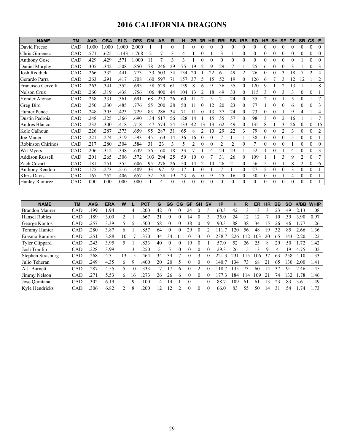# **2016 CALIFORNIA DRAGONS**

| <b>NAME</b>            | <b>TM</b>  | <b>AVG</b> | <b>OBA</b> | <b>SLG</b> | <b>OPS</b> | <b>GM</b> | AB  | R        | н        | 2B       | 3B | <b>HR</b> | <b>RBI</b> | <b>BB</b>      | <b>IBB</b> | <b>SO</b> | HВ             | <b>SH</b>        | SF             | <b>DP</b> | <b>SB</b> | $\mathsf{cs}$    | E              |
|------------------------|------------|------------|------------|------------|------------|-----------|-----|----------|----------|----------|----|-----------|------------|----------------|------------|-----------|----------------|------------------|----------------|-----------|-----------|------------------|----------------|
| David Freese           | CAD        | 1.000      | 0.000      | .000       | 2.000      |           |     | 0        |          | $\Omega$ | 0  | 0         | 0          | $\Omega$       | 0          | $\Omega$  | $\theta$       | 0                | $\Omega$       | 0         | $\theta$  | $\theta$         | 0              |
| Chris Gimenez          | CAD        | .571       | .625       | 1.143      | .768       | 2         |     | 3        | 4        |          | 0  |           | 3          |                | $\theta$   | $\Omega$  | $\theta$       | $\theta$         | $\Omega$       | 0         | $\theta$  | $\theta$         | $\mathbf{0}$   |
| <b>Anthony Gose</b>    | CAD        | .429       | .429       | .571       | .000       | 11        |     | 3        | 3        |          |    | 0         | 0          |                | $\theta$   | $\Omega$  |                | 0                |                |           |           | 0                | $\theta$       |
| Daniel Murphy          | CAD        | .305       | .342       | .508       | .850       | 78        | 246 | 29       | 75       | 19       |    | 9         | 29         | 7              |            | 25        | 6              | $\overline{0}$   | $\theta$       | 3         |           | $\theta$         | 3              |
| Josh Reddick           | CAD        | .266       | .332       | .441       | .773       | 133       | 503 | 54       | 134      | 20       |    | 22        | 61         | 49             | 2          | 76        | $\theta$       | $\theta$         | 3              | 18        |           | 2                | 4              |
| Gerardo Parra          | CAD        | .263       | .291       | .417       | .708       | 160       | 597 | 71       | 157      | 37       | 5  | 15        | 52         | 19             | 0          | 126       | 6              |                  |                | 12        | 12        |                  | $\overline{c}$ |
| Francisco Cervelli     | CAD        | 263        | .341       | .352       | .693       | 158       | 529 | 61       | 139      |          | 6  | 9         | 36         | 55             | 0          | 120       | 9              |                  | $\mathfrak{D}$ | l3        |           |                  | 8              |
| Nelson Cruz            | CAD        | 260        | .319       | .438       | .756       | 106       | 400 | 44       | 104      | 13       |    | 18        | 49         | 33             | 0          | 115       |                | 0                |                | 3         |           | $\theta$         |                |
| Yonder Alonso          | CAD        | .258       | .331       | .361       | .691       | 68        | 233 | 26       | 60       |          |    | 3         | 21         | 24             | 0          | 35        |                | $\boldsymbol{0}$ |                | 5         | $\theta$  |                  | 7              |
| Greg Bird              | CAD        | .250       | .330       | .485       | .776       | 55        | 200 | 28       | 50       |          | 0  | 12        | 20         | 23             | 0          | 77        |                | $\theta$         | $\Omega$       | 6         | $\theta$  | $\theta$         | 3              |
| Hunter Pence           | CAD        | .248       | .305       | .423       | .729       | 83        | 286 | 34       | 71       |          |    | 13        | 37         | 24             | 0          | 73        |                | 0                |                | 9         |           |                  | 4              |
| Dustin Pedroia         | CAD        | .248       | 325        | .366       | .690       | 34        | 517 | 56       | 128      | 14       |    | 15        | 55         | 57             | $\theta$   | 98        | 3              | $\theta$         | 2              | 16        |           |                  | 7              |
| Andres Blanco          | CAD        | .232       | .300       | .418       | .718       | 147       | 574 | 54       | 133      | 42       | 13 | 13        | 62         | 49             | 0          | 135       | 8              |                  |                | 26        |           | $\theta$         | 15             |
| Kole Calhoun           | CAD        | .226       | .287       | .373       | .659       | 95        | 287 | 31       | 65       |          |    | 10        | 29         | 22             | 3          | 79        | $\Omega$       | $\theta$         | 2              | 3         | $\Omega$  | $\boldsymbol{0}$ | 2              |
| Joe Mauer              | CAD        | .221       | .274       | .319       | .593       | 45        | 163 | 14       | 36       | 16       | 0  | $\theta$  |            | 11             |            | 38        | $\theta$       | $\theta$         | $\theta$       | 5         | $\theta$  | $\theta$         |                |
| Robinson Chirinos      | CAD        | .217       | .280       | .304       | .584       | 31        | 23  | 3        | 5        |          | 0  | $\theta$  | 2          | $\overline{2}$ | 0          |           | $\Omega$       | 0                | $\theta$       |           |           | $\theta$         | $\Omega$       |
| Wil Myers              | CAD        | .206       | .312       | .338       | .649       | 56        | 160 | 18       | 33       |          |    | 4         | 24         | 23             |            | 52        |                | $\theta$         |                | 4         |           | $\theta$         | 3              |
| <b>Addison Russell</b> | CAD        | .201       | .265       | .306       | .572       | 103       | 294 | 25       | 59       | 10       | 0  |           | 31         | 26             | $\theta$   | 109       |                |                  | 3              | 9         | 2         | $\theta$         |                |
| Zach Cozart            | CAD        | .181       | .251       | .355       | .606       | 95        | 276 | 26       | 50       | 14       | 2  | 10        | 26         | 21             | 0          | 56        | 5              | $\theta$         |                | 8         | 2         | $\theta$         | 6              |
| Anthony Rendon         | <b>CAD</b> | .175       | .273       | .216       | .489       | 33        | 97  | 9        | 17       |          | 0  |           | π          | 11             | 0          | 27        | $\overline{2}$ | $\theta$         | $\theta$       | 3         | $\theta$  | $\theta$         |                |
| Khris Davis            | CAD        | .167       | .252       | .406       | .657       | 52        | 138 | 19       | 23       | 6        | 0  | 9         | 25         | 16             | $\Omega$   | 50        | $\Omega$       | $\theta$         |                | 4         | $\theta$  | $\theta$         |                |
| Hanley Ramirez         | CAD        | .000       | .000       | .000       | .000       |           | 4   | $\Omega$ | $\Omega$ | $\Omega$ | 0  | $\Omega$  | $\theta$   | $\Omega$       | $\theta$   | $\Omega$  | $\theta$       | $\Omega$         | $\Omega$       | $\Omega$  | $\theta$  | $\theta$         |                |

| <b>NAME</b>           | TМ         | <b>AVG</b> | <b>ERA</b> | W  |          | <b>PCT</b> | G  | GS | CG           | <b>GF</b> | <b>SH</b> | .SV | IP                    | н   | R  | ER  | НR | BB | SΟ   | K/BB | <b>WHIP</b> |
|-----------------------|------------|------------|------------|----|----------|------------|----|----|--------------|-----------|-----------|-----|-----------------------|-----|----|-----|----|----|------|------|-------------|
| <b>Brandon Maurer</b> | CAD        | .199       | 1.94       |    |          | 200        | 42 |    |              | 24        |           | 5   | 60.3                  | 42  | 3  | 13  |    | 23 | 49   | 2.13 | .08         |
| <b>Hansel Robles</b>  | <b>CAD</b> | .189       | 3.09       |    |          | .667       | 21 |    |              | 14        |           |     | 35.0                  | 24  | 12 |     |    | 10 | 39   | 3.90 | 0.97        |
| George Kontos         | <b>CAD</b> | .257       | 3.39       |    |          | .500       | 58 |    |              | 38        |           | q   | 90.3                  | 88  | 38 | 34  | 15 | 26 | 46   |      | .26         |
| Tommy Hunter          | <b>CAD</b> | .280       | 3.87       | h  |          | .857       | 64 |    |              | 29        |           |     |                       | 20  | 56 | 48  | 19 | 32 | 85   | 2.66 | .36         |
| Erasmo Ramirez        | <b>CAD</b> | .251       | 3.88       | 10 |          | .370       | 34 | 34 |              |           | ́         |     | 238.                  | 226 |    | 103 | 20 | 65 | 143  | 2.20 | .22         |
| <b>Tyler Clippard</b> | CAD        | .243       | 3.95       |    |          | .833       | 40 |    |              | 19        |           |     | 57.0                  | 52  | 26 | 25  | 8  | 29 | 50   | .72  | .42         |
| Josh Tomlin           | CAD        | .228       | 3.99       |    |          | 250        |    |    |              |           |           |     | 29.3                  | 26  | 15 | ا 3 | Q  | 4  | 19   | 4.75 | 0.02        |
| Stephen Strasburg     | <b>CAD</b> | .268       | 4.31       | 13 | 5        | .464       | 34 | 34 |              |           |           |     | 22.1<br>$\mathcal{R}$ | 231 | 15 | 106 | 37 | 63 | 258  | 4.10 | .33         |
| Julio Teheran         | CAD        | .249       | 4.35       | 6  |          | .400       | 20 | 20 |              |           |           |     | 40.                   | 34  | 73 | 68  |    | 65 | l 30 | 2.00 | .41         |
| A.J. Burnett          | <b>CAD</b> | .287       | 4.55       |    | $\theta$ | .333       |    |    | <sub>b</sub> |           | ◠         |     | 18.                   | 35  | 73 | 60  | 14 | 37 | 91   | 2.46 | .45         |
| Jimmy Nelson          | <b>CAD</b> | .271       | 5.53       | h  | $\sigma$ | 273        | 26 | 26 | <sub>t</sub> |           |           |     | 77.3                  | 184 | 14 | 109 | 21 | 74 | 132  | .78  | .46         |
| Jose Ouintana         | <b>CAD</b> | .302       | 6.19       |    |          | .100       | 14 |    |              |           |           |     | 88.7                  | 109 | 6  | -61 | 13 | 23 | 83   | 3.61 | .49         |
| Kyle Hendricks        | CAD        | .306       | 6.82       |    |          | 200        | 12 | n  |              |           |           | 0   | 66.0                  | 83  | 55 | 50  | 14 | 31 | 54   | .74  | .73         |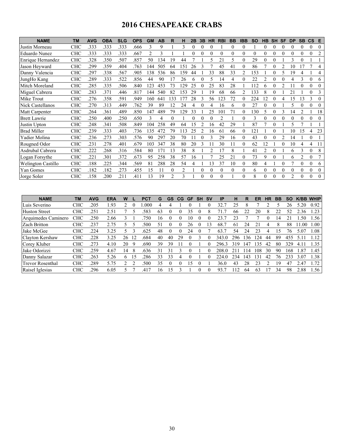# **2016 CHESAPEAKE CRABS**

| <b>NAME</b>         | <b>TM</b>  | <b>AVG</b> | <b>OBA</b> | <b>SLG</b> | <b>OPS</b> | <b>GM</b> | <b>AB</b> | R              | н   | 2B       | 3B | <b>HR</b> | <b>RBI</b> | <b>BB</b> | <b>IBB</b>     | <b>SO</b> | HВ       | <b>SH</b> | <b>SF</b>                | <b>DP</b>      | <b>SB</b> | $\mathsf{cs}$  | Е        |
|---------------------|------------|------------|------------|------------|------------|-----------|-----------|----------------|-----|----------|----|-----------|------------|-----------|----------------|-----------|----------|-----------|--------------------------|----------------|-----------|----------------|----------|
| Justin Morneau      | <b>CHC</b> | .333       | .333       | .333       | .666       | 3         | 9         |                | 3   | $\theta$ |    |           |            | $\theta$  |                |           | $\theta$ |           |                          |                | 0         | 0              | 0        |
| Eduardo Nunez       | <b>CHC</b> | .333       | .333       | .333       | .667       | 2         |           |                |     | 0        |    |           | $\theta$   | $\theta$  | 0              | $\theta$  | $\theta$ | 0         | $\Omega$                 |                | $\theta$  | $\theta$       | 2        |
| Enrique Hernandez   | <b>CHC</b> | .328       | .350       | .507       | .857       | 50        | 134       | 19             | 44  |          |    | 5         | 21         | 5         | 0              | 29        | $\theta$ | 0         |                          |                | $\Omega$  |                |          |
| Jason Heyward       | <b>CHC</b> | .299       | .359       | .404       | .763       | 144       | 505       | 64             | 151 | 26       |    |           | 45         | 41        | 0              | 86        |          | 0         |                          | 0              |           |                | 4        |
| Danny Valencia      | <b>CHC</b> | 297        | .338       | 567        | .905       | 38        | 536       | 86             | 159 | 44       |    | 33        | 88         | 33        | $\mathfrak{D}$ | 153       |          | $\Omega$  | $\overline{\phantom{0}}$ | 9              |           |                | 4        |
| JungHo Kang         | <b>CHC</b> | .289       | .333       | .522       | .856       | 44        | 90        | 17             | 26  | 6        |    | 5         | 14         | 4         | 0              | 22        | 2        | 0         | $\Omega$                 | 4              | 3         | 0              | 6        |
| Mitch Moreland      | <b>CHC</b> | .285       | .335       | .506       | .840       | 123       | 453       | 73             | 129 | 25       |    | 25        | 83         | 28        |                | 112       | 6        |           |                          |                | $\Omega$  | $\theta$       |          |
| Miguel Cabrera      | <b>CHC</b> | .283       | .371       | .446       | .817       | 144       | 540       | 82             | 153 | 29       |    | 19        | 68         | 66        | 2              | 133       | 8        | $\theta$  |                          | 21             |           | $\Omega$       | 3        |
| Mike Trout          | <b>CHC</b> | .276       | .358       | .591       | .949       | 160       | 641       | 133            | 177 | 28       |    | 56        | 123        | 72        | 0              | 224       | 12       | $\Omega$  | 4                        | 15             | 13        | 3              | $\Omega$ |
| Nick Castellanos    | <b>CHC</b> | .270       | .313       | .449       | .762       | 39        | 89        | 12             | 24  |          |    |           | 16         | 6         |                | 27        | $\Omega$ |           |                          |                |           | 0              | 0        |
| Matt Carpenter      | <b>CHC</b> | .264       | .361       | .489       | .850       | 147       | 489       | 79             | 129 | 33       |    | 25        | 101        | 71        | 0              | 130       | 5        |           | 3                        | $\vert 4$      | 2         |                | 18       |
| <b>Brett Lawrie</b> | <b>CHC</b> | .250       | .400       | .250       | .650       | 3         | 4         | $\theta$       |     | $\Omega$ |    |           | 2          |           | $\Omega$       | 3         | $\Omega$ | $\Omega$  | $\Omega$                 | 0              | 0         | $\Omega$       | 0        |
| Justin Upton        | CHC        | .248       | .341       | .508       | .849       | 104       | 258       | 49             | 64  | 15       |    | 16        | 42         | 29        |                | 87        |          | 0         |                          |                |           |                |          |
| <b>Brad Miller</b>  | CHC        | .239       | .333       | .403       | .736       | 135       |           | 79             | 113 | 25       |    | 16        | 61         | 66        | 0              | 121       |          | $\Omega$  |                          | 10             | 15        | 4              | 23       |
| Yadier Molina       | <b>CHC</b> | .236       | 273        | 303        | .576       | 90        | 297       | 20             | 70  |          |    | 3         | 29         | 16        |                | 43        | $\theta$ | $\Omega$  | 2                        | $\overline{4}$ |           | $\Omega$       |          |
| Rougned Odor        | <b>CHC</b> | .231       | 278        | .401       | .679       | 103       | 347       | 38             | 80  | 20       |    |           | 30         | 11        | 0              | 62        | 12       |           | $\theta$                 | 10             |           | 4              |          |
| Asdrubal Cabrera    | <b>CHC</b> | .222       | .268       | .316       | .584       | 80        | 171       | 13             | 38  | 8        |    |           |            | 8         |                | 41        | 2        | $\Omega$  |                          | 6              | 3         | $\theta$       | 8        |
| Logan Forsythe      | <b>CHC</b> | .221       | .301       | 372        | .673       | 95        | 258       | 38             | 57  | 16       |    |           | 25         | 21        | 0              | 73        | 9        | $\Omega$  |                          | 6              | 2         | 0              | 7        |
| Welington Castillo  | <b>CHC</b> | .188       | 225        | 344        | .569       | 81        | 288       | 28             | 54  |          |    | 13        | 37         | 10        | $\Omega$       | 80        | 4        |           | $\theta$                 |                | $\theta$  | $\overline{0}$ | 6        |
| Yan Gomes           | CHC        | .182       | .182       | .273       | .455       | 15        |           | $\theta$       | 2   |          |    | 0         | 0          | $\theta$  | $\Omega$       | 6         | $\theta$ | $\Omega$  | $\Omega$                 |                | $\Omega$  | 0              |          |
| Jorge Soler         | <b>CHC</b> | .158       | 200        | .211       | .411       | 13        | 19        | $\mathfrak{D}$ | 3   |          |    |           | $\theta$   |           |                | 8         | $\theta$ | $\Omega$  |                          |                | $\Omega$  | 0              | $\Omega$ |

| <b>NAME</b>             | ТM         | <b>AVG</b> | <b>ERA</b> | w  |    | <b>PCT</b> | G  | GS | CG | <b>GF</b> | <b>SH</b> | . SV | <b>IP</b> | н   | R    | ER  | HR | ВB | SO  |      | <b>K/BB WHIP</b> |
|-------------------------|------------|------------|------------|----|----|------------|----|----|----|-----------|-----------|------|-----------|-----|------|-----|----|----|-----|------|------------------|
| Luis Severino           | <b>CHC</b> | .205       | l.93       |    |    | .000       | 4  | 4  |    |           |           |      | 32.7      | 25  | ◠    |     |    |    | 26  | 5.20 | 0.92             |
| <b>Huston Street</b>    | <b>CHC</b> | .251       | 2.51       |    |    | .583       | 63 |    |    | 35        |           |      | 71.7      | 66  | 22   | 20  | x  |    | 52  | 2.36 | 1.23             |
| Arquimedes Caminero     | <b>CHC</b> | .250       | 2.66       |    |    | 750        | 16 |    |    | 10        |           |      | 23.7      | 23  |      |     |    | 4  |     | .50  | .56              |
| Zach Britton            | <b>CHC</b> | .237       | 2.75       |    |    | 500        | 51 |    |    | 26        |           |      | 68.7      | 61  | 24   |     |    | 8  | 88  | 1.00 | .00.             |
| Jake McGee              | <b>CHC</b> | .224       | 3.25       |    |    | .625       | 48 |    |    | 24        |           |      | 63.7      | 54  | 24   | 23  | 4  | 15 | 76  | 5.07 | 1.08             |
| Clayton Kershaw         | <b>CHC</b> | 228        | 3.25       | 26 |    | .684       | 40 | 40 | 29 |           |           |      | 343.0     | 296 | 36   | 124 | 44 | 89 | 455 |      | 1.12             |
| Corey Kluber            | <b>CHC</b> | .273       | 4.10       | 20 |    | .690       | 39 | 39 |    |           |           |      | 296.      | 319 | 47   | 35  | 42 | 80 | 329 | 4.1  | .35              |
| Jake Odorizzi           | <b>CHC</b> | .259       | 4.67       | 14 |    | .636       | 31 |    |    |           |           |      | 208.      |     | 14   | 108 | 30 | 90 | 168 | .87  | .45              |
| Danny Salazar           | <b>CHC</b> | 263        | 5.26       | h. | ۱5 | 286        | 33 | 33 | 4  |           |           |      | 224.      | 234 | (43) | 131 | 42 | 76 | 233 | 3.07 | 1.38             |
| <b>Trevor Rosenthal</b> | <b>CHC</b> | .289       | 5.75       |    |    | 500        | 35 |    |    | د،        |           |      | 36.0      | 43  | 28   | 23  |    | 19 | 47  | 2.47 | 1.72             |
| Raisel Iglesias         | <b>CHC</b> | .296       | 6.05       |    |    | .417       | 16 | 15 |    |           |           |      | 93.7      | 12  | 64   | 63  |    | 34 | 98  | 2.88 | 1.56             |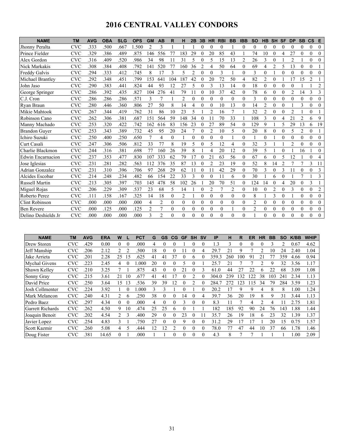# **2016 CENTRAL VALLEY CONDORS**

| <b>NAME</b>              | <b>TM</b>  | <b>AVG</b> | <b>OBA</b> | <b>SLG</b> | <b>OPS</b> | <b>GM</b>      | <b>AB</b>      | R        | н            | 2B               | 3B       | <b>HR</b>      | <b>RBI</b>       | <b>BB</b>      | <b>IBB</b> | <b>SO</b>      | <b>HB</b>        | <b>SH</b>      | <b>SF</b>      | <b>DP</b>      | <b>SB</b>        | $\mathbf{c}\mathbf{s}$ | Е              |
|--------------------------|------------|------------|------------|------------|------------|----------------|----------------|----------|--------------|------------------|----------|----------------|------------------|----------------|------------|----------------|------------------|----------------|----------------|----------------|------------------|------------------------|----------------|
| Jhonny Peralta           | <b>CVC</b> | .333       | .500       | .667       | 1.500      | $\overline{2}$ | 3              |          |              |                  | 0        | 0              | 0                |                | 0          | $\overline{0}$ | 0                | 0              | 0              | $\theta$       | 0                | $\overline{0}$         | $\theta$       |
| Prince Fielder           | <b>CVC</b> | .329       | .386       | .489       | .875       | 146            | 556            | 77       | 83           | 29               | $\theta$ | 20             | 85               | 43             |            | 74             | 10               | $\theta$       | 4              | 27             | $\theta$         | $\theta$               | $\theta$       |
| Alex Gordon              | <b>CVC</b> | .316       | .409       | .520       | .986       | 34             | 98             | 11       | 31           | 5                | 0        | 5              | 15               | 13             | 2          | 26             | 3                | $\theta$       |                | 2              |                  | 0                      | 0              |
| Nick Markakis            | <b>CVC</b> | .308       | .384       | .408       | .792       | 141            | 520            | 77       | 160          | 36               | 2        | 4              | 50               | 64             | $\theta$   | 69             | 4                | 2              | 5              | 13             | 0                | $\theta$               |                |
| Freddy Galvis            | <b>CVC</b> | .294       | .333       | .412       | .745       | 8              | 17             | 3        | 5            | $\overline{c}$   | $\theta$ | $\theta$       | 3                |                | $\theta$   | 3              | $\theta$         |                | $\theta$       | $\theta$       | $\theta$         | $\theta$               | $\theta$       |
| Michael Brantley         | <b>CVC</b> | .292       | .348       | .451       | .799       | 153            | 641            | 104      | 187          | 42               | $\Omega$ | 20             | 72               | 50             | 4          | 82             | $\overline{2}$   | $\theta$       |                | 17             | 15               | $\overline{2}$         |                |
| John Jaso                | <b>CVC</b> | .290       | .383       | .441       | .824       | 44             | 93             | 12       | 27           | 5                | $\Omega$ | 3              | 13               | 14             | $\theta$   | 18             | $\theta$         | $\theta$       | $\theta$       | 0              |                  |                        | 2              |
| George Springer          | <b>CVC</b> | .286       | .392       | .435       | .827       | 104            | 276            | 41       | 79           | 11               | $\theta$ | 10             | 37               | 42             | $\theta$   | 78             | 6                | $\theta$       | $\theta$       | $\overline{c}$ | 14               | 3                      | 3              |
| C.J. Cron                | <b>CVC</b> | .286       | .286       | .286       | .571       | 3              |                |          | 2            | $\theta$         | $\Omega$ | 0              | $\theta$         | $\mathbf{0}$   | $\theta$   | 3              | $\theta$         | 0              | $\theta$       | 0              | $\theta$         | 0                      | 0              |
| Ryan Braun               | <b>CVC</b> | .280       | .446       | .360       | .806       | 27             | 50             | 8        | 14           | 4                | $\Omega$ | $\theta$       | 10               | 13             | $\theta$   | 14             | $\overline{2}$   | $\mathbf{0}$   | $\theta$       |                | 3                | $\Omega$               | $\Omega$       |
| Mikie Mahtook            | <b>CVC</b> | .267       | 344        | .419       | .762       | 31             | 86             | 10       | 23           | 5                |          | $\overline{c}$ | 16               | $\overline{7}$ |            | 32             | $\overline{2}$   | $\theta$       | $\theta$       | $\overline{c}$ |                  | $\theta$               |                |
| Robinson Cano            | <b>CVC</b> | .262       | .306       | .381       | .687       | 151            | 564            | 59       | 148          | 34               |          | 11             | 70               | 33             |            | 108            | 3                | $\theta$       | 4              | 21             | $\overline{c}$   | 6                      | 9              |
| Manny Machado            | CVC        | .253       | .320       | .422       | .742       | 162            | 616            | 83       | 156          | 23               | $\theta$ | 27             | 89               | 54             | $\theta$   | 129            | 9                |                | 5              | 29             | 13               | 6                      | 19             |
| <b>Brandon Guver</b>     | <b>CVC</b> | .253       | .343       | .389       | .732       | 45             | 95             | 20       | 24           | $\overline{7}$   | $\theta$ | $\overline{2}$ | 10               | 5              | $\theta$   | 20             | 8                | $\theta$       | $\theta$       | 5              | $\overline{2}$   | $\theta$               |                |
| Ichiro Suzuki            | <b>CVC</b> | .250       | .400       | .250       | .650       | 7              | 4              | $\theta$ |              | $\Omega$         | $\Omega$ | $\theta$       | $\theta$         |                | $\theta$   |                | $\boldsymbol{0}$ |                | $\theta$       | $\Omega$       | $\theta$         | 0                      | $\Omega$       |
| Curt Casali              | <b>CVC</b> | .247       | 306        | .506       | .812       | 33             | 77             | 8        | 19           | 5                | $\theta$ | 5              | 12               | 4              | $\theta$   | 32             | 3                |                |                | $\overline{2}$ | $\theta$         | $\theta$               | $\Omega$       |
| Charlie Blackmon         | <b>CVC</b> | .244       | .316       | .381       | .698       | 77             | 160            | 26       | 39           | 8                |          | 4              | 20               | 12             | $\theta$   | 39             | 5                |                | $\theta$       |                | 16               |                        | $\theta$       |
| <b>Edwin Encarnacion</b> | <b>CVC</b> | .237       | .353       | .477       | .830       | 107            | 333            | 62       | 79           | 17               | $\Omega$ | 21             | 63               | 56             | 0          | 67             | 6                | $\Omega$       | 5              | 12             |                  | $\theta$               | 4              |
| Jose Iglesias            | <b>CVC</b> | .231       | .281       | .282       | .563       | 112            | 376            | 35       | 87           | 13               |          | $\overline{2}$ | 23               | 19             | $\theta$   | 52             | 8                | 14             | $\overline{2}$ |                |                  | 3                      | 11             |
| <b>Adrian Gonzalez</b>   | <b>CVC</b> | .231       | .310       | .396       | .706       | 97             | 268            | 29       | 62           | 11               | $\Omega$ | 11             | 42               | 29             | $\theta$   | 70             | 3                | $\theta$       | 3              | 11             | $\theta$         | $\theta$               | 3              |
| Alcides Escobar          | <b>CVC</b> | .214       | .248       | .234       | .482       | 66             | 154            | 22       | 33           | 3                | $\Omega$ | 0              | 11               | 6              | 0          | 30             |                  | 6              | $\theta$       |                | 7                |                        | 3              |
| <b>Russell Martin</b>    | <b>CVC</b> | .213       | 305        | .397       | .703       | 145            | 478            | 58       | 102          | 26               |          | 20             | 70               | 51             | $\theta$   | 124            | 14               | $\theta$       | 4              | 20             | $\theta$         | 3                      |                |
| Miguel Rojas             | <b>CVC</b> | .206       | .229       | .309       | .537       | 23             | 68             | 5        | 14           |                  | $\theta$ | $\overline{2}$ | 7                | $\overline{2}$ | $\theta$   | 10             | $\theta$         | $\overline{2}$ | $\theta$       | 3              | $\theta$         | $\overline{0}$         | $\overline{c}$ |
| Roberto Perez            | <b>CVC</b> | .111       | .158       | .167       | .325       | 14             | 18             | $\theta$ | 2            |                  | $\theta$ | $\overline{0}$ | $\boldsymbol{0}$ | $\mathbf{0}$   | $\theta$   | 8              |                  | 3              | $\theta$       |                | $\boldsymbol{0}$ | $\mathbf{0}$           | $\theta$       |
| <b>Clint Robinson</b>    | <b>CVC</b> | .000       | .000       | .000       | .000       | 4              | $\overline{2}$ | $\theta$ | $\theta$     | $\theta$         | $\theta$ | $\theta$       | $\theta$         | $\Omega$       | $\theta$   | $\overline{2}$ | $\theta$         | $\theta$       | $\theta$       | $\Omega$       | $\theta$         | $\theta$               | $\theta$       |
| <b>Ben Revere</b>        | <b>CVC</b> | .000       | .125       | .000       | .125       | 2              | 7              | $\theta$ | $\mathbf{0}$ | $\boldsymbol{0}$ | $\Omega$ | $\theta$       | $\theta$         |                | 0          | 2              | $\mathbf{0}$     | $\theta$       | $\theta$       | $\theta$       | $\boldsymbol{0}$ | $\mathbf{0}$           | $\theta$       |
| Delino Deshields Jr      | <b>CVC</b> | .000       | .000       | .000       | .000       | 3              | $\overline{2}$ | $\theta$ | $\theta$     | $\theta$         | $\Omega$ | 0              | $\Omega$         | $\Omega$       | 0          |                | $\theta$         | $\Omega$       | $\Omega$       |                | $\theta$         | $\theta$               | $\Omega$       |

| <b>NAME</b>             | <b>TM</b>  | <b>AVG</b> | <b>ERA</b> | W              |          | <b>PCT</b> | G  | GS       | CG | GF       | <b>SH</b> | <b>SV</b> | IP        | н   | R        | ER  | <b>HR</b>      | <b>BB</b> | SO  | <b>K/BB</b> | <b>WHIP</b> |
|-------------------------|------------|------------|------------|----------------|----------|------------|----|----------|----|----------|-----------|-----------|-----------|-----|----------|-----|----------------|-----------|-----|-------------|-------------|
| Drew Storen             | <b>CVC</b> | .429       | 0.00       | 0              | $\theta$ | .000       | 4  |          |    |          |           | $\theta$  | 1.3       | 3   | $\theta$ | 0   |                | ٩         |     | 0.67        | 4.62        |
| Jeff Manship            | <b>CVC</b> | .206       | 2.12       | 2              |          | .500       | 18 | 0        |    |          |           | 4         | 29.7      | 21  | Q        |     |                | 10        | 24  | 2.40        | 1.04        |
| Jake Arrieta            | <b>CVC</b> | .201       | 2.28       | 25             | 15       | .625       | 41 | 41       | 37 |          | 6         |           | 359.<br>3 | 260 | 00       | 91  | 21             |           | 359 | 4.66        | 0.94        |
| Mychal Givens           | <b>CVC</b> | .223       | 2.45       | 4              | $\Omega$ | .000       | 20 | 0        |    | 5        |           |           | 25.7      | 21  |          |     |                | 9         | 32  | 3.56        | 1.17        |
| Shawn Kelley            | <b>CVC</b> | .210       | 3.25       |                |          | .875       | 43 | $\Omega$ |    | 21       |           | 3         | 61.0      | 44  | 27       | 22  | 6              | 22        | 68  | 3.09        | 1.08        |
| Sonny Gray              | <b>CVC</b> | .215       | 3.61       | 21             | 10       | .677       | 41 | 41       | 7  |          |           |           | 304.0     | 239 | 32       | 22  | 38             | 03        | 241 | 2.34        | 1.13        |
| David Price             | <b>CVC</b> | .250       | 3.64       | 15             | 13       | .536       | 39 | 39       | 12 |          |           | $\theta$  | 284.      | 272 | 123      | 115 | 34             | 79        | 284 | 3.59        | 1.23        |
| Josh Collmenter         | <b>CVC</b> | .224       | 3.92       |                | $\Omega$ | .000       | 3  | ς        |    | 0        |           | $\Omega$  | 20.2      | 17  | 9        | 9   | 4              | 8         | 8   | $1.00\,$    | 1.24        |
| Mark Melancon           | <b>CVC</b> | .240       | 4.31       | $\mathfrak{D}$ | h        | 250        | 38 |          |    | 14       |           | 4         | 39.7      | 36  | 20       | 19  | 8              | 9         | 31  | 3.44        | 1.13        |
| Pedro Baez              | <b>CVC</b> | .297       | 4.34       | $\Omega$       | $\theta$ | .000       | 4  | $\Omega$ |    | 3        |           | $\Omega$  | 8.3       |     |          | 4   | $\mathfrak{D}$ | 4         |     | 2.75        | 1.81        |
| <b>Garrett Richards</b> | <b>CVC</b> | .262       | 4.50       | 9              | 10       | .474       | 25 | 25       | 6  | 0        |           |           | 182       | 185 | 92       | 90  | 24             | 76        | 143 | 1.88        | 1.44        |
| Joaquin Benoit          | <b>CVC</b> | .202       | 4.54       | $\mathfrak{D}$ | 3        | .400       | 29 | 0        |    | 23       |           |           | 35.7      | 26  | 19       | 18  | 6              | 23        | 32  | 1.39        | 1.37        |
| Javier Lopez            | <b>CVC</b> | .254       | 4.83       | 3              |          | 750        | 27 | 0        | 0  | 9        |           | $\Omega$  | 31.2      | 29  | 17       | 17  |                | 20        | 15  | 0.75        | 1.57        |
| Scott Kazmir            | <b>CVC</b> | .260       | 5.08       | 4              | 5        | .444       | 12 | 12       |    | $\Omega$ |           | $\theta$  | 78.0      | 77  | 47       | 44  | 10             | 37        | 66  | 1.78        | 1.46        |
| Doug Fister             | <b>CVC</b> | 381        | 14.65      | 0              |          | .000       |    |          |    |          |           |           | 4.3       | 8   |          |     |                |           |     | 0.00        | 2.09        |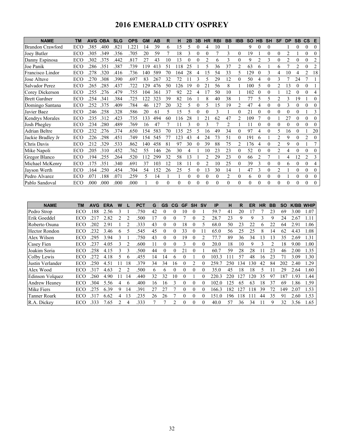# **2016 EMERALD CITY OSPREY**

| <b>NAME</b>             | <b>TM</b> | <b>AVG</b> | <b>OBA</b> | <b>SLG</b> | <b>OPS</b>       | <b>GM</b> | AB       | R        | н        | 2B       | 3B             | <b>HR</b> | <b>RBI</b> | <b>BB</b>      | <b>IBB</b>     | <b>SO</b> | <b>HB</b>      | <b>SH</b>        | SF             | <b>DP</b>      | <b>SB</b>        | <b>CS</b>        | Е              |
|-------------------------|-----------|------------|------------|------------|------------------|-----------|----------|----------|----------|----------|----------------|-----------|------------|----------------|----------------|-----------|----------------|------------------|----------------|----------------|------------------|------------------|----------------|
| <b>Brandon Crawford</b> | ECO       | 385        | .400       | .821       | .22 <sub>1</sub> | 14        | 39       | 6        | 15       | 5        | $\overline{0}$ | 4         | 10         |                |                | 9         | $\theta$       | $\boldsymbol{0}$ |                |                | $\boldsymbol{0}$ | $\boldsymbol{0}$ | $\Omega$       |
| Joey Butler             | ECO       | 305        | .349       | .356       | .705             | 20        | 59       |          | 18       | 3        | 0              | $\theta$  |            | 3              | $\theta$       | 19        |                |                  | $\theta$       | $\mathfrak{D}$ |                  | $\theta$         | $\Omega$       |
| Danny Espinosa          | ECO       | 302        | .375       | .442       | .817             | 27        | 43       | 10       | 13       | $\theta$ | 0              | 2         | 6          | 3              | $\theta$       | 9         | $\overline{2}$ | 3                | $\theta$       |                | $\theta$         | $\theta$         |                |
| Joe Panik               | ECO       | 286        | .351       | 387        | .739             | 119       | 413      | 51       | 118      | 25       |                | 5         | 36         | 37             | $\overline{2}$ | 63        | 6              |                  | 6              |                | $\overline{c}$   | $\theta$         | $\overline{2}$ |
| Francisco Lindor        | ECO       | .278       | .320       | .416       | .736             | 140       | 589      | 70       | 164      | 28       | 4              | 15        | 54         | 33             | 5              | 129       | $\Omega$       |                  | 4              | 10             |                  | $\mathfrak{D}$   | 18             |
| Jose Altuve             | ECO       | .270       | .308       | .390       | .697             | 83        | 267      | 32       | 72       |          | 3              | 5         | 29         | 12             | $\theta$       | 50        | 4              | $\theta$         | 3              |                | 24               | 7                |                |
| Salvador Perez          | ECO       | 265        | .285       | .437       | .722             | 129       | 476      | 50       | 126      | 19       |                | 21        | 56         | 8              |                | 100       | 5              | $\Omega$         | $\overline{c}$ | 13             | 0                | $\theta$         |                |
| Corey Dickerson         | ECO       | .255       | .276       | .479       | .755             | 104       | 361      | 37       | 92       | 22       | 4              | 17        | 50         | 10             |                | 102       | $\Omega$       | 0                |                | 12             | $\Omega$         | $\Omega$         | 4              |
| <b>Brett Gardner</b>    | ECO       | .254       | .341       | .384       | .725             | 122       | 323      | 39       | 82       | 16       |                | 8         | 40         | 38             |                | 77        | 5              | 5                | $\mathfrak{D}$ | 3              | 19               |                  | 0              |
| Domingo Santana         | ECO       | 252        | .375       | .409       | .784             | 46        | 127      | 20       | 32       | 5        |                | 5         | 15         | 19             | $\overline{c}$ | 47        | 4              | 0                | $\theta$       |                | $\theta$         | $\theta$         | 0              |
| Javier Baez             | ECO       | .246       | .258       | .328       | .586             | 20        | 61       | 5        | 15       | 5        | 0              | $\theta$  | 3          |                | $\theta$       | 21        | $\Omega$       | $\Omega$         | $\Omega$       | $\Omega$       | $\theta$         |                  | 3              |
| <b>Kendrys Morales</b>  | ECO       | 235        | .312       | .423       | .735             | 133       | 494      | 60       | 116      | 28       |                | 21        | 62         | 47             | $\overline{2}$ | 109       |                | $\theta$         |                | 27             | $\theta$         | $\theta$         | $\Omega$       |
| Josh Phegley            | ECO       | .234       | .280       | .489       | .769             | 16        | 47       |          |          |          |                |           |            | $\mathfrak{D}$ |                | 11        |                | $\Omega$         | 0              |                | $\theta$         | 0                | 0              |
| Adrian Beltre           | ECO       | 232        | .276       | 374        | .650             | 154       | 583      | 70       | 135      | 25       | 5              | 16        | 49         | 34             | $\theta$       | 97        | 4              | $\theta$         | 5              | 16             | $\theta$         |                  | 20             |
| Jackie Bradley Jr       | ECO       | .226       | .298       | .451       | .749             | 154       | 545      | 77       | 123      | 43       | 4              | 24        | 73         | 51             | 0              | 191       | 6              |                  | 2              | 9              | $\theta$         | 2                | $\Omega$       |
| Chris Davis             | ECO       | .212       | .329       | .533       | .862             | 140       | 458      | 81       | 97       | 30       |                | 39        | 88         | 75             | $\overline{2}$ | 176       | 4              | 0                | $\overline{c}$ | 9              | $\theta$         |                  |                |
| Mike Napoli             | ECO       | 205        | .310       | .452       | .762             | 55        | 146      | 26       | 30       | 4        |                | 10        | 23         | 23             | $\theta$       | 52        | $\Omega$       | 0                | $\overline{c}$ | 4              | $\theta$         | $\Omega$         | 0              |
| Gregor Blanco           | ECO       | 194        | .255       | .264       | .520             | 112       | 299      | 32       | 58       | 13       |                | 2         | 29         | 23             | $\theta$       | 66        | $\overline{2}$ |                  |                | 4              | 12               | $\overline{c}$   | 3              |
| Michael McKenry         | ECO       | 175        | .351       | .340       | .691             | 37        | 103      | 12       | 18       |          |                | 2         | 10         | 25             | $\theta$       | 39        | 3              | $\theta$         | $\theta$       | 6              | $\theta$         | $\theta$         | 4              |
| Jayson Werth            | ECO       | 164        | .250       | .454       | .704             | 54        | 152      | 26       | 25       | 5        | 0              | 13        | 30         | 14             |                | 47        | 3              | 0                | $\overline{c}$ |                | $\theta$         | $\theta$         | $\theta$       |
| Pedro Alvarez           | ECO       | .071       | .188       | .071       | 259              | 5.        | 14       |          |          | $\Omega$ |                | $\theta$  | 0          | 2              | $\Omega$       | 6         | $\theta$       | $\boldsymbol{0}$ | $\theta$       |                | $\theta$         | $\theta$         | $\theta$       |
| Pablo Sandoval          | ECO       | .000       | .000       | .000       | .000             |           | $\theta$ | $\Omega$ | $\Omega$ |          |                | 0         |            | $\theta$       | $\Omega$       | $\Omega$  | $\Omega$       |                  | $\Omega$       |                | $\theta$         | $\theta$         | 0              |

| <b>NAME</b>          | ΤM   | <b>AVG</b> | <b>ERA</b> | W                    |    | <b>PCT</b> | G  | GS           | CG           | <b>GF</b> | <b>SH</b> | <b>SV</b> | IP    | н   | R   | ER  | <b>HR</b> | BB | SΟ  | K/BB | <b>WHIP</b> |
|----------------------|------|------------|------------|----------------------|----|------------|----|--------------|--------------|-----------|-----------|-----------|-------|-----|-----|-----|-----------|----|-----|------|-------------|
| Pedro Strop          | ECO  | .188       | 2.56       | ੨                    |    | .750       | 42 |              | U            | 10        | U         |           | 59.7  | 41  | 20  |     |           | 23 | 69  | 3.00 | 1.07        |
| Erik Goeddel         | ECO  | 21         | 2.82       |                      | 2  | 500        |    | $\Omega$     | 0            |           | 0         | 2         | 28.7  | 23  | 9   | 9   | ٩         | 9  | 24  | 2.67 | 1.11        |
| Roberto Osuna        | ECO  | 202        | 2.91       |                      |    | 333        | 43 |              | 0            | 18        |           | ٢         | 68.0  | 50  | 23  | 22  | h         | 22 | 64  | 2.91 | 1.06        |
| Hector Rondon        | ECO  | .232       | 3.46       | 6                    |    | .545       | 45 |              | $_{0}$       | 33        |           |           | 65.0  | 56  | 25  | 25  | 8         | 14 | 62  | 4.43 | 1.08        |
| Alex Wilson          | ECO  | .295       | 3.94       | 3                    |    | 750        | 43 | $\Omega$     | 0            | 19        | 0         |           | 77.1  | 89  | 36  | 34  | 13        | 13 | 35  | 2.69 | 1.31        |
| Casey Fien           | ECO  | 237        | 4.05       | $\blacktriangleleft$ |    | .600       |    |              | 0            | 3         | 0         |           | 20.0  | 18  | 10  | 9   | 3         | 2  | 18  | 9.00 | $1.00\,$    |
| Joakim Soria         | ECO  | .258       | 4.15       |                      | 3  | 500        | 44 | $\theta$     | 0            | 21        |           |           | 60.7  | 59  | 28  | 28  |           | 23 | 46  | 2.00 | 1.35        |
| Colby Lewis          | ECO  | 272        | 4.18       | 5.                   | 6  | .455       | 14 | 14           | <sub>(</sub> | $_{0}$    |           | $\Omega$  | 103.3 | 11  | 57  | 48  | 16        | 23 | 71  | 3.09 | 1.30        |
| Justin Verlander     | ECO  | 250        | 4.51       |                      | 18 | 379        | 34 | 34           | 16           |           |           |           | 259.7 | 250 | 34  | 130 | 42        | 84 | 202 | 2.40 | .29         |
| Alex Wood            | ECO  | .317       | 4.63       |                      |    | .500       | 6  | <sub>b</sub> | 0            | $\Omega$  | $\Omega$  | 0         | 35.0  | 45  | 18  | 18  | 5         |    | 29  | 2.64 | 1.60        |
| Edinson Volquez      | ECO  | 260        | 4.90       | 11                   | 14 | .440       | 32 | 32           | 10           | $\Omega$  |           | $\Omega$  | 220.3 | 220 | .27 | 120 | 35        | 97 | 187 | .93  | 1.44        |
| <b>Andrew Heaney</b> | ECO  | 304        | 5.56       | 4                    | h  | .400       | 16 | 16           | 3            | 0         | 0         |           | 02.0  | 125 | 65  | 63  | 18        | 37 | 69  | .86  | 1.59        |
| Mike Fiers           | ECO  | 275        | 6.39       | 9                    | 14 | .391       | 27 | 27           |              | $\theta$  | 0         | 0         | 166.3 | 182 | 27  | 118 | 39        | 72 | 149 | 2.07 | 1.53        |
| Tanner Roark         | ECO. | 317        | 6.62       | 4                    | 13 | .235       | 26 | 26           |              | $\Omega$  | $\Omega$  | 0         | 151.0 | 196 | 18  | 11  | 44        | 35 | 91  | 2.60 | 1.53        |
| R.A. Dickey          | ECO  | .333       | 7.65       |                      | 4  | 333        |    |              | າ            | $\Omega$  | 0         | 0         | 40.0  | 57  | 36  | 34  |           | 9  | 32  | 3.56 | 1.65        |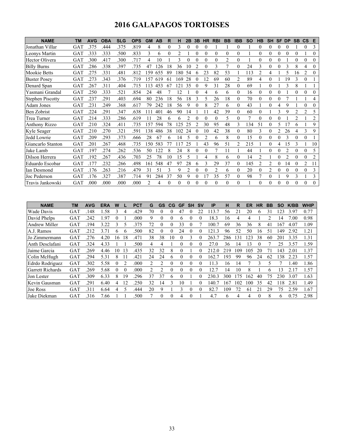# **2016 GALAPAGOS TORTOISES**

| <b>NAME</b>             | <b>TM</b> | <b>AVG</b> | <b>OBA</b> | <b>SLG</b> | <b>OPS</b> | <b>GM</b>      | AB  | R        | н        | 2B             | 3B             | <b>HR</b> | <b>RBI</b>     | <b>BB</b>      | <b>IBB</b>     | <b>SO</b> | <b>HB</b> | <b>SH</b>      | <b>SF</b> | <b>DP</b>      | <b>SB</b> | $\mathbf{c}\mathbf{s}$ | Е              |
|-------------------------|-----------|------------|------------|------------|------------|----------------|-----|----------|----------|----------------|----------------|-----------|----------------|----------------|----------------|-----------|-----------|----------------|-----------|----------------|-----------|------------------------|----------------|
| Jonathan Villar         | GAT       | .375       | .444       | .375       | .819       | 4              | 8   | $\theta$ | 3        | $\theta$       |                | 0         |                |                | $\theta$       |           | $\theta$  | $\theta$       | $\theta$  | $\theta$       |           | $\theta$               | 3              |
| Leonys Martin           | GAT       | .333       | .333       | .500       | .833       | 3              | 6   | $\Omega$ | 2        |                | $\theta$       | 0         | $\theta$       | $\theta$       | $\theta$       |           | $\Omega$  | $\theta$       | $\Omega$  | $\Omega$       | 0         |                        | $\theta$       |
| Hector Olivera          | GAT       | 300        | .417       | .300       | .717       | 4              | 10  |          | 3        | $\theta$       |                | $\theta$  | $\theta$       | $\overline{2}$ | $\theta$       |           | $\theta$  | $\theta$       | 0         |                | 0         | $\Omega$               | $\Omega$       |
| <b>Billy Burns</b>      | GAT       | .286       | .338       | .397       | .735       | 47             | 26  | 18       | 36       | 10             | $\mathfrak{D}$ | $\theta$  | 3              | 7              | $\theta$       | 24        | 3         | $\theta$       | $\theta$  | 3              | 8         | 4                      | $\theta$       |
| Mookie Betts            | GAT       | 275        | .331       | .481       | .812       | 159            | 655 | 89       | 180      | 54             |                | 23        | 82             | 53             |                | 113       | 2         | 4              |           | 5              | 16        | 2                      | $\theta$       |
| <b>Buster Posey</b>     | GAT       | .273       | .343       | .376       | .719       | 157            | 619 | 61       | 169      | 28             |                | 12        | 69             | 60             | $\overline{2}$ | 89        | 4         | $\theta$       |           | 19             | 3         | $\theta$               |                |
| Denard Span             | GAT       | 267        | .311       | .404       | .715       | 113            | 453 | 67       | 121      | 35             | 0              | 9         | 31             | 28             | $\theta$       | 69        |           | $\mathbf{0}$   |           | 3              | 8         |                        |                |
| Yasmani Grandal         | GAT       | 250        | .333       | .521       | .854       | 24             | 48  |          | 12       |                |                | 4         | 6              | 6              | $\theta$       | 16        | $\theta$  | 0              | 0         |                |           |                        | $\Omega$       |
| <b>Stephen Piscotty</b> | GAT       | 237        | .291       | .403       | .694       | 80             | 236 | 18       | 56       | 18             | 3              | 5         | 26             | 18             | $\theta$       | 70        | $\theta$  | $\theta$       | 0         |                |           |                        | 4              |
| Adam Jones              | GAT       | .231       | .249       | .368       | .617       | 79             | 242 | 18       | 56       | 9              |                | 8         | 27             | 6              | $\theta$       | 43        |           | $\theta$       | 4         | 9              |           |                        | $\theta$       |
| Ben Zobrist             | GAT       | 224        | .291       | .347       | .638       | 111            | 401 | 46       | 90       | 14             |                |           | 42             | 39             | $\theta$       | 60        | $\theta$  |                | 3         | 9              | 2         | 2                      | 5              |
| Trea Turner             | GAT       | 214        | .333       | .286       | .619       |                | 28  | 6        | 6        |                |                | 0         | $\theta$       | 5              | $\theta$       | 7         | $\Omega$  | $\theta$       | $\theta$  |                | 2         |                        | 2              |
| <b>Anthony Rizzo</b>    | GAT       | 210        | 324        | .411       | .735       | 157            | 594 | 78       | 125      | 25             |                | 30        | 95             | 48             | 3              | 134       | 51        | $\theta$       | 5         |                | 6         |                        | 9              |
| Kyle Seager             | GAT       | 210        | .270       | .321       | .591       | 138            | 486 | 38       | 102      | 24             |                | 10        | 42             | 38             | $\theta$       | 80        | 3         | $\theta$       |           | 26             | 4         | 3                      | 9              |
| Jedd Lowrie             | GAT       | 209        | .293       | .373       | .666       | 28             | 67  | 6        | 14       | 5              |                | 2         | 6              | 8              | $\theta$       | 15        | $\Omega$  | $\theta$       | 0         | 3              | 0         | $\Omega$               |                |
| Giancarlo Stanton       | GAT       | 201        | .267       | .468       | .735       | 150            | 583 |          | 117      | 25             |                | 43        | 96             | 51             | 2              | 215       |           | $\theta$       | 4         | 15             | 3         |                        | 10             |
| Jake Lamb               | GAT       | 197        | .274       | .262       | .536       | 50             | 122 | 8        | 24       | 8              |                | 0         |                | 11             |                | 44        |           | $\theta$       | 0         | $\overline{c}$ | 0         | $\Omega$               | 5              |
| Dilson Herrera          | GAT       | 192        | .267       | .436       | .703       | 25             | 78  | 10       | 15       | 5              |                | 4         | 8              | 6              | $\theta$       | 14        | 2         |                | 0         | $\overline{c}$ | 0         | $\Omega$               | $\overline{2}$ |
| Eduardo Escobar         | GAT       | 177        | .232       | .266       | .498       | 161            | 548 | 47       | 97       | 28             | 6              | 3         | 29             | 37             | $\theta$       | 145       | 2         | $\overline{c}$ | $\theta$  | 14             | 0         | $\overline{2}$         | 11             |
| Ian Desmond             | GAT       | .176       | .263       | .216       | .479       | 31             | 51  | 3        | 9        | $\overline{2}$ | $\theta$       | 0         | $\overline{c}$ | 6              | $\theta$       | 20        | $\theta$  | 2              | $\theta$  | $\theta$       | 0         | $\Omega$               | 3              |
| Joc Pederson            | GAT       | 176        | 327        | .387       | .714       | 91             | 284 | 37       | 50       | 9              |                | 17        | 35             | 57             | $\overline{0}$ | 98        |           | $\theta$       |           | 9              | 3         |                        | 3              |
| Travis Jankowski        | GAT       | .000       | .000       | .000       | .000       | $\mathfrak{D}$ | 4   | $\Omega$ | $\Omega$ | $\Omega$       | $\Omega$       | $\Omega$  | $\theta$       | $\Omega$       | $\Omega$       |           | $\Omega$  | $\Omega$       | $\Omega$  | $\Omega$       | 0         | $\Omega$               | $\Omega$       |

| <b>NAME</b>             | TМ         | <b>AVG</b> | <b>ERA</b> | W        |              | <b>PCT</b> | G  | <b>GS</b> | CG       | GF | <b>SH</b>    | <b>SV</b> | IP         | н   | R   | <b>ER</b> | HR | <b>BB</b> | <b>SO</b> | K/BB | <b>WHIP</b> |
|-------------------------|------------|------------|------------|----------|--------------|------------|----|-----------|----------|----|--------------|-----------|------------|-----|-----|-----------|----|-----------|-----------|------|-------------|
| Wade Davis              | GAT        | .148       | .58        | 3        | 4            | .429       | 70 |           |          | 47 | $\mathbf{U}$ | 22        | 113.7      | 56  | 21  | 20        | 6  | 31        | 123       | 3.97 | 0.77        |
| David Phelps            | GAT        | 242        | .97        |          |              | .000       | 9  |           |          | h  |              |           | 18.3       | 16  | 4   | 4         |    |           | 14        | 7.00 | 0.98        |
| Andrew Miller           | GAT        | .194       | 3.22       | ζ        |              | .375       | 72 |           | 0        | 33 | U            |           | 100.7      | 69  | 36  | 36        | 8  | 41        | 167       | 4.07 | 1.09        |
| A.J. Ramos              | GAT        | 212        | 3.71       | h        | <sub>b</sub> | .500       | 82 |           |          | 24 |              |           | 121.<br>.3 | 96  | 52  | 50        | 6  | -51       | 149       | 2.92 | 1.21        |
| Jo Zimmermann           | GAT        | .276       | 4.20       | 16       | 18           | .471       | 38 | 38        | 10       | 0  | 3            |           | 263.       | 286 | 131 | 123       | 38 | 60        | 201       | 3.35 | 1.31        |
| Anth Desclafani         | GAT        | .324       | 4.33       |          |              | .500       | 4  | 4         |          |    | $\theta$     |           | 27.0       | 36  | 14  | 13        |    |           | 25        | 3.57 | 1.59        |
| Jaime Garcia            | GAT        | 269        | 4.46       | 10       | 13           | .435       | 32 | 32        | 8        |    |              |           | 212.0      | 219 | 109 | 105       | 20 | 71        | 143       | 2.01 | 1.37        |
| Colin McHugh            | GAT        | .294       | 5.31       | 8        |              | .421       | 24 | 24        | 6        |    | $\Omega$     |           | 162.       | 193 | 99  | 96        | 24 | 62        | 138       | 2.23 | 1.57        |
| Edrdo Rodriguez         | GAT        | .302       | 5.58       | $\theta$ |              | .000       | 2  |           | $\theta$ |    | $\theta$     |           | 11.3       | 16  | 14  |           | 3  | 5         |           | 1.40 | 1.86        |
| <b>Garrett Richards</b> | <b>GAT</b> | 269        | 5.68       | $\left($ | $\Omega$     | .000       | 2  | っ         | $\theta$ |    | $\theta$     |           | 12.7       | 14  | 10  | 8         |    | 6         | 13        | 2.17 | 1.57        |
| Jon Lester              | <b>GAT</b> | .309       | 6.33       | 8        | 19           | .296       | 37 | 37        | 6        |    |              |           | 230.3      | 300 | 175 | 162       | 40 | 75        | 230       | 3.07 | 1.63        |
| Kevin Gausman           | GAT        | .291       | 6.40       | 4        | 12           | 250        | 32 | 14        | ٩        | 10 |              |           | 140.       | 167 | 102 | 100       | 35 | 42        | 18        | 2.81 | 1.49        |
| Joe Ross                | GAT        | .311       | 6.64       | 4        |              | .444       | 20 | 9         |          |    | $\mathbf{U}$ |           | 82.7       | 109 | 72  | 61        |    | 29        | 75        | 2.59 | 1.67        |
| Jake Diekman            | <b>GAT</b> | .316       | 7.66       |          |              | 500        | 7  | $\Omega$  |          | 4  |              |           | 4.7        | 6   |     | 4         |    | 8         | 6         | 0.75 | 2.98        |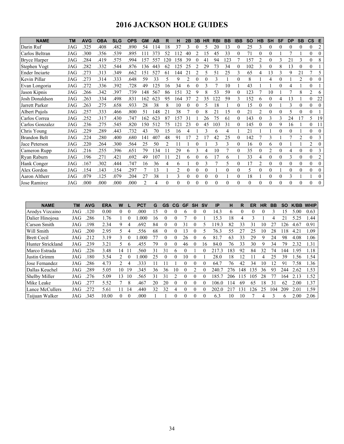# **2016 JACKSON HOLE GUIDES**

| <b>NAME</b>         | TM         | <b>AVG</b> | <b>OBA</b> | <b>SLG</b> | <b>OPS</b> | <b>GM</b>      | AB  | R        | н   | 2Β             | 3B       | HR       | <b>RBI</b> | <b>BB</b> | <b>IBB</b> | <b>SO</b> | HB             | <b>SH</b>      | <b>SF</b> | <b>DP</b> | <b>SB</b>      | $\mathsf{cs}$  | E              |
|---------------------|------------|------------|------------|------------|------------|----------------|-----|----------|-----|----------------|----------|----------|------------|-----------|------------|-----------|----------------|----------------|-----------|-----------|----------------|----------------|----------------|
| Darin Ruf           | JAG        | 325        | .408       | .482       | .890       | 54             | 114 | 18       | 37  | 3              |          |          | 20         | 13        |            | 25        | 3              | 0              | 0         | 0         | 0              | $\theta$       | $\overline{c}$ |
| Carlos Beltran      | JAG        | .300       | .356       | .539       | .895       | 111            | 373 | 52       | 112 | 40             |          | 15       | 45         | 33        | 0          | 71        | $\theta$       | $\theta$       |           | 7         |                | $\theta$       | $\theta$       |
| <b>Bryce Harper</b> | JAG        | .284       | .419       | .575       | .994       | 157            | 557 | 20       | 158 | 39             |          | 41       | 94         | 123       |            | 157       | $\mathfrak{D}$ | $\Omega$       | 3         | 21        | 3              | $\theta$       | 8              |
| Stephen Vogt        | JAG        | .282       | .332       | .544       | .876       | 136            | 443 | 62       | 125 | 25             |          | 29       | 73         | 34        | 0          | 102       | 3              | $\theta$       | 8         | 13        | $\theta$       | $\theta$       |                |
| Ender Inciarte      | JAG        | .273       | .313       | .349       | .662       | 151            | 527 | 61       | 144 | 21             |          |          | 51         | 25        |            | 65        | 4              | 13             | 3         | 9         | 21             | 7              | 5              |
| Kevin Pillar        | JAG        | .273       | .314       | .333       | .648       | 59             | 33  | 5        | 9   | $\overline{2}$ | $\Omega$ |          | 3          |           | $\theta$   | 8         |                | 4              | $\theta$  |           | $\overline{2}$ | $\theta$       | $\Omega$       |
| Evan Longoria       | JAG        | .272       | 336        | .392       | 728        | 49             | 125 | 16       | 34  | 6              | 0        |          |            | 10        |            | 43        |                |                | $\Omega$  | 4         |                | $\theta$       |                |
| Jason Kipnis        | JAG        | .266       | .342       | .397       | .739       | 148            | 567 | 86       | 151 | 32             | q        |          | 53         | 59        | 0          | 123       |                | 10             |           |           | 8              | $\overline{2}$ | 6              |
| Josh Donaldson      | <b>JAG</b> | .263       | .334       | .498       | .831       | 162            | 623 | 95       | 164 | 37             |          | 35       | 122        | 59        | 3          | 152       | 6              | $\Omega$       | 4         | 13        |                | $\theta$       | 22             |
| Jarrett Parker      | JAG        | .263       | .275       | .658       | .933       | 28             | 38  | 8        | 10  | 0              |          | 5        | 18         |           | 0          | 15        | $\theta$       | $\theta$       |           | 3         | 0              | $\theta$       | $\Omega$       |
| Albert Pujols       | JAG        | .257       | .333       | .466       | .800       | 51             | 148 | 21       | 38  |                |          |          | 21         | 15        |            | 21        | 2              | $\Omega$       | $\theta$  |           | 0              | $\theta$       |                |
| Carlos Correa       | JAG        | .252       | 317        | .430       | .747       | 162            | 623 | 87       | 157 | 31             |          | 26       | 75         | 61        | $\Omega$   | 143       | $\theta$       | 3              | 3         | 24        | 17             | 5              | 19             |
| Carlos Gonzalez     | JAG        | .236       | .275       | .545       | .820       | 150            | 512 | 75       | 121 | 23             |          | 45       | 103        | 31        | 0          | 145       | $\theta$       | 0              | 9         | 16        |                | $\theta$       | 11             |
| Chris Young         | <b>JAG</b> | .229       | .289       | .443       | .732       | 43             | 70  | 15       | 16  | 4              |          |          | 6          | 4         |            | 21        |                |                | $\Omega$  | 0         |                | $\theta$       | $\Omega$       |
| <b>Brandon Belt</b> | JAG        | 224        | .280       | .400       | .680       | 141            | 407 | 48       | 91  | 17             |          |          | 42         | 25        | $\theta$   | 142       |                | 3              |           |           | 2              | $\theta$       | 3              |
| Jace Peterson       | JAG        | .220       | .264       | .300       | .564       | 25             | 50  | 2        |     |                |          |          | 3          | 3         | $\Omega$   | 16        | $\theta$       | 6              | $\Omega$  |           |                | $\overline{2}$ |                |
| Cameron Rupp        | JAG        | .216       | .255       | .396       | .651       | 79             | 134 | 11       | 29  | 6              | 3        | 4        | 10         | 7         | $\Omega$   | 35        | $\theta$       | $\mathfrak{D}$ | 0         | 4         | $\theta$       | $\theta$       | 3              |
| Ryan Raburn         | JAG        | .196       | .271       | .421       | .692       | 49             | 107 | 11       | 21  | 6              | 0        | 6        | 17         | 6         |            | 33        | 4              | $\theta$       | $\Omega$  | 3         | $\theta$       | $\theta$       | $\overline{2}$ |
| Hank Conger         | JAG        | .167       | .302       | .444       | .747       | 16             | 36  | 4        | 6   |                | 0        | 3        |            | 5         | 0          | 17        | $\overline{c}$ | 0              | 0         | $\theta$  | 0              | $\theta$       | $\Omega$       |
| Alex Gordon         | JAG        | 154        | 143        | .154       | .297       |                | 13  |          | 2   | 0              | $\Omega$ | $\Omega$ |            | $\theta$  | 0          | 5         | $\theta$       | 0              |           | $\theta$  | $\theta$       | $\theta$       | $\Omega$       |
| Aaron Altherr       | JAG        | .079       | .125       | .079       | .204       | 27             | 38  |          | 3   | $\theta$       | 0        |          | 0          |           | $\theta$   | 18        |                | 0              | 0         | 3         |                |                | $\Omega$       |
| Jose Ramirez        | JAG        | .000       | .000       | .000       | .000       | $\mathfrak{D}$ | 4   | $\Omega$ | 0   | $\theta$       | $\Omega$ |          | $\Omega$   | $\theta$  | $\theta$   | $\theta$  | $\theta$       | $\Omega$       | $\Omega$  | $\Omega$  | 0              | $\theta$       | $\Omega$       |

| <b>NAME</b>        | ΤM  | <b>AVG</b> | <b>ERA</b> | W  |          | <b>PCT</b> | G  | <b>GS</b> | CG.      | GF | <b>SH</b> | <b>SV</b>         | IP    | н   | R        | ER       | <b>HR</b> | BB  | <b>SO</b>    | K/BB | <b>WHIP</b> |
|--------------------|-----|------------|------------|----|----------|------------|----|-----------|----------|----|-----------|-------------------|-------|-----|----------|----------|-----------|-----|--------------|------|-------------|
| Arodys Vizcaino    | JAG | .120       | 0.00       | 0  | $\Omega$ | .000       | 15 |           |          | 6  | $\Omega$  | $\theta$          | 14.3  | 6   | $\Omega$ | $\Omega$ | O         | ٩   | 15           | 5.00 | 0.63        |
| Dalier Hinojosa    | JAG | .286       | 1.76       |    |          | .000       | 16 |           |          |    |           |                   | l 5.3 | 18  | 4        |          |           |     | 21           | 5.25 | 1.44        |
| Carson Smith       | JAG | .198       | 2.34       | 9  |          | .692       | 84 | $\theta$  | $\theta$ | 31 | $\theta$  |                   | 19.3  | 82  | 33       | 31       | 10        | 27  | 126          | 4.67 | 0.91        |
| Will Smith         | JAG | 200        | 2.95       |    |          | 556        | 68 | 0         |          | 3  |           |                   | 76.3  | 55  |          | 25       |           | 28  | l 18         | 4.21 | 1.09        |
| <b>Brett Cecil</b> | JAG | .212       | 3.19       | 3  |          | .000       |    | $\theta$  | 0        | 26 | $\theta$  | 6                 | 81.7  | 63  | 33       | 29       | Q         | 24  | 98           | 4.08 | 1.06        |
| Hunter Strickland  | JAG | .239       | 3.21       |    | 6        | 455        | 79 | $\theta$  | $\theta$ | 46 | $\theta$  | 16                | 84.0  | 76  | 33       | 30       | q         | 34  | 79           | 2.32 | 1.31        |
| Marco Estrada      | JAG | .226       | 3.48       | 14 |          | 560        | 31 | 31        | 6        |    |           |                   | 217.3 | 183 | 92       | 84       | 32        | 74  | 144          | .95  | 1.18        |
| Justin Grimm       | JAG | .180       | 3.54       | 2  |          | .000       | 25 | $\theta$  | $\Omega$ | 10 | $\Omega$  |                   | 28.0  | 18  | 12       |          | 4         | 25  | 39           | .56  | 1.54        |
| Jose Fernandez     | JAG | .286       | 4.73       |    | 4        | 333        |    |           |          |    | $\Omega$  | $_{0}$            | 64.7  | 76  | 42       | 34       | 10        | 12  | 91           | '.58 | 1.36        |
| Dallas Keuchel     | JAG | .289       | 5.05       | 10 | 19       | 345        | 36 | 36        | 10       |    | 2         | 0                 | 240.  | 276 | 48       | 135      | 36        | 93  | 244          | 2.62 | 1.53        |
| Shelby Miller      | JAG | .276       | 5.09       | 13 | 10       | 565        | 31 | 31        |          |    | $\Omega$  | $\theta$          | 185.  | 206 | 15       | 105      | 28        |     | 164          | 2.13 | 1.52        |
| Mike Leake         | JAG | .277       | 5.52       |    | 8        | .467       | 20 | 20        | 0        |    | $\Omega$  | 0                 | 106.0 | 14  | 69       | 65       | 18        | 31  | 62           | 2.00 | 1.37        |
| Lance McCullers    | JAG | .272       | 5.61       |    | 14       | .440       | 32 | 32        | 4        |    | $\Omega$  | $\mathbf{\Omega}$ | 202.0 | 21  | 31       | 126      | 25        | 104 | 209          | 2.01 | 1.59        |
| Taijuan Walker     | JAG | .345       | 10.00      | 0  | $\Omega$ | .000       |    |           | $\Omega$ |    | $\Omega$  | $\theta$          | 6.3   | 10  | 10       |          | 4         | ς   | <sub>t</sub> | 2.00 | 2.06        |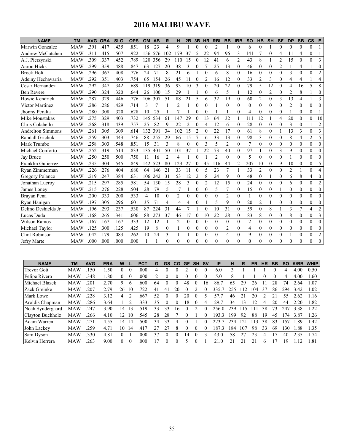# **2016 MALIBU WAVE**

| <b>NAME</b>               | ТM         | AVG  | <b>OBA</b> | <b>SLG</b> | <b>OPS</b> | <b>GM</b> | AB     | R              | н              | 2B             | 3B             | <b>HR</b>      | <b>RBI</b>     | <b>BB</b>               | <b>IBB</b>     | <b>SO</b>      | <b>HB</b>      | <b>SH</b>        | <b>SF</b>        | <b>DP</b>      | <b>SB</b>      | $\mathsf{cs}$  | Е              |
|---------------------------|------------|------|------------|------------|------------|-----------|--------|----------------|----------------|----------------|----------------|----------------|----------------|-------------------------|----------------|----------------|----------------|------------------|------------------|----------------|----------------|----------------|----------------|
| Marwin Gonzalez           | <b>MAW</b> | .391 | .417       | .435       | .851       | 18        | 23     | 4              | 9              |                | $\theta$       | $\Omega$       | $\overline{2}$ |                         | $\theta$       | 6              | $\theta$       |                  | $\theta$         | $\theta$       | $\theta$       | $\theta$       | $\mathbf{1}$   |
| Andrew McCutchen          | <b>MAW</b> | .311 | .415       | .507       | .922       | 156       | 576    | 102            | 179            | 37             | 5              | 22             | 94             | 96                      | 3              | 141            | 7              | $\theta$         | $\overline{4}$   | 11             | 4              | $\theta$       | $\mathbf{1}$   |
| A.J. Pierzynski           | <b>MAW</b> | .309 | .337       | .452       | .789       | 120       | 356    | 29             | 110            | 15             | $\theta$       | 12             | 41             | 6                       | $\overline{2}$ | 43             | 8              |                  | $\overline{2}$   | 15             | $\theta$       | $\theta$       | 3              |
| <b>Aaron Hicks</b>        | <b>MAW</b> | .299 | .359       | .488       | .847       | 63        | 127    | 20             | 38             | 3              | $\overline{0}$ | 7              | 25             | 13                      | $\overline{0}$ | 46             | $\overline{0}$ | $\mathbf{0}$     | $\overline{c}$   |                | $\overline{4}$ |                | $\mathbf{0}$   |
| <b>Brock Holt</b>         | <b>MAW</b> | .296 | .367       | .408       | .776       | 24        | 71     | 8              | 21             | 6              |                | $\Omega$       | 6              | 8                       | $\Omega$       | 16             | $\theta$       | $\theta$         | $\theta$         | 3              | $\theta$       | $\theta$       | $\overline{c}$ |
| Adeiny Hechavarria        | <b>MAW</b> | .292 | .351       | .403       | .754       | 65        | 154    | 26             | 45             | 11             | $\theta$       | $\overline{2}$ | 16             | 12                      | $\Omega$       | 33             | $\overline{c}$ | 3                | $\mathbf{0}$     | 4              | 4              |                | $\overline{4}$ |
| Cesar Hernandez           | <b>MAW</b> | .292 | .347       | .342       | .689       | 119       | 319    | 36             | 93             | 10             | 3              | $\Omega$       | 20             | 22                      | $\overline{0}$ | 79             | 5              | 12               | $\mathbf{0}$     | 4              | 16             | 5              | 8              |
| <b>Ben Revere</b>         | <b>MAW</b> | .290 | .324       | .320       | .644       | 26        | 100    | 15             | 29             | $\mathbf{1}$   |                | $\Omega$       | 6              | $\overline{\mathbf{5}}$ | 1              | 12             | $\theta$       | $\overline{2}$   | $\theta$         | $\overline{c}$ | 8              |                | $\Omega$       |
| Howie Kendrick            | <b>MAW</b> | .287 | .329       | .446       | .776       | 106       | 307    | 51             | 88             | 21             | 5              | 6              | 32             | 19                      | $\theta$       | 60             | $\overline{2}$ | $\theta$         | 3                | 13             | $\overline{4}$ |                | 3              |
| Victor Martinez           | MAW        | .286 | .286       | .429       | .714       | 3         | $\tau$ | 1              | $\overline{2}$ | $\mathbf{1}$   | $\mathbf{0}$   | $\overline{0}$ |                | $\theta$                | $\overline{0}$ | $\mathbf{0}$   | $\overline{0}$ | $\theta$         | $\mathbf{0}$     | $\overline{2}$ | $\overline{0}$ | $\mathbf{0}$   | $\mathbf{0}$   |
| Jhonny Peralta            | <b>MAW</b> | .280 | .308       | .320       | .628       | 10        | 25     | 1              | $\overline{7}$ | $\mathbf{1}$   | $\theta$       | $\theta$       | 1              | 1                       | $\theta$       | $\overline{4}$ | $\overline{0}$ | $\theta$         | $\theta$         | $\mathbf{1}$   | $\mathbf{0}$   | $\theta$       | $\mathbf{1}$   |
| Mike Moustakas            | <b>MAW</b> | .275 | .329       | .403       | .732       | 145       | 534    | 61             | 147            | 29             | $\theta$       | 13             | 64             | 32                      |                | 111            | 12             |                  | $\overline{4}$   | 20             | $\mathbf{0}$   | $\overline{0}$ | 10             |
| Chris Colabello           | <b>MAW</b> | .268 | .318       | .439       | .757       | 25        | 82     | 9              | 22             | $\overline{2}$ | $\Omega$       | 4              | 12             | 6                       | $\theta$       | 28             | $\theta$       | $\theta$         | $\theta$         | 3              | $\theta$       |                | $\mathfrak{2}$ |
| <b>Andrelton Simmons</b>  | <b>MAW</b> | .261 | .305       | .309       | .614       | 132       | 391    | 34             | 102            | 15             | $\overline{2}$ | $\Omega$       | 22             | 17                      | $\theta$       | 61             | 8              | $\theta$         |                  | 13             | 3              | $\theta$       | 3              |
| Randall Grichuk           | <b>MAW</b> | .259 | .303       | .443       | .746       | 88        | 255    | 29             | 66             | 15             | 7              | 6              | 33             | 13                      | $\theta$       | 98             | 3              | $\theta$         | $\theta$         | 8              | $\overline{4}$ | $\overline{c}$ | 5              |
| Mark Trumbo               | <b>MAW</b> | .258 | .303       | .548       | .851       | 15        | 31     | 3              | 8              | $\mathbf{0}$   | $\theta$       | 3              | 5              | $\overline{2}$          | $\Omega$       | 7              | $\overline{0}$ | $\boldsymbol{0}$ | $\boldsymbol{0}$ | $\mathbf{0}$   | $\mathbf{0}$   | $\overline{0}$ | $\mathbf{0}$   |
| Michael Conforto          | <b>MAW</b> | .252 | .319       | .514       | .833       | 135       | 401    | 50             | 101            | 37             |                | 22             | 73             | 40                      | $\theta$       | 97             | $\mathbf{1}$   | $\theta$         | $\overline{3}$   | 9              | $\theta$       | $\theta$       | $\theta$       |
| Jay Bruce                 | <b>MAW</b> | .250 | .250       | .500       | .750       | 11        | 16     | $\overline{2}$ | 4              |                | $\theta$       |                | $\overline{2}$ | $\theta$                | $\theta$       | 5              | $\theta$       | $\theta$         | $\theta$         | 1              | $\theta$       | $\theta$       | $\Omega$       |
| <b>Franklin Gutierrez</b> | <b>MAW</b> | .235 | .304       | .545       | .849       | 142       | 523    | 80             | 123            | 27             | $\theta$       | 45             | 116            | 44                      | 2              | 207            | 10             | $\mathbf{0}$     | 9                | 10             | $\mathbf{0}$   | $\mathbf{0}$   | 5              |
| Ryan Zimmerman            | <b>MAW</b> | .226 | .276       | .404       | .680       | 64        | 146    | 21             | 33             | 11             | $\theta$       | 5              | 23             | $\overline{7}$          | $\mathbf{1}$   | 33             | $\overline{2}$ | $\theta$         | $\theta$         | $\overline{2}$ | 1              | $\theta$       | $\overline{4}$ |
| Gregory Polanco           | <b>MAW</b> | .219 | .247       | .384       | .631       | 106       | 242    | 31             | 53             | 12             | 2              | 8              | 24             | 9                       | $\theta$       | 48             | $\overline{0}$ |                  | $\mathbf{0}$     | 6              | 8              | 4              | $\mathbf{0}$   |
| Jonathan Lucroy           | <b>MAW</b> | .215 | .297       | .285       | .581       | 54        | 130    | 15             | 28             | 3              | $\mathbf{0}$   | 2              | 12             | 15                      | $\overline{0}$ | 24             | $\mathbf{0}$   | $\mathbf{0}$     | $\boldsymbol{0}$ | 6              | $\mathbf{0}$   | $\mathbf{0}$   | $\overline{c}$ |
| James Loney               | <b>MAW</b> | .215 | .276       | .228       | .504       | 28        | 79     | 5              | 17             | $\mathbf{1}$   | $\theta$       | $\theta$       | 5              | $\overline{7}$          | $\theta$       | 15             | $\theta$       | $\theta$         | $\mathbf{1}$     | $\theta$       | $\theta$       | $\theta$       | $\theta$       |
| Brayan Pena               | <b>MAW</b> | .200 | .333       | .200       | .533       | 4         | 10     | $\theta$       | $\overline{2}$ | $\mathbf{0}$   | $\theta$       | $\theta$       | $\theta$       | $\overline{c}$          | $\theta$       | $\mathbf{1}$   | $\overline{0}$ | $\theta$         | $\mathbf{0}$     | $\theta$       | $\theta$       | $\mathbf{0}$   | $\theta$       |
| Rvan Hanigan              | <b>MAW</b> | .197 | .305       | .296       | .601       | 35        | 71     | 4              | 14             | 4              | $\overline{0}$ |                | 5              | 9                       | $\Omega$       | 20             | $\overline{2}$ |                  | $\mathbf{0}$     | $\mathbf{0}$   | $\mathbf{0}$   | $\mathbf{0}$   | $\mathbf{0}$   |
| Delino Deshields Jr       | <b>MAW</b> | .196 | .293       | .237       | .530       | 87        | 224    | 31             | 44             | $\overline{7}$ |                | $\theta$       | 10             | 31                      | $\theta$       | 59             | $\overline{0}$ | 8                |                  | 3              | $\overline{7}$ | $\overline{4}$ | $\mathfrak{2}$ |
| Lucas Duda                | <b>MAW</b> | .168 | .265       | .341       | .606       | 88        | 273    | 37             | 46             | 17             | $\theta$       | 10             | 22             | 28                      | $\theta$       | 83             | 8              | $\theta$         | $\theta$         | 8              | $\theta$       | $\overline{0}$ | 3              |
| <b>Wilson Ramos</b>       | <b>MAW</b> | .167 | .167       | .167       | .333       | 12        | 12     | 1              | $\overline{2}$ | $\mathbf{0}$   | $\theta$       | $\theta$       | $\theta$       | $\theta$                | 0              | $\overline{2}$ | $\theta$       | $\theta$         | $\overline{0}$   | $\theta$       | $\theta$       | $\theta$       | $\theta$       |
| Michael Taylor            | <b>MAW</b> | .125 | .300       | .125       | .425       | 19        | 8      | $\theta$       |                | $\theta$       | $\theta$       | $\theta$       | $\theta$       | $\overline{2}$          | $\Omega$       | 4              | $\overline{0}$ | $\mathbf{0}$     | $\mathbf{0}$     | $\mathbf{0}$   | $\theta$       | $\overline{0}$ | $\mathbf{0}$   |
| Clint Robinson            | <b>MAW</b> | .042 | .179       | .083       | .262       | 10        | 24     | 3              |                |                | $\overline{0}$ | $\theta$       | $\mathbf{0}$   | 4                       | $\overline{0}$ | 9              | $\overline{0}$ | $\mathbf{0}$     | $\mathbf{0}$     |                | $\overline{0}$ | $\overline{0}$ | $\overline{c}$ |
| Jefry Marte               | <b>MAW</b> | .000 | .000       | .000       | .000       |           |        | $\theta$       | $\Omega$       | $\Omega$       | $\Omega$       | 0              | $\theta$       | $\Omega$                | 0              | $\theta$       | $\theta$       | $\theta$         | $\Omega$         | $\Omega$       | $\theta$       | $\theta$       | $\theta$       |

| <b>NAME</b>        | <b>TM</b>  | <b>AVG</b> | <b>ERA</b> | W              |    | <b>PCT</b> | G  | <b>GS</b> | CG       | <b>GF</b> | <b>SH</b> | <b>SV</b>    | IP                    | н   | R   | ER | <b>HR</b> | BB | <b>SO</b> | K/BB | <b>WHIP</b> |
|--------------------|------------|------------|------------|----------------|----|------------|----|-----------|----------|-----------|-----------|--------------|-----------------------|-----|-----|----|-----------|----|-----------|------|-------------|
| <b>Trevor Gott</b> | <b>MAW</b> | .150       | .50        |                |    | .000       | 4  |           |          |           |           |              | 6.0                   | 3   |     |    |           |    |           | 4.00 | 0.50        |
| Felipe Rivero      | <b>MAW</b> | .348       | .80        |                |    | .000       |    |           |          |           |           |              | 5.0                   | 8   |     |    |           |    |           | 4.00 | 1.60        |
| Michael Blazek     | <b>MAW</b> | .201       | 2.70       | 9              | 6  | .600       | 64 | 0         |          | 48        |           | <sub>6</sub> | 86.7                  | 65  | 29  | 26 |           | 28 | 74        | .64  | 1.07        |
| Zack Greinke       | <b>MAW</b> | .207       | 2.79       | 26             | 10 | 722        | 41 | 41        | 20       |           |           |              | 335                   | 255 |     | 04 | 37        | 86 | 294       | 3.42 | 1.02        |
| Mark Lowe          | <b>MAW</b> | .228       | 3.12       | 4              |    | .667       | 52 | 0         | $\Omega$ | 20        |           |              | 57                    | 46  |     | 20 |           |    | 55        | 2.62 | 1.16        |
| Aroldis Chapman    | MAW        | .286       | 3.64       |                |    | 333        | 35 | 0         |          | 18        |           |              | 29.7                  | 34  | 13  | 12 | 4         | 20 | 44        | .20  | 1.82        |
| Noah Syndergaard   | MAW        | .247       | 3.90       | ۱4             | 13 | .519       | 33 | 33        | 16       |           |           |              | 256.0                 | 239 |     |    | 38        | 73 | 247       | 3.38 | 1.22        |
| Clayton Buchholz   | MAW        | .266       | 4.10       | $\cdot$ 2.     | 10 | .545       | 28 | 28        |          |           |           |              | 193.<br>$\mathcal{R}$ | 199 | 92  | 88 | 19        | 45 | 74        | 3.87 | 1.26        |
| Adam Warren        | <b>MAW</b> | .271       | 4.55       | $\overline{4}$ | 14 | 500        | 34 | 33        | 4        |           |           |              | 223                   | 234 | 21  | 13 | 38        | 83 | 157       | .89  | 1.42        |
| John Lackey        | <b>MAW</b> | .259       | 4.71       | 10             | 14 | .417       | 27 | 27        | 8        |           |           |              | 187<br>3              | 184 | 107 | 98 | 33        | 69 | 130       | .88  | 1.35        |
| Sam Dyson          | MAW        | .330       | 4.81       |                |    | .000       | 37 | 0         | 0        | 14        |           |              | 43.0                  | 58  | 27  | 23 | 4         |    | 40        | 2.35 | 1.74        |
| Kelvin Herrera     | <b>MAW</b> | .263       | 9.00       | 0              | 0  | .000       |    | 0         |          |           |           |              | $\Omega$              | 21  |     |    | 6         |    | ۱9        | 12   | 1.81        |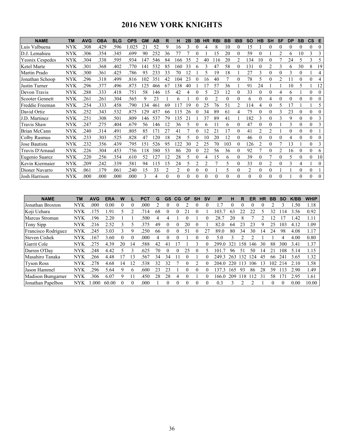# **2016 NEW YORK KNIGHTS**

| <b>NAME</b>            | <b>TM</b>  | <b>AVG</b> | <b>OBA</b> | <b>SLG</b> | <b>OPS</b> | <b>GM</b> | AB  | R        | н        | 2Β       | 3B             | <b>HR</b> | <b>RBI</b>     | <b>BB</b> | <b>IBB</b>     | SΟ             | HB             | <b>SH</b>      | SF       | DP       | <b>SB</b> | $\mathsf{cs}$ | Е        |
|------------------------|------------|------------|------------|------------|------------|-----------|-----|----------|----------|----------|----------------|-----------|----------------|-----------|----------------|----------------|----------------|----------------|----------|----------|-----------|---------------|----------|
| Luis Valbuena          | NYK        | 308        | .429       | .596       | 1.025      | 21        | 52  | 9        | 16       | 3        | $_{0}$         | 4         | 8              | 10        | $\Omega$       | 15             |                | 0              | 0        | 0        | 0         | $\theta$      | $\Omega$ |
| D.J. Lemahieu          | NYK        | 306        | 354        | .345       | .699       | 90        | 252 | 36       | 77       |          |                |           | 15             | 20        | $\theta$       | 59             | $\theta$       |                | 2        | 6        | 10        | 3             |          |
| Yeonix Cespedes        | <b>NYK</b> | .304       | .338       | .595       | .934       | 147       | 546 | 84       | 166      | 35       |                | 40        | 116            | 20        | 2              | 134            | 10             | 0              |          | 24       | 5         | 3             |          |
| Ketel Marte            | NYK        | .301       | .368       | .402       | .770       | 141       | 532 | 85       | 160      | 33       | 6              |           | 47             | 58        | $\theta$       | 131            | 0              | $\mathfrak{D}$ | 3        | 6        | 30        | 8             | 19       |
| Martin Prado           | <b>NYK</b> | 300        | .361       | .425       | .786       | 93        | 233 | 33       | 70       | 12       |                | 5         | 19             | 18        |                | 27             | 3              | 0              | 0        | 3        | $\theta$  |               | 4        |
| Jonathan Schoop        | NYK        | .296       | .318       | .499       | .816       | 102       | 351 | 42       | 104      | 23       | $\theta$       | 16        | 40             |           | $\theta$       | 78             | 5              | 0              | 2        | 11       | 0         | $\theta$      |          |
| Justin Turner          | NYK        | .296       | .377       | .496       | .873       | 125       | 466 | 67       | 138      | 40       |                |           | 57             | 36        |                | 91             | 24             |                |          | 10       | 5         |               | 12       |
| Devon Travis           | <b>NYK</b> | 288        | .333       | .418       | .751       | 58        | 146 | 15       | 42       | 4        | 0              |           | 23             | 12        | $\Omega$       | 33             | 0              | 0              | 4        | 6        |           | $\mathbf{0}$  | $\Omega$ |
| <b>Scooter Gennett</b> | NYK        | .261       | .261       | .304       | .565       | 9         | 23  |          | 6        |          | 0              |           | $\overline{c}$ | 0         | $\Omega$       | 6              | $\Omega$       | 4              | $\theta$ | $\theta$ | 0         | $\theta$      | $\theta$ |
| Freddie Freeman        | <b>NYK</b> | 254        | .333       | .458       | .790       | 134       | 461 | 69       | 117      | 19       |                | 25        | 76             | 51        | $\overline{c}$ | 114            | 4              | 0              | 5        |          |           |               |          |
| David Ortiz            | <b>NYK</b> | .252       | .343       | .532       | .875       | 129       | 457 | 66       | 115      | 26       |                | 34        | 89             | 61        | 4              | 75             |                | 0              | 3        | 23       | $\theta$  | $\mathbf{0}$  | $\Omega$ |
| J.D. Martinez          | NYK        | .251       | .308       | .501       | .809       | 146       | 537 | 79       | 135      | 21       |                | 37        | 89             | 41        |                | 182            | 3              | 0              | 3        | 9        | 0         | $\mathbf{0}$  |          |
| Travis Shaw            | NYK        | .247       | .275       | .404       | .679       | 56        | 146 | 12       | 36       | 5        |                |           |                | 6         | 0              | 47             | $\theta$       | 0              |          | 3        | 0         | $\theta$      |          |
| Brian McCann           | NYK        | .240       | .314       | .491       | .805       | 85        | 171 | 27       | 41       |          | 0              |           | 21             | 17        | $\theta$       | 41             | $\overline{c}$ | 2              |          | $\theta$ | 0         | $\theta$      |          |
| Colby Rasmus           | NYK        | 233        | .303       | .525       | .828       | 47        | 120 | 18       | 28       | 5        | 0              | 10        | 20             | 12        | $\theta$       | 46             | $\Omega$       | 0              | 0        | 4        | 0         | $\mathbf{0}$  | $\theta$ |
| Jose Bautista          | <b>NYK</b> | .232       | .356       | .439       | .795       | 151       | 526 | 95       | 122      | 30       |                | 25        | 70             | 103       | $\theta$       | 126            | $\overline{c}$ | 0              |          | 13       |           | $\theta$      |          |
| Travis D'Arnaud        | NYK        | .226       | .304       | .453       | .756       | 118       | 380 | 53       | 86       | 20       |                | 22        | 56             | 36        | $\theta$       | 92             |                | 0              | 2        | 16       | $\theta$  | $\theta$      | 6        |
| Eugenio Suarez         | <b>NYK</b> | 220        | .256       | .354       | .610       | 52        | 127 | 12       | 28       | 5        | 0              | 4         | 15             | 6         | $\Omega$       | 39             | $\Omega$       |                | 0        | 5        | 0         | $\theta$      | 10       |
| Kevin Kiermaier        | <b>NYK</b> | .209       | .242       | .339       | .581       | 94        | 115 | 15       | 24       | 5        | $\overline{2}$ | 2         |                | 5         | $\Omega$       | 33             | 0              | $\overline{c}$ | 0        | 3        | 4         |               | $\Omega$ |
| Dioner Navarro         | NYK        | .061       | .179       | .061       | .240       | 15        | 33  | 2        | 2        | $\theta$ | 0              | $\theta$  |                | 5         | $\theta$       | $\overline{c}$ | $\theta$       | $\theta$       |          |          | 0         | $\theta$      |          |
| Josh Harrison          | <b>NYK</b> | .000       | .000       | .000       | .000       |           | 4   | $\Omega$ | $\Omega$ | 0        | 0              |           | $\theta$       | 0         | $\Omega$       | $\Omega$       | $\Omega$       | $\Omega$       | 0        |          | 0         | $\Omega$      | $\theta$ |

| <b>NAME</b>         | ТM         | <b>AVG</b> | <b>ERA</b> | W  |    | PCT  | G  | GS       | CG | GF       | <b>SH</b> | <b>SV</b> | ΙP    | н        | R   | ER  | HR | BB  | <b>SO</b> | K/BB | <b>WHIP</b> |
|---------------------|------------|------------|------------|----|----|------|----|----------|----|----------|-----------|-----------|-------|----------|-----|-----|----|-----|-----------|------|-------------|
| Jonathan Broxton    | <b>NYK</b> | .000       | $0.00\,$   |    | 0  | .000 |    |          |    |          |           |           | . 7   | $\Omega$ |     |     |    |     |           | .50  | 1.18        |
| Koji Uehara         | NYK        | 175        | .91        |    |    | 714  | 68 |          |    |          |           |           | 103.  | 63       | 22  | 22  |    | 32  | 14        | 3.56 | 0.92        |
| Marcus Stroman      | NYK        | 196        | 2.20       |    |    | .500 |    |          |    |          |           |           | 28.7  | 20       | 8   |     |    |     |           | .42  | 1.11        |
| Tony Sipp           | NYK        | 216        | 2.52       |    |    | 375  | 49 |          |    | 20       |           |           | 82.0  | 64       | 23  | 23  | 9  | 25  | 103       | 4.12 | 1.09        |
| Francisco Rodriguez | <b>NYK</b> | .245       | 3.03       |    | 9  | .250 | 66 |          |    | 51       |           | 27        | 89.0  | 80       | 34  | 30  | 14 | 24  | 98        | 4.08 | 1.17        |
| Steven Cishek       | <b>NYK</b> | .167       | 3.60       |    | 0  | .000 | 4  | $\Omega$ |    |          |           |           | 5.0   | 3        | っ   | ∍   |    |     | 4         | 4.00 | 0.80        |
| Garrit Cole         | <b>NYK</b> | .275       | 4.39       | 20 | 14 | 588  | 42 | 41       |    |          |           |           | 299.0 | 321      | -58 | 146 | 30 | 88  | 300       | 3.41 | 1.37        |
| Darren O'Dav        | <b>NYK</b> | .248       | 4.42       |    |    | .625 | 70 |          |    | 25       |           |           | 101.7 | 96       | 51  | 50  | 14 |     | 108       | 5.14 | 1.15        |
| Masahiro Tanaka     | <b>NYK</b> | 266        | 4.48       | 7  | 13 | 567  | 34 | 34       |    |          |           |           | 249.3 | 263      | 32  | 124 | 45 | 66  | 241       | 3.65 | 1.32        |
| <b>Tyson Ross</b>   | NYK        | .278       | 4.68       | 14 | 12 | 538  | 32 | 32       |    | $\Omega$ |           |           | 204.0 | 220      | 13  | 106 | 3  | 102 | 214       | 2.10 | 1.58        |
| Jason Hammel        | NYK        | .296       | 5.64       |    | h  | .600 | 23 | 23       |    | $\theta$ |           |           | 137.3 | -65      | 93  | 86  | 28 | 39  |           | 2.90 | 1.49        |
| Madison Bumgarner   | <b>NYK</b> | .306       | 6.07       | Q  |    | .450 | 28 | 28       | 4  |          |           |           | 166.0 | 209      | 18  |     | 31 | 58  |           | 2.95 | 1.61        |
| Jonathan Papelbon   | NYK        | .000       | 60.00      |    | 0  | .000 |    |          |    | $\Omega$ |           |           | 0.3   | 3        |     |     |    |     | $\Omega$  | 0.00 | 10.00       |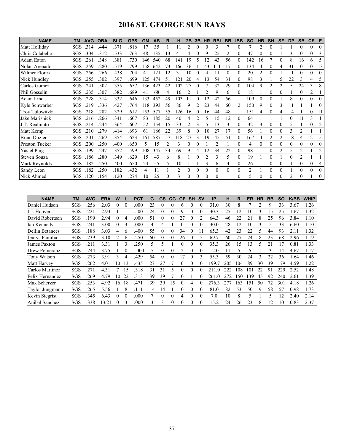# **2016 ST. GEORGE SUN RAYS**

| <b>NAME</b>          | <b>AVG</b><br>TM |      | <b>OBA</b> | <b>SLG</b> | <b>OPS</b> | GM  | <b>AB</b> | R  | н   | 2B             | 3B       | <b>HR</b>      | <b>RBI</b>      | <b>BB</b>      | <b>IBB</b>     | <b>SO</b>      | HB             | <b>SH</b>        | <b>SF</b> | <b>DP</b>      | <b>SB</b> | $\mathsf{cs}$  | E              |
|----------------------|------------------|------|------------|------------|------------|-----|-----------|----|-----|----------------|----------|----------------|-----------------|----------------|----------------|----------------|----------------|------------------|-----------|----------------|-----------|----------------|----------------|
| Matt Hollidav        | SGS              | .314 | .444       | .371       | .816       | 17  | 35        |    | 11  | 2              | $\theta$ | 0              | 3               |                |                |                | $\overline{c}$ | 0                |           |                | 0         | $\theta$       | $\theta$       |
| Chris Colabello      | SGS              | .304 | .312       | .533       | .763       | 48  | 135       | 13 | 41  | 4              | $\theta$ | 9              | 25              | $\mathfrak{D}$ | $\theta$       | 47             | $\theta$       | $\theta$         |           | 3              | 0         | $\theta$       | 3              |
| Adam Eaton           | SGS<br>.261      |      | .348       | .381       | .730       | 146 | 540       | 68 | 141 | 19             |          | 12             | 43              | 56             |                | 142            | 16             |                  | 0         | 8              | 16        | 6              |                |
| Nolan Arenado        | SGS              | .259 | .280       | .519       | .799       | 158 | 642       | 73 | 166 | 36             |          | 43             | 11 <sup>7</sup> | 17             |                | 134            | 4              | $\theta$         | 4         | 31             | 0         | $\theta$       | 13             |
| <b>Wilmer Flores</b> | SGS              | .256 | .266       | .438       | .704       | 41  | 121       | 12 | 31  | 10             | 0        |                |                 | 0              | $\theta$       | 20             | 2              | $\theta$         |           | 11             | 0         | $\mathbf{0}$   | $\Omega$       |
| Nick Hundley         | SGS              | .255 | .302       | .397       | .699       | 125 | 474       | 51 | 121 | 20             |          | 13             | 54              | 31             | $\Omega$       | 98             | 3              |                  | 5         | 22             | 3         | 4              |                |
| Carlos Gomez         | SGS<br>.241      |      | .302       | .355       | .657       | 136 | 423       | 42 | 102 | 27             |          |                | 32              | 29             | $\Omega$       | 104            | 9              |                  |           | 5              | 24        | 3              |                |
| Phil Gosselin        | SGS              | .235 | .307       | .382       | .689       | 41  | 68        | 4  | 16  | $\mathfrak{D}$ |          | $\mathfrak{D}$ | 9               | 6              | $\Omega$       | 18             |                | 0                | 0         |                | 0         | $\overline{2}$ |                |
| Adam Lind            | SGS              | .228 | .314       | .332       | .646       | 133 | 452       | 49 | 103 |                | $\theta$ | 12             | 42              | 56             |                | 109            | $\Omega$       | $\theta$         |           | 8              | 0         | $\theta$       | $\Omega$       |
| Kyle Schwarber       | SGS              | .219 | .336       | .427       | .764       | 118 | 393       | 56 | 86  | 9              |          | 23             | 44              | 60             | 2              | 150            | 9              | $\theta$         | 3         |                |           |                |                |
| Troy Tulowitzki      | SGS              | .218 | .282       | .329       | .612       | 153 | 577       | 55 | 126 | 16             |          | 16             | 44              | 48             |                | 151            | 4              | 0                | 4         | 14             |           | $\theta$       | 11             |
| Jake Marisnick       | SGS              | .216 | .266       | .341       | .607       | 83  | 185       | 20 | 40  | 4              |          | 5              | 15              | 12             | $\theta$       | 64             |                |                  |           | $\Omega$       | 11        | 3              |                |
| J.T. Realmuto        | SGS              | .214 | .244       | .364       | .607       | 52  | 154       | 15 | 33  | $\overline{c}$ |          | 5              | 13              | 3              | $\theta$       | 32             | 3              | $\theta$         | 0         | 5              |           | $\theta$       |                |
| Matt Kemp            | SGS              | .210 | .279       | .414       | .693       | 61  | 186       | 22 | 39  | 8              | $\theta$ | 10             | 27              | 17             | $\theta$       | 56             |                | $\theta$         | 0         | 3              | 2         |                |                |
| Brian Dozier         | SGS<br>.201      |      | 269        | .354       | .623       | 161 | 587       | 57 | 118 | 27             | 3        | 19             | 45              | 51             | $\Omega$       | 167            | 4              | 2                | 2         | 18             | 4         | $\overline{2}$ |                |
| Preston Tucker       | SGS              | 200  | .250       | .400       | .650       | 5   | 15        |    | 3   | $\theta$       | 0        |                | 2               |                | $\theta$       | 4              | $\theta$       | $\boldsymbol{0}$ | 0         | $\theta$       | 0         | $\theta$       | $\theta$       |
| Yasiel Puig          | SGS              | .199 | .247       | .352       | .599       | 108 | 347       | 34 | 69  | 9              |          | 12             | 34              | 22             | $\theta$       | 98             |                | $\theta$         | 2         | 5              | 2         |                | $\overline{2}$ |
| <b>Steven Souza</b>  | SGS              | 186  | 280        | .349       | .629       | 15  | 43        | 6  | 8   |                | $\Omega$ | 2              | 3               | 5              | $\Omega$       | 19             |                | $\theta$         |           | $\theta$       | 2         |                |                |
| Mark Reynolds        | SGS              | 182  | .250       | .400       | .650       | 24  | 55        | 5  | 10  |                |          | 3              | 6               | 4              | $\Omega$       | 26             |                | $\theta$         | 0         |                | 0         | $\mathbf{0}$   |                |
| Sandy Leon           | SGS              | 182  | .250       | .182       | .432       | 4   | 11        |    |     | $\Omega$       | $\theta$ | 0              | $\Omega$        | 0              | $\overline{0}$ | $\overline{c}$ |                | $\theta$         | 0         |                | 0         | $\theta$       |                |
| Nick Ahmed           | SGS              | .120 | .154       | .120       | 274        | 10  | 25        |    | 3   | 0              | $\Omega$ | 0              | $\theta$        |                |                | 5              | $\theta$       | $\theta$         | 0         | $\mathfrak{D}$ | $\theta$  |                | $\theta$       |

| <b>NAME</b>            | <b>TM</b> | <b>AVG</b> | <b>ERA</b> | W  |          | <b>PCT</b> | G  | GS       | CG       | <b>GF</b> | <b>SH</b> | <b>SV</b> | IP        | н   | R   | ER  | ΗR | BB | <b>SO</b> | <b>K/BB</b> | <b>WHIP</b> |
|------------------------|-----------|------------|------------|----|----------|------------|----|----------|----------|-----------|-----------|-----------|-----------|-----|-----|-----|----|----|-----------|-------------|-------------|
| Daniel Hudson          | SGS       | .256       | 2.03       |    | $\theta$ | .000       | 23 |          |          | h         |           | 0         | 31.0      | 30  | 8   |     | ∍  | 9  | 33        | 3.67        | 1.26        |
| J.J. Hoover            | SGS       | .221       | 2.93       |    |          | .500       | 24 |          | 0        | 9         | 0         |           | 30.3      | 25  | 12  | 10  | ٩  | 15 | 25        | 1.67        | 1.32        |
| David Robertson        | SGS       | .199       | 2.94       | 0  | 4        | .000       | 51 |          | 0        | 27        | $\theta$  |           | 64.3      | 46  | 22  | 21  | 8  | 25 | 96        | 3.84        | 1.10        |
| Ian Kennedy            | SGS       | .241       | 3.00       | 0  | 3        | .000       | 4  |          |          | 0         | $\Omega$  | 0         | 30.0      | 28  | 12  | 10  | 3  | 5  | 33        | 6.60        | 1.10        |
| <b>Dellin Betances</b> | SGS       | .188       | 3.03       | 4  | 6        | .400       | 55 | 0        | 0        | 34        | 0         |           | 65.3      | 42  | 23  | 22  | 5  | 44 | 93        | 2.11        | 1.32        |
| Jeurys Familia         | SGS       | .239       | 3.10       |    | 6        | .250       | 60 |          |          | 26        |           |           | 69.7      | 60  | 27  | 24  | 8  | 23 | 68        | 2.96        | 1.19        |
| James Paxton           | SGS       | .211       | 3.31       |    | 3        | .250       | 5  | 5        |          | 0         | $\theta$  | 0         | 35.3      | 26  | 15  | 13  | 5  | 21 | 17        | 0.81        | 1.33        |
| Drew Pomeranz          | SGS       | .244       | 3.75       |    | 0        | .000       |    | 0        | $_{0}$   |           | $\Omega$  | 0         | 12.0      | 11  | 5   | 5   |    | 3  | 14        | 4.67        | 1.17        |
| Tony Watson            | SGS       | .273       | 3.91       | 3  | 4        | .429       | 54 | 0        | 0        | 17        | 0         | 3         | 55.3      | 59  | 30  | 24  | 3  | 22 | 36        | 1.64        | 1.46        |
| Matt Harvey            | SGS       | .262       | 4.01       | 10 | 13       | .435       | 27 | 27       |          |           | $\Omega$  |           | 199.7     | 205 | 104 | 89  | 30 | 39 | 179       | 4.59        | 1.22        |
| Carlos Martinez        | SGS       | .271       | 4.31       |    | 15       | .318       | 31 | 31       |          |           |           |           | 211       | 222 | 108 | 101 | 22 | 91 | 229       | 2.52        | 1.48        |
| Felix Hernandez        | SGS       | .269       | 4.79       | 10 | 22       | .313       | 39 | 39       |          | 0         |           |           | 261<br>.0 | 272 | 150 | 139 | 45 | 92 | 240       | 2.61        | 1.39        |
| Max Scherzer           | SGS       | .253       | 4.92       | 16 | 18       | .471       | 39 | 39       | 15       | $_{0}$    | 4         |           | 276.3     | 277 | 163 | 151 | 50 | 72 | 301       | 4.18        | 1.26        |
| Taylor Jungmann        | SGS       | .265       | 5.56       |    | 8        | .111       | 14 | 14       |          | 0         | $\theta$  | 0         | 81.0      | 82  | 53  | 50  | 9  | 58 | 57        | 0.98        | 1.73        |
| Kevin Siegrist         | SGS       | .345       | 6.43       | 0  | $\Omega$ | .000       | 7  | $\Omega$ | $\Omega$ | 4         | $\Omega$  | 0         | 7.0       | 10  | 8   | 5   |    | 5  | 12        | 2.40        | 2.14        |
| Anibal Sanchez         | SGS       | .338       | 13.21      |    | 3        | .000       | 3  |          | 0        |           | 0         |           | 15.2      | 24  | 26  | 23  | 8  | 12 | 10        | 0.83        | 2.37        |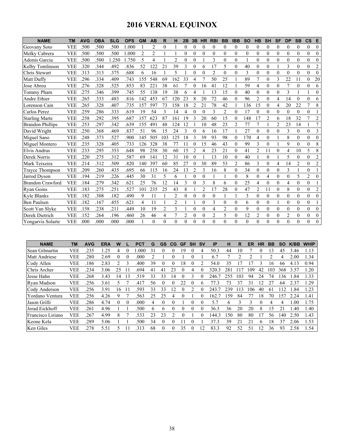# **2016 VERNAL EQUINOX**

| <b>NAME</b>             | <b>TM</b>  | <b>AVG</b> | <b>OBA</b> | <b>SLG</b> | <b>OPS</b> | <b>GM</b>      | AB             | R              | н              | 2B            | 3B               | <b>HR</b>      | <b>RBI</b> | <b>BB</b>      | <b>IBB</b>     | <b>SO</b>      | <b>HB</b>      | <b>SH</b>        | <b>SF</b>      | <b>DP</b>      | <b>SB</b>      | $\mathsf{cs}$  | Е              |
|-------------------------|------------|------------|------------|------------|------------|----------------|----------------|----------------|----------------|---------------|------------------|----------------|------------|----------------|----------------|----------------|----------------|------------------|----------------|----------------|----------------|----------------|----------------|
| Geovany Soto            | <b>VEE</b> | .500       | .500       | .500       | 1.000      |                | $\overline{c}$ | $\theta$       |                | $\theta$      | $\theta$         | $\theta$       | $\theta$   | $\theta$       | $\theta$       | $\theta$       | $\theta$       | $\theta$         | $\theta$       | $\theta$       | $\theta$       | $\theta$       | $\theta$       |
| Melky Cabrera           | <b>VEE</b> | .500       | .500       | .500       | 1.000      | $\overline{c}$ | $\overline{c}$ |                |                | $\theta$      | $\theta$         | $\theta$       | $\theta$   | $\theta$       | $\theta$       | $\theta$       | $\Omega$       | $\theta$         | $\theta$       | $\theta$       | $\theta$       | $\theta$       | $\theta$       |
| Adonis Garcia           | <b>VEE</b> | .500       | .500       | 1.250      | 1.750      | 5              | 4              |                | $\overline{2}$ | $\Omega$      | $\mathbf{0}$     |                | 3          | $\theta$       | $\theta$       | 1              | $\Omega$       | $\theta$         | $\theta$       | $\mathbf{0}$   | $\theta$       | $\theta$       | $\theta$       |
| Kelby Tomlinson         | <b>VEE</b> | .320       | .344       | .492       | .836       | 52             | 122            | 21             | 39             | 3             | $\mathbf{0}$     | 6              | 17         | 5              | $\theta$       | 40             | $\Omega$       | $\theta$         |                | 3              | $\theta$       | $\mathbf{0}$   | $\overline{2}$ |
| Chris Stewart           | <b>VEE</b> | .313       | .313       | .375       | .688       | 6              | 16             |                | 5              |               | $\theta$         | $\theta$       | 2          | $\theta$       | $\theta$       | 3              | 0              | $\overline{0}$   | $\theta$       | $\mathbf{0}$   | $\theta$       | $\theta$       | $\theta$       |
| Matt Duffy              | <b>VEE</b> | .296       | .334       | 409        | .743       | 155            | 548            | 69             | 162            | 33            | 4                | 7              | 50         | 25             |                | 89             | $\tau$         | $\theta$         | 3              | 22             | 11             | $\theta$       | 20             |
| Jose Abreu              | <b>VEE</b> | .276       | .328       | .525       | .853       | 83             | 221            | 38             | 61             |               | $\theta$         | 16             | 41         | 12             |                | 59             | 4              | $\boldsymbol{0}$ | $\theta$       | 7              | $\theta$       | $\Omega$       | 6              |
| Tommy Pham              | <b>VEE</b> | .275       | .346       | .399       | .745       | 55             | 138            | 19             | 38             | 6             | 4                |                | 13         | 15             | $\theta$       | 40             | $\Omega$       | $\theta$         | $\theta$       | 3              |                |                | $\theta$       |
| Andre Ethier            | <b>VEE</b> | .265       | .333       | .483       | .816       | 142            | 453            | 67             | 120            | 23            | 8                | 20             | 72         | 46             | $\theta$       | 96             | 2              | $\theta$         | 4              | 14             | $\theta$       | $\theta$       | 6              |
| Lorenson Cain           | <b>VEE</b> | .265       | .328       | .407       | .735       | 157            | 597            | 73             | 158            | 18            | 2                | 21             | 78         | 42             |                | 136            | 15             | $\overline{0}$   | 4              | 20             | 22             | $\overline{7}$ | 8              |
| Carlos Perez            | <b>VEE</b> | .259       | .286       | .333       | .619       | 19             | 54             | 3              | 14             | 4             | $\theta$         | $\theta$       | 3          | $\overline{2}$ | $\theta$       | 17             | $\theta$       | $\theta$         | $\theta$       | $\theta$       | $\theta$       | $\theta$       |                |
| <b>Starling Marte</b>   | <b>VEE</b> | .258       | .292       | .395       | .687       | 157            | 623            | 87             | 161            | 19            | 3                | 20             | 60         | 15             | $\theta$       | 148            | 17             | $\overline{2}$   | 6              | 18             | 32             | $\overline{7}$ | $\overline{2}$ |
| <b>Brandon Phillips</b> | <b>VEE</b> | .253       | .297       | 342        | .639       | 155            | 491            | 48             | 124            | 12            |                  | 10             | 48         | 23             | $\overline{2}$ | 77             | $\tau$         |                  | $\overline{2}$ | 23             | 14             | $\mathbf{1}$   | $\overline{7}$ |
| David Wright            | <b>VEE</b> | .250       | .368       | .469       | .837       | 51             | 96             | 15             | 24             | 3             | 0                | 6              | 16         | 17             |                | 27             | 0              | $\theta$         | $\theta$       | 3              | $\theta$       | $\theta$       | 3              |
| Miguel Sano             | <b>VEE</b> | .248       | .373       | .527       | .900       | 145            | 505            | 103            | 125            | 18            | 3                | 39             | 93         | 98             | $\theta$       | 170            | 4              | $\theta$         |                | 8              | $\theta$       | $\overline{0}$ | $\theta$       |
| Miguel Montero          | VEE        | .235       | .328       | .405       | .733       | 126            | 328            | 38             | 77             | 11            | $\theta$         | 15             | 46         | 43             | $\theta$       | 99             | 3              | $\mathbf{0}$     |                | 9              | $\theta$       | $\mathbf{0}$   | 8              |
| Elvis Andrus            | <b>VEE</b> | .233       | .295       | .353       | .648       | 98             | 258            | 30             | 60             | 15            | $\overline{2}$   | 4              | 23         | 21             | $\theta$       | 41             | $\overline{2}$ | 11               | $\theta$       | $\overline{4}$ | 10             | 5              | 8              |
| Derek Norris            | <b>VEE</b> | .220       | .275       | .312       | .587       | 69             | 141            | 12             | 31             | 10            | $\theta$         |                | 13         | 10             | $\theta$       | 40             |                | $\theta$         |                | 5              | $\theta$       | $\theta$       | $\overline{2}$ |
| Mark Teixeira           | VEE        | .214       | .312       | .509       | .820       | 140            | 397            | 60             | 85             | 27            | 0                | 30             | 89         | 53             | 2              | 86             | 3              | $\overline{0}$   | 4              | 14             | $\overline{c}$ | $\mathbf{0}$   | $\overline{2}$ |
| <b>Trayce Thompson</b>  | <b>VEE</b> | .209       | .260       | .435       | .695       | 66             | 115            | 16             | 24             | 13            | $\overline{2}$   | 3              | 16         | 8              | $\mathbf{0}$   | 34             | $\theta$       | $\overline{0}$   | $\mathbf{0}$   | 3              |                | $\theta$       |                |
| Jarrod Dyson            | <b>VEE</b> | .194       | .219       | .226       | .445       | 30             | 31             | 5              | 6              |               | $\boldsymbol{0}$ | $\theta$       |            |                | $\theta$       | $\,$ 8 $\,$    | $\theta$       | 4                | $\theta$       | $\mathbf{0}$   | 5              | $\overline{c}$ | $\Omega$       |
| <b>Brandon Crawford</b> | <b>VEE</b> | 184        | .279       | 342        | .621       | 25             | 76             | 12             | 14             | $\mathcal{E}$ | $\theta$         | 3              | 8          | 6              | $\theta$       | 25             | 4              | $\theta$         | 0              | $\overline{4}$ | $\theta$       | $\theta$       |                |
| Ryan Goins              | <b>VEE</b> | .183       | .275       | .251       | .527       | 101            | 235            | 25             | 43             | 8             |                  | $\overline{2}$ | 17         | 28             | $\overline{0}$ | 47             | 2              | 11               | $\mathbf{0}$   | 8              | $\theta$       | $\mathbf{0}$   | $\overline{2}$ |
| Kyle Blanks             | VEE        | .182       | .308       | .182       | .490       | 9              | 11             |                | $\overline{2}$ | $\theta$      | $\theta$         | $\theta$       | $\theta$   |                |                | $\mathfrak{Z}$ | $\theta$       | $\theta$         | $\theta$       | $\theta$       | $\theta$       | $\theta$       | $\theta$       |
| <b>Ben Paulsen</b>      | <b>VEE</b> | .182       | .167       | .455       | .621       | 4              | 11             |                | $\overline{2}$ |               |                  | $\theta$       | 3          | $\Omega$       | $\theta$       | 6              | $\Omega$       | $\theta$         |                | $\theta$       | $\theta$       | $\mathbf{0}$   |                |
| Scott Van Slyke         | VEE        | .158       | .238       | .211       | .449       | 10             | 19             | $\overline{2}$ | 3              |               | $\overline{0}$   | $\theta$       | 4          | $\overline{2}$ | $\theta$       | 9              | $\Omega$       | $\overline{0}$   | $\theta$       | $\mathbf{0}$   | $\mathbf{0}$   | $\mathbf{0}$   | $\theta$       |
| Derek Dietrich          | <b>VEE</b> | .152       | .264       | .196       | .460       | 26             | 46             | 4              | 7              | 2             | $\mathbf{0}$     | $\mathbf{0}$   | 2          | 5              | $\mathbf{0}$   | 12             | $\overline{2}$ | $\mathbf{0}$     | $\mathbf{0}$   | $\overline{2}$ | $\mathbf{0}$   | $\mathbf{0}$   | $\theta$       |
| Yongarvis Solarte       | <b>VEE</b> | .000       | .000       | .000       | .000       |                | $\theta$       | $\theta$       | $\theta$       | $\Omega$      | 0                | $\Omega$       | $\Omega$   | $\Omega$       | $\theta$       | $\theta$       | $\Omega$       | $\Omega$         | 0              | $\theta$       | 0              | $\theta$       | $\theta$       |

| <b>NAME</b>           | TM         | <b>AVG</b> | <b>ERA</b> | w        |          | PCT  | G            | <b>GS</b> | CG       | GF       | <b>SH</b> | <b>SV</b> | IP    | н    | R   | ER  | НR | BB  | <b>SO</b> | K/BB | <b>WHIP</b> |
|-----------------------|------------|------------|------------|----------|----------|------|--------------|-----------|----------|----------|-----------|-----------|-------|------|-----|-----|----|-----|-----------|------|-------------|
| <b>Sean Gilmartin</b> | VEE        | .235       | .25        | 4        | $\theta$ | .000 | 31           | 0         | $\theta$ | 19       | $\Omega$  | 4         | 50.3  | 44   | 10  |     | 0  | 3   | 45        | 3.46 | 1.13        |
| Matt Andriese         | <b>VEE</b> | .280       | 2.69       | $\theta$ | 0        | .000 |              |           |          |          |           |           | 6.7   |      |     |     |    |     | 4         | 2.00 | 1.34        |
| Cody Allen            | VEE        | 186        | 2.83       | っ        |          | .400 | 39           | 0         |          | 18       | 0         |           | 54.0  | 35   |     |     |    | 16  | 66        | 4.13 | 0.94        |
| Chris Archer          | VEE        | 234        | 3.06       | 25       |          | .694 | 41           | 41        | 23       | $\theta$ | 4         | 0         | 320.3 | 281  |     | 109 | 42 | 103 | 368       | 3.57 | 1.20        |
| Jesse Hahn            | <b>VEE</b> | .268       | 3.43       | 14       | 13       | 519. | 33           | 33        | 14       |          | 3         |           | 246.7 | 255  | 103 | 94  | 24 | 74  | 136       | .84  | 1.33        |
| Ryan Madson           | VEE        | .256       | 3.61       |          |          | .41  | 56           | $\theta$  |          | 22       |           | h.        | 77.3  | 73   | 37  | 31  | 12 | 27  | 64        | 2.37 | 1.29        |
| Cody Anderson         | VEE        | .256       | 3.91       | 16       |          | 593  | 33           | 33        | 12       | $_{0}$   |           | 0         | 243.7 | 239  | 13  | 106 | 40 | 61  | 112       | .84  | 1.23        |
| Yordano Ventura       | <b>VEE</b> | .256       | 4.26       | 9        |          | .563 | 25           | 25        | 4        | $\theta$ |           | 0         | 162.7 | 159  | 84  | 77  | 18 | 70  | 157       | 2.24 | 1.41        |
| Jason Grilli          | VEE        | .286       | 4.74       |          |          | .000 | 4            | $\Omega$  |          |          |           |           | 5.7   | 6    |     |     | 0  | 4   | 4         | 1.00 | 1.75        |
| Jerad Eickhoff        | <b>VEE</b> | .261       | 4.96       |          |          | .500 | <sub>b</sub> | 6         | $\theta$ | $\theta$ | $\theta$  |           | 36.3  | 36   | 20  | 20  | 8  | 15  | 21        | .40  | 1.40        |
| Francisco Liriano     | VEE        | .267       | 4.99       | 8        |          | 533  | 23           | 23        |          | $\theta$ |           | 0         | 44.3  | l 50 | 80  | 80  |    | 56  | 140       | 2.50 | 1.43        |
| Keone Kela            | <b>VEE</b> | .289       | 5.06       |          |          | .500 | 34           | $\theta$  |          |          |           |           | 37.3  | 39   | 21  | 21  | h  | 18  | 37        | 2.06 | 1.53        |
| Ken Giles             | VEE        | 278        | 5.51       |          |          | 313  | 68           | $\Omega$  |          | 35       | $\Omega$  | 12        | 83.3  | 92   | 52  | 51  | 12 | 36  | 93        | 2.58 | 1.54        |